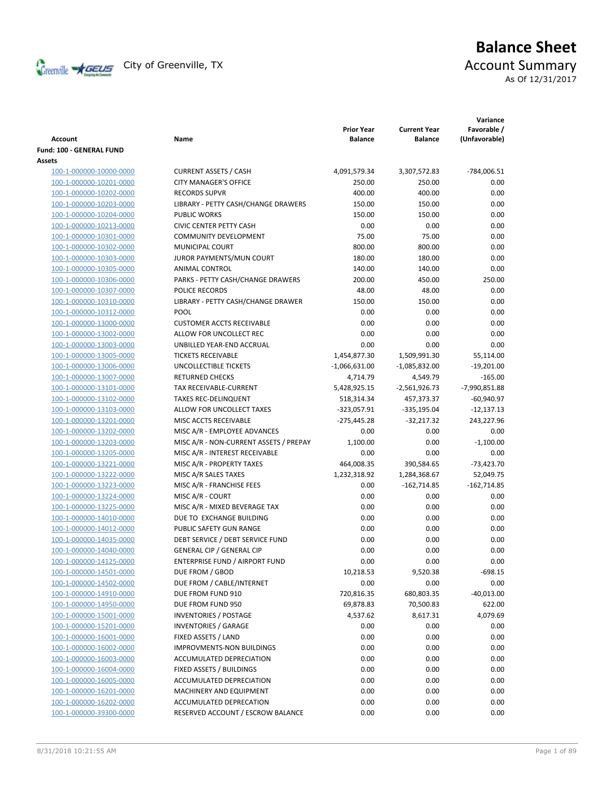

# **Balance Sheet** Creenville  $\star$  GEUS</del> City of Greenville, TX **ACCOUNT** Summary As Of 12/31/2017

| <b>Account</b>           | Name                                   | <b>Prior Year</b><br><b>Balance</b> | <b>Current Year</b><br><b>Balance</b> | Variance<br>Favorable /<br>(Unfavorable) |
|--------------------------|----------------------------------------|-------------------------------------|---------------------------------------|------------------------------------------|
| Fund: 100 - GENERAL FUND |                                        |                                     |                                       |                                          |
| Assets                   |                                        |                                     |                                       |                                          |
| 100-1-000000-10000-0000  | <b>CURRENT ASSETS / CASH</b>           | 4,091,579.34                        | 3,307,572.83                          | -784,006.51                              |
| 100-1-000000-10201-0000  | <b>CITY MANAGER'S OFFICE</b>           | 250.00                              | 250.00                                | 0.00                                     |
| 100-1-000000-10202-0000  | <b>RECORDS SUPVR</b>                   | 400.00                              | 400.00                                | 0.00                                     |
| 100-1-000000-10203-0000  | LIBRARY - PETTY CASH/CHANGE DRAWERS    | 150.00                              | 150.00                                | 0.00                                     |
| 100-1-000000-10204-0000  | <b>PUBLIC WORKS</b>                    | 150.00                              | 150.00                                | 0.00                                     |
| 100-1-000000-10213-0000  | <b>CIVIC CENTER PETTY CASH</b>         | 0.00                                | 0.00                                  | 0.00                                     |
| 100-1-000000-10301-0000  | <b>COMMUNITY DEVELOPMENT</b>           | 75.00                               | 75.00                                 | 0.00                                     |
| 100-1-000000-10302-0000  | MUNICIPAL COURT                        | 800.00                              | 800.00                                | 0.00                                     |
| 100-1-000000-10303-0000  | JUROR PAYMENTS/MUN COURT               | 180.00                              | 180.00                                | 0.00                                     |
| 100-1-000000-10305-0000  | ANIMAL CONTROL                         | 140.00                              | 140.00                                | 0.00                                     |
| 100-1-000000-10306-0000  | PARKS - PETTY CASH/CHANGE DRAWERS      | 200.00                              | 450.00                                | 250.00                                   |
| 100-1-000000-10307-0000  | POLICE RECORDS                         | 48.00                               | 48.00                                 | 0.00                                     |
| 100-1-000000-10310-0000  | LIBRARY - PETTY CASH/CHANGE DRAWER     | 150.00                              | 150.00                                | 0.00                                     |
| 100-1-000000-10312-0000  | POOL                                   | 0.00                                | 0.00                                  | 0.00                                     |
| 100-1-000000-13000-0000  | <b>CUSTOMER ACCTS RECEIVABLE</b>       | 0.00                                | 0.00                                  | 0.00                                     |
| 100-1-000000-13002-0000  | ALLOW FOR UNCOLLECT REC                | 0.00                                | 0.00                                  | 0.00                                     |
| 100-1-000000-13003-0000  | UNBILLED YEAR-END ACCRUAL              | 0.00                                | 0.00                                  | 0.00                                     |
| 100-1-000000-13005-0000  | <b>TICKETS RECEIVABLE</b>              | 1,454,877.30                        | 1,509,991.30                          | 55,114.00                                |
| 100-1-000000-13006-0000  | <b>UNCOLLECTIBLE TICKETS</b>           | $-1,066,631.00$                     | $-1,085,832.00$                       | $-19,201.00$                             |
| 100-1-000000-13007-0000  | <b>RETURNED CHECKS</b>                 | 4,714.79                            | 4,549.79                              | $-165.00$                                |
| 100-1-000000-13101-0000  | TAX RECEIVABLE-CURRENT                 | 5,428,925.15                        | $-2,561,926.73$                       | -7,990,851.88                            |
| 100-1-000000-13102-0000  | <b>TAXES REC-DELINQUENT</b>            | 518,314.34                          | 457,373.37                            | $-60,940.97$                             |
| 100-1-000000-13103-0000  | ALLOW FOR UNCOLLECT TAXES              | $-323,057.91$                       | $-335,195.04$                         | $-12,137.13$                             |
| 100-1-000000-13201-0000  | MISC ACCTS RECEIVABLE                  | -275,445.28                         | $-32,217.32$                          | 243,227.96                               |
| 100-1-000000-13202-0000  | MISC A/R - EMPLOYEE ADVANCES           | 0.00                                | 0.00                                  | 0.00                                     |
| 100-1-000000-13203-0000  | MISC A/R - NON-CURRENT ASSETS / PREPAY | 1,100.00                            | 0.00                                  | $-1,100.00$                              |
| 100-1-000000-13205-0000  | MISC A/R - INTEREST RECEIVABLE         | 0.00                                | 0.00                                  | 0.00                                     |
|                          |                                        |                                     |                                       |                                          |
| 100-1-000000-13221-0000  | MISC A/R - PROPERTY TAXES              | 464,008.35                          | 390,584.65                            | $-73,423.70$                             |
| 100-1-000000-13222-0000  | MISC A/R SALES TAXES                   | 1,232,318.92                        | 1,284,368.67                          | 52,049.75                                |
| 100-1-000000-13223-0000  | MISC A/R - FRANCHISE FEES              | 0.00                                | $-162,714.85$                         | $-162,714.85$                            |
| 100-1-000000-13224-0000  | MISC A/R - COURT                       | 0.00                                | 0.00                                  | 0.00                                     |
| 100-1-000000-13225-0000  | MISC A/R - MIXED BEVERAGE TAX          | 0.00                                | 0.00                                  | 0.00                                     |
| 100-1-000000-14010-0000  | DUE TO EXCHANGE BUILDING               | 0.00                                | 0.00                                  | 0.00                                     |
| 100-1-000000-14012-0000  | PUBLIC SAFETY GUN RANGE                | 0.00                                | 0.00                                  | 0.00                                     |
| 100-1-000000-14035-0000  | DEBT SERVICE / DEBT SERVICE FUND       | 0.00                                | 0.00                                  | 0.00                                     |
| 100-1-000000-14040-0000  | GENERAL CIP / GENERAL CIP              | 0.00                                | 0.00                                  | 0.00                                     |
| 100-1-000000-14125-0000  | <b>ENTERPRISE FUND / AIRPORT FUND</b>  | 0.00                                | 0.00                                  | 0.00                                     |
| 100-1-000000-14501-0000  | DUE FROM / GBOD                        | 10,218.53                           | 9,520.38                              | $-698.15$                                |
| 100-1-000000-14502-0000  | DUE FROM / CABLE/INTERNET              | 0.00                                | 0.00                                  | 0.00                                     |
| 100-1-000000-14910-0000  | DUE FROM FUND 910                      | 720,816.35                          | 680,803.35                            | $-40,013.00$                             |
| 100-1-000000-14950-0000  | DUE FROM FUND 950                      | 69,878.83                           | 70,500.83                             | 622.00                                   |
| 100-1-000000-15001-0000  | <b>INVENTORIES / POSTAGE</b>           | 4,537.62                            | 8,617.31                              | 4,079.69                                 |
| 100-1-000000-15201-0000  | <b>INVENTORIES / GARAGE</b>            | 0.00                                | 0.00                                  | 0.00                                     |
| 100-1-000000-16001-0000  | FIXED ASSETS / LAND                    | 0.00                                | 0.00                                  | 0.00                                     |
| 100-1-000000-16002-0000  | <b>IMPROVMENTS-NON BUILDINGS</b>       | 0.00                                | 0.00                                  | 0.00                                     |
| 100-1-000000-16003-0000  | ACCUMULATED DEPRECIATION               | 0.00                                | 0.00                                  | 0.00                                     |
| 100-1-000000-16004-0000  | FIXED ASSETS / BUILDINGS               | 0.00                                | 0.00                                  | 0.00                                     |
| 100-1-000000-16005-0000  | ACCUMULATED DEPRECIATION               | 0.00                                | 0.00                                  | 0.00                                     |
| 100-1-000000-16201-0000  | MACHINERY AND EQUIPMENT                | 0.00                                | 0.00                                  | 0.00                                     |
| 100-1-000000-16202-0000  | ACCUMULATED DEPRECATION                | 0.00                                | 0.00                                  | 0.00                                     |
| 100-1-000000-39300-0000  | RESERVED ACCOUNT / ESCROW BALANCE      | 0.00                                | 0.00                                  | 0.00                                     |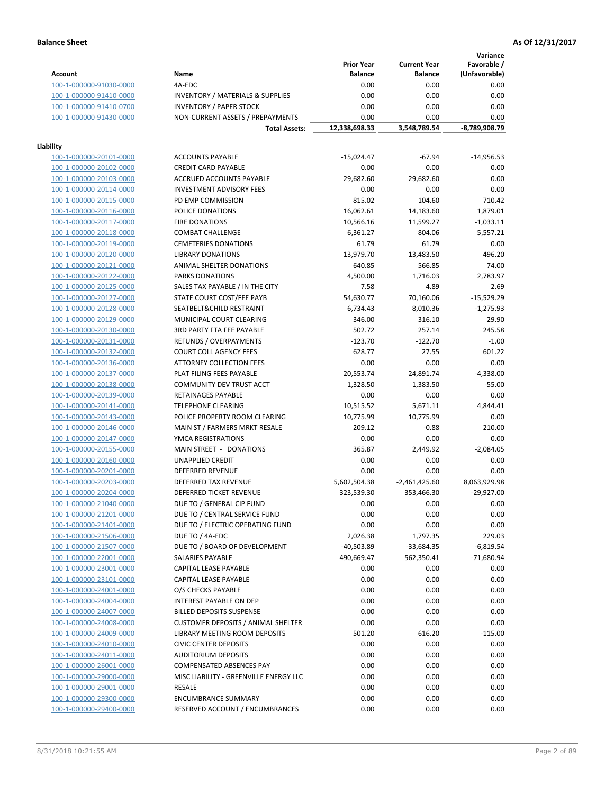**Variance**

|                         |                                             | <b>Prior Year</b> | <b>Current Year</b> | Favorable /   |
|-------------------------|---------------------------------------------|-------------------|---------------------|---------------|
| <b>Account</b>          | Name                                        | <b>Balance</b>    | <b>Balance</b>      | (Unfavorable) |
| 100-1-000000-91030-0000 | 4A-EDC                                      | 0.00              | 0.00                | 0.00          |
| 100-1-000000-91410-0000 | <b>INVENTORY / MATERIALS &amp; SUPPLIES</b> | 0.00              | 0.00                | 0.00          |
| 100-1-000000-91410-0700 | <b>INVENTORY / PAPER STOCK</b>              | 0.00              | 0.00                | 0.00          |
| 100-1-000000-91430-0000 | NON-CURRENT ASSETS / PREPAYMENTS            | 0.00              | 0.00                | 0.00          |
|                         | <b>Total Assets:</b>                        | 12,338,698.33     | 3,548,789.54        | -8,789,908.79 |
|                         |                                             |                   |                     |               |
| Liability               |                                             |                   |                     |               |
| 100-1-000000-20101-0000 | <b>ACCOUNTS PAYABLE</b>                     | $-15,024.47$      | $-67.94$            | $-14,956.53$  |
| 100-1-000000-20102-0000 | <b>CREDIT CARD PAYABLE</b>                  | 0.00              | 0.00                | 0.00          |
| 100-1-000000-20103-0000 | <b>ACCRUED ACCOUNTS PAYABLE</b>             | 29,682.60         | 29,682.60           | 0.00          |
| 100-1-000000-20114-0000 | <b>INVESTMENT ADVISORY FEES</b>             | 0.00              | 0.00                | 0.00          |
| 100-1-000000-20115-0000 | PD EMP COMMISSION                           | 815.02            | 104.60              | 710.42        |
| 100-1-000000-20116-0000 | POLICE DONATIONS                            | 16,062.61         | 14,183.60           | 1,879.01      |
| 100-1-000000-20117-0000 | <b>FIRE DONATIONS</b>                       | 10,566.16         | 11,599.27           | -1,033.11     |
| 100-1-000000-20118-0000 | <b>COMBAT CHALLENGE</b>                     | 6,361.27          | 804.06              | 5,557.21      |
| 100-1-000000-20119-0000 | <b>CEMETERIES DONATIONS</b>                 | 61.79             | 61.79               | 0.00          |
| 100-1-000000-20120-0000 | <b>LIBRARY DONATIONS</b>                    | 13,979.70         | 13,483.50           | 496.20        |
| 100-1-000000-20121-0000 | ANIMAL SHELTER DONATIONS                    | 640.85            | 566.85              | 74.00         |
| 100-1-000000-20122-0000 | <b>PARKS DONATIONS</b>                      | 4,500.00          | 1,716.03            | 2,783.97      |
| 100-1-000000-20125-0000 | SALES TAX PAYABLE / IN THE CITY             | 7.58              | 4.89                | 2.69          |
| 100-1-000000-20127-0000 | STATE COURT COST/FEE PAYB                   | 54,630.77         | 70,160.06           | $-15,529.29$  |
| 100-1-000000-20128-0000 | SEATBELT&CHILD RESTRAINT                    | 6,734.43          | 8,010.36            | $-1,275.93$   |
| 100-1-000000-20129-0000 | MUNICIPAL COURT CLEARING                    | 346.00            | 316.10              | 29.90         |
| 100-1-000000-20130-0000 | <b>3RD PARTY FTA FEE PAYABLE</b>            | 502.72            | 257.14              | 245.58        |
| 100-1-000000-20131-0000 | REFUNDS / OVERPAYMENTS                      | $-123.70$         | $-122.70$           | $-1.00$       |
| 100-1-000000-20132-0000 | <b>COURT COLL AGENCY FEES</b>               | 628.77            | 27.55               | 601.22        |
| 100-1-000000-20136-0000 | ATTORNEY COLLECTION FEES                    | 0.00              | 0.00                | 0.00          |
| 100-1-000000-20137-0000 | PLAT FILING FEES PAYABLE                    | 20,553.74         | 24,891.74           | $-4,338.00$   |
| 100-1-000000-20138-0000 | COMMUNITY DEV TRUST ACCT                    | 1,328.50          | 1,383.50            | $-55.00$      |
| 100-1-000000-20139-0000 | RETAINAGES PAYABLE                          | 0.00              | 0.00                | 0.00          |
| 100-1-000000-20141-0000 | <b>TELEPHONE CLEARING</b>                   | 10,515.52         | 5,671.11            | 4,844.41      |
| 100-1-000000-20143-0000 | POLICE PROPERTY ROOM CLEARING               | 10,775.99         | 10,775.99           | 0.00          |
| 100-1-000000-20146-0000 | MAIN ST / FARMERS MRKT RESALE               | 209.12            | $-0.88$             | 210.00        |
| 100-1-000000-20147-0000 | YMCA REGISTRATIONS                          | 0.00              | 0.00                | 0.00          |
| 100-1-000000-20155-0000 | MAIN STREET - DONATIONS                     | 365.87            | 2,449.92            | $-2,084.05$   |
| 100-1-000000-20160-0000 | <b>UNAPPLIED CREDIT</b>                     | 0.00              | 0.00                | 0.00          |
| 100-1-000000-20201-0000 | <b>DEFERRED REVENUE</b>                     | 0.00              | 0.00                | 0.00          |
| 100-1-000000-20203-0000 | DEFERRED TAX REVENUE                        | 5,602,504.38      | $-2,461,425.60$     | 8,063,929.98  |
| 100-1-000000-20204-0000 | DEFERRED TICKET REVENUE                     | 323,539.30        | 353,466.30          | $-29,927.00$  |
| 100-1-000000-21040-0000 | DUE TO / GENERAL CIP FUND                   | 0.00              | 0.00                | 0.00          |
| 100-1-000000-21201-0000 | DUE TO / CENTRAL SERVICE FUND               | 0.00              | 0.00                | 0.00          |
| 100-1-000000-21401-0000 | DUE TO / ELECTRIC OPERATING FUND            | 0.00              | 0.00                | 0.00          |
| 100-1-000000-21506-0000 | DUE TO / 4A-EDC                             | 2,026.38          | 1,797.35            | 229.03        |
| 100-1-000000-21507-0000 | DUE TO / BOARD OF DEVELOPMENT               | $-40,503.89$      | -33,684.35          | $-6,819.54$   |
| 100-1-000000-22001-0000 | SALARIES PAYABLE                            | 490,669.47        | 562,350.41          | $-71,680.94$  |
| 100-1-000000-23001-0000 | CAPITAL LEASE PAYABLE                       | 0.00              | 0.00                | 0.00          |
| 100-1-000000-23101-0000 | CAPITAL LEASE PAYABLE                       | 0.00              | 0.00                | 0.00          |
| 100-1-000000-24001-0000 | O/S CHECKS PAYABLE                          | 0.00              | 0.00                | 0.00          |
| 100-1-000000-24004-0000 | INTEREST PAYABLE ON DEP                     | 0.00              | 0.00                | 0.00          |
| 100-1-000000-24007-0000 | <b>BILLED DEPOSITS SUSPENSE</b>             | 0.00              | 0.00                | 0.00          |
| 100-1-000000-24008-0000 | <b>CUSTOMER DEPOSITS / ANIMAL SHELTER</b>   | 0.00              | 0.00                | 0.00          |
| 100-1-000000-24009-0000 | LIBRARY MEETING ROOM DEPOSITS               | 501.20            | 616.20              | $-115.00$     |
| 100-1-000000-24010-0000 | <b>CIVIC CENTER DEPOSITS</b>                | 0.00              | 0.00                | 0.00          |
| 100-1-000000-24011-0000 | <b>AUDITORIUM DEPOSITS</b>                  | 0.00              | 0.00                | 0.00          |
| 100-1-000000-26001-0000 | <b>COMPENSATED ABSENCES PAY</b>             | 0.00              | 0.00                | 0.00          |
| 100-1-000000-29000-0000 | MISC LIABILITY - GREENVILLE ENERGY LLC      | 0.00              | 0.00                | 0.00          |
| 100-1-000000-29001-0000 | RESALE                                      | 0.00              | 0.00                | 0.00          |
| 100-1-000000-29300-0000 | <b>ENCUMBRANCE SUMMARY</b>                  | 0.00              | 0.00                | 0.00          |
| 100-1-000000-29400-0000 | RESERVED ACCOUNT / ENCUMBRANCES             | 0.00              | 0.00                | 0.00          |
|                         |                                             |                   |                     |               |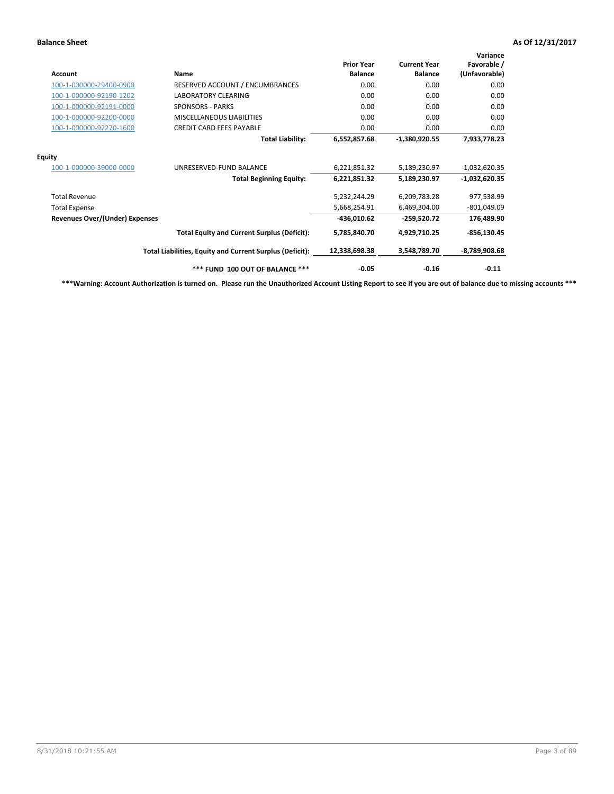| <b>Account</b>                        | <b>Name</b>                                              | <b>Prior Year</b><br><b>Balance</b> | <b>Current Year</b><br><b>Balance</b> | Variance<br>Favorable /<br>(Unfavorable) |
|---------------------------------------|----------------------------------------------------------|-------------------------------------|---------------------------------------|------------------------------------------|
| 100-1-000000-29400-0900               | RESERVED ACCOUNT / ENCUMBRANCES                          | 0.00                                | 0.00                                  | 0.00                                     |
| 100-1-000000-92190-1202               | LABORATORY CLEARING                                      | 0.00                                | 0.00                                  | 0.00                                     |
| 100-1-000000-92191-0000               | <b>SPONSORS - PARKS</b>                                  | 0.00                                | 0.00                                  | 0.00                                     |
| 100-1-000000-92200-0000               | MISCELLANEOUS LIABILITIES                                | 0.00                                | 0.00                                  | 0.00                                     |
| 100-1-000000-92270-1600               | <b>CREDIT CARD FEES PAYABLE</b>                          | 0.00                                | 0.00                                  | 0.00                                     |
|                                       | <b>Total Liability:</b>                                  | 6,552,857.68                        | $-1,380,920.55$                       | 7,933,778.23                             |
| <b>Equity</b>                         |                                                          |                                     |                                       |                                          |
| 100-1-000000-39000-0000               | UNRESERVED-FUND BALANCE                                  | 6,221,851.32                        | 5,189,230.97                          | $-1,032,620.35$                          |
|                                       | <b>Total Beginning Equity:</b>                           | 6,221,851.32                        | 5,189,230.97                          | $-1,032,620.35$                          |
| <b>Total Revenue</b>                  |                                                          | 5,232,244.29                        | 6,209,783.28                          | 977,538.99                               |
| <b>Total Expense</b>                  |                                                          | 5,668,254.91                        | 6,469,304.00                          | $-801,049.09$                            |
| <b>Revenues Over/(Under) Expenses</b> |                                                          | $-436,010.62$                       | $-259,520.72$                         | 176,489.90                               |
|                                       | <b>Total Equity and Current Surplus (Deficit):</b>       | 5,785,840.70                        | 4,929,710.25                          | $-856, 130.45$                           |
|                                       | Total Liabilities, Equity and Current Surplus (Deficit): | 12,338,698.38                       | 3,548,789.70                          | $-8,789,908.68$                          |
|                                       | *** FUND 100 OUT OF BALANCE ***                          | $-0.05$                             | $-0.16$                               | $-0.11$                                  |

**\*\*\*Warning: Account Authorization is turned on. Please run the Unauthorized Account Listing Report to see if you are out of balance due to missing accounts \*\*\***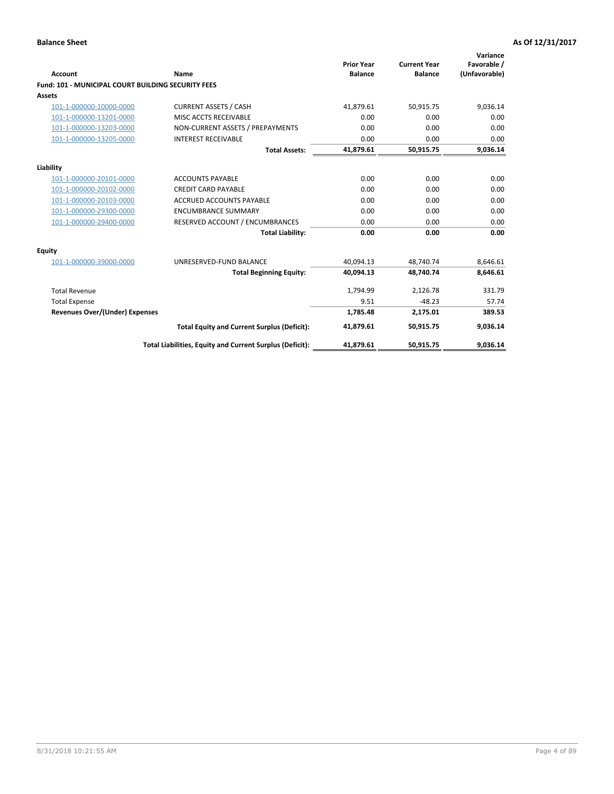| <b>Account</b>                                            | Name                                                     | <b>Prior Year</b><br><b>Balance</b> | <b>Current Year</b><br><b>Balance</b> | Variance<br>Favorable /<br>(Unfavorable) |
|-----------------------------------------------------------|----------------------------------------------------------|-------------------------------------|---------------------------------------|------------------------------------------|
| <b>Fund: 101 - MUNICIPAL COURT BUILDING SECURITY FEES</b> |                                                          |                                     |                                       |                                          |
| Assets                                                    |                                                          |                                     |                                       |                                          |
| 101-1-000000-10000-0000                                   | <b>CURRENT ASSETS / CASH</b>                             | 41,879.61                           | 50,915.75                             | 9,036.14                                 |
| 101-1-000000-13201-0000                                   | MISC ACCTS RECEIVABLE                                    | 0.00                                | 0.00                                  | 0.00                                     |
| 101-1-000000-13203-0000                                   | NON-CURRENT ASSETS / PREPAYMENTS                         | 0.00                                | 0.00                                  | 0.00                                     |
| 101-1-000000-13205-0000                                   | <b>INTEREST RECEIVABLE</b>                               | 0.00                                | 0.00                                  | 0.00                                     |
|                                                           | <b>Total Assets:</b>                                     | 41,879.61                           | 50,915.75                             | 9,036.14                                 |
| Liability                                                 |                                                          |                                     |                                       |                                          |
| 101-1-000000-20101-0000                                   | <b>ACCOUNTS PAYABLE</b>                                  | 0.00                                | 0.00                                  | 0.00                                     |
| 101-1-000000-20102-0000                                   | <b>CREDIT CARD PAYABLE</b>                               | 0.00                                | 0.00                                  | 0.00                                     |
| 101-1-000000-20103-0000                                   | <b>ACCRUED ACCOUNTS PAYABLE</b>                          | 0.00                                | 0.00                                  | 0.00                                     |
| 101-1-000000-29300-0000                                   | <b>ENCUMBRANCE SUMMARY</b>                               | 0.00                                | 0.00                                  | 0.00                                     |
| 101-1-000000-29400-0000                                   | RESERVED ACCOUNT / ENCUMBRANCES                          | 0.00                                | 0.00                                  | 0.00                                     |
|                                                           | <b>Total Liability:</b>                                  | 0.00                                | 0.00                                  | 0.00                                     |
| <b>Equity</b>                                             |                                                          |                                     |                                       |                                          |
| 101-1-000000-39000-0000                                   | UNRESERVED-FUND BALANCE                                  | 40,094.13                           | 48,740.74                             | 8,646.61                                 |
|                                                           | <b>Total Beginning Equity:</b>                           | 40.094.13                           | 48.740.74                             | 8,646.61                                 |
| <b>Total Revenue</b>                                      |                                                          | 1,794.99                            | 2,126.78                              | 331.79                                   |
| <b>Total Expense</b>                                      |                                                          | 9.51                                | $-48.23$                              | 57.74                                    |
| <b>Revenues Over/(Under) Expenses</b>                     |                                                          | 1.785.48                            | 2,175.01                              | 389.53                                   |
|                                                           | <b>Total Equity and Current Surplus (Deficit):</b>       | 41,879.61                           | 50,915.75                             | 9,036.14                                 |
|                                                           | Total Liabilities, Equity and Current Surplus (Deficit): | 41,879.61                           | 50,915.75                             | 9,036.14                                 |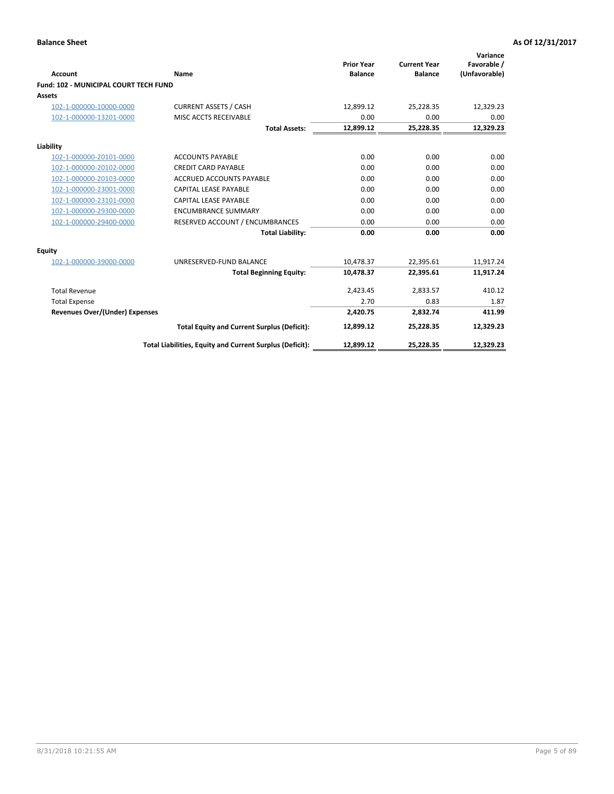| Account                                      | Name                                                     | <b>Prior Year</b><br><b>Balance</b> | <b>Current Year</b><br><b>Balance</b> | Variance<br>Favorable /<br>(Unfavorable) |
|----------------------------------------------|----------------------------------------------------------|-------------------------------------|---------------------------------------|------------------------------------------|
| <b>Fund: 102 - MUNICIPAL COURT TECH FUND</b> |                                                          |                                     |                                       |                                          |
| Assets                                       |                                                          |                                     |                                       |                                          |
| 102-1-000000-10000-0000                      | <b>CURRENT ASSETS / CASH</b>                             | 12,899.12                           | 25,228.35                             | 12,329.23                                |
| 102-1-000000-13201-0000                      | MISC ACCTS RECEIVABLE                                    | 0.00                                | 0.00                                  | 0.00                                     |
|                                              | <b>Total Assets:</b>                                     | 12,899.12                           | 25,228.35                             | 12,329.23                                |
| Liability                                    |                                                          |                                     |                                       |                                          |
| 102-1-000000-20101-0000                      | <b>ACCOUNTS PAYABLE</b>                                  | 0.00                                | 0.00                                  | 0.00                                     |
| 102-1-000000-20102-0000                      | <b>CREDIT CARD PAYABLE</b>                               | 0.00                                | 0.00                                  | 0.00                                     |
| 102-1-000000-20103-0000                      | <b>ACCRUED ACCOUNTS PAYABLE</b>                          | 0.00                                | 0.00                                  | 0.00                                     |
| 102-1-000000-23001-0000                      | <b>CAPITAL LEASE PAYABLE</b>                             | 0.00                                | 0.00                                  | 0.00                                     |
| 102-1-000000-23101-0000                      | <b>CAPITAL LEASE PAYABLE</b>                             | 0.00                                | 0.00                                  | 0.00                                     |
| 102-1-000000-29300-0000                      | <b>ENCUMBRANCE SUMMARY</b>                               | 0.00                                | 0.00                                  | 0.00                                     |
| 102-1-000000-29400-0000                      | RESERVED ACCOUNT / ENCUMBRANCES                          | 0.00                                | 0.00                                  | 0.00                                     |
|                                              | <b>Total Liability:</b>                                  | 0.00                                | 0.00                                  | 0.00                                     |
| Equity                                       |                                                          |                                     |                                       |                                          |
| 102-1-000000-39000-0000                      | UNRESERVED-FUND BALANCE                                  | 10,478.37                           | 22,395.61                             | 11,917.24                                |
|                                              | <b>Total Beginning Equity:</b>                           | 10,478.37                           | 22.395.61                             | 11,917.24                                |
| <b>Total Revenue</b>                         |                                                          | 2,423.45                            | 2,833.57                              | 410.12                                   |
| <b>Total Expense</b>                         |                                                          | 2.70                                | 0.83                                  | 1.87                                     |
| Revenues Over/(Under) Expenses               |                                                          | 2.420.75                            | 2.832.74                              | 411.99                                   |
|                                              | <b>Total Equity and Current Surplus (Deficit):</b>       | 12,899.12                           | 25,228.35                             | 12,329.23                                |
|                                              | Total Liabilities, Equity and Current Surplus (Deficit): | 12,899.12                           | 25,228.35                             | 12,329.23                                |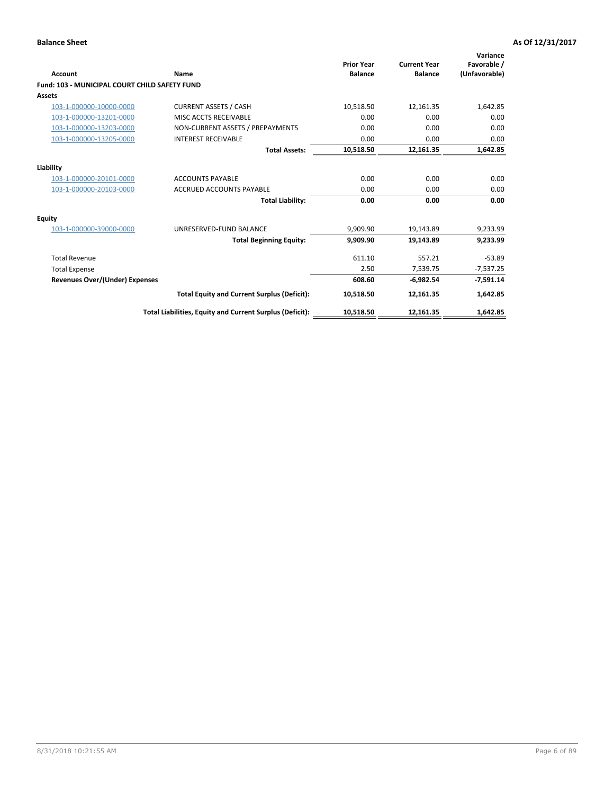| <b>Account</b>                                       | Name                                                     | <b>Prior Year</b><br><b>Balance</b> | <b>Current Year</b><br><b>Balance</b> | Variance<br>Favorable /<br>(Unfavorable) |
|------------------------------------------------------|----------------------------------------------------------|-------------------------------------|---------------------------------------|------------------------------------------|
| <b>Fund: 103 - MUNICIPAL COURT CHILD SAFETY FUND</b> |                                                          |                                     |                                       |                                          |
| <b>Assets</b>                                        |                                                          |                                     |                                       |                                          |
| 103-1-000000-10000-0000                              | <b>CURRENT ASSETS / CASH</b>                             | 10,518.50                           | 12,161.35                             | 1,642.85                                 |
| 103-1-000000-13201-0000                              | MISC ACCTS RECEIVABLE                                    | 0.00                                | 0.00                                  | 0.00                                     |
| 103-1-000000-13203-0000                              | NON-CURRENT ASSETS / PREPAYMENTS                         | 0.00                                | 0.00                                  | 0.00                                     |
| 103-1-000000-13205-0000                              | <b>INTEREST RECEIVABLE</b>                               | 0.00                                | 0.00                                  | 0.00                                     |
|                                                      | <b>Total Assets:</b>                                     | 10,518.50                           | 12,161.35                             | 1,642.85                                 |
| Liability                                            |                                                          |                                     |                                       |                                          |
| 103-1-000000-20101-0000                              | <b>ACCOUNTS PAYABLE</b>                                  | 0.00                                | 0.00                                  | 0.00                                     |
| 103-1-000000-20103-0000                              | <b>ACCRUED ACCOUNTS PAYABLE</b>                          | 0.00                                | 0.00                                  | 0.00                                     |
|                                                      | <b>Total Liability:</b>                                  | 0.00                                | 0.00                                  | 0.00                                     |
| Equity                                               |                                                          |                                     |                                       |                                          |
| 103-1-000000-39000-0000                              | UNRESERVED-FUND BALANCE                                  | 9,909.90                            | 19,143.89                             | 9,233.99                                 |
|                                                      | <b>Total Beginning Equity:</b>                           | 9,909.90                            | 19,143.89                             | 9,233.99                                 |
| <b>Total Revenue</b>                                 |                                                          | 611.10                              | 557.21                                | $-53.89$                                 |
| <b>Total Expense</b>                                 |                                                          | 2.50                                | 7,539.75                              | $-7,537.25$                              |
| Revenues Over/(Under) Expenses                       |                                                          | 608.60                              | $-6,982.54$                           | $-7,591.14$                              |
|                                                      | <b>Total Equity and Current Surplus (Deficit):</b>       | 10,518.50                           | 12,161.35                             | 1,642.85                                 |
|                                                      | Total Liabilities, Equity and Current Surplus (Deficit): | 10,518.50                           | 12,161.35                             | 1,642.85                                 |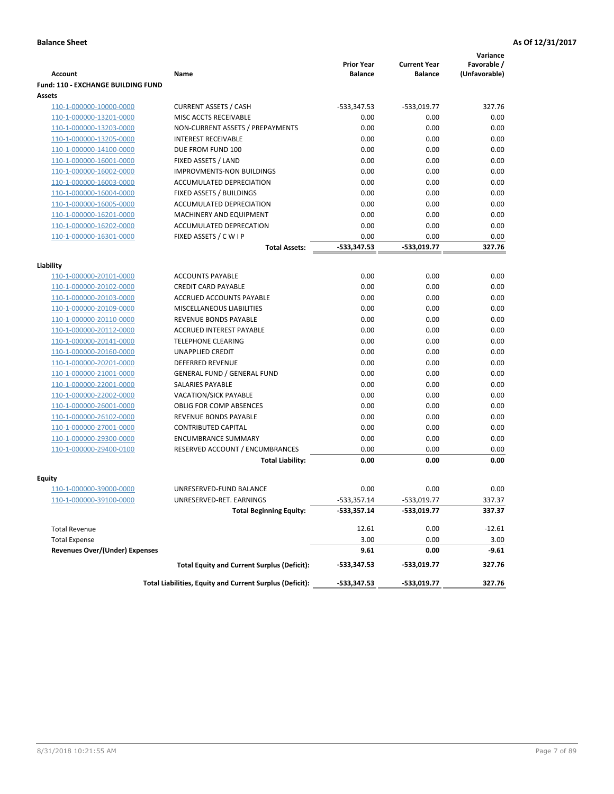|                                           |                                                          |                                     |                                       | Variance                     |
|-------------------------------------------|----------------------------------------------------------|-------------------------------------|---------------------------------------|------------------------------|
| <b>Account</b>                            | Name                                                     | <b>Prior Year</b><br><b>Balance</b> | <b>Current Year</b><br><b>Balance</b> | Favorable /<br>(Unfavorable) |
| <b>Fund: 110 - EXCHANGE BUILDING FUND</b> |                                                          |                                     |                                       |                              |
| Assets                                    |                                                          |                                     |                                       |                              |
| 110-1-000000-10000-0000                   | <b>CURRENT ASSETS / CASH</b>                             | -533,347.53                         | $-533,019.77$                         | 327.76                       |
| 110-1-000000-13201-0000                   | MISC ACCTS RECEIVABLE                                    | 0.00                                | 0.00                                  | 0.00                         |
| 110-1-000000-13203-0000                   | NON-CURRENT ASSETS / PREPAYMENTS                         | 0.00                                | 0.00                                  | 0.00                         |
| 110-1-000000-13205-0000                   | <b>INTEREST RECEIVABLE</b>                               | 0.00                                | 0.00                                  | 0.00                         |
| 110-1-000000-14100-0000                   | DUE FROM FUND 100                                        | 0.00                                | 0.00                                  | 0.00                         |
| 110-1-000000-16001-0000                   | FIXED ASSETS / LAND                                      | 0.00                                | 0.00                                  | 0.00                         |
| 110-1-000000-16002-0000                   | <b>IMPROVMENTS-NON BUILDINGS</b>                         | 0.00                                | 0.00                                  | 0.00                         |
| 110-1-000000-16003-0000                   | ACCUMULATED DEPRECIATION                                 | 0.00                                | 0.00                                  | 0.00                         |
| 110-1-000000-16004-0000                   | FIXED ASSETS / BUILDINGS                                 | 0.00                                | 0.00                                  | 0.00                         |
| 110-1-000000-16005-0000                   | ACCUMULATED DEPRECIATION                                 | 0.00                                | 0.00                                  | 0.00                         |
| 110-1-000000-16201-0000                   | <b>MACHINERY AND EQUIPMENT</b>                           | 0.00                                | 0.00                                  | 0.00                         |
| 110-1-000000-16202-0000                   | ACCUMULATED DEPRECATION                                  | 0.00                                | 0.00                                  | 0.00                         |
| 110-1-000000-16301-0000                   | FIXED ASSETS / C W I P                                   | 0.00                                | 0.00                                  | 0.00                         |
|                                           | <b>Total Assets:</b>                                     | $-533,347.53$                       | -533.019.77                           | 327.76                       |
| Liability                                 |                                                          |                                     |                                       |                              |
| 110-1-000000-20101-0000                   | <b>ACCOUNTS PAYABLE</b>                                  | 0.00                                | 0.00                                  | 0.00                         |
| 110-1-000000-20102-0000                   | <b>CREDIT CARD PAYABLE</b>                               | 0.00                                | 0.00                                  | 0.00                         |
| 110-1-000000-20103-0000                   | ACCRUED ACCOUNTS PAYABLE                                 | 0.00                                | 0.00                                  | 0.00                         |
| 110-1-000000-20109-0000                   | MISCELLANEOUS LIABILITIES                                | 0.00                                | 0.00                                  | 0.00                         |
| 110-1-000000-20110-0000                   | REVENUE BONDS PAYABLE                                    | 0.00                                | 0.00                                  | 0.00                         |
| 110-1-000000-20112-0000                   | <b>ACCRUED INTEREST PAYABLE</b>                          | 0.00                                | 0.00                                  | 0.00                         |
| 110-1-000000-20141-0000                   | <b>TELEPHONE CLEARING</b>                                | 0.00                                | 0.00                                  | 0.00                         |
| 110-1-000000-20160-0000                   | <b>UNAPPLIED CREDIT</b>                                  | 0.00                                | 0.00                                  | 0.00                         |
| 110-1-000000-20201-0000                   | <b>DEFERRED REVENUE</b>                                  | 0.00                                | 0.00                                  | 0.00                         |
| 110-1-000000-21001-0000                   | <b>GENERAL FUND / GENERAL FUND</b>                       | 0.00                                | 0.00                                  | 0.00                         |
| 110-1-000000-22001-0000                   | SALARIES PAYABLE                                         | 0.00                                | 0.00                                  | 0.00                         |
| 110-1-000000-22002-0000                   | <b>VACATION/SICK PAYABLE</b>                             | 0.00                                | 0.00                                  | 0.00                         |
| 110-1-000000-26001-0000                   | <b>OBLIG FOR COMP ABSENCES</b>                           | 0.00                                | 0.00                                  | 0.00                         |
| 110-1-000000-26102-0000                   | REVENUE BONDS PAYABLE                                    | 0.00                                | 0.00                                  | 0.00                         |
| 110-1-000000-27001-0000                   | <b>CONTRIBUTED CAPITAL</b>                               | 0.00                                | 0.00                                  | 0.00                         |
| 110-1-000000-29300-0000                   | <b>ENCUMBRANCE SUMMARY</b>                               | 0.00                                | 0.00                                  | 0.00                         |
| 110-1-000000-29400-0100                   | RESERVED ACCOUNT / ENCUMBRANCES                          | 0.00                                | 0.00                                  | 0.00                         |
|                                           | <b>Total Liability:</b>                                  | 0.00                                | 0.00                                  | 0.00                         |
| <b>Equity</b>                             |                                                          |                                     |                                       |                              |
| 110-1-000000-39000-0000                   | UNRESERVED-FUND BALANCE                                  | 0.00                                | 0.00                                  | 0.00                         |
| 110-1-000000-39100-0000                   | UNRESERVED-RET. EARNINGS                                 | $-533,357.14$                       | -533,019.77                           | 337.37                       |
|                                           | <b>Total Beginning Equity:</b>                           | $-533,357.14$                       | -533,019.77                           | 337.37                       |
|                                           |                                                          |                                     |                                       |                              |
| <b>Total Revenue</b>                      |                                                          | 12.61                               | 0.00                                  | $-12.61$                     |
| <b>Total Expense</b>                      |                                                          | 3.00                                | 0.00                                  | 3.00                         |
| <b>Revenues Over/(Under) Expenses</b>     |                                                          | 9.61                                | 0.00                                  | -9.61                        |
|                                           | <b>Total Equity and Current Surplus (Deficit):</b>       | $-533,347.53$                       | -533,019.77                           | 327.76                       |
|                                           | Total Liabilities, Equity and Current Surplus (Deficit): | -533,347.53                         | -533,019.77                           | 327.76                       |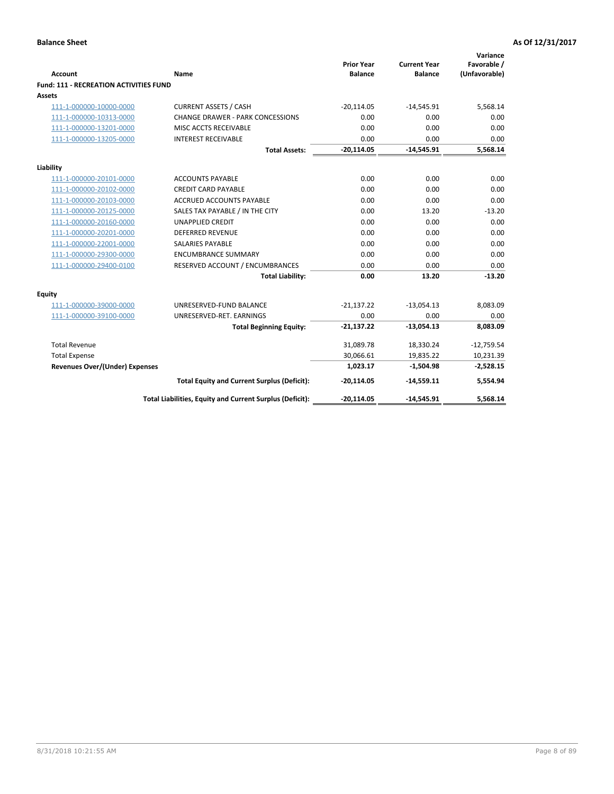| <b>Account</b>                         | <b>Name</b>                                              | <b>Prior Year</b><br><b>Balance</b> | <b>Current Year</b><br><b>Balance</b> | Variance<br>Favorable /<br>(Unfavorable) |
|----------------------------------------|----------------------------------------------------------|-------------------------------------|---------------------------------------|------------------------------------------|
| Fund: 111 - RECREATION ACTIVITIES FUND |                                                          |                                     |                                       |                                          |
| Assets                                 |                                                          |                                     |                                       |                                          |
| 111-1-000000-10000-0000                | <b>CURRENT ASSETS / CASH</b>                             | $-20,114.05$                        | $-14,545.91$                          | 5,568.14                                 |
| 111-1-000000-10313-0000                | <b>CHANGE DRAWER - PARK CONCESSIONS</b>                  | 0.00                                | 0.00                                  | 0.00                                     |
| 111-1-000000-13201-0000                | MISC ACCTS RECEIVABLE                                    | 0.00                                | 0.00                                  | 0.00                                     |
| 111-1-000000-13205-0000                | <b>INTEREST RECEIVABLE</b>                               | 0.00                                | 0.00                                  | 0.00                                     |
|                                        | <b>Total Assets:</b>                                     | $-20,114.05$                        | $-14,545.91$                          | 5,568.14                                 |
|                                        |                                                          |                                     |                                       |                                          |
| Liability                              |                                                          |                                     |                                       |                                          |
| 111-1-000000-20101-0000                | <b>ACCOUNTS PAYABLE</b>                                  | 0.00                                | 0.00                                  | 0.00                                     |
| 111-1-000000-20102-0000                | <b>CREDIT CARD PAYABLE</b>                               | 0.00                                | 0.00                                  | 0.00                                     |
| 111-1-000000-20103-0000                | <b>ACCRUED ACCOUNTS PAYABLE</b>                          | 0.00                                | 0.00                                  | 0.00                                     |
| 111-1-000000-20125-0000                | SALES TAX PAYABLE / IN THE CITY                          | 0.00                                | 13.20                                 | $-13.20$                                 |
| 111-1-000000-20160-0000                | <b>UNAPPLIED CREDIT</b>                                  | 0.00                                | 0.00                                  | 0.00                                     |
| 111-1-000000-20201-0000                | <b>DEFERRED REVENUE</b>                                  | 0.00                                | 0.00                                  | 0.00                                     |
| 111-1-000000-22001-0000                | <b>SALARIES PAYABLE</b>                                  | 0.00                                | 0.00                                  | 0.00                                     |
| 111-1-000000-29300-0000                | <b>ENCUMBRANCE SUMMARY</b>                               | 0.00                                | 0.00                                  | 0.00                                     |
| 111-1-000000-29400-0100                | RESERVED ACCOUNT / ENCUMBRANCES                          | 0.00                                | 0.00                                  | 0.00                                     |
|                                        | <b>Total Liability:</b>                                  | 0.00                                | 13.20                                 | $-13.20$                                 |
| <b>Equity</b>                          |                                                          |                                     |                                       |                                          |
| 111-1-000000-39000-0000                | UNRESERVED-FUND BALANCE                                  | $-21,137.22$                        | $-13,054.13$                          | 8,083.09                                 |
| 111-1-000000-39100-0000                | UNRESERVED-RET. EARNINGS                                 | 0.00                                | 0.00                                  | 0.00                                     |
|                                        | <b>Total Beginning Equity:</b>                           | $-21,137.22$                        | $-13,054.13$                          | 8,083.09                                 |
| <b>Total Revenue</b>                   |                                                          | 31,089.78                           | 18,330.24                             | $-12,759.54$                             |
| <b>Total Expense</b>                   |                                                          | 30,066.61                           | 19,835.22                             | 10,231.39                                |
| <b>Revenues Over/(Under) Expenses</b>  |                                                          | 1,023.17                            | $-1,504.98$                           | $-2,528.15$                              |
|                                        | <b>Total Equity and Current Surplus (Deficit):</b>       | $-20,114.05$                        | $-14,559.11$                          | 5,554.94                                 |
|                                        | Total Liabilities, Equity and Current Surplus (Deficit): | $-20,114.05$                        | $-14,545.91$                          | 5,568.14                                 |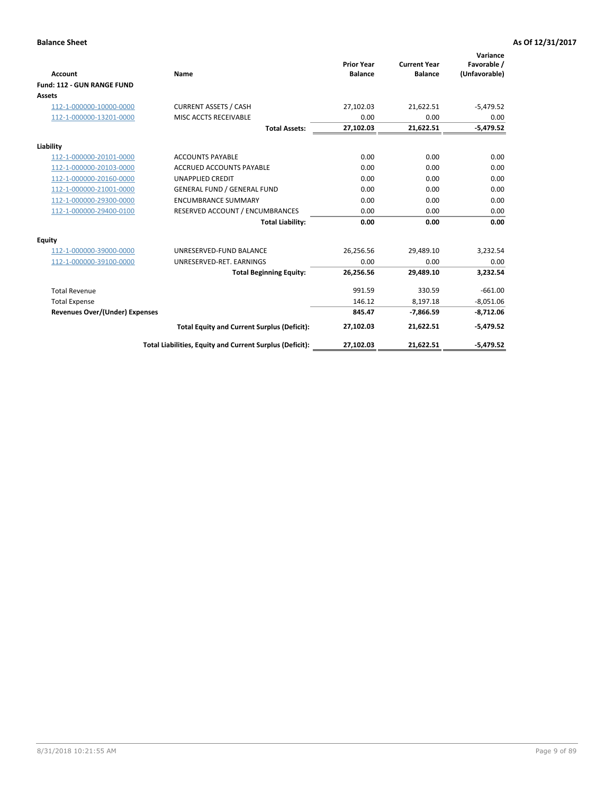|                                       |                                                          |                                     |                                       | Variance                     |
|---------------------------------------|----------------------------------------------------------|-------------------------------------|---------------------------------------|------------------------------|
| <b>Account</b>                        | Name                                                     | <b>Prior Year</b><br><b>Balance</b> | <b>Current Year</b><br><b>Balance</b> | Favorable /<br>(Unfavorable) |
| Fund: 112 - GUN RANGE FUND            |                                                          |                                     |                                       |                              |
| <b>Assets</b>                         |                                                          |                                     |                                       |                              |
| 112-1-000000-10000-0000               | <b>CURRENT ASSETS / CASH</b>                             | 27,102.03                           | 21,622.51                             | $-5,479.52$                  |
| 112-1-000000-13201-0000               | MISC ACCTS RECEIVABLE                                    | 0.00                                | 0.00                                  | 0.00                         |
|                                       | <b>Total Assets:</b>                                     | 27,102.03                           | 21,622.51                             | $-5,479.52$                  |
| Liability                             |                                                          |                                     |                                       |                              |
| 112-1-000000-20101-0000               | <b>ACCOUNTS PAYABLE</b>                                  | 0.00                                | 0.00                                  | 0.00                         |
| 112-1-000000-20103-0000               | <b>ACCRUED ACCOUNTS PAYABLE</b>                          | 0.00                                | 0.00                                  | 0.00                         |
| 112-1-000000-20160-0000               | <b>UNAPPLIED CREDIT</b>                                  | 0.00                                | 0.00                                  | 0.00                         |
| 112-1-000000-21001-0000               | <b>GENERAL FUND / GENERAL FUND</b>                       | 0.00                                | 0.00                                  | 0.00                         |
| 112-1-000000-29300-0000               | <b>ENCUMBRANCE SUMMARY</b>                               | 0.00                                | 0.00                                  | 0.00                         |
| 112-1-000000-29400-0100               | RESERVED ACCOUNT / ENCUMBRANCES                          | 0.00                                | 0.00                                  | 0.00                         |
|                                       | <b>Total Liability:</b>                                  | 0.00                                | 0.00                                  | 0.00                         |
| Equity                                |                                                          |                                     |                                       |                              |
| 112-1-000000-39000-0000               | UNRESERVED-FUND BALANCE                                  | 26,256.56                           | 29,489.10                             | 3,232.54                     |
| 112-1-000000-39100-0000               | UNRESERVED-RET. EARNINGS                                 | 0.00                                | 0.00                                  | 0.00                         |
|                                       | <b>Total Beginning Equity:</b>                           | 26,256.56                           | 29.489.10                             | 3,232.54                     |
| <b>Total Revenue</b>                  |                                                          | 991.59                              | 330.59                                | $-661.00$                    |
| <b>Total Expense</b>                  |                                                          | 146.12                              | 8,197.18                              | $-8,051.06$                  |
| <b>Revenues Over/(Under) Expenses</b> |                                                          | 845.47                              | $-7,866.59$                           | $-8,712.06$                  |
|                                       | <b>Total Equity and Current Surplus (Deficit):</b>       | 27,102.03                           | 21,622.51                             | $-5,479.52$                  |
|                                       | Total Liabilities, Equity and Current Surplus (Deficit): | 27,102.03                           | 21,622.51                             | $-5,479.52$                  |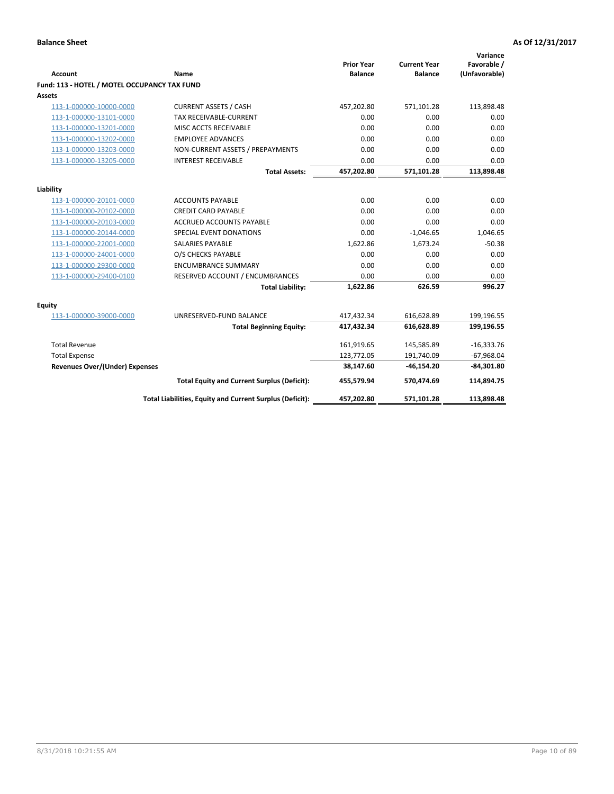| <b>Account</b>                               | Name                                                     | <b>Prior Year</b><br><b>Balance</b> | <b>Current Year</b><br><b>Balance</b> | Variance<br>Favorable /<br>(Unfavorable) |
|----------------------------------------------|----------------------------------------------------------|-------------------------------------|---------------------------------------|------------------------------------------|
| Fund: 113 - HOTEL / MOTEL OCCUPANCY TAX FUND |                                                          |                                     |                                       |                                          |
| Assets                                       |                                                          |                                     |                                       |                                          |
| 113-1-000000-10000-0000                      | <b>CURRENT ASSETS / CASH</b>                             | 457,202.80                          | 571,101.28                            | 113,898.48                               |
| 113-1-000000-13101-0000                      | <b>TAX RECEIVABLE-CURRENT</b>                            | 0.00                                | 0.00                                  | 0.00                                     |
| 113-1-000000-13201-0000                      | MISC ACCTS RECEIVABLE                                    | 0.00                                | 0.00                                  | 0.00                                     |
| 113-1-000000-13202-0000                      | <b>EMPLOYEE ADVANCES</b>                                 | 0.00                                | 0.00                                  | 0.00                                     |
| 113-1-000000-13203-0000                      | NON-CURRENT ASSETS / PREPAYMENTS                         | 0.00                                | 0.00                                  | 0.00                                     |
| 113-1-000000-13205-0000                      | <b>INTEREST RECEIVABLE</b>                               | 0.00                                | 0.00                                  | 0.00                                     |
|                                              | <b>Total Assets:</b>                                     | 457,202.80                          | 571,101.28                            | 113,898.48                               |
| Liability                                    |                                                          |                                     |                                       |                                          |
| 113-1-000000-20101-0000                      | <b>ACCOUNTS PAYABLE</b>                                  | 0.00                                | 0.00                                  | 0.00                                     |
| 113-1-000000-20102-0000                      | <b>CREDIT CARD PAYABLE</b>                               | 0.00                                | 0.00                                  | 0.00                                     |
| 113-1-000000-20103-0000                      | <b>ACCRUED ACCOUNTS PAYABLE</b>                          | 0.00                                | 0.00                                  | 0.00                                     |
| 113-1-000000-20144-0000                      | SPECIAL EVENT DONATIONS                                  | 0.00                                | $-1,046.65$                           | 1,046.65                                 |
| 113-1-000000-22001-0000                      | <b>SALARIES PAYABLE</b>                                  | 1,622.86                            | 1,673.24                              | $-50.38$                                 |
| 113-1-000000-24001-0000                      | O/S CHECKS PAYABLE                                       | 0.00                                | 0.00                                  | 0.00                                     |
| 113-1-000000-29300-0000                      | <b>ENCUMBRANCE SUMMARY</b>                               | 0.00                                | 0.00                                  | 0.00                                     |
| 113-1-000000-29400-0100                      | RESERVED ACCOUNT / ENCUMBRANCES                          | 0.00                                | 0.00                                  | 0.00                                     |
|                                              | <b>Total Liability:</b>                                  | 1,622.86                            | 626.59                                | 996.27                                   |
| Equity                                       |                                                          |                                     |                                       |                                          |
| 113-1-000000-39000-0000                      | UNRESERVED-FUND BALANCE                                  | 417,432.34                          | 616,628.89                            | 199,196.55                               |
|                                              | <b>Total Beginning Equity:</b>                           | 417,432.34                          | 616,628.89                            | 199,196.55                               |
| <b>Total Revenue</b>                         |                                                          | 161,919.65                          | 145,585.89                            | $-16,333.76$                             |
| <b>Total Expense</b>                         |                                                          | 123,772.05                          | 191,740.09                            | $-67,968.04$                             |
| Revenues Over/(Under) Expenses               |                                                          | 38,147.60                           | $-46, 154.20$                         | $-84,301.80$                             |
|                                              | <b>Total Equity and Current Surplus (Deficit):</b>       | 455,579.94                          | 570,474.69                            | 114,894.75                               |
|                                              | Total Liabilities, Equity and Current Surplus (Deficit): | 457,202.80                          | 571,101.28                            | 113,898.48                               |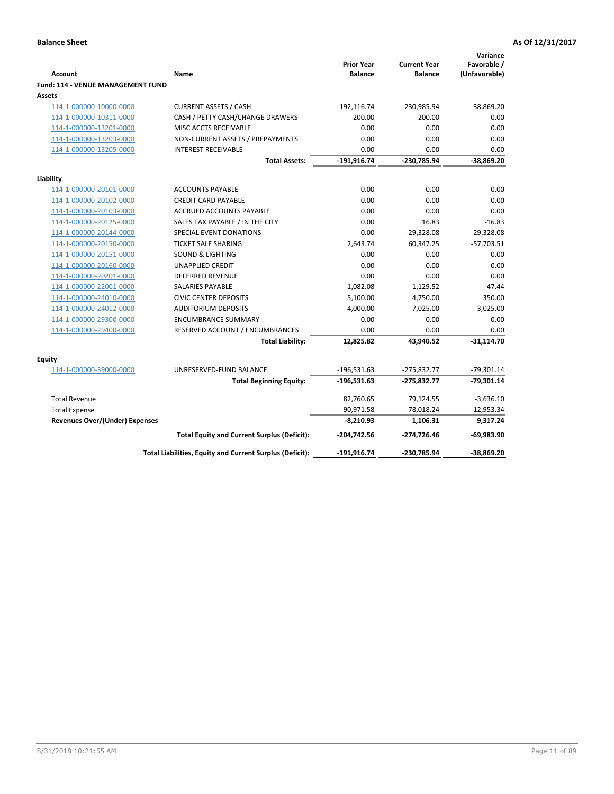| <b>Account</b><br>Fund: 114 - VENUE MANAGEMENT FUND | Name                                                     | <b>Prior Year</b><br><b>Balance</b> | <b>Current Year</b><br><b>Balance</b> | Variance<br>Favorable /<br>(Unfavorable) |
|-----------------------------------------------------|----------------------------------------------------------|-------------------------------------|---------------------------------------|------------------------------------------|
| Assets                                              |                                                          |                                     |                                       |                                          |
| 114-1-000000-10000-0000                             | <b>CURRENT ASSETS / CASH</b>                             | $-192, 116.74$                      | -230,985.94                           | $-38,869.20$                             |
| 114-1-000000-10311-0000                             | CASH / PETTY CASH/CHANGE DRAWERS                         | 200.00                              | 200.00                                | 0.00                                     |
| 114-1-000000-13201-0000                             | MISC ACCTS RECEIVABLE                                    | 0.00                                | 0.00                                  | 0.00                                     |
| 114-1-000000-13203-0000                             | NON-CURRENT ASSETS / PREPAYMENTS                         | 0.00                                | 0.00                                  | 0.00                                     |
| 114-1-000000-13205-0000                             | <b>INTEREST RECEIVABLE</b>                               | 0.00                                | 0.00                                  | 0.00                                     |
|                                                     | <b>Total Assets:</b>                                     | $-191,916.74$                       | -230,785.94                           | $-38,869.20$                             |
| Liability                                           |                                                          |                                     |                                       |                                          |
| 114-1-000000-20101-0000                             | <b>ACCOUNTS PAYABLE</b>                                  | 0.00                                | 0.00                                  | 0.00                                     |
| 114-1-000000-20102-0000                             | <b>CREDIT CARD PAYABLE</b>                               | 0.00                                | 0.00                                  | 0.00                                     |
| 114-1-000000-20103-0000                             | <b>ACCRUED ACCOUNTS PAYABLE</b>                          | 0.00                                | 0.00                                  | 0.00                                     |
| 114-1-000000-20125-0000                             | SALES TAX PAYABLE / IN THE CITY                          | 0.00                                | 16.83                                 | $-16.83$                                 |
| 114-1-000000-20144-0000                             | SPECIAL EVENT DONATIONS                                  | 0.00                                | $-29,328.08$                          | 29,328.08                                |
| 114-1-000000-20150-0000                             | <b>TICKET SALE SHARING</b>                               | 2,643.74                            | 60,347.25                             | $-57,703.51$                             |
| 114-1-000000-20151-0000                             | <b>SOUND &amp; LIGHTING</b>                              | 0.00                                | 0.00                                  | 0.00                                     |
| 114-1-000000-20160-0000                             | <b>UNAPPLIED CREDIT</b>                                  | 0.00                                | 0.00                                  | 0.00                                     |
| 114-1-000000-20201-0000                             | <b>DEFERRED REVENUE</b>                                  | 0.00                                | 0.00                                  | 0.00                                     |
| 114-1-000000-22001-0000                             | SALARIES PAYABLE                                         | 1,082.08                            | 1,129.52                              | $-47.44$                                 |
| 114-1-000000-24010-0000                             | <b>CIVIC CENTER DEPOSITS</b>                             | 5,100.00                            | 4,750.00                              | 350.00                                   |
| 114-1-000000-24012-0000                             | <b>AUDITORIUM DEPOSITS</b>                               | 4,000.00                            | 7,025.00                              | $-3,025.00$                              |
| 114-1-000000-29300-0000                             | <b>ENCUMBRANCE SUMMARY</b>                               | 0.00                                | 0.00                                  | 0.00                                     |
| 114-1-000000-29400-0000                             | RESERVED ACCOUNT / ENCUMBRANCES                          | 0.00                                | 0.00                                  | 0.00                                     |
|                                                     | <b>Total Liability:</b>                                  | 12,825.82                           | 43,940.52                             | $-31,114.70$                             |
| Equity                                              |                                                          |                                     |                                       |                                          |
| 114-1-000000-39000-0000                             | UNRESERVED-FUND BALANCE                                  | $-196,531.63$                       | $-275,832.77$                         | $-79,301.14$                             |
|                                                     | <b>Total Beginning Equity:</b>                           | $-196,531.63$                       | $-275,832.77$                         | $-79,301.14$                             |
| <b>Total Revenue</b>                                |                                                          | 82,760.65                           | 79,124.55                             | $-3,636.10$                              |
| <b>Total Expense</b>                                |                                                          | 90,971.58                           | 78,018.24                             | 12,953.34                                |
| <b>Revenues Over/(Under) Expenses</b>               |                                                          | $-8,210.93$                         | 1,106.31                              | 9,317.24                                 |
|                                                     | <b>Total Equity and Current Surplus (Deficit):</b>       | $-204,742.56$                       | -274,726.46                           | $-69,983.90$                             |
|                                                     | Total Liabilities, Equity and Current Surplus (Deficit): | -191,916.74                         | -230,785.94                           | $-38,869.20$                             |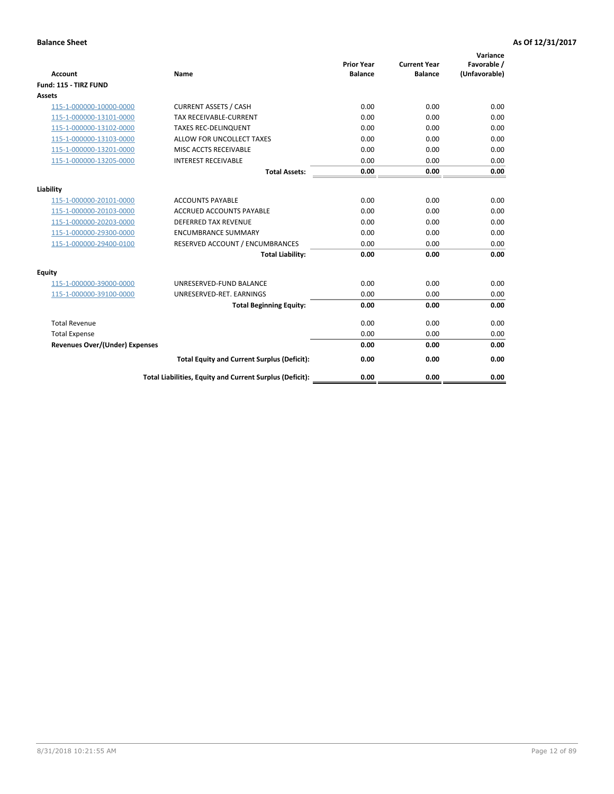| <b>Account</b>                        | <b>Name</b>                                              | <b>Prior Year</b><br><b>Balance</b> | <b>Current Year</b><br><b>Balance</b> | Variance<br>Favorable /<br>(Unfavorable) |
|---------------------------------------|----------------------------------------------------------|-------------------------------------|---------------------------------------|------------------------------------------|
| Fund: 115 - TIRZ FUND                 |                                                          |                                     |                                       |                                          |
| <b>Assets</b>                         |                                                          |                                     |                                       |                                          |
| 115-1-000000-10000-0000               | <b>CURRENT ASSETS / CASH</b>                             | 0.00                                | 0.00                                  | 0.00                                     |
| 115-1-000000-13101-0000               | <b>TAX RECEIVABLE-CURRENT</b>                            | 0.00                                | 0.00                                  | 0.00                                     |
| 115-1-000000-13102-0000               | <b>TAXES REC-DELINQUENT</b>                              | 0.00                                | 0.00                                  | 0.00                                     |
| 115-1-000000-13103-0000               | ALLOW FOR UNCOLLECT TAXES                                | 0.00                                | 0.00                                  | 0.00                                     |
| 115-1-000000-13201-0000               | <b>MISC ACCTS RECEIVABLE</b>                             | 0.00                                | 0.00                                  | 0.00                                     |
| 115-1-000000-13205-0000               | <b>INTEREST RECEIVABLE</b>                               | 0.00                                | 0.00                                  | 0.00                                     |
|                                       | <b>Total Assets:</b>                                     | 0.00                                | 0.00                                  | 0.00                                     |
| Liability                             |                                                          |                                     |                                       |                                          |
| 115-1-000000-20101-0000               | <b>ACCOUNTS PAYABLE</b>                                  | 0.00                                | 0.00                                  | 0.00                                     |
| 115-1-000000-20103-0000               | <b>ACCRUED ACCOUNTS PAYABLE</b>                          | 0.00                                | 0.00                                  | 0.00                                     |
| 115-1-000000-20203-0000               | <b>DEFERRED TAX REVENUE</b>                              | 0.00                                | 0.00                                  | 0.00                                     |
| 115-1-000000-29300-0000               | <b>ENCUMBRANCE SUMMARY</b>                               | 0.00                                | 0.00                                  | 0.00                                     |
| 115-1-000000-29400-0100               | RESERVED ACCOUNT / ENCUMBRANCES                          | 0.00                                | 0.00                                  | 0.00                                     |
|                                       | <b>Total Liability:</b>                                  | 0.00                                | 0.00                                  | 0.00                                     |
| <b>Equity</b>                         |                                                          |                                     |                                       |                                          |
| 115-1-000000-39000-0000               | UNRESERVED-FUND BALANCE                                  | 0.00                                | 0.00                                  | 0.00                                     |
| 115-1-000000-39100-0000               | UNRESERVED-RET. EARNINGS                                 | 0.00                                | 0.00                                  | 0.00                                     |
|                                       | <b>Total Beginning Equity:</b>                           | 0.00                                | 0.00                                  | 0.00                                     |
| <b>Total Revenue</b>                  |                                                          | 0.00                                | 0.00                                  | 0.00                                     |
| <b>Total Expense</b>                  |                                                          | 0.00                                | 0.00                                  | 0.00                                     |
| <b>Revenues Over/(Under) Expenses</b> |                                                          | 0.00                                | 0.00                                  | 0.00                                     |
|                                       | <b>Total Equity and Current Surplus (Deficit):</b>       | 0.00                                | 0.00                                  | 0.00                                     |
|                                       | Total Liabilities, Equity and Current Surplus (Deficit): | 0.00                                | 0.00                                  | 0.00                                     |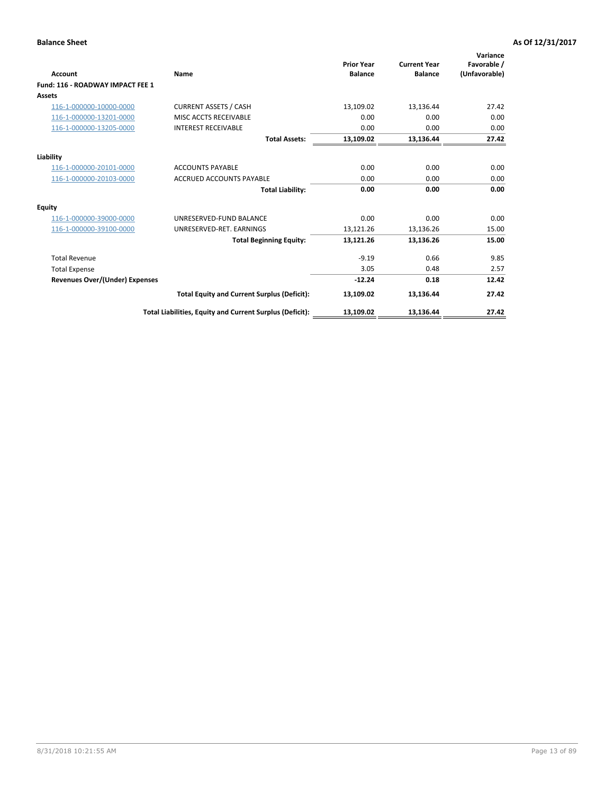| <b>Account</b>                        | <b>Name</b>                                              | <b>Prior Year</b><br><b>Balance</b> | <b>Current Year</b><br><b>Balance</b> | Variance<br>Favorable /<br>(Unfavorable) |
|---------------------------------------|----------------------------------------------------------|-------------------------------------|---------------------------------------|------------------------------------------|
| Fund: 116 - ROADWAY IMPACT FEE 1      |                                                          |                                     |                                       |                                          |
| Assets                                |                                                          |                                     |                                       |                                          |
| 116-1-000000-10000-0000               | <b>CURRENT ASSETS / CASH</b>                             | 13,109.02                           | 13,136.44                             | 27.42                                    |
| 116-1-000000-13201-0000               | <b>MISC ACCTS RECEIVABLE</b>                             | 0.00                                | 0.00                                  | 0.00                                     |
| 116-1-000000-13205-0000               | <b>INTEREST RECEIVABLE</b>                               | 0.00                                | 0.00                                  | 0.00                                     |
|                                       | <b>Total Assets:</b>                                     | 13,109.02                           | 13,136.44                             | 27.42                                    |
| Liability                             |                                                          |                                     |                                       |                                          |
| 116-1-000000-20101-0000               | <b>ACCOUNTS PAYABLE</b>                                  | 0.00                                | 0.00                                  | 0.00                                     |
| 116-1-000000-20103-0000               | <b>ACCRUED ACCOUNTS PAYABLE</b>                          | 0.00                                | 0.00                                  | 0.00                                     |
|                                       | <b>Total Liability:</b>                                  | 0.00                                | 0.00                                  | 0.00                                     |
| Equity                                |                                                          |                                     |                                       |                                          |
| 116-1-000000-39000-0000               | UNRESERVED-FUND BALANCE                                  | 0.00                                | 0.00                                  | 0.00                                     |
| 116-1-000000-39100-0000               | UNRESERVED-RET. EARNINGS                                 | 13,121.26                           | 13,136.26                             | 15.00                                    |
|                                       | <b>Total Beginning Equity:</b>                           | 13,121.26                           | 13,136.26                             | 15.00                                    |
| <b>Total Revenue</b>                  |                                                          | $-9.19$                             | 0.66                                  | 9.85                                     |
| <b>Total Expense</b>                  |                                                          | 3.05                                | 0.48                                  | 2.57                                     |
| <b>Revenues Over/(Under) Expenses</b> |                                                          | $-12.24$                            | 0.18                                  | 12.42                                    |
|                                       | <b>Total Equity and Current Surplus (Deficit):</b>       | 13,109.02                           | 13,136.44                             | 27.42                                    |
|                                       | Total Liabilities, Equity and Current Surplus (Deficit): | 13,109.02                           | 13,136.44                             | 27.42                                    |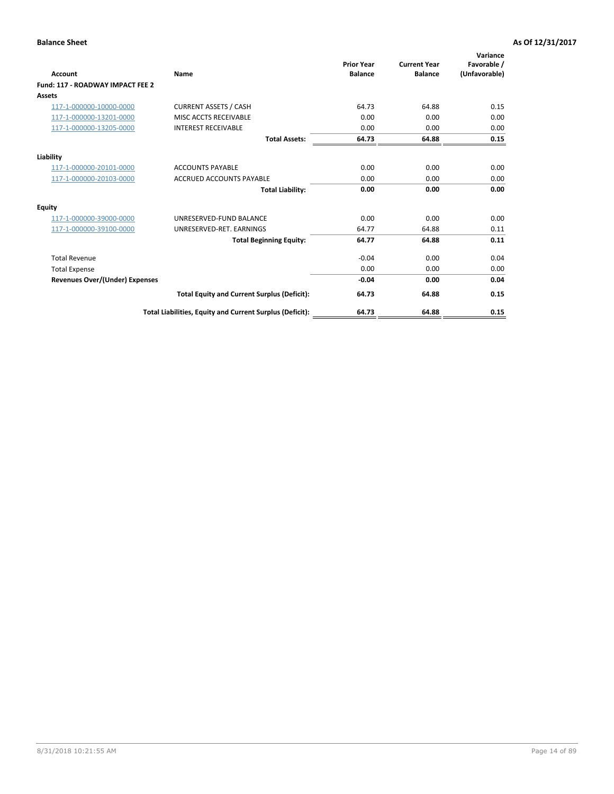| <b>Account</b>                        | Name                                                     | <b>Prior Year</b><br><b>Balance</b> | <b>Current Year</b><br><b>Balance</b> | Variance<br>Favorable /<br>(Unfavorable) |
|---------------------------------------|----------------------------------------------------------|-------------------------------------|---------------------------------------|------------------------------------------|
| Fund: 117 - ROADWAY IMPACT FEE 2      |                                                          |                                     |                                       |                                          |
| Assets                                |                                                          |                                     |                                       |                                          |
| 117-1-000000-10000-0000               | <b>CURRENT ASSETS / CASH</b>                             | 64.73                               | 64.88                                 | 0.15                                     |
| 117-1-000000-13201-0000               | MISC ACCTS RECEIVABLE                                    | 0.00                                | 0.00                                  | 0.00                                     |
| 117-1-000000-13205-0000               | <b>INTEREST RECEIVABLE</b>                               | 0.00                                | 0.00                                  | 0.00                                     |
|                                       | <b>Total Assets:</b>                                     | 64.73                               | 64.88                                 | 0.15                                     |
| Liability                             |                                                          |                                     |                                       |                                          |
| 117-1-000000-20101-0000               | <b>ACCOUNTS PAYABLE</b>                                  | 0.00                                | 0.00                                  | 0.00                                     |
| 117-1-000000-20103-0000               | <b>ACCRUED ACCOUNTS PAYABLE</b>                          | 0.00                                | 0.00                                  | 0.00                                     |
|                                       | <b>Total Liability:</b>                                  | 0.00                                | 0.00                                  | 0.00                                     |
| Equity                                |                                                          |                                     |                                       |                                          |
| 117-1-000000-39000-0000               | UNRESERVED-FUND BALANCE                                  | 0.00                                | 0.00                                  | 0.00                                     |
| 117-1-000000-39100-0000               | UNRESERVED-RET, EARNINGS                                 | 64.77                               | 64.88                                 | 0.11                                     |
|                                       | <b>Total Beginning Equity:</b>                           | 64.77                               | 64.88                                 | 0.11                                     |
| <b>Total Revenue</b>                  |                                                          | $-0.04$                             | 0.00                                  | 0.04                                     |
| <b>Total Expense</b>                  |                                                          | 0.00                                | 0.00                                  | 0.00                                     |
| <b>Revenues Over/(Under) Expenses</b> |                                                          | $-0.04$                             | 0.00                                  | 0.04                                     |
|                                       | <b>Total Equity and Current Surplus (Deficit):</b>       | 64.73                               | 64.88                                 | 0.15                                     |
|                                       | Total Liabilities, Equity and Current Surplus (Deficit): | 64.73                               | 64.88                                 | 0.15                                     |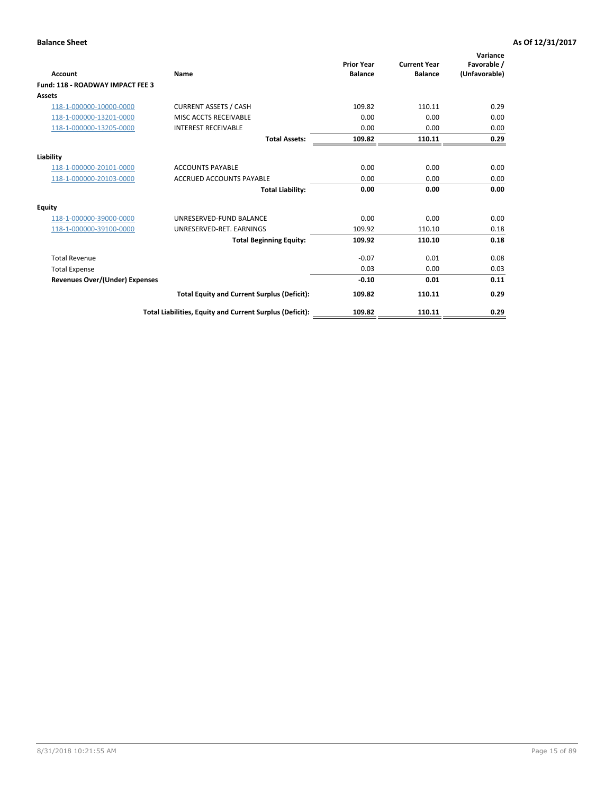| <b>Account</b>                          | Name                                                     | <b>Prior Year</b><br><b>Balance</b> | <b>Current Year</b><br><b>Balance</b> | Variance<br>Favorable /<br>(Unfavorable) |
|-----------------------------------------|----------------------------------------------------------|-------------------------------------|---------------------------------------|------------------------------------------|
| <b>Fund: 118 - ROADWAY IMPACT FEE 3</b> |                                                          |                                     |                                       |                                          |
| Assets                                  |                                                          |                                     |                                       |                                          |
| 118-1-000000-10000-0000                 | <b>CURRENT ASSETS / CASH</b>                             | 109.82                              | 110.11                                | 0.29                                     |
| 118-1-000000-13201-0000                 | MISC ACCTS RECEIVABLE                                    | 0.00                                | 0.00                                  | 0.00                                     |
| 118-1-000000-13205-0000                 | <b>INTEREST RECEIVABLE</b>                               | 0.00                                | 0.00                                  | 0.00                                     |
|                                         | <b>Total Assets:</b>                                     | 109.82                              | 110.11                                | 0.29                                     |
| Liability                               |                                                          |                                     |                                       |                                          |
| 118-1-000000-20101-0000                 | <b>ACCOUNTS PAYABLE</b>                                  | 0.00                                | 0.00                                  | 0.00                                     |
| 118-1-000000-20103-0000                 | <b>ACCRUED ACCOUNTS PAYABLE</b>                          | 0.00                                | 0.00                                  | 0.00                                     |
|                                         | <b>Total Liability:</b>                                  | 0.00                                | 0.00                                  | 0.00                                     |
| <b>Equity</b>                           |                                                          |                                     |                                       |                                          |
| 118-1-000000-39000-0000                 | UNRESERVED-FUND BALANCE                                  | 0.00                                | 0.00                                  | 0.00                                     |
| 118-1-000000-39100-0000                 | UNRESERVED-RET, EARNINGS                                 | 109.92                              | 110.10                                | 0.18                                     |
|                                         | <b>Total Beginning Equity:</b>                           | 109.92                              | 110.10                                | 0.18                                     |
| <b>Total Revenue</b>                    |                                                          | $-0.07$                             | 0.01                                  | 0.08                                     |
| <b>Total Expense</b>                    |                                                          | 0.03                                | 0.00                                  | 0.03                                     |
| <b>Revenues Over/(Under) Expenses</b>   |                                                          | $-0.10$                             | 0.01                                  | 0.11                                     |
|                                         | <b>Total Equity and Current Surplus (Deficit):</b>       | 109.82                              | 110.11                                | 0.29                                     |
|                                         | Total Liabilities, Equity and Current Surplus (Deficit): | 109.82                              | 110.11                                | 0.29                                     |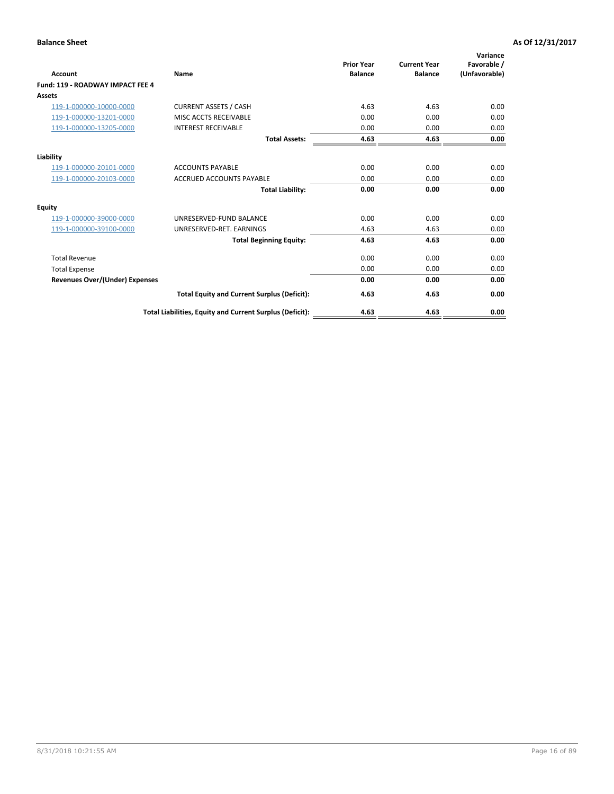| <b>Account</b>                        | <b>Name</b>                                              | <b>Prior Year</b><br><b>Balance</b> | <b>Current Year</b><br><b>Balance</b> | Variance<br>Favorable /<br>(Unfavorable) |
|---------------------------------------|----------------------------------------------------------|-------------------------------------|---------------------------------------|------------------------------------------|
| Fund: 119 - ROADWAY IMPACT FEE 4      |                                                          |                                     |                                       |                                          |
| Assets                                |                                                          |                                     |                                       |                                          |
| 119-1-000000-10000-0000               | <b>CURRENT ASSETS / CASH</b>                             | 4.63                                | 4.63                                  | 0.00                                     |
| 119-1-000000-13201-0000               | <b>MISC ACCTS RECEIVABLE</b>                             | 0.00                                | 0.00                                  | 0.00                                     |
| 119-1-000000-13205-0000               | <b>INTEREST RECEIVABLE</b>                               | 0.00                                | 0.00                                  | 0.00                                     |
|                                       | <b>Total Assets:</b>                                     | 4.63                                | 4.63                                  | 0.00                                     |
| Liability                             |                                                          |                                     |                                       |                                          |
| 119-1-000000-20101-0000               | <b>ACCOUNTS PAYABLE</b>                                  | 0.00                                | 0.00                                  | 0.00                                     |
| 119-1-000000-20103-0000               | <b>ACCRUED ACCOUNTS PAYABLE</b>                          | 0.00                                | 0.00                                  | 0.00                                     |
|                                       | <b>Total Liability:</b>                                  | 0.00                                | 0.00                                  | 0.00                                     |
| Equity                                |                                                          |                                     |                                       |                                          |
| 119-1-000000-39000-0000               | UNRESERVED-FUND BALANCE                                  | 0.00                                | 0.00                                  | 0.00                                     |
| 119-1-000000-39100-0000               | UNRESERVED-RET, EARNINGS                                 | 4.63                                | 4.63                                  | 0.00                                     |
|                                       | <b>Total Beginning Equity:</b>                           | 4.63                                | 4.63                                  | 0.00                                     |
| <b>Total Revenue</b>                  |                                                          | 0.00                                | 0.00                                  | 0.00                                     |
| <b>Total Expense</b>                  |                                                          | 0.00                                | 0.00                                  | 0.00                                     |
| <b>Revenues Over/(Under) Expenses</b> |                                                          | 0.00                                | 0.00                                  | 0.00                                     |
|                                       | <b>Total Equity and Current Surplus (Deficit):</b>       | 4.63                                | 4.63                                  | 0.00                                     |
|                                       | Total Liabilities, Equity and Current Surplus (Deficit): | 4.63                                | 4.63                                  | 0.00                                     |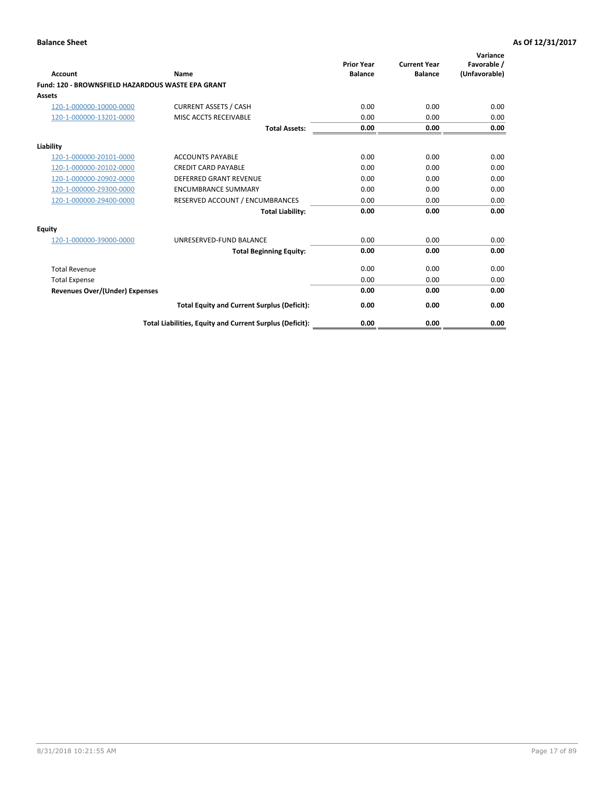|                                                   |                                                          | <b>Prior Year</b> | <b>Current Year</b> | Variance<br>Favorable / |
|---------------------------------------------------|----------------------------------------------------------|-------------------|---------------------|-------------------------|
| <b>Account</b>                                    | <b>Name</b>                                              | <b>Balance</b>    | <b>Balance</b>      | (Unfavorable)           |
| Fund: 120 - BROWNSFIELD HAZARDOUS WASTE EPA GRANT |                                                          |                   |                     |                         |
| <b>Assets</b>                                     |                                                          |                   |                     |                         |
| 120-1-000000-10000-0000                           | <b>CURRENT ASSETS / CASH</b>                             | 0.00              | 0.00                | 0.00                    |
| 120-1-000000-13201-0000                           | MISC ACCTS RECEIVABLE                                    | 0.00              | 0.00                | 0.00                    |
|                                                   | <b>Total Assets:</b>                                     | 0.00              | 0.00                | 0.00                    |
| Liability                                         |                                                          |                   |                     |                         |
| 120-1-000000-20101-0000                           | <b>ACCOUNTS PAYABLE</b>                                  | 0.00              | 0.00                | 0.00                    |
| 120-1-000000-20102-0000                           | <b>CREDIT CARD PAYABLE</b>                               | 0.00              | 0.00                | 0.00                    |
| 120-1-000000-20902-0000                           | <b>DEFERRED GRANT REVENUE</b>                            | 0.00              | 0.00                | 0.00                    |
| 120-1-000000-29300-0000                           | <b>ENCUMBRANCE SUMMARY</b>                               | 0.00              | 0.00                | 0.00                    |
| 120-1-000000-29400-0000                           | RESERVED ACCOUNT / ENCUMBRANCES                          | 0.00              | 0.00                | 0.00                    |
|                                                   | <b>Total Liability:</b>                                  | 0.00              | 0.00                | 0.00                    |
| Equity                                            |                                                          |                   |                     |                         |
| 120-1-000000-39000-0000                           | UNRESERVED-FUND BALANCE                                  | 0.00              | 0.00                | 0.00                    |
|                                                   | <b>Total Beginning Equity:</b>                           | 0.00              | 0.00                | 0.00                    |
| <b>Total Revenue</b>                              |                                                          | 0.00              | 0.00                | 0.00                    |
| <b>Total Expense</b>                              |                                                          | 0.00              | 0.00                | 0.00                    |
| <b>Revenues Over/(Under) Expenses</b>             |                                                          | 0.00              | 0.00                | 0.00                    |
|                                                   | <b>Total Equity and Current Surplus (Deficit):</b>       | 0.00              | 0.00                | 0.00                    |
|                                                   | Total Liabilities, Equity and Current Surplus (Deficit): | 0.00              | 0.00                | 0.00                    |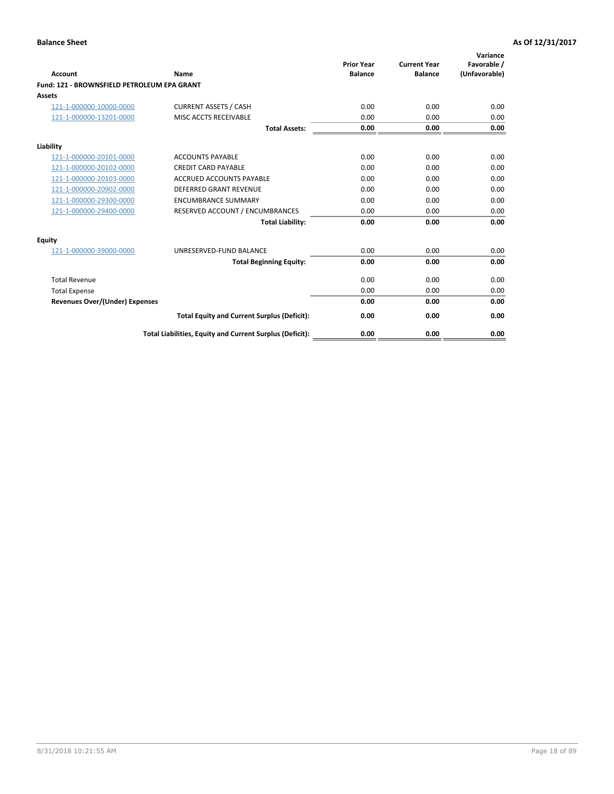| Account                                     | Name                                                     | <b>Prior Year</b><br><b>Balance</b> | <b>Current Year</b><br><b>Balance</b> | Variance<br>Favorable /<br>(Unfavorable) |
|---------------------------------------------|----------------------------------------------------------|-------------------------------------|---------------------------------------|------------------------------------------|
| Fund: 121 - BROWNSFIELD PETROLEUM EPA GRANT |                                                          |                                     |                                       |                                          |
| <b>Assets</b>                               |                                                          |                                     |                                       |                                          |
| 121-1-000000-10000-0000                     | <b>CURRENT ASSETS / CASH</b>                             | 0.00                                | 0.00                                  | 0.00                                     |
| 121-1-000000-13201-0000                     | MISC ACCTS RECEIVABLE                                    | 0.00                                | 0.00                                  | 0.00                                     |
|                                             | <b>Total Assets:</b>                                     | 0.00                                | 0.00                                  | 0.00                                     |
| Liability                                   |                                                          |                                     |                                       |                                          |
| 121-1-000000-20101-0000                     | <b>ACCOUNTS PAYABLE</b>                                  | 0.00                                | 0.00                                  | 0.00                                     |
| 121-1-000000-20102-0000                     | <b>CREDIT CARD PAYABLE</b>                               | 0.00                                | 0.00                                  | 0.00                                     |
| 121-1-000000-20103-0000                     | <b>ACCRUED ACCOUNTS PAYABLE</b>                          | 0.00                                | 0.00                                  | 0.00                                     |
| 121-1-000000-20902-0000                     | DEFERRED GRANT REVENUE                                   | 0.00                                | 0.00                                  | 0.00                                     |
| 121-1-000000-29300-0000                     | <b>ENCUMBRANCE SUMMARY</b>                               | 0.00                                | 0.00                                  | 0.00                                     |
| 121-1-000000-29400-0000                     | RESERVED ACCOUNT / ENCUMBRANCES                          | 0.00                                | 0.00                                  | 0.00                                     |
|                                             | <b>Total Liability:</b>                                  | 0.00                                | 0.00                                  | 0.00                                     |
| <b>Equity</b>                               |                                                          |                                     |                                       |                                          |
| 121-1-000000-39000-0000                     | UNRESERVED-FUND BALANCE                                  | 0.00                                | 0.00                                  | 0.00                                     |
|                                             | <b>Total Beginning Equity:</b>                           | 0.00                                | 0.00                                  | 0.00                                     |
| <b>Total Revenue</b>                        |                                                          | 0.00                                | 0.00                                  | 0.00                                     |
| <b>Total Expense</b>                        |                                                          | 0.00                                | 0.00                                  | 0.00                                     |
| <b>Revenues Over/(Under) Expenses</b>       |                                                          | 0.00                                | 0.00                                  | 0.00                                     |
|                                             | <b>Total Equity and Current Surplus (Deficit):</b>       | 0.00                                | 0.00                                  | 0.00                                     |
|                                             | Total Liabilities, Equity and Current Surplus (Deficit): | 0.00                                | 0.00                                  | 0.00                                     |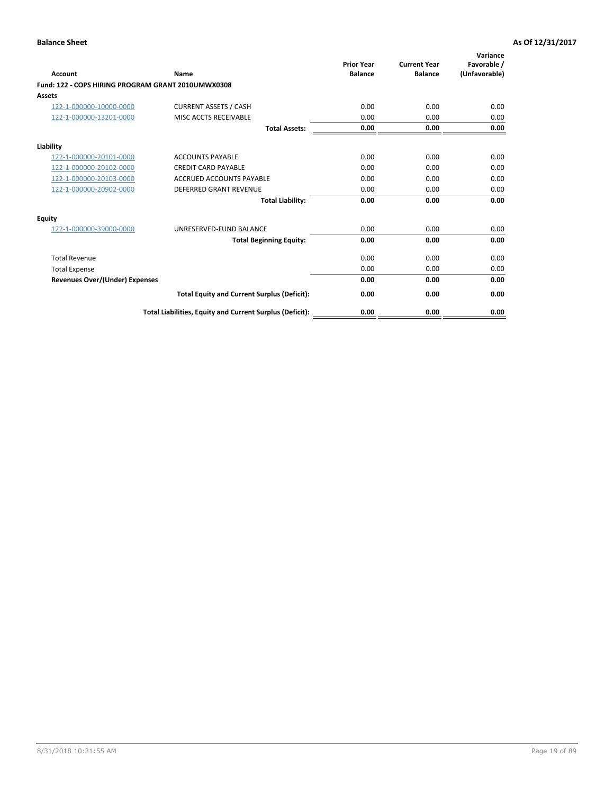| <b>Account</b>                                     | Name                                                     | <b>Prior Year</b><br><b>Balance</b> | <b>Current Year</b><br><b>Balance</b> | Variance<br>Favorable /<br>(Unfavorable) |
|----------------------------------------------------|----------------------------------------------------------|-------------------------------------|---------------------------------------|------------------------------------------|
| Fund: 122 - COPS HIRING PROGRAM GRANT 2010UMWX0308 |                                                          |                                     |                                       |                                          |
| Assets                                             |                                                          |                                     |                                       |                                          |
| 122-1-000000-10000-0000                            | <b>CURRENT ASSETS / CASH</b>                             | 0.00                                | 0.00                                  | 0.00                                     |
| 122-1-000000-13201-0000                            | MISC ACCTS RECEIVABLE                                    | 0.00                                | 0.00                                  | 0.00                                     |
|                                                    | <b>Total Assets:</b>                                     | 0.00                                | 0.00                                  | 0.00                                     |
| Liability                                          |                                                          |                                     |                                       |                                          |
| 122-1-000000-20101-0000                            | <b>ACCOUNTS PAYABLE</b>                                  | 0.00                                | 0.00                                  | 0.00                                     |
| 122-1-000000-20102-0000                            | <b>CREDIT CARD PAYABLE</b>                               | 0.00                                | 0.00                                  | 0.00                                     |
| 122-1-000000-20103-0000                            | <b>ACCRUED ACCOUNTS PAYABLE</b>                          | 0.00                                | 0.00                                  | 0.00                                     |
| 122-1-000000-20902-0000                            | <b>DEFERRED GRANT REVENUE</b>                            | 0.00                                | 0.00                                  | 0.00                                     |
|                                                    | <b>Total Liability:</b>                                  | 0.00                                | 0.00                                  | 0.00                                     |
| Equity                                             |                                                          |                                     |                                       |                                          |
| 122-1-000000-39000-0000                            | UNRESERVED-FUND BALANCE                                  | 0.00                                | 0.00                                  | 0.00                                     |
|                                                    | <b>Total Beginning Equity:</b>                           | 0.00                                | 0.00                                  | 0.00                                     |
| <b>Total Revenue</b>                               |                                                          | 0.00                                | 0.00                                  | 0.00                                     |
| <b>Total Expense</b>                               |                                                          | 0.00                                | 0.00                                  | 0.00                                     |
| <b>Revenues Over/(Under) Expenses</b>              |                                                          | 0.00                                | 0.00                                  | 0.00                                     |
|                                                    | <b>Total Equity and Current Surplus (Deficit):</b>       | 0.00                                | 0.00                                  | 0.00                                     |
|                                                    | Total Liabilities, Equity and Current Surplus (Deficit): | 0.00                                | 0.00                                  | 0.00                                     |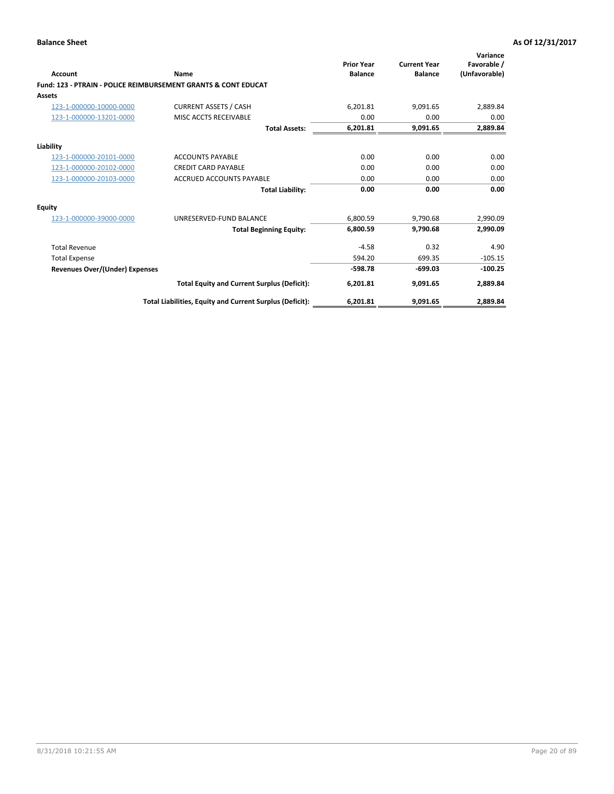| Account                        | Name                                                           | <b>Prior Year</b><br><b>Balance</b> | <b>Current Year</b><br><b>Balance</b> | Variance<br>Favorable /<br>(Unfavorable) |
|--------------------------------|----------------------------------------------------------------|-------------------------------------|---------------------------------------|------------------------------------------|
|                                | Fund: 123 - PTRAIN - POLICE REIMBURSEMENT GRANTS & CONT EDUCAT |                                     |                                       |                                          |
| Assets                         |                                                                |                                     |                                       |                                          |
| 123-1-000000-10000-0000        | <b>CURRENT ASSETS / CASH</b>                                   | 6,201.81                            | 9,091.65                              | 2,889.84                                 |
| 123-1-000000-13201-0000        | MISC ACCTS RECEIVABLE                                          | 0.00                                | 0.00                                  | 0.00                                     |
|                                | <b>Total Assets:</b>                                           | 6,201.81                            | 9,091.65                              | 2,889.84                                 |
| Liability                      |                                                                |                                     |                                       |                                          |
| 123-1-000000-20101-0000        | <b>ACCOUNTS PAYABLE</b>                                        | 0.00                                | 0.00                                  | 0.00                                     |
| 123-1-000000-20102-0000        | <b>CREDIT CARD PAYABLE</b>                                     | 0.00                                | 0.00                                  | 0.00                                     |
| 123-1-000000-20103-0000        | <b>ACCRUED ACCOUNTS PAYABLE</b>                                | 0.00                                | 0.00                                  | 0.00                                     |
|                                | <b>Total Liability:</b>                                        | 0.00                                | 0.00                                  | 0.00                                     |
| Equity                         |                                                                |                                     |                                       |                                          |
| 123-1-000000-39000-0000        | UNRESERVED-FUND BALANCE                                        | 6,800.59                            | 9,790.68                              | 2,990.09                                 |
|                                | <b>Total Beginning Equity:</b>                                 | 6,800.59                            | 9,790.68                              | 2,990.09                                 |
| <b>Total Revenue</b>           |                                                                | $-4.58$                             | 0.32                                  | 4.90                                     |
| <b>Total Expense</b>           |                                                                | 594.20                              | 699.35                                | $-105.15$                                |
| Revenues Over/(Under) Expenses |                                                                | $-598.78$                           | $-699.03$                             | $-100.25$                                |
|                                | <b>Total Equity and Current Surplus (Deficit):</b>             | 6,201.81                            | 9,091.65                              | 2,889.84                                 |
|                                | Total Liabilities, Equity and Current Surplus (Deficit):       | 6,201.81                            | 9,091.65                              | 2.889.84                                 |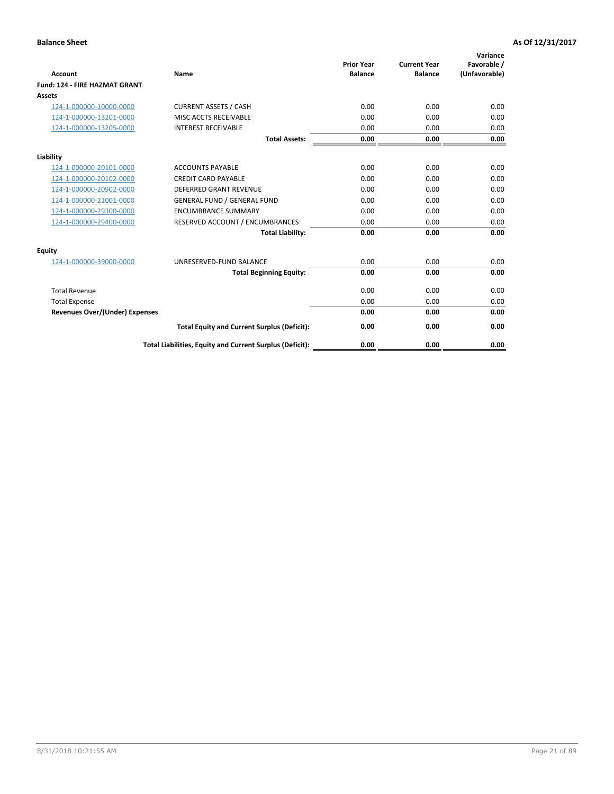| Account                               | Name                                                     | <b>Prior Year</b><br><b>Balance</b> | <b>Current Year</b><br><b>Balance</b> | Variance<br>Favorable /<br>(Unfavorable) |
|---------------------------------------|----------------------------------------------------------|-------------------------------------|---------------------------------------|------------------------------------------|
| <b>Fund: 124 - FIRE HAZMAT GRANT</b>  |                                                          |                                     |                                       |                                          |
| Assets                                |                                                          |                                     |                                       |                                          |
| 124-1-000000-10000-0000               | <b>CURRENT ASSETS / CASH</b>                             | 0.00                                | 0.00                                  | 0.00                                     |
| 124-1-000000-13201-0000               | MISC ACCTS RECEIVABLE                                    | 0.00                                | 0.00                                  | 0.00                                     |
| 124-1-000000-13205-0000               | <b>INTEREST RECEIVABLE</b>                               | 0.00                                | 0.00                                  | 0.00                                     |
|                                       | <b>Total Assets:</b>                                     | 0.00                                | 0.00                                  | 0.00                                     |
| Liability                             |                                                          |                                     |                                       |                                          |
| 124-1-000000-20101-0000               | <b>ACCOUNTS PAYABLE</b>                                  | 0.00                                | 0.00                                  | 0.00                                     |
| 124-1-000000-20102-0000               | <b>CREDIT CARD PAYABLE</b>                               | 0.00                                | 0.00                                  | 0.00                                     |
| 124-1-000000-20902-0000               | <b>DEFERRED GRANT REVENUE</b>                            | 0.00                                | 0.00                                  | 0.00                                     |
| 124-1-000000-21001-0000               | <b>GENERAL FUND / GENERAL FUND</b>                       | 0.00                                | 0.00                                  | 0.00                                     |
| 124-1-000000-29300-0000               | <b>ENCUMBRANCE SUMMARY</b>                               | 0.00                                | 0.00                                  | 0.00                                     |
| 124-1-000000-29400-0000               | RESERVED ACCOUNT / ENCUMBRANCES                          | 0.00                                | 0.00                                  | 0.00                                     |
|                                       | <b>Total Liability:</b>                                  | 0.00                                | 0.00                                  | 0.00                                     |
| <b>Equity</b>                         |                                                          |                                     |                                       |                                          |
| 124-1-000000-39000-0000               | UNRESERVED-FUND BALANCE                                  | 0.00                                | 0.00                                  | 0.00                                     |
|                                       | <b>Total Beginning Equity:</b>                           | 0.00                                | 0.00                                  | 0.00                                     |
| <b>Total Revenue</b>                  |                                                          | 0.00                                | 0.00                                  | 0.00                                     |
| <b>Total Expense</b>                  |                                                          | 0.00                                | 0.00                                  | 0.00                                     |
| <b>Revenues Over/(Under) Expenses</b> |                                                          | 0.00                                | 0.00                                  | 0.00                                     |
|                                       | <b>Total Equity and Current Surplus (Deficit):</b>       | 0.00                                | 0.00                                  | 0.00                                     |
|                                       | Total Liabilities, Equity and Current Surplus (Deficit): | 0.00                                | 0.00                                  | 0.00                                     |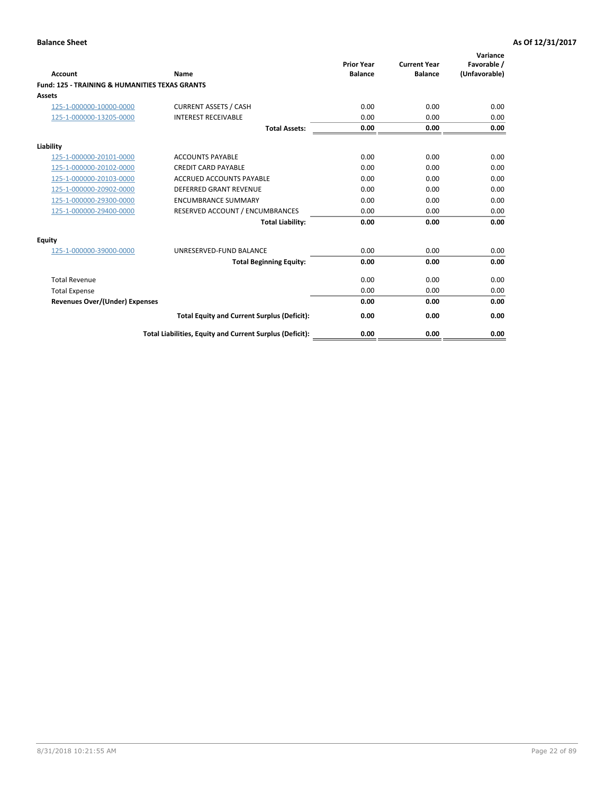| Account                                                   | Name                                                     | <b>Prior Year</b><br><b>Balance</b> | <b>Current Year</b><br><b>Balance</b> | Variance<br>Favorable /<br>(Unfavorable) |
|-----------------------------------------------------------|----------------------------------------------------------|-------------------------------------|---------------------------------------|------------------------------------------|
| <b>Fund: 125 - TRAINING &amp; HUMANITIES TEXAS GRANTS</b> |                                                          |                                     |                                       |                                          |
| <b>Assets</b>                                             |                                                          |                                     |                                       |                                          |
| 125-1-000000-10000-0000                                   | <b>CURRENT ASSETS / CASH</b>                             | 0.00                                | 0.00                                  | 0.00                                     |
| 125-1-000000-13205-0000                                   | <b>INTEREST RECEIVABLE</b>                               | 0.00                                | 0.00                                  | 0.00                                     |
|                                                           | <b>Total Assets:</b>                                     | 0.00                                | 0.00                                  | 0.00                                     |
| Liability                                                 |                                                          |                                     |                                       |                                          |
| 125-1-000000-20101-0000                                   | <b>ACCOUNTS PAYABLE</b>                                  | 0.00                                | 0.00                                  | 0.00                                     |
| 125-1-000000-20102-0000                                   | <b>CREDIT CARD PAYABLE</b>                               | 0.00                                | 0.00                                  | 0.00                                     |
| 125-1-000000-20103-0000                                   | <b>ACCRUED ACCOUNTS PAYABLE</b>                          | 0.00                                | 0.00                                  | 0.00                                     |
| 125-1-000000-20902-0000                                   | DEFERRED GRANT REVENUE                                   | 0.00                                | 0.00                                  | 0.00                                     |
| 125-1-000000-29300-0000                                   | <b>ENCUMBRANCE SUMMARY</b>                               | 0.00                                | 0.00                                  | 0.00                                     |
| 125-1-000000-29400-0000                                   | RESERVED ACCOUNT / ENCUMBRANCES                          | 0.00                                | 0.00                                  | 0.00                                     |
|                                                           | <b>Total Liability:</b>                                  | 0.00                                | 0.00                                  | 0.00                                     |
| <b>Equity</b>                                             |                                                          |                                     |                                       |                                          |
| 125-1-000000-39000-0000                                   | UNRESERVED-FUND BALANCE                                  | 0.00                                | 0.00                                  | 0.00                                     |
|                                                           | <b>Total Beginning Equity:</b>                           | 0.00                                | 0.00                                  | 0.00                                     |
| <b>Total Revenue</b>                                      |                                                          | 0.00                                | 0.00                                  | 0.00                                     |
| <b>Total Expense</b>                                      |                                                          | 0.00                                | 0.00                                  | 0.00                                     |
| <b>Revenues Over/(Under) Expenses</b>                     |                                                          | 0.00                                | 0.00                                  | 0.00                                     |
|                                                           | <b>Total Equity and Current Surplus (Deficit):</b>       | 0.00                                | 0.00                                  | 0.00                                     |
|                                                           | Total Liabilities, Equity and Current Surplus (Deficit): | 0.00                                | 0.00                                  | 0.00                                     |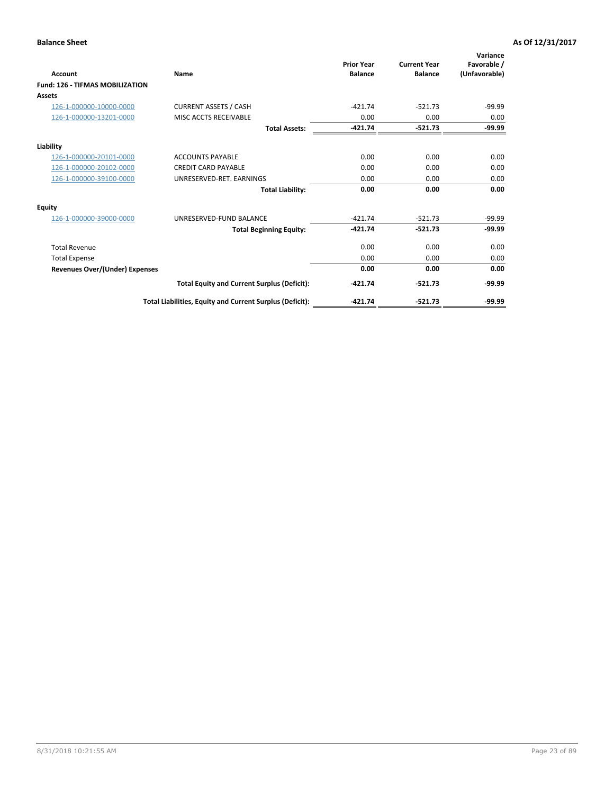| Account                                | Name                                                     | <b>Prior Year</b><br><b>Balance</b> | <b>Current Year</b><br><b>Balance</b> | Variance<br>Favorable /<br>(Unfavorable) |
|----------------------------------------|----------------------------------------------------------|-------------------------------------|---------------------------------------|------------------------------------------|
| <b>Fund: 126 - TIFMAS MOBILIZATION</b> |                                                          |                                     |                                       |                                          |
| Assets                                 |                                                          |                                     |                                       |                                          |
| 126-1-000000-10000-0000                | <b>CURRENT ASSETS / CASH</b>                             | $-421.74$                           | $-521.73$                             | $-99.99$                                 |
| 126-1-000000-13201-0000                | MISC ACCTS RECEIVABLE                                    | 0.00                                | 0.00                                  | 0.00                                     |
|                                        | <b>Total Assets:</b>                                     | $-421.74$                           | $-521.73$                             | $-99.99$                                 |
| Liability                              |                                                          |                                     |                                       |                                          |
| 126-1-000000-20101-0000                | <b>ACCOUNTS PAYABLE</b>                                  | 0.00                                | 0.00                                  | 0.00                                     |
| 126-1-000000-20102-0000                | <b>CREDIT CARD PAYABLE</b>                               | 0.00                                | 0.00                                  | 0.00                                     |
| 126-1-000000-39100-0000                | UNRESERVED-RET. EARNINGS                                 | 0.00                                | 0.00                                  | 0.00                                     |
|                                        | <b>Total Liability:</b>                                  | 0.00                                | 0.00                                  | 0.00                                     |
| Equity                                 |                                                          |                                     |                                       |                                          |
| 126-1-000000-39000-0000                | UNRESERVED-FUND BALANCE                                  | $-421.74$                           | $-521.73$                             | $-99.99$                                 |
|                                        | <b>Total Beginning Equity:</b>                           | $-421.74$                           | $-521.73$                             | $-99.99$                                 |
| <b>Total Revenue</b>                   |                                                          | 0.00                                | 0.00                                  | 0.00                                     |
| <b>Total Expense</b>                   |                                                          | 0.00                                | 0.00                                  | 0.00                                     |
| <b>Revenues Over/(Under) Expenses</b>  |                                                          | 0.00                                | 0.00                                  | 0.00                                     |
|                                        | <b>Total Equity and Current Surplus (Deficit):</b>       | $-421.74$                           | $-521.73$                             | $-99.99$                                 |
|                                        | Total Liabilities, Equity and Current Surplus (Deficit): | $-421.74$                           | $-521.73$                             | $-99.99$                                 |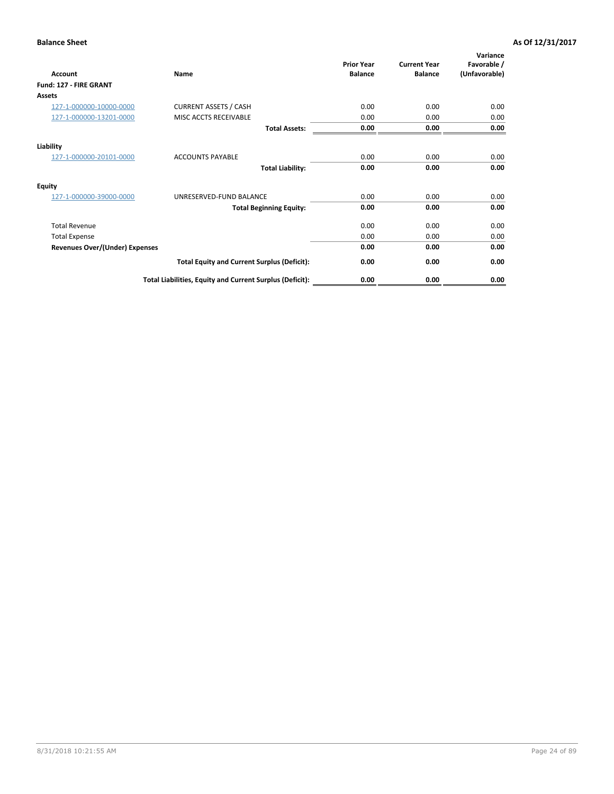| <b>Account</b>                        | Name                                                     | <b>Prior Year</b><br><b>Balance</b> | <b>Current Year</b><br><b>Balance</b> | Variance<br>Favorable /<br>(Unfavorable) |
|---------------------------------------|----------------------------------------------------------|-------------------------------------|---------------------------------------|------------------------------------------|
| Fund: 127 - FIRE GRANT                |                                                          |                                     |                                       |                                          |
| <b>Assets</b>                         |                                                          |                                     |                                       |                                          |
| 127-1-000000-10000-0000               | <b>CURRENT ASSETS / CASH</b>                             | 0.00                                | 0.00                                  | 0.00                                     |
| 127-1-000000-13201-0000               | MISC ACCTS RECEIVABLE                                    | 0.00                                | 0.00                                  | 0.00                                     |
|                                       | <b>Total Assets:</b>                                     | 0.00                                | 0.00                                  | 0.00                                     |
| Liability                             |                                                          |                                     |                                       |                                          |
| 127-1-000000-20101-0000               | <b>ACCOUNTS PAYABLE</b>                                  | 0.00                                | 0.00                                  | 0.00                                     |
|                                       | <b>Total Liability:</b>                                  | 0.00                                | 0.00                                  | 0.00                                     |
| <b>Equity</b>                         |                                                          |                                     |                                       |                                          |
| 127-1-000000-39000-0000               | UNRESERVED-FUND BALANCE                                  | 0.00                                | 0.00                                  | 0.00                                     |
|                                       | <b>Total Beginning Equity:</b>                           | 0.00                                | 0.00                                  | 0.00                                     |
| <b>Total Revenue</b>                  |                                                          | 0.00                                | 0.00                                  | 0.00                                     |
| <b>Total Expense</b>                  |                                                          | 0.00                                | 0.00                                  | 0.00                                     |
| <b>Revenues Over/(Under) Expenses</b> |                                                          | 0.00                                | 0.00                                  | 0.00                                     |
|                                       | <b>Total Equity and Current Surplus (Deficit):</b>       | 0.00                                | 0.00                                  | 0.00                                     |
|                                       | Total Liabilities, Equity and Current Surplus (Deficit): | 0.00                                | 0.00                                  | 0.00                                     |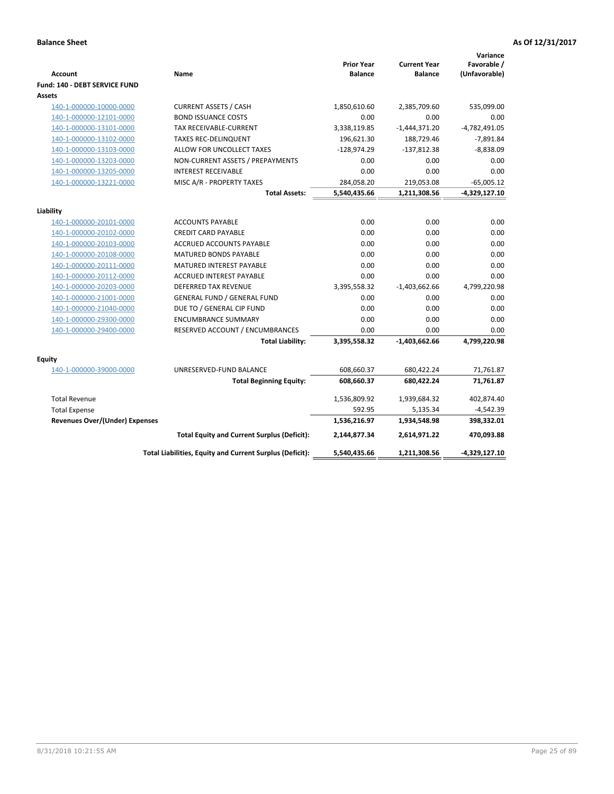| <b>Account</b>                        | Name                                                     | <b>Prior Year</b><br><b>Balance</b> | <b>Current Year</b><br><b>Balance</b> | Variance<br>Favorable /<br>(Unfavorable) |
|---------------------------------------|----------------------------------------------------------|-------------------------------------|---------------------------------------|------------------------------------------|
| Fund: 140 - DEBT SERVICE FUND         |                                                          |                                     |                                       |                                          |
| Assets                                |                                                          |                                     |                                       |                                          |
| 140-1-000000-10000-0000               | <b>CURRENT ASSETS / CASH</b>                             | 1,850,610.60                        | 2,385,709.60                          | 535,099.00                               |
| 140-1-000000-12101-0000               | <b>BOND ISSUANCE COSTS</b>                               | 0.00                                | 0.00                                  | 0.00                                     |
| 140-1-000000-13101-0000               | TAX RECEIVABLE-CURRENT                                   | 3,338,119.85                        | $-1,444,371.20$                       | $-4,782,491.05$                          |
| 140-1-000000-13102-0000               | <b>TAXES REC-DELINQUENT</b>                              | 196,621.30                          | 188,729.46                            | $-7,891.84$                              |
| 140-1-000000-13103-0000               | ALLOW FOR UNCOLLECT TAXES                                | $-128,974.29$                       | $-137,812.38$                         | $-8,838.09$                              |
| 140-1-000000-13203-0000               | NON-CURRENT ASSETS / PREPAYMENTS                         | 0.00                                | 0.00                                  | 0.00                                     |
| 140-1-000000-13205-0000               | <b>INTEREST RECEIVABLE</b>                               | 0.00                                | 0.00                                  | 0.00                                     |
| 140-1-000000-13221-0000               | MISC A/R - PROPERTY TAXES                                | 284,058.20                          | 219,053.08                            | $-65,005.12$                             |
|                                       | <b>Total Assets:</b>                                     | 5,540,435.66                        | 1,211,308.56                          | $-4,329,127.10$                          |
| Liability                             |                                                          |                                     |                                       |                                          |
| 140-1-000000-20101-0000               | <b>ACCOUNTS PAYABLE</b>                                  | 0.00                                | 0.00                                  | 0.00                                     |
| 140-1-000000-20102-0000               | <b>CREDIT CARD PAYABLE</b>                               | 0.00                                | 0.00                                  | 0.00                                     |
| 140-1-000000-20103-0000               | ACCRUED ACCOUNTS PAYABLE                                 | 0.00                                | 0.00                                  | 0.00                                     |
| 140-1-000000-20108-0000               | <b>MATURED BONDS PAYABLE</b>                             | 0.00                                | 0.00                                  | 0.00                                     |
| 140-1-000000-20111-0000               | MATURED INTEREST PAYABLE                                 | 0.00                                | 0.00                                  | 0.00                                     |
| 140-1-000000-20112-0000               | <b>ACCRUED INTEREST PAYABLE</b>                          | 0.00                                | 0.00                                  | 0.00                                     |
| 140-1-000000-20203-0000               | <b>DEFERRED TAX REVENUE</b>                              | 3,395,558.32                        | $-1,403,662.66$                       | 4,799,220.98                             |
| 140-1-000000-21001-0000               | <b>GENERAL FUND / GENERAL FUND</b>                       | 0.00                                | 0.00                                  | 0.00                                     |
| 140-1-000000-21040-0000               | DUE TO / GENERAL CIP FUND                                | 0.00                                | 0.00                                  | 0.00                                     |
| 140-1-000000-29300-0000               | <b>ENCUMBRANCE SUMMARY</b>                               | 0.00                                | 0.00                                  | 0.00                                     |
| 140-1-000000-29400-0000               | RESERVED ACCOUNT / ENCUMBRANCES                          | 0.00                                | 0.00                                  | 0.00                                     |
|                                       | <b>Total Liability:</b>                                  | 3,395,558.32                        | $-1,403,662.66$                       | 4,799,220.98                             |
| Equity                                |                                                          |                                     |                                       |                                          |
| 140-1-000000-39000-0000               | UNRESERVED-FUND BALANCE                                  | 608,660.37                          | 680,422.24                            | 71,761.87                                |
|                                       | <b>Total Beginning Equity:</b>                           | 608,660.37                          | 680,422.24                            | 71,761.87                                |
| <b>Total Revenue</b>                  |                                                          | 1,536,809.92                        | 1,939,684.32                          | 402,874.40                               |
| <b>Total Expense</b>                  |                                                          | 592.95                              | 5,135.34                              | -4,542.39                                |
| <b>Revenues Over/(Under) Expenses</b> |                                                          | 1,536,216.97                        | 1,934,548.98                          | 398,332.01                               |
|                                       | <b>Total Equity and Current Surplus (Deficit):</b>       | 2,144,877.34                        | 2,614,971.22                          | 470.093.88                               |
|                                       | Total Liabilities, Equity and Current Surplus (Deficit): | 5,540,435.66                        | 1,211,308.56                          | -4,329,127.10                            |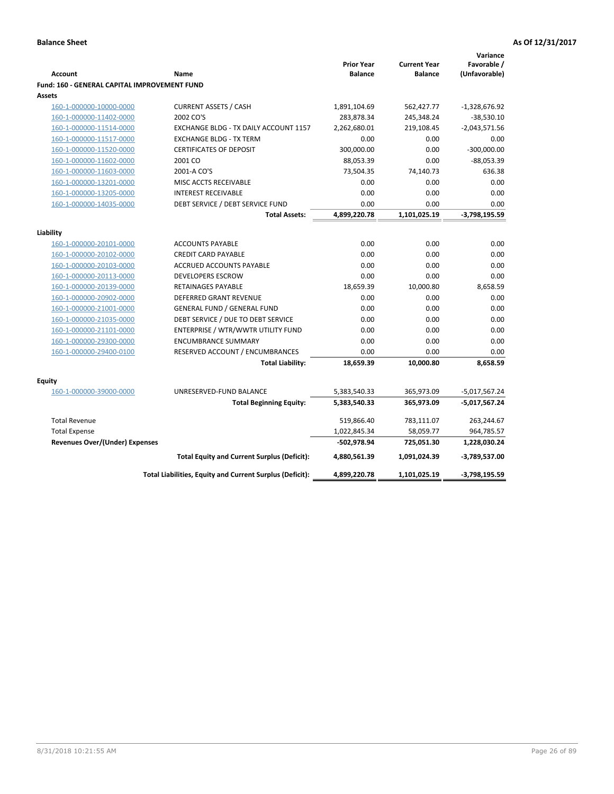|                                              |                                                          |                   |                     | Variance        |
|----------------------------------------------|----------------------------------------------------------|-------------------|---------------------|-----------------|
|                                              |                                                          | <b>Prior Year</b> | <b>Current Year</b> | Favorable /     |
| <b>Account</b>                               | Name                                                     | <b>Balance</b>    | <b>Balance</b>      | (Unfavorable)   |
| Fund: 160 - GENERAL CAPITAL IMPROVEMENT FUND |                                                          |                   |                     |                 |
| <b>Assets</b>                                |                                                          |                   |                     |                 |
| 160-1-000000-10000-0000                      | <b>CURRENT ASSETS / CASH</b>                             | 1,891,104.69      | 562,427.77          | $-1,328,676.92$ |
| 160-1-000000-11402-0000                      | 2002 CO'S                                                | 283,878.34        | 245,348.24          | $-38,530.10$    |
| 160-1-000000-11514-0000                      | EXCHANGE BLDG - TX DAILY ACCOUNT 1157                    | 2,262,680.01      | 219,108.45          | $-2,043,571.56$ |
| 160-1-000000-11517-0000                      | <b>EXCHANGE BLDG - TX TERM</b>                           | 0.00              | 0.00                | 0.00            |
| 160-1-000000-11520-0000                      | <b>CERTIFICATES OF DEPOSIT</b>                           | 300,000.00        | 0.00                | $-300,000.00$   |
| 160-1-000000-11602-0000                      | 2001 CO                                                  | 88,053.39         | 0.00                | $-88,053.39$    |
| 160-1-000000-11603-0000                      | 2001-A CO'S                                              | 73,504.35         | 74,140.73           | 636.38          |
| 160-1-000000-13201-0000                      | MISC ACCTS RECEIVABLE                                    | 0.00              | 0.00                | 0.00            |
| 160-1-000000-13205-0000                      | <b>INTEREST RECEIVABLE</b>                               | 0.00              | 0.00                | 0.00            |
| 160-1-000000-14035-0000                      | DEBT SERVICE / DEBT SERVICE FUND                         | 0.00              | 0.00                | 0.00            |
|                                              | <b>Total Assets:</b>                                     | 4,899,220.78      | 1,101,025.19        | $-3,798,195.59$ |
| Liability                                    |                                                          |                   |                     |                 |
|                                              |                                                          | 0.00              | 0.00                |                 |
| 160-1-000000-20101-0000                      | <b>ACCOUNTS PAYABLE</b>                                  |                   |                     | 0.00            |
| 160-1-000000-20102-0000                      | <b>CREDIT CARD PAYABLE</b>                               | 0.00              | 0.00                | 0.00            |
| 160-1-000000-20103-0000                      | ACCRUED ACCOUNTS PAYABLE                                 | 0.00              | 0.00                | 0.00            |
| 160-1-000000-20113-0000                      | <b>DEVELOPERS ESCROW</b>                                 | 0.00              | 0.00                | 0.00            |
| 160-1-000000-20139-0000                      | RETAINAGES PAYABLE                                       | 18,659.39         | 10,000.80           | 8,658.59        |
| 160-1-000000-20902-0000                      | <b>DEFERRED GRANT REVENUE</b>                            | 0.00              | 0.00                | 0.00            |
| 160-1-000000-21001-0000                      | <b>GENERAL FUND / GENERAL FUND</b>                       | 0.00              | 0.00                | 0.00            |
| 160-1-000000-21035-0000                      | DEBT SERVICE / DUE TO DEBT SERVICE                       | 0.00              | 0.00                | 0.00            |
| 160-1-000000-21101-0000                      | ENTERPRISE / WTR/WWTR UTILITY FUND                       | 0.00              | 0.00                | 0.00            |
| 160-1-000000-29300-0000                      | <b>ENCUMBRANCE SUMMARY</b>                               | 0.00              | 0.00                | 0.00            |
| 160-1-000000-29400-0100                      | RESERVED ACCOUNT / ENCUMBRANCES                          | 0.00              | 0.00                | 0.00            |
|                                              | <b>Total Liability:</b>                                  | 18,659.39         | 10,000.80           | 8,658.59        |
| <b>Equity</b>                                |                                                          |                   |                     |                 |
| 160-1-000000-39000-0000                      | UNRESERVED-FUND BALANCE                                  | 5,383,540.33      | 365,973.09          | $-5,017,567.24$ |
|                                              | <b>Total Beginning Equity:</b>                           | 5,383,540.33      | 365,973.09          | -5,017,567.24   |
|                                              |                                                          |                   |                     |                 |
| <b>Total Revenue</b>                         |                                                          | 519,866.40        | 783,111.07          | 263,244.67      |
| <b>Total Expense</b>                         |                                                          | 1,022,845.34      | 58,059.77           | 964,785.57      |
| Revenues Over/(Under) Expenses               |                                                          | -502,978.94       | 725,051.30          | 1,228,030.24    |
|                                              | <b>Total Equity and Current Surplus (Deficit):</b>       | 4,880,561.39      | 1,091,024.39        | -3,789,537.00   |
|                                              | Total Liabilities, Equity and Current Surplus (Deficit): | 4,899,220.78      | 1,101,025.19        | -3,798,195.59   |
|                                              |                                                          |                   |                     |                 |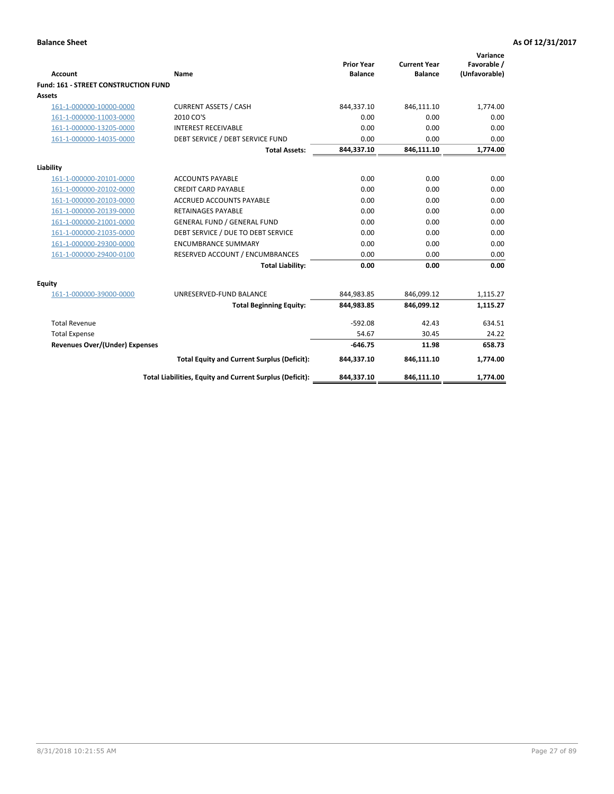| <b>Account</b>                              | Name                                                     | <b>Prior Year</b><br><b>Balance</b> | <b>Current Year</b><br><b>Balance</b> | Variance<br>Favorable /<br>(Unfavorable) |
|---------------------------------------------|----------------------------------------------------------|-------------------------------------|---------------------------------------|------------------------------------------|
| <b>Fund: 161 - STREET CONSTRUCTION FUND</b> |                                                          |                                     |                                       |                                          |
| <b>Assets</b>                               |                                                          |                                     |                                       |                                          |
| 161-1-000000-10000-0000                     | <b>CURRENT ASSETS / CASH</b>                             | 844,337.10                          | 846,111.10                            | 1,774.00                                 |
| 161-1-000000-11003-0000                     | 2010 CO'S                                                | 0.00                                | 0.00                                  | 0.00                                     |
| 161-1-000000-13205-0000                     | <b>INTEREST RECEIVABLE</b>                               | 0.00                                | 0.00                                  | 0.00                                     |
| 161-1-000000-14035-0000                     | DEBT SERVICE / DEBT SERVICE FUND                         | 0.00                                | 0.00                                  | 0.00                                     |
|                                             | <b>Total Assets:</b>                                     | 844,337.10                          | 846,111.10                            | 1,774.00                                 |
| Liability                                   |                                                          |                                     |                                       |                                          |
| 161-1-000000-20101-0000                     | <b>ACCOUNTS PAYABLE</b>                                  | 0.00                                | 0.00                                  | 0.00                                     |
| 161-1-000000-20102-0000                     | <b>CREDIT CARD PAYABLE</b>                               | 0.00                                | 0.00                                  | 0.00                                     |
| 161-1-000000-20103-0000                     | <b>ACCRUED ACCOUNTS PAYABLE</b>                          | 0.00                                | 0.00                                  | 0.00                                     |
| 161-1-000000-20139-0000                     | <b>RETAINAGES PAYABLE</b>                                | 0.00                                | 0.00                                  | 0.00                                     |
| 161-1-000000-21001-0000                     | <b>GENERAL FUND / GENERAL FUND</b>                       | 0.00                                | 0.00                                  | 0.00                                     |
| 161-1-000000-21035-0000                     | DEBT SERVICE / DUE TO DEBT SERVICE                       | 0.00                                | 0.00                                  | 0.00                                     |
| 161-1-000000-29300-0000                     | <b>ENCUMBRANCE SUMMARY</b>                               | 0.00                                | 0.00                                  | 0.00                                     |
| 161-1-000000-29400-0100                     | RESERVED ACCOUNT / ENCUMBRANCES                          | 0.00                                | 0.00                                  | 0.00                                     |
|                                             | <b>Total Liability:</b>                                  | 0.00                                | 0.00                                  | 0.00                                     |
| <b>Equity</b>                               |                                                          |                                     |                                       |                                          |
| 161-1-000000-39000-0000                     | UNRESERVED-FUND BALANCE                                  | 844,983.85                          | 846,099.12                            | 1,115.27                                 |
|                                             | <b>Total Beginning Equity:</b>                           | 844,983.85                          | 846,099.12                            | 1,115.27                                 |
| <b>Total Revenue</b>                        |                                                          | $-592.08$                           | 42.43                                 | 634.51                                   |
| <b>Total Expense</b>                        |                                                          | 54.67                               | 30.45                                 | 24.22                                    |
| Revenues Over/(Under) Expenses              |                                                          | $-646.75$                           | 11.98                                 | 658.73                                   |
|                                             | <b>Total Equity and Current Surplus (Deficit):</b>       | 844,337.10                          | 846,111.10                            | 1,774.00                                 |
|                                             | Total Liabilities, Equity and Current Surplus (Deficit): | 844,337.10                          | 846,111.10                            | 1,774.00                                 |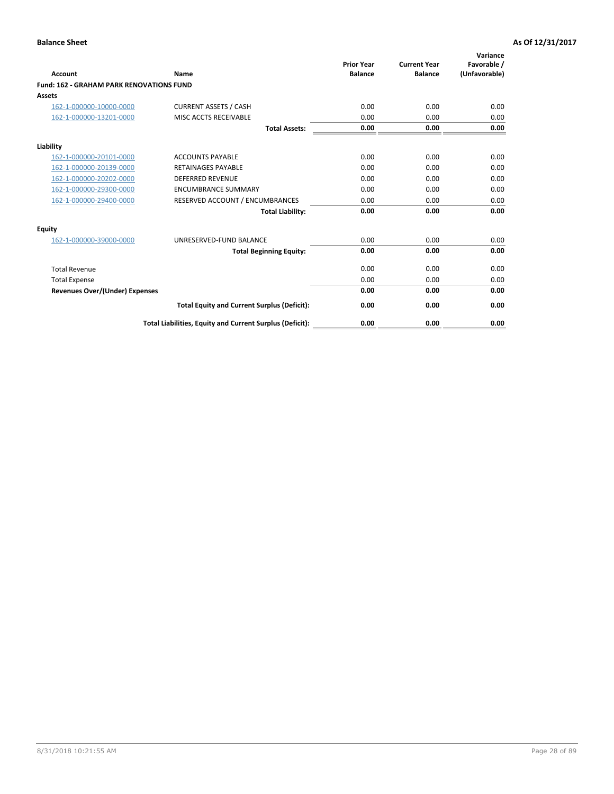|                                                 |                                                          | <b>Prior Year</b><br><b>Balance</b> | <b>Current Year</b> | Variance<br>Favorable / |
|-------------------------------------------------|----------------------------------------------------------|-------------------------------------|---------------------|-------------------------|
| <b>Account</b>                                  | Name                                                     |                                     | <b>Balance</b>      | (Unfavorable)           |
| <b>Fund: 162 - GRAHAM PARK RENOVATIONS FUND</b> |                                                          |                                     |                     |                         |
| <b>Assets</b>                                   |                                                          |                                     |                     |                         |
| 162-1-000000-10000-0000                         | <b>CURRENT ASSETS / CASH</b>                             | 0.00                                | 0.00                | 0.00                    |
| 162-1-000000-13201-0000                         | MISC ACCTS RECEIVABLE                                    | 0.00                                | 0.00                | 0.00                    |
|                                                 | <b>Total Assets:</b>                                     | 0.00                                | 0.00                | 0.00                    |
| Liability                                       |                                                          |                                     |                     |                         |
| 162-1-000000-20101-0000                         | <b>ACCOUNTS PAYABLE</b>                                  | 0.00                                | 0.00                | 0.00                    |
| 162-1-000000-20139-0000                         | <b>RETAINAGES PAYABLE</b>                                | 0.00                                | 0.00                | 0.00                    |
| 162-1-000000-20202-0000                         | <b>DEFERRED REVENUE</b>                                  | 0.00                                | 0.00                | 0.00                    |
| 162-1-000000-29300-0000                         | <b>ENCUMBRANCE SUMMARY</b>                               | 0.00                                | 0.00                | 0.00                    |
| 162-1-000000-29400-0000                         | RESERVED ACCOUNT / ENCUMBRANCES                          | 0.00                                | 0.00                | 0.00                    |
|                                                 | <b>Total Liability:</b>                                  | 0.00                                | 0.00                | 0.00                    |
| Equity                                          |                                                          |                                     |                     |                         |
| 162-1-000000-39000-0000                         | UNRESERVED-FUND BALANCE                                  | 0.00                                | 0.00                | 0.00                    |
|                                                 | <b>Total Beginning Equity:</b>                           | 0.00                                | 0.00                | 0.00                    |
| <b>Total Revenue</b>                            |                                                          | 0.00                                | 0.00                | 0.00                    |
| <b>Total Expense</b>                            |                                                          | 0.00                                | 0.00                | 0.00                    |
| Revenues Over/(Under) Expenses                  |                                                          | 0.00                                | 0.00                | 0.00                    |
|                                                 | <b>Total Equity and Current Surplus (Deficit):</b>       | 0.00                                | 0.00                | 0.00                    |
|                                                 | Total Liabilities, Equity and Current Surplus (Deficit): | 0.00                                | 0.00                | 0.00                    |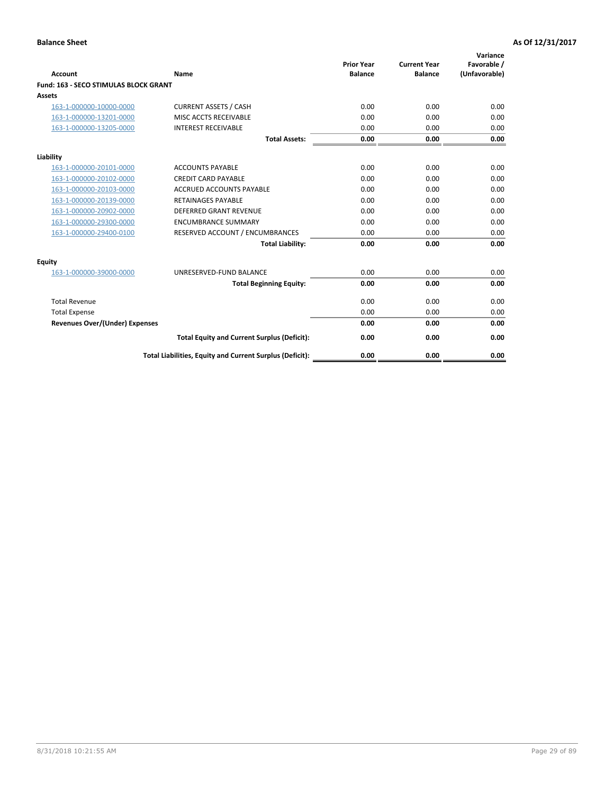|                                              |                                                          | <b>Prior Year</b> | <b>Current Year</b> | Variance<br>Favorable / |
|----------------------------------------------|----------------------------------------------------------|-------------------|---------------------|-------------------------|
| <b>Account</b>                               | Name                                                     | <b>Balance</b>    | <b>Balance</b>      | (Unfavorable)           |
| <b>Fund: 163 - SECO STIMULAS BLOCK GRANT</b> |                                                          |                   |                     |                         |
| Assets                                       |                                                          |                   |                     |                         |
| 163-1-000000-10000-0000                      | <b>CURRENT ASSETS / CASH</b>                             | 0.00              | 0.00                | 0.00                    |
| 163-1-000000-13201-0000                      | MISC ACCTS RECEIVABLE                                    | 0.00              | 0.00                | 0.00                    |
| 163-1-000000-13205-0000                      | <b>INTEREST RECEIVABLE</b>                               | 0.00              | 0.00                | 0.00                    |
|                                              | <b>Total Assets:</b>                                     | 0.00              | 0.00                | 0.00                    |
| Liability                                    |                                                          |                   |                     |                         |
| 163-1-000000-20101-0000                      | <b>ACCOUNTS PAYABLE</b>                                  | 0.00              | 0.00                | 0.00                    |
| 163-1-000000-20102-0000                      | <b>CREDIT CARD PAYABLE</b>                               | 0.00              | 0.00                | 0.00                    |
| 163-1-000000-20103-0000                      | <b>ACCRUED ACCOUNTS PAYABLE</b>                          | 0.00              | 0.00                | 0.00                    |
| 163-1-000000-20139-0000                      | <b>RETAINAGES PAYABLE</b>                                | 0.00              | 0.00                | 0.00                    |
| 163-1-000000-20902-0000                      | <b>DEFERRED GRANT REVENUE</b>                            | 0.00              | 0.00                | 0.00                    |
| 163-1-000000-29300-0000                      | <b>ENCUMBRANCE SUMMARY</b>                               | 0.00              | 0.00                | 0.00                    |
| 163-1-000000-29400-0100                      | RESERVED ACCOUNT / ENCUMBRANCES                          | 0.00              | 0.00                | 0.00                    |
|                                              | <b>Total Liability:</b>                                  | 0.00              | 0.00                | 0.00                    |
| <b>Equity</b>                                |                                                          |                   |                     |                         |
| 163-1-000000-39000-0000                      | UNRESERVED-FUND BALANCE                                  | 0.00              | 0.00                | 0.00                    |
|                                              | <b>Total Beginning Equity:</b>                           | 0.00              | 0.00                | 0.00                    |
| <b>Total Revenue</b>                         |                                                          | 0.00              | 0.00                | 0.00                    |
| <b>Total Expense</b>                         |                                                          | 0.00              | 0.00                | 0.00                    |
| Revenues Over/(Under) Expenses               |                                                          | 0.00              | 0.00                | 0.00                    |
|                                              | <b>Total Equity and Current Surplus (Deficit):</b>       | 0.00              | 0.00                | 0.00                    |
|                                              | Total Liabilities, Equity and Current Surplus (Deficit): | 0.00              | 0.00                | 0.00                    |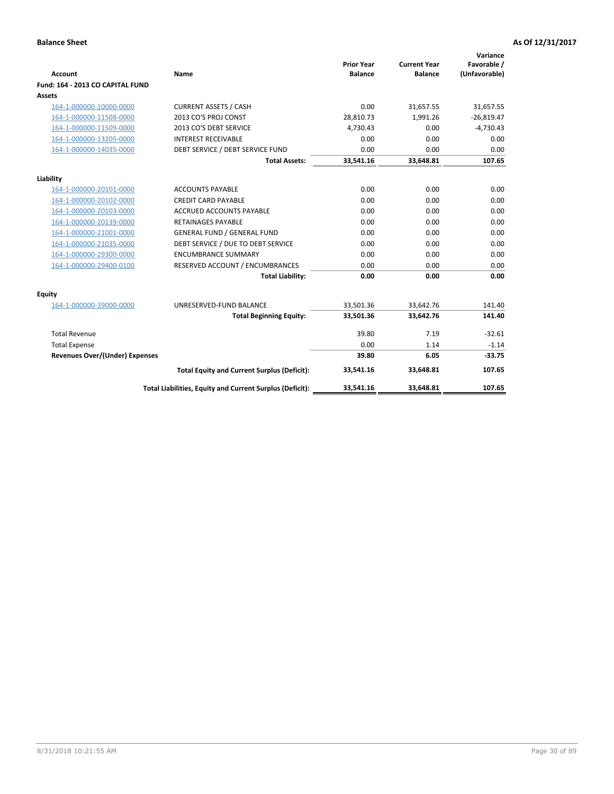|                                       |                                                          | <b>Prior Year</b> | <b>Current Year</b> | Variance<br>Favorable / |
|---------------------------------------|----------------------------------------------------------|-------------------|---------------------|-------------------------|
| <b>Account</b>                        | Name                                                     | <b>Balance</b>    | <b>Balance</b>      | (Unfavorable)           |
| Fund: 164 - 2013 CO CAPITAL FUND      |                                                          |                   |                     |                         |
| Assets                                |                                                          |                   |                     |                         |
| 164-1-000000-10000-0000               | <b>CURRENT ASSETS / CASH</b>                             | 0.00              | 31,657.55           | 31,657.55               |
| 164-1-000000-11508-0000               | 2013 CO'S PROJ CONST                                     | 28,810.73         | 1.991.26            | $-26,819.47$            |
| 164-1-000000-11509-0000               | 2013 CO'S DEBT SERVICE                                   | 4,730.43          | 0.00                | $-4,730.43$             |
| 164-1-000000-13205-0000               | <b>INTEREST RECEIVABLE</b>                               | 0.00              | 0.00                | 0.00                    |
| 164-1-000000-14035-0000               | DEBT SERVICE / DEBT SERVICE FUND                         | 0.00              | 0.00                | 0.00                    |
|                                       | <b>Total Assets:</b>                                     | 33,541.16         | 33,648.81           | 107.65                  |
| Liability                             |                                                          |                   |                     |                         |
| 164-1-000000-20101-0000               | <b>ACCOUNTS PAYABLE</b>                                  | 0.00              | 0.00                | 0.00                    |
| 164-1-000000-20102-0000               | <b>CREDIT CARD PAYABLE</b>                               | 0.00              | 0.00                | 0.00                    |
| 164-1-000000-20103-0000               | <b>ACCRUED ACCOUNTS PAYABLE</b>                          | 0.00              | 0.00                | 0.00                    |
| 164-1-000000-20139-0000               | <b>RETAINAGES PAYABLE</b>                                | 0.00              | 0.00                | 0.00                    |
| 164-1-000000-21001-0000               | <b>GENERAL FUND / GENERAL FUND</b>                       | 0.00              | 0.00                | 0.00                    |
| 164-1-000000-21035-0000               | DEBT SERVICE / DUE TO DEBT SERVICE                       | 0.00              | 0.00                | 0.00                    |
| 164-1-000000-29300-0000               | <b>ENCUMBRANCE SUMMARY</b>                               | 0.00              | 0.00                | 0.00                    |
| 164-1-000000-29400-0100               | RESERVED ACCOUNT / ENCUMBRANCES                          | 0.00              | 0.00                | 0.00                    |
|                                       | <b>Total Liability:</b>                                  | 0.00              | 0.00                | 0.00                    |
| Equity                                |                                                          |                   |                     |                         |
| 164-1-000000-39000-0000               | UNRESERVED-FUND BALANCE                                  | 33,501.36         | 33,642.76           | 141.40                  |
|                                       | <b>Total Beginning Equity:</b>                           | 33,501.36         | 33,642.76           | 141.40                  |
| <b>Total Revenue</b>                  |                                                          | 39.80             | 7.19                | $-32.61$                |
| <b>Total Expense</b>                  |                                                          | 0.00              | 1.14                | $-1.14$                 |
| <b>Revenues Over/(Under) Expenses</b> |                                                          | 39.80             | 6.05                | $-33.75$                |
|                                       | <b>Total Equity and Current Surplus (Deficit):</b>       | 33,541.16         | 33.648.81           | 107.65                  |
|                                       | Total Liabilities, Equity and Current Surplus (Deficit): | 33,541.16         | 33,648.81           | 107.65                  |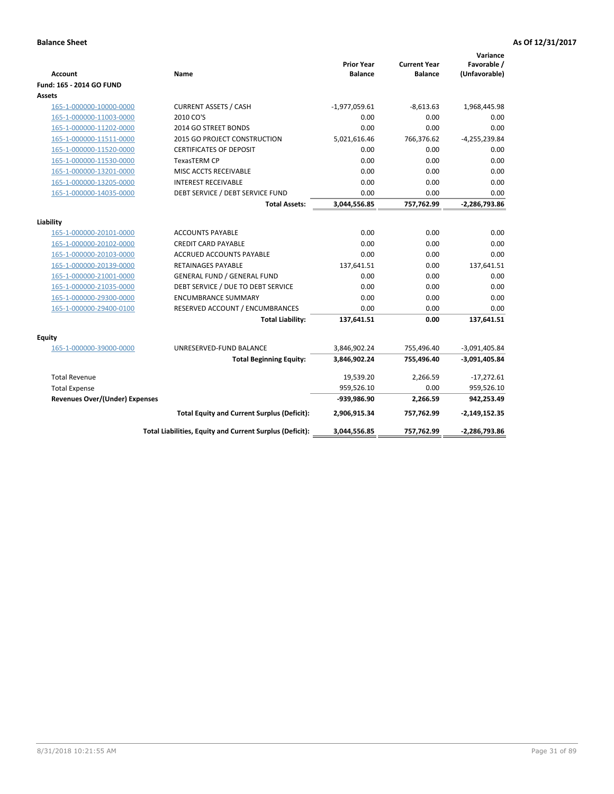| <b>Account</b>                        | Name                                                     | <b>Prior Year</b><br><b>Balance</b> | <b>Current Year</b><br><b>Balance</b> | Variance<br>Favorable /<br>(Unfavorable) |
|---------------------------------------|----------------------------------------------------------|-------------------------------------|---------------------------------------|------------------------------------------|
| Fund: 165 - 2014 GO FUND              |                                                          |                                     |                                       |                                          |
| Assets                                |                                                          |                                     |                                       |                                          |
| 165-1-000000-10000-0000               | <b>CURRENT ASSETS / CASH</b>                             | $-1,977,059.61$                     | $-8,613.63$                           | 1,968,445.98                             |
| 165-1-000000-11003-0000               | 2010 CO'S                                                | 0.00                                | 0.00                                  | 0.00                                     |
| 165-1-000000-11202-0000               | 2014 GO STREET BONDS                                     | 0.00                                | 0.00                                  | 0.00                                     |
| 165-1-000000-11511-0000               | <b>2015 GO PROJECT CONSTRUCTION</b>                      | 5,021,616.46                        | 766,376.62                            | $-4,255,239.84$                          |
| 165-1-000000-11520-0000               | <b>CERTIFICATES OF DEPOSIT</b>                           | 0.00                                | 0.00                                  | 0.00                                     |
| 165-1-000000-11530-0000               | <b>TexasTERM CP</b>                                      | 0.00                                | 0.00                                  | 0.00                                     |
| 165-1-000000-13201-0000               | MISC ACCTS RECEIVABLE                                    | 0.00                                | 0.00                                  | 0.00                                     |
| 165-1-000000-13205-0000               | <b>INTEREST RECEIVABLE</b>                               | 0.00                                | 0.00                                  | 0.00                                     |
| 165-1-000000-14035-0000               | DEBT SERVICE / DEBT SERVICE FUND                         | 0.00                                | 0.00                                  | 0.00                                     |
|                                       | <b>Total Assets:</b>                                     | 3,044,556.85                        | 757,762.99                            | $-2,286,793.86$                          |
| Liability                             |                                                          |                                     |                                       |                                          |
| 165-1-000000-20101-0000               | <b>ACCOUNTS PAYABLE</b>                                  | 0.00                                | 0.00                                  | 0.00                                     |
| 165-1-000000-20102-0000               | <b>CREDIT CARD PAYABLE</b>                               | 0.00                                | 0.00                                  | 0.00                                     |
| 165-1-000000-20103-0000               | <b>ACCRUED ACCOUNTS PAYABLE</b>                          | 0.00                                | 0.00                                  | 0.00                                     |
| 165-1-000000-20139-0000               | RETAINAGES PAYABLE                                       | 137,641.51                          | 0.00                                  | 137,641.51                               |
| 165-1-000000-21001-0000               | <b>GENERAL FUND / GENERAL FUND</b>                       | 0.00                                | 0.00                                  | 0.00                                     |
| 165-1-000000-21035-0000               | DEBT SERVICE / DUE TO DEBT SERVICE                       | 0.00                                | 0.00                                  | 0.00                                     |
| 165-1-000000-29300-0000               | <b>ENCUMBRANCE SUMMARY</b>                               | 0.00                                | 0.00                                  | 0.00                                     |
| 165-1-000000-29400-0100               | RESERVED ACCOUNT / ENCUMBRANCES                          | 0.00                                | 0.00                                  | 0.00                                     |
|                                       | <b>Total Liability:</b>                                  | 137,641.51                          | 0.00                                  | 137,641.51                               |
| <b>Equity</b>                         |                                                          |                                     |                                       |                                          |
| 165-1-000000-39000-0000               | UNRESERVED-FUND BALANCE                                  | 3,846,902.24                        | 755,496.40                            | $-3,091,405.84$                          |
|                                       | <b>Total Beginning Equity:</b>                           | 3,846,902.24                        | 755,496.40                            | $-3,091,405.84$                          |
| <b>Total Revenue</b>                  |                                                          | 19,539.20                           | 2,266.59                              | $-17,272.61$                             |
| <b>Total Expense</b>                  |                                                          | 959,526.10                          | 0.00                                  | 959,526.10                               |
| <b>Revenues Over/(Under) Expenses</b> |                                                          | -939,986.90                         | 2,266.59                              | 942,253.49                               |
|                                       | <b>Total Equity and Current Surplus (Deficit):</b>       | 2,906,915.34                        | 757,762.99                            | $-2,149,152.35$                          |
|                                       | Total Liabilities, Equity and Current Surplus (Deficit): | 3,044,556.85                        | 757,762.99                            | -2,286,793.86                            |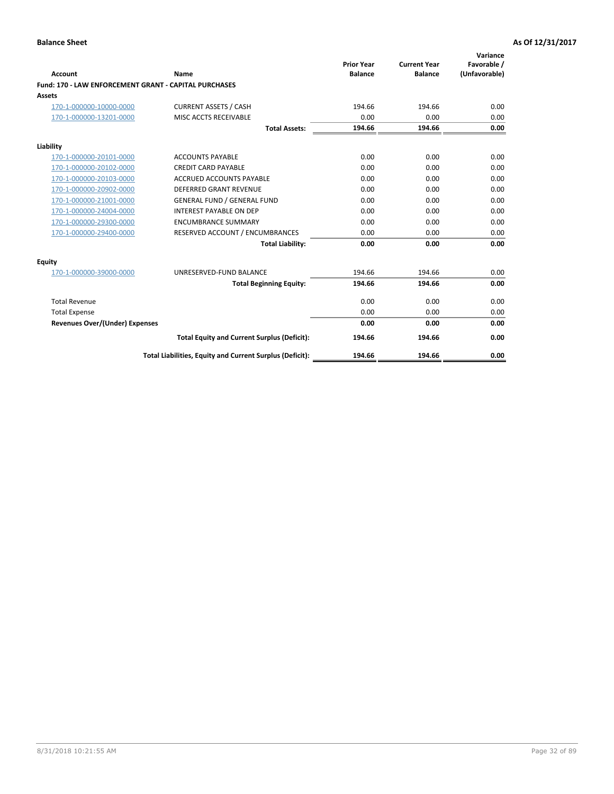|                                                       |                                                          |                                     |                                       | Variance                     |
|-------------------------------------------------------|----------------------------------------------------------|-------------------------------------|---------------------------------------|------------------------------|
| Account                                               | Name                                                     | <b>Prior Year</b><br><b>Balance</b> | <b>Current Year</b><br><b>Balance</b> | Favorable /<br>(Unfavorable) |
| Fund: 170 - LAW ENFORCEMENT GRANT - CAPITAL PURCHASES |                                                          |                                     |                                       |                              |
| Assets                                                |                                                          |                                     |                                       |                              |
| 170-1-000000-10000-0000                               | <b>CURRENT ASSETS / CASH</b>                             | 194.66                              | 194.66                                | 0.00                         |
| 170-1-000000-13201-0000                               | MISC ACCTS RECEIVABLE                                    | 0.00                                | 0.00                                  | 0.00                         |
|                                                       | <b>Total Assets:</b>                                     | 194.66                              | 194.66                                | 0.00                         |
| Liability                                             |                                                          |                                     |                                       |                              |
| 170-1-000000-20101-0000                               | <b>ACCOUNTS PAYABLE</b>                                  | 0.00                                | 0.00                                  | 0.00                         |
| 170-1-000000-20102-0000                               | <b>CREDIT CARD PAYABLE</b>                               | 0.00                                | 0.00                                  | 0.00                         |
| 170-1-000000-20103-0000                               | <b>ACCRUED ACCOUNTS PAYABLE</b>                          | 0.00                                | 0.00                                  | 0.00                         |
| 170-1-000000-20902-0000                               | DEFERRED GRANT REVENUE                                   | 0.00                                | 0.00                                  | 0.00                         |
| 170-1-000000-21001-0000                               | <b>GENERAL FUND / GENERAL FUND</b>                       | 0.00                                | 0.00                                  | 0.00                         |
| 170-1-000000-24004-0000                               | <b>INTEREST PAYABLE ON DEP</b>                           | 0.00                                | 0.00                                  | 0.00                         |
| 170-1-000000-29300-0000                               | <b>ENCUMBRANCE SUMMARY</b>                               | 0.00                                | 0.00                                  | 0.00                         |
| 170-1-000000-29400-0000                               | RESERVED ACCOUNT / ENCUMBRANCES                          | 0.00                                | 0.00                                  | 0.00                         |
|                                                       | <b>Total Liability:</b>                                  | 0.00                                | 0.00                                  | 0.00                         |
| <b>Equity</b>                                         |                                                          |                                     |                                       |                              |
| 170-1-000000-39000-0000                               | UNRESERVED-FUND BALANCE                                  | 194.66                              | 194.66                                | 0.00                         |
|                                                       | <b>Total Beginning Equity:</b>                           | 194.66                              | 194.66                                | 0.00                         |
| <b>Total Revenue</b>                                  |                                                          | 0.00                                | 0.00                                  | 0.00                         |
| <b>Total Expense</b>                                  |                                                          | 0.00                                | 0.00                                  | 0.00                         |
| <b>Revenues Over/(Under) Expenses</b>                 |                                                          | 0.00                                | 0.00                                  | 0.00                         |
|                                                       | <b>Total Equity and Current Surplus (Deficit):</b>       | 194.66                              | 194.66                                | 0.00                         |
|                                                       | Total Liabilities, Equity and Current Surplus (Deficit): | 194.66                              | 194.66                                | 0.00                         |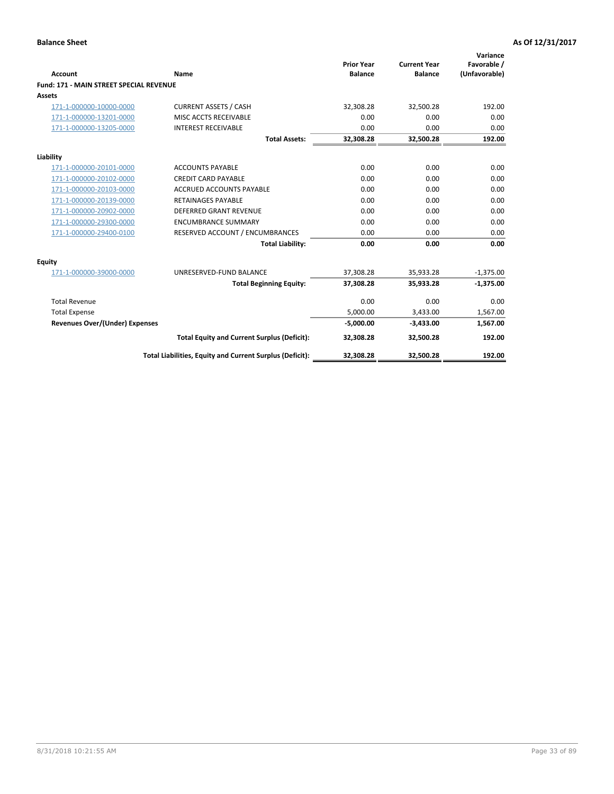|                                                |                                                          | <b>Prior Year</b> | <b>Current Year</b> | Variance<br>Favorable / |
|------------------------------------------------|----------------------------------------------------------|-------------------|---------------------|-------------------------|
| <b>Account</b>                                 | Name                                                     | <b>Balance</b>    | <b>Balance</b>      | (Unfavorable)           |
| <b>Fund: 171 - MAIN STREET SPECIAL REVENUE</b> |                                                          |                   |                     |                         |
| <b>Assets</b>                                  |                                                          |                   |                     |                         |
| 171-1-000000-10000-0000                        | <b>CURRENT ASSETS / CASH</b>                             | 32,308.28         | 32,500.28           | 192.00                  |
| 171-1-000000-13201-0000                        | MISC ACCTS RECEIVABLE                                    | 0.00              | 0.00                | 0.00                    |
| 171-1-000000-13205-0000                        | <b>INTEREST RECEIVABLE</b>                               | 0.00              | 0.00                | 0.00                    |
|                                                | <b>Total Assets:</b>                                     | 32.308.28         | 32.500.28           | 192.00                  |
| Liability                                      |                                                          |                   |                     |                         |
| 171-1-000000-20101-0000                        | <b>ACCOUNTS PAYABLE</b>                                  | 0.00              | 0.00                | 0.00                    |
| 171-1-000000-20102-0000                        | <b>CREDIT CARD PAYABLE</b>                               | 0.00              | 0.00                | 0.00                    |
| 171-1-000000-20103-0000                        | <b>ACCRUED ACCOUNTS PAYABLE</b>                          | 0.00              | 0.00                | 0.00                    |
| 171-1-000000-20139-0000                        | <b>RETAINAGES PAYABLE</b>                                | 0.00              | 0.00                | 0.00                    |
| 171-1-000000-20902-0000                        | DEFERRED GRANT REVENUE                                   | 0.00              | 0.00                | 0.00                    |
| 171-1-000000-29300-0000                        | <b>ENCUMBRANCE SUMMARY</b>                               | 0.00              | 0.00                | 0.00                    |
| 171-1-000000-29400-0100                        | RESERVED ACCOUNT / ENCUMBRANCES                          | 0.00              | 0.00                | 0.00                    |
|                                                | <b>Total Liability:</b>                                  | 0.00              | 0.00                | 0.00                    |
| <b>Equity</b>                                  |                                                          |                   |                     |                         |
| 171-1-000000-39000-0000                        | UNRESERVED-FUND BALANCE                                  | 37,308.28         | 35,933.28           | $-1,375.00$             |
|                                                | <b>Total Beginning Equity:</b>                           | 37,308.28         | 35,933.28           | $-1,375.00$             |
| <b>Total Revenue</b>                           |                                                          | 0.00              | 0.00                | 0.00                    |
| <b>Total Expense</b>                           |                                                          | 5,000.00          | 3,433.00            | 1,567.00                |
| <b>Revenues Over/(Under) Expenses</b>          |                                                          | $-5,000.00$       | $-3,433.00$         | 1,567.00                |
|                                                | <b>Total Equity and Current Surplus (Deficit):</b>       | 32,308.28         | 32,500.28           | 192.00                  |
|                                                | Total Liabilities, Equity and Current Surplus (Deficit): | 32,308.28         | 32,500.28           | 192.00                  |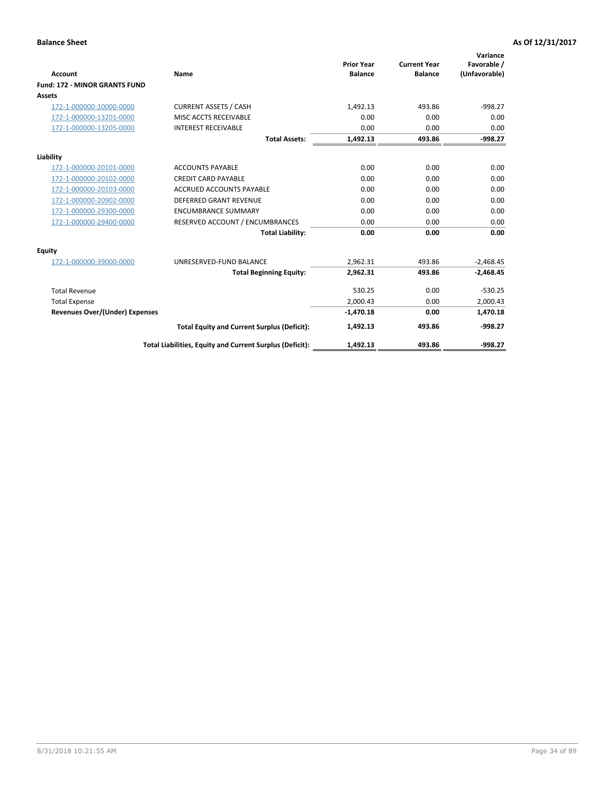|                                       |                                                          |                                     |                                       | Variance                     |
|---------------------------------------|----------------------------------------------------------|-------------------------------------|---------------------------------------|------------------------------|
| <b>Account</b>                        | <b>Name</b>                                              | <b>Prior Year</b><br><b>Balance</b> | <b>Current Year</b><br><b>Balance</b> | Favorable /<br>(Unfavorable) |
| <b>Fund: 172 - MINOR GRANTS FUND</b>  |                                                          |                                     |                                       |                              |
| <b>Assets</b>                         |                                                          |                                     |                                       |                              |
| 172-1-000000-10000-0000               | <b>CURRENT ASSETS / CASH</b>                             | 1,492.13                            | 493.86                                | $-998.27$                    |
| 172-1-000000-13201-0000               | MISC ACCTS RECEIVABLE                                    | 0.00                                | 0.00                                  | 0.00                         |
| 172-1-000000-13205-0000               | <b>INTEREST RECEIVABLE</b>                               | 0.00                                | 0.00                                  | 0.00                         |
|                                       | <b>Total Assets:</b>                                     | 1,492.13                            | 493.86                                | $-998.27$                    |
| Liability                             |                                                          |                                     |                                       |                              |
| 172-1-000000-20101-0000               | <b>ACCOUNTS PAYABLE</b>                                  | 0.00                                | 0.00                                  | 0.00                         |
| 172-1-000000-20102-0000               | <b>CREDIT CARD PAYABLE</b>                               | 0.00                                | 0.00                                  | 0.00                         |
| 172-1-000000-20103-0000               | <b>ACCRUED ACCOUNTS PAYABLE</b>                          | 0.00                                | 0.00                                  | 0.00                         |
| 172-1-000000-20902-0000               | <b>DEFERRED GRANT REVENUE</b>                            | 0.00                                | 0.00                                  | 0.00                         |
| 172-1-000000-29300-0000               | <b>ENCUMBRANCE SUMMARY</b>                               | 0.00                                | 0.00                                  | 0.00                         |
| 172-1-000000-29400-0000               | RESERVED ACCOUNT / ENCUMBRANCES                          | 0.00                                | 0.00                                  | 0.00                         |
|                                       | <b>Total Liability:</b>                                  | 0.00                                | 0.00                                  | 0.00                         |
| <b>Equity</b>                         |                                                          |                                     |                                       |                              |
| 172-1-000000-39000-0000               | UNRESERVED-FUND BALANCE                                  | 2,962.31                            | 493.86                                | $-2,468.45$                  |
|                                       | <b>Total Beginning Equity:</b>                           | 2,962.31                            | 493.86                                | $-2,468.45$                  |
| <b>Total Revenue</b>                  |                                                          | 530.25                              | 0.00                                  | $-530.25$                    |
| <b>Total Expense</b>                  |                                                          | 2,000.43                            | 0.00                                  | 2,000.43                     |
| <b>Revenues Over/(Under) Expenses</b> |                                                          | $-1,470.18$                         | 0.00                                  | 1,470.18                     |
|                                       | <b>Total Equity and Current Surplus (Deficit):</b>       | 1,492.13                            | 493.86                                | $-998.27$                    |
|                                       | Total Liabilities, Equity and Current Surplus (Deficit): | 1,492.13                            | 493.86                                | $-998.27$                    |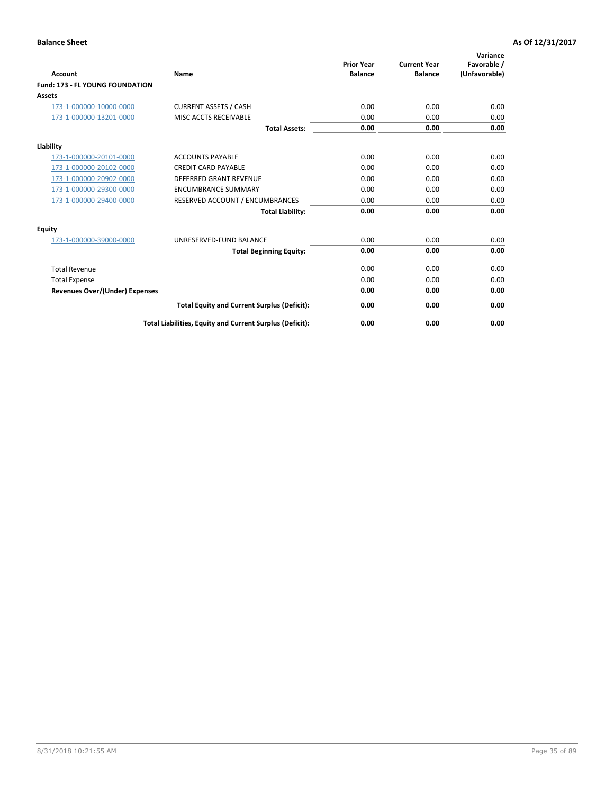| <b>Account</b>                         | <b>Name</b>                                              | <b>Prior Year</b><br><b>Balance</b> | <b>Current Year</b><br><b>Balance</b> | Variance<br>Favorable /<br>(Unfavorable) |
|----------------------------------------|----------------------------------------------------------|-------------------------------------|---------------------------------------|------------------------------------------|
| <b>Fund: 173 - FL YOUNG FOUNDATION</b> |                                                          |                                     |                                       |                                          |
| Assets                                 |                                                          |                                     |                                       |                                          |
| 173-1-000000-10000-0000                | <b>CURRENT ASSETS / CASH</b>                             | 0.00                                | 0.00                                  | 0.00                                     |
| 173-1-000000-13201-0000                | MISC ACCTS RECEIVABLE                                    | 0.00                                | 0.00                                  | 0.00                                     |
|                                        | <b>Total Assets:</b>                                     | 0.00                                | 0.00                                  | 0.00                                     |
| Liability                              |                                                          |                                     |                                       |                                          |
| 173-1-000000-20101-0000                | <b>ACCOUNTS PAYABLE</b>                                  | 0.00                                | 0.00                                  | 0.00                                     |
| 173-1-000000-20102-0000                | <b>CREDIT CARD PAYABLE</b>                               | 0.00                                | 0.00                                  | 0.00                                     |
| 173-1-000000-20902-0000                | <b>DEFERRED GRANT REVENUE</b>                            | 0.00                                | 0.00                                  | 0.00                                     |
| 173-1-000000-29300-0000                | <b>ENCUMBRANCE SUMMARY</b>                               | 0.00                                | 0.00                                  | 0.00                                     |
| 173-1-000000-29400-0000                | RESERVED ACCOUNT / ENCUMBRANCES                          | 0.00                                | 0.00                                  | 0.00                                     |
|                                        | <b>Total Liability:</b>                                  | 0.00                                | 0.00                                  | 0.00                                     |
| Equity                                 |                                                          |                                     |                                       |                                          |
| 173-1-000000-39000-0000                | UNRESERVED-FUND BALANCE                                  | 0.00                                | 0.00                                  | 0.00                                     |
|                                        | <b>Total Beginning Equity:</b>                           | 0.00                                | 0.00                                  | 0.00                                     |
| <b>Total Revenue</b>                   |                                                          | 0.00                                | 0.00                                  | 0.00                                     |
| <b>Total Expense</b>                   |                                                          | 0.00                                | 0.00                                  | 0.00                                     |
| <b>Revenues Over/(Under) Expenses</b>  |                                                          | 0.00                                | 0.00                                  | 0.00                                     |
|                                        | <b>Total Equity and Current Surplus (Deficit):</b>       | 0.00                                | 0.00                                  | 0.00                                     |
|                                        | Total Liabilities, Equity and Current Surplus (Deficit): | 0.00                                | 0.00                                  | 0.00                                     |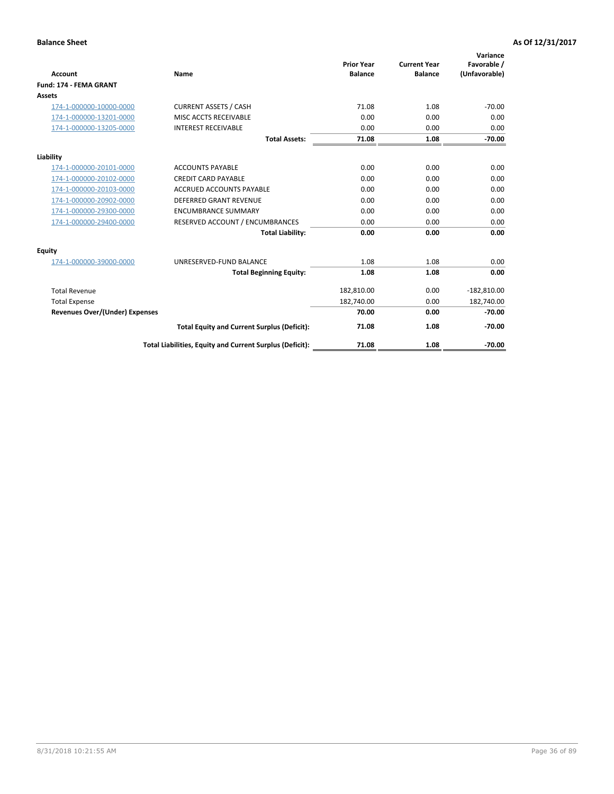|                                       |                                                          | <b>Prior Year</b> | <b>Current Year</b> | Variance<br>Favorable / |
|---------------------------------------|----------------------------------------------------------|-------------------|---------------------|-------------------------|
| <b>Account</b>                        | <b>Name</b>                                              | <b>Balance</b>    | <b>Balance</b>      | (Unfavorable)           |
| Fund: 174 - FEMA GRANT                |                                                          |                   |                     |                         |
| <b>Assets</b>                         |                                                          |                   |                     |                         |
| 174-1-000000-10000-0000               | <b>CURRENT ASSETS / CASH</b>                             | 71.08             | 1.08                | $-70.00$                |
| 174-1-000000-13201-0000               | MISC ACCTS RECEIVABLE                                    | 0.00              | 0.00                | 0.00                    |
| 174-1-000000-13205-0000               | <b>INTEREST RECEIVABLE</b>                               | 0.00              | 0.00                | 0.00                    |
|                                       | <b>Total Assets:</b>                                     | 71.08             | 1.08                | $-70.00$                |
| Liability                             |                                                          |                   |                     |                         |
| 174-1-000000-20101-0000               | <b>ACCOUNTS PAYABLE</b>                                  | 0.00              | 0.00                | 0.00                    |
| 174-1-000000-20102-0000               | <b>CREDIT CARD PAYABLE</b>                               | 0.00              | 0.00                | 0.00                    |
| 174-1-000000-20103-0000               | <b>ACCRUED ACCOUNTS PAYABLE</b>                          | 0.00              | 0.00                | 0.00                    |
| 174-1-000000-20902-0000               | <b>DEFERRED GRANT REVENUE</b>                            | 0.00              | 0.00                | 0.00                    |
| 174-1-000000-29300-0000               | <b>ENCUMBRANCE SUMMARY</b>                               | 0.00              | 0.00                | 0.00                    |
| 174-1-000000-29400-0000               | RESERVED ACCOUNT / ENCUMBRANCES                          | 0.00              | 0.00                | 0.00                    |
|                                       | <b>Total Liability:</b>                                  | 0.00              | 0.00                | 0.00                    |
| Equity                                |                                                          |                   |                     |                         |
| 174-1-000000-39000-0000               | UNRESERVED-FUND BALANCE                                  | 1.08              | 1.08                | 0.00                    |
|                                       | <b>Total Beginning Equity:</b>                           | 1.08              | 1.08                | 0.00                    |
| <b>Total Revenue</b>                  |                                                          | 182,810.00        | 0.00                | $-182,810.00$           |
| <b>Total Expense</b>                  |                                                          | 182,740.00        | 0.00                | 182,740.00              |
| <b>Revenues Over/(Under) Expenses</b> |                                                          | 70.00             | 0.00                | $-70.00$                |
|                                       | <b>Total Equity and Current Surplus (Deficit):</b>       | 71.08             | 1.08                | $-70.00$                |
|                                       | Total Liabilities, Equity and Current Surplus (Deficit): | 71.08             | 1.08                | $-70.00$                |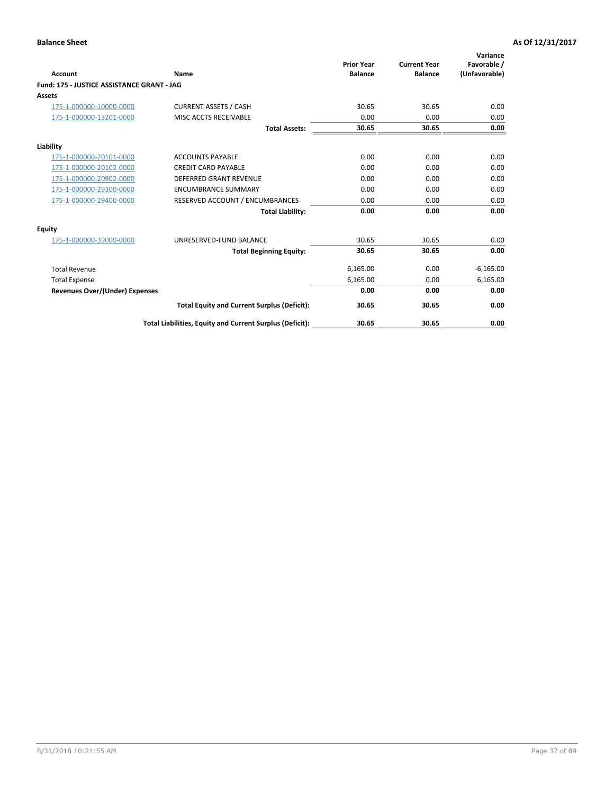|                                            |                                                          | <b>Prior Year</b> | <b>Current Year</b> | Variance<br>Favorable / |
|--------------------------------------------|----------------------------------------------------------|-------------------|---------------------|-------------------------|
| <b>Account</b>                             | Name                                                     | <b>Balance</b>    | <b>Balance</b>      | (Unfavorable)           |
| Fund: 175 - JUSTICE ASSISTANCE GRANT - JAG |                                                          |                   |                     |                         |
| <b>Assets</b>                              |                                                          |                   |                     |                         |
| 175-1-000000-10000-0000                    | <b>CURRENT ASSETS / CASH</b>                             | 30.65             | 30.65               | 0.00                    |
| 175-1-000000-13201-0000                    | MISC ACCTS RECEIVABLE                                    | 0.00              | 0.00                | 0.00                    |
|                                            | <b>Total Assets:</b>                                     | 30.65             | 30.65               | 0.00                    |
| Liability                                  |                                                          |                   |                     |                         |
| 175-1-000000-20101-0000                    | <b>ACCOUNTS PAYABLE</b>                                  | 0.00              | 0.00                | 0.00                    |
| 175-1-000000-20102-0000                    | <b>CREDIT CARD PAYABLE</b>                               | 0.00              | 0.00                | 0.00                    |
| 175-1-000000-20902-0000                    | <b>DEFERRED GRANT REVENUE</b>                            | 0.00              | 0.00                | 0.00                    |
| 175-1-000000-29300-0000                    | <b>ENCUMBRANCE SUMMARY</b>                               | 0.00              | 0.00                | 0.00                    |
| 175-1-000000-29400-0000                    | RESERVED ACCOUNT / ENCUMBRANCES                          | 0.00              | 0.00                | 0.00                    |
|                                            | <b>Total Liability:</b>                                  | 0.00              | 0.00                | 0.00                    |
| Equity                                     |                                                          |                   |                     |                         |
| 175-1-000000-39000-0000                    | UNRESERVED-FUND BALANCE                                  | 30.65             | 30.65               | 0.00                    |
|                                            | <b>Total Beginning Equity:</b>                           | 30.65             | 30.65               | 0.00                    |
| <b>Total Revenue</b>                       |                                                          | 6,165.00          | 0.00                | $-6,165.00$             |
| <b>Total Expense</b>                       |                                                          | 6,165.00          | 0.00                | 6,165.00                |
| <b>Revenues Over/(Under) Expenses</b>      |                                                          | 0.00              | 0.00                | 0.00                    |
|                                            | <b>Total Equity and Current Surplus (Deficit):</b>       | 30.65             | 30.65               | 0.00                    |
|                                            | Total Liabilities, Equity and Current Surplus (Deficit): | 30.65             | 30.65               | 0.00                    |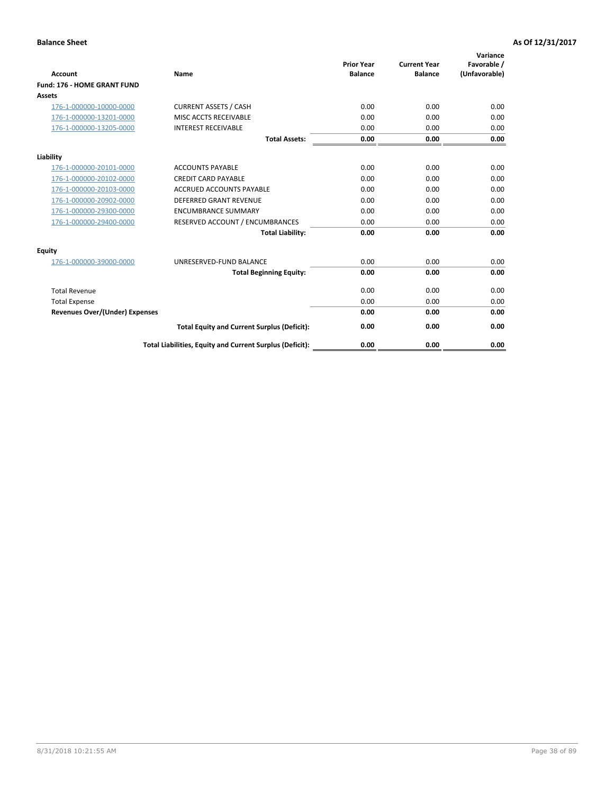|                                       |                                                          | <b>Prior Year</b> | <b>Current Year</b> | Variance<br>Favorable / |
|---------------------------------------|----------------------------------------------------------|-------------------|---------------------|-------------------------|
| <b>Account</b>                        | Name                                                     | <b>Balance</b>    | <b>Balance</b>      | (Unfavorable)           |
| Fund: 176 - HOME GRANT FUND           |                                                          |                   |                     |                         |
| <b>Assets</b>                         |                                                          |                   |                     |                         |
| 176-1-000000-10000-0000               | <b>CURRENT ASSETS / CASH</b>                             | 0.00              | 0.00                | 0.00                    |
| 176-1-000000-13201-0000               | MISC ACCTS RECEIVABLE                                    | 0.00              | 0.00                | 0.00                    |
| 176-1-000000-13205-0000               | <b>INTEREST RECEIVABLE</b>                               | 0.00              | 0.00                | 0.00                    |
|                                       | <b>Total Assets:</b>                                     | 0.00              | 0.00                | 0.00                    |
| Liability                             |                                                          |                   |                     |                         |
| 176-1-000000-20101-0000               | <b>ACCOUNTS PAYABLE</b>                                  | 0.00              | 0.00                | 0.00                    |
| 176-1-000000-20102-0000               | <b>CREDIT CARD PAYABLE</b>                               | 0.00              | 0.00                | 0.00                    |
| 176-1-000000-20103-0000               | <b>ACCRUED ACCOUNTS PAYABLE</b>                          | 0.00              | 0.00                | 0.00                    |
| 176-1-000000-20902-0000               | <b>DEFERRED GRANT REVENUE</b>                            | 0.00              | 0.00                | 0.00                    |
| 176-1-000000-29300-0000               | <b>ENCUMBRANCE SUMMARY</b>                               | 0.00              | 0.00                | 0.00                    |
| 176-1-000000-29400-0000               | RESERVED ACCOUNT / ENCUMBRANCES                          | 0.00              | 0.00                | 0.00                    |
|                                       | <b>Total Liability:</b>                                  | 0.00              | 0.00                | 0.00                    |
| Equity                                |                                                          |                   |                     |                         |
| 176-1-000000-39000-0000               | UNRESERVED-FUND BALANCE                                  | 0.00              | 0.00                | 0.00                    |
|                                       | <b>Total Beginning Equity:</b>                           | 0.00              | 0.00                | 0.00                    |
| <b>Total Revenue</b>                  |                                                          | 0.00              | 0.00                | 0.00                    |
| <b>Total Expense</b>                  |                                                          | 0.00              | 0.00                | 0.00                    |
| <b>Revenues Over/(Under) Expenses</b> |                                                          | 0.00              | 0.00                | 0.00                    |
|                                       | <b>Total Equity and Current Surplus (Deficit):</b>       | 0.00              | 0.00                | 0.00                    |
|                                       | Total Liabilities, Equity and Current Surplus (Deficit): | 0.00              | 0.00                | 0.00                    |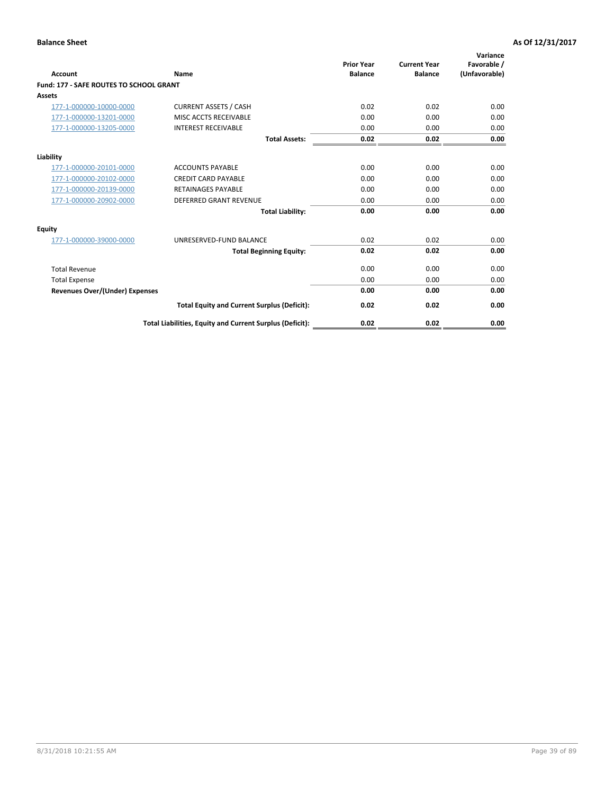| Account                                        | Name                                                     | <b>Prior Year</b><br><b>Balance</b> | <b>Current Year</b><br><b>Balance</b> | Variance<br>Favorable /<br>(Unfavorable) |
|------------------------------------------------|----------------------------------------------------------|-------------------------------------|---------------------------------------|------------------------------------------|
| <b>Fund: 177 - SAFE ROUTES TO SCHOOL GRANT</b> |                                                          |                                     |                                       |                                          |
| <b>Assets</b>                                  |                                                          |                                     |                                       |                                          |
| 177-1-000000-10000-0000                        | <b>CURRENT ASSETS / CASH</b>                             | 0.02                                | 0.02                                  | 0.00                                     |
| 177-1-000000-13201-0000                        | MISC ACCTS RECEIVABLE                                    | 0.00                                | 0.00                                  | 0.00                                     |
| 177-1-000000-13205-0000                        | <b>INTEREST RECEIVABLE</b>                               | 0.00                                | 0.00                                  | 0.00                                     |
|                                                | <b>Total Assets:</b>                                     | 0.02                                | 0.02                                  | 0.00                                     |
| Liability                                      |                                                          |                                     |                                       |                                          |
| 177-1-000000-20101-0000                        | <b>ACCOUNTS PAYABLE</b>                                  | 0.00                                | 0.00                                  | 0.00                                     |
| 177-1-000000-20102-0000                        | <b>CREDIT CARD PAYABLE</b>                               | 0.00                                | 0.00                                  | 0.00                                     |
| 177-1-000000-20139-0000                        | <b>RETAINAGES PAYABLE</b>                                | 0.00                                | 0.00                                  | 0.00                                     |
| 177-1-000000-20902-0000                        | <b>DEFERRED GRANT REVENUE</b>                            | 0.00                                | 0.00                                  | 0.00                                     |
|                                                | <b>Total Liability:</b>                                  | 0.00                                | 0.00                                  | 0.00                                     |
| Equity                                         |                                                          |                                     |                                       |                                          |
| 177-1-000000-39000-0000                        | UNRESERVED-FUND BALANCE                                  | 0.02                                | 0.02                                  | 0.00                                     |
|                                                | <b>Total Beginning Equity:</b>                           | 0.02                                | 0.02                                  | 0.00                                     |
| <b>Total Revenue</b>                           |                                                          | 0.00                                | 0.00                                  | 0.00                                     |
| <b>Total Expense</b>                           |                                                          | 0.00                                | 0.00                                  | 0.00                                     |
| <b>Revenues Over/(Under) Expenses</b>          |                                                          | 0.00                                | 0.00                                  | 0.00                                     |
|                                                | <b>Total Equity and Current Surplus (Deficit):</b>       | 0.02                                | 0.02                                  | 0.00                                     |
|                                                | Total Liabilities, Equity and Current Surplus (Deficit): | 0.02                                | 0.02                                  | 0.00                                     |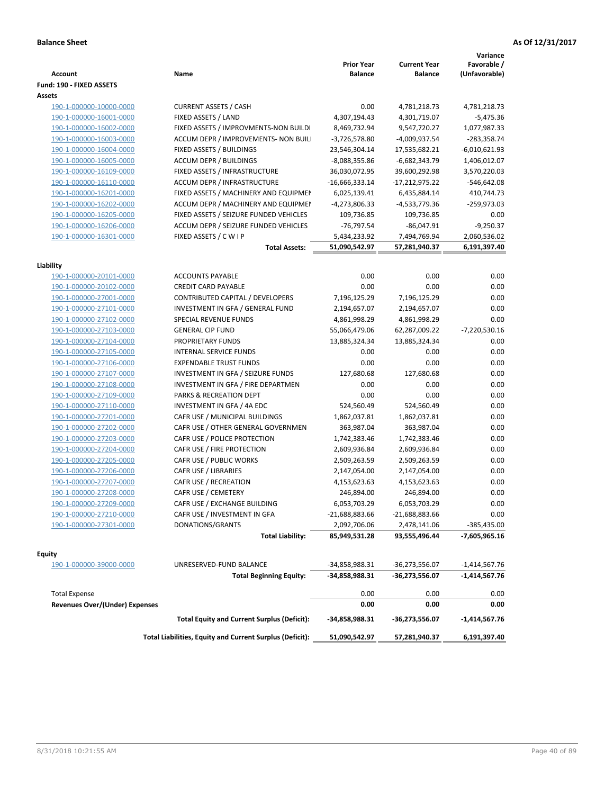| Account                               | Name                                                     | <b>Prior Year</b><br><b>Balance</b> | <b>Current Year</b><br><b>Balance</b> | Variance<br>Favorable /<br>(Unfavorable) |
|---------------------------------------|----------------------------------------------------------|-------------------------------------|---------------------------------------|------------------------------------------|
| Fund: 190 - FIXED ASSETS              |                                                          |                                     |                                       |                                          |
| Assets                                |                                                          |                                     |                                       |                                          |
| 190-1-000000-10000-0000               | <b>CURRENT ASSETS / CASH</b>                             | 0.00                                | 4,781,218.73                          | 4,781,218.73                             |
| 190-1-000000-16001-0000               | FIXED ASSETS / LAND                                      | 4,307,194.43                        | 4,301,719.07                          | $-5,475.36$                              |
| 190-1-000000-16002-0000               | FIXED ASSETS / IMPROVMENTS-NON BUILDI                    | 8,469,732.94                        | 9,547,720.27                          | 1,077,987.33                             |
| 190-1-000000-16003-0000               | ACCUM DEPR / IMPROVEMENTS- NON BUIL                      | $-3,726,578.80$                     | -4,009,937.54                         | -283,358.74                              |
| 190-1-000000-16004-0000               | FIXED ASSETS / BUILDINGS                                 | 23,546,304.14                       | 17,535,682.21                         | $-6,010,621.93$                          |
| 190-1-000000-16005-0000               | <b>ACCUM DEPR / BUILDINGS</b>                            | -8,088,355.86                       | $-6,682,343.79$                       | 1,406,012.07                             |
| 190-1-000000-16109-0000               | FIXED ASSETS / INFRASTRUCTURE                            | 36,030,072.95                       | 39,600,292.98                         | 3,570,220.03                             |
| 190-1-000000-16110-0000               | ACCUM DEPR / INFRASTRUCTURE                              | $-16,666,333.14$                    | -17,212,975.22                        | $-546,642.08$                            |
| 190-1-000000-16201-0000               | FIXED ASSETS / MACHINERY AND EQUIPMEN                    | 6,025,139.41                        | 6,435,884.14                          | 410,744.73                               |
| 190-1-000000-16202-0000               | ACCUM DEPR / MACHINERY AND EQUIPMEI                      | -4,273,806.33                       | -4,533,779.36                         | $-259,973.03$                            |
| 190-1-000000-16205-0000               | FIXED ASSETS / SEIZURE FUNDED VEHICLES                   | 109,736.85                          | 109,736.85                            | 0.00                                     |
| 190-1-000000-16206-0000               | ACCUM DEPR / SEIZURE FUNDED VEHICLES                     | $-76,797.54$                        | $-86,047.91$                          | $-9,250.37$                              |
| 190-1-000000-16301-0000               | FIXED ASSETS / C W I P                                   | 5,434,233.92                        | 7,494,769.94                          | 2,060,536.02                             |
|                                       | <b>Total Assets:</b>                                     | 51,090,542.97                       | 57,281,940.37                         | 6,191,397.40                             |
| Liability                             |                                                          |                                     |                                       |                                          |
| 190-1-000000-20101-0000               | <b>ACCOUNTS PAYABLE</b>                                  | 0.00                                | 0.00                                  | 0.00                                     |
| 190-1-000000-20102-0000               | <b>CREDIT CARD PAYABLE</b>                               | 0.00                                | 0.00                                  | 0.00                                     |
| 190-1-000000-27001-0000               | CONTRIBUTED CAPITAL / DEVELOPERS                         | 7,196,125.29                        | 7,196,125.29                          | 0.00                                     |
| 190-1-000000-27101-0000               | INVESTMENT IN GFA / GENERAL FUND                         | 2,194,657.07                        | 2,194,657.07                          | 0.00                                     |
| 190-1-000000-27102-0000               | SPECIAL REVENUE FUNDS                                    | 4,861,998.29                        | 4,861,998.29                          | 0.00                                     |
| 190-1-000000-27103-0000               | <b>GENERAL CIP FUND</b>                                  | 55,066,479.06                       | 62,287,009.22                         | $-7,220,530.16$                          |
| 190-1-000000-27104-0000               | PROPRIETARY FUNDS                                        | 13,885,324.34                       | 13,885,324.34                         | 0.00                                     |
| 190-1-000000-27105-0000               | <b>INTERNAL SERVICE FUNDS</b>                            | 0.00                                | 0.00                                  | 0.00                                     |
| 190-1-000000-27106-0000               | <b>EXPENDABLE TRUST FUNDS</b>                            | 0.00                                | 0.00                                  | 0.00                                     |
| 190-1-000000-27107-0000               | INVESTMENT IN GFA / SEIZURE FUNDS                        | 127,680.68                          | 127,680.68                            | 0.00                                     |
| 190-1-000000-27108-0000               | INVESTMENT IN GFA / FIRE DEPARTMEN                       | 0.00                                | 0.00                                  | 0.00                                     |
| 190-1-000000-27109-0000               | PARKS & RECREATION DEPT                                  | 0.00                                | 0.00                                  | 0.00                                     |
| 190-1-000000-27110-0000               | INVESTMENT IN GFA / 4A EDC                               | 524,560.49                          | 524,560.49                            | 0.00                                     |
| 190-1-000000-27201-0000               | CAFR USE / MUNICIPAL BUILDINGS                           | 1,862,037.81                        | 1,862,037.81                          | 0.00                                     |
| 190-1-000000-27202-0000               | CAFR USE / OTHER GENERAL GOVERNMEN                       | 363,987.04                          | 363,987.04                            | 0.00                                     |
| 190-1-000000-27203-0000               | CAFR USE / POLICE PROTECTION                             | 1,742,383.46                        | 1,742,383.46                          | 0.00                                     |
| 190-1-000000-27204-0000               | CAFR USE / FIRE PROTECTION                               |                                     | 2,609,936.84                          | 0.00                                     |
| 190-1-000000-27205-0000               | CAFR USE / PUBLIC WORKS                                  | 2,609,936.84<br>2,509,263.59        |                                       | 0.00                                     |
| 190-1-000000-27206-0000               | CAFR USE / LIBRARIES                                     | 2,147,054.00                        | 2,509,263.59<br>2,147,054.00          | 0.00                                     |
| 190-1-000000-27207-0000               | CAFR USE / RECREATION                                    | 4,153,623.63                        | 4,153,623.63                          | 0.00                                     |
| 190-1-000000-27208-0000               | CAFR USE / CEMETERY                                      | 246,894.00                          | 246,894.00                            | 0.00                                     |
| 190-1-000000-27209-0000               | CAFR USE / EXCHANGE BUILDING                             | 6,053,703.29                        | 6,053,703.29                          | 0.00                                     |
|                                       | CAFR USE / INVESTMENT IN GFA                             |                                     |                                       | 0.00                                     |
| 190-1-000000-27210-0000               | DONATIONS/GRANTS                                         | -21,688,883.66                      | $-21,688,883.66$                      | $-385,435.00$                            |
| 190-1-000000-27301-0000               | <b>Total Liability:</b>                                  | 2,092,706.06<br>85,949,531.28       | 2,478,141.06<br>93,555,496.44         | -7,605,965.16                            |
|                                       |                                                          |                                     |                                       |                                          |
| <b>Equity</b>                         |                                                          |                                     |                                       |                                          |
| 190-1-000000-39000-0000               | UNRESERVED-FUND BALANCE                                  | -34,858,988.31                      | -36,273,556.07                        | $-1,414,567.76$                          |
|                                       | <b>Total Beginning Equity:</b>                           | -34,858,988.31                      | -36,273,556.07                        | $-1,414,567.76$                          |
| <b>Total Expense</b>                  |                                                          | 0.00                                | 0.00                                  | 0.00                                     |
| <b>Revenues Over/(Under) Expenses</b> |                                                          | 0.00                                | 0.00                                  | 0.00                                     |
|                                       | <b>Total Equity and Current Surplus (Deficit):</b>       | -34,858,988.31                      | -36,273,556.07                        | $-1,414,567.76$                          |
|                                       | Total Liabilities, Equity and Current Surplus (Deficit): | 51,090,542.97                       | 57,281,940.37                         | 6,191,397.40                             |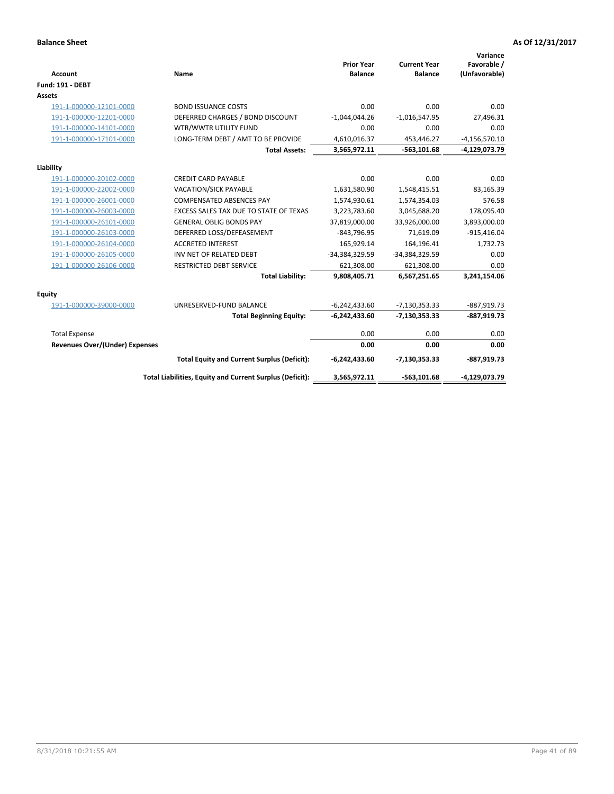| <b>Account</b>                 | Name                                                     | <b>Prior Year</b><br><b>Balance</b> | <b>Current Year</b><br><b>Balance</b> | Variance<br>Favorable /<br>(Unfavorable) |
|--------------------------------|----------------------------------------------------------|-------------------------------------|---------------------------------------|------------------------------------------|
| <b>Fund: 191 - DEBT</b>        |                                                          |                                     |                                       |                                          |
| <b>Assets</b>                  |                                                          |                                     |                                       |                                          |
| 191-1-000000-12101-0000        | <b>BOND ISSUANCE COSTS</b>                               | 0.00                                | 0.00                                  | 0.00                                     |
| 191-1-000000-12201-0000        | DEFERRED CHARGES / BOND DISCOUNT                         | $-1,044,044.26$                     | $-1,016,547.95$                       | 27,496.31                                |
| 191-1-000000-14101-0000        | WTR/WWTR UTILITY FUND                                    | 0.00                                | 0.00                                  | 0.00                                     |
| 191-1-000000-17101-0000        | LONG-TERM DEBT / AMT TO BE PROVIDE                       | 4,610,016.37                        | 453,446.27                            | $-4,156,570.10$                          |
|                                | <b>Total Assets:</b>                                     | 3,565,972.11                        | $-563, 101.68$                        | -4,129,073.79                            |
| Liability                      |                                                          |                                     |                                       |                                          |
| 191-1-000000-20102-0000        | <b>CREDIT CARD PAYABLE</b>                               | 0.00                                | 0.00                                  | 0.00                                     |
| 191-1-000000-22002-0000        | VACATION/SICK PAYABLE                                    | 1,631,580.90                        | 1,548,415.51                          | 83,165.39                                |
| 191-1-000000-26001-0000        | <b>COMPENSATED ABSENCES PAY</b>                          | 1,574,930.61                        | 1,574,354.03                          | 576.58                                   |
| 191-1-000000-26003-0000        | EXCESS SALES TAX DUE TO STATE OF TEXAS                   | 3,223,783.60                        | 3,045,688.20                          | 178,095.40                               |
| 191-1-000000-26101-0000        | <b>GENERAL OBLIG BONDS PAY</b>                           | 37,819,000.00                       | 33,926,000.00                         | 3,893,000.00                             |
| 191-1-000000-26103-0000        | DEFERRED LOSS/DEFEASEMENT                                | $-843,796.95$                       | 71,619.09                             | $-915,416.04$                            |
| 191-1-000000-26104-0000        | <b>ACCRETED INTEREST</b>                                 | 165,929.14                          | 164,196.41                            | 1,732.73                                 |
| 191-1-000000-26105-0000        | INV NET OF RELATED DEBT                                  | -34,384,329.59                      | -34,384,329.59                        | 0.00                                     |
| 191-1-000000-26106-0000        | <b>RESTRICTED DEBT SERVICE</b>                           | 621,308.00                          | 621,308.00                            | 0.00                                     |
|                                | <b>Total Liability:</b>                                  | 9,808,405.71                        | 6,567,251.65                          | 3,241,154.06                             |
| Equity                         |                                                          |                                     |                                       |                                          |
| 191-1-000000-39000-0000        | UNRESERVED-FUND BALANCE                                  | $-6,242,433.60$                     | $-7,130,353.33$                       | -887,919.73                              |
|                                | <b>Total Beginning Equity:</b>                           | $-6,242,433.60$                     | $-7,130,353.33$                       | $-887,919.73$                            |
| <b>Total Expense</b>           |                                                          | 0.00                                | 0.00                                  | 0.00                                     |
| Revenues Over/(Under) Expenses |                                                          | 0.00                                | 0.00                                  | 0.00                                     |
|                                | <b>Total Equity and Current Surplus (Deficit):</b>       | $-6,242,433.60$                     | $-7,130,353.33$                       | $-887,919.73$                            |
|                                | Total Liabilities, Equity and Current Surplus (Deficit): | 3,565,972.11                        | $-563, 101.68$                        | -4,129,073.79                            |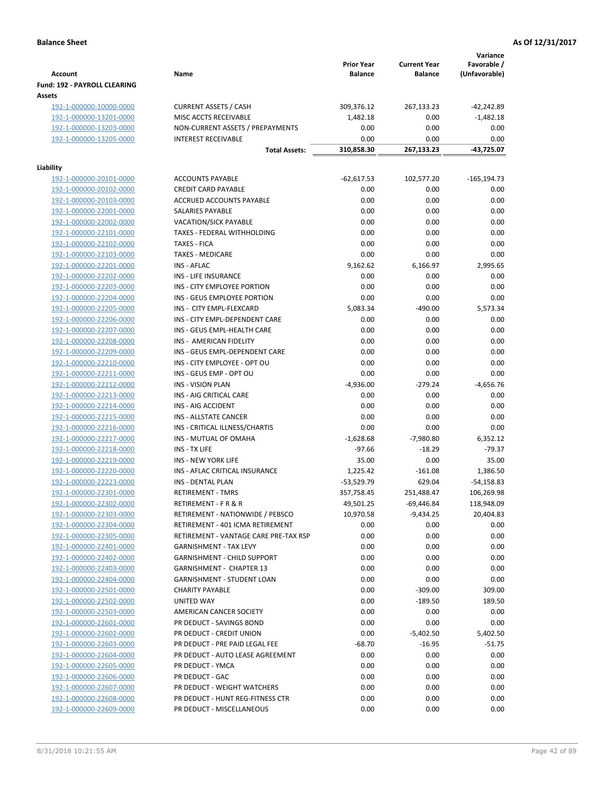|                                                    |                                                             | <b>Prior Year</b> | <b>Current Year</b>    | Variance<br>Favorable /     |
|----------------------------------------------------|-------------------------------------------------------------|-------------------|------------------------|-----------------------------|
| <b>Account</b>                                     | Name                                                        | <b>Balance</b>    | <b>Balance</b>         | (Unfavorable)               |
| Fund: 192 - PAYROLL CLEARING                       |                                                             |                   |                        |                             |
| Assets                                             |                                                             |                   |                        |                             |
| 192-1-000000-10000-0000<br>192-1-000000-13201-0000 | <b>CURRENT ASSETS / CASH</b><br>MISC ACCTS RECEIVABLE       | 309,376.12        | 267,133.23<br>0.00     | $-42,242.89$<br>$-1,482.18$ |
| 192-1-000000-13203-0000                            | NON-CURRENT ASSETS / PREPAYMENTS                            | 1,482.18<br>0.00  | 0.00                   | 0.00                        |
| 192-1-000000-13205-0000                            | <b>INTEREST RECEIVABLE</b>                                  | 0.00              | 0.00                   | 0.00                        |
|                                                    | <b>Total Assets:</b>                                        | 310,858.30        | 267,133.23             | -43,725.07                  |
|                                                    |                                                             |                   |                        |                             |
| Liability                                          |                                                             |                   |                        |                             |
| 192-1-000000-20101-0000                            | <b>ACCOUNTS PAYABLE</b>                                     | $-62,617.53$      | 102,577.20             | $-165, 194.73$              |
| 192-1-000000-20102-0000                            | <b>CREDIT CARD PAYABLE</b>                                  | 0.00              | 0.00                   | 0.00                        |
| 192-1-000000-20103-0000                            | ACCRUED ACCOUNTS PAYABLE                                    | 0.00              | 0.00                   | 0.00                        |
| 192-1-000000-22001-0000                            | SALARIES PAYABLE                                            | 0.00              | 0.00                   | 0.00                        |
| 192-1-000000-22002-0000                            | <b>VACATION/SICK PAYABLE</b>                                | 0.00              | 0.00                   | 0.00                        |
| 192-1-000000-22101-0000                            | TAXES - FEDERAL WITHHOLDING                                 | 0.00              | 0.00                   | 0.00                        |
| 192-1-000000-22102-0000                            | <b>TAXES - FICA</b>                                         | 0.00              | 0.00                   | 0.00                        |
| 192-1-000000-22103-0000                            | <b>TAXES - MEDICARE</b>                                     | 0.00              | 0.00<br>6,166.97       | 0.00                        |
| 192-1-000000-22201-0000<br>192-1-000000-22202-0000 | <b>INS - AFLAC</b><br><b>INS - LIFE INSURANCE</b>           | 9,162.62<br>0.00  | 0.00                   | 2,995.65<br>0.00            |
| 192-1-000000-22203-0000                            | INS - CITY EMPLOYEE PORTION                                 | 0.00              | 0.00                   | 0.00                        |
| 192-1-000000-22204-0000                            | INS - GEUS EMPLOYEE PORTION                                 | 0.00              | 0.00                   | 0.00                        |
| 192-1-000000-22205-0000                            | INS - CITY EMPL-FLEXCARD                                    | 5,083.34          | $-490.00$              | 5,573.34                    |
| 192-1-000000-22206-0000                            | INS - CITY EMPL-DEPENDENT CARE                              | 0.00              | 0.00                   | 0.00                        |
| 192-1-000000-22207-0000                            | INS - GEUS EMPL-HEALTH CARE                                 | 0.00              | 0.00                   | 0.00                        |
| 192-1-000000-22208-0000                            | INS - AMERICAN FIDELITY                                     | 0.00              | 0.00                   | 0.00                        |
| 192-1-000000-22209-0000                            | INS - GEUS EMPL-DEPENDENT CARE                              | 0.00              | 0.00                   | 0.00                        |
| 192-1-000000-22210-0000                            | INS - CITY EMPLOYEE - OPT OU                                | 0.00              | 0.00                   | 0.00                        |
| 192-1-000000-22211-0000                            | INS - GEUS EMP - OPT OU                                     | 0.00              | 0.00                   | 0.00                        |
| 192-1-000000-22212-0000                            | <b>INS - VISION PLAN</b>                                    | $-4,936.00$       | $-279.24$              | $-4,656.76$                 |
| 192-1-000000-22213-0000                            | INS - AIG CRITICAL CARE                                     | 0.00              | 0.00                   | 0.00                        |
| 192-1-000000-22214-0000                            | INS - AIG ACCIDENT                                          | 0.00              | 0.00                   | 0.00                        |
| 192-1-000000-22215-0000                            | INS - ALLSTATE CANCER                                       | 0.00              | 0.00                   | 0.00                        |
| 192-1-000000-22216-0000                            | INS - CRITICAL ILLNESS/CHARTIS                              | 0.00              | 0.00                   | 0.00                        |
| 192-1-000000-22217-0000                            | INS - MUTUAL OF OMAHA                                       | $-1,628.68$       | $-7,980.80$            | 6,352.12                    |
| 192-1-000000-22218-0000                            | INS - TX LIFE                                               | $-97.66$          | $-18.29$               | $-79.37$                    |
| 192-1-000000-22219-0000                            | <b>INS - NEW YORK LIFE</b>                                  | 35.00             | 0.00                   | 35.00                       |
| 192-1-000000-22220-0000                            | INS - AFLAC CRITICAL INSURANCE                              | 1,225.42          | $-161.08$              | 1,386.50                    |
| 192-1-000000-22223-0000                            | <b>INS - DENTAL PLAN</b>                                    | $-53,529.79$      | 629.04                 | $-54,158.83$                |
| 192-1-000000-22301-0000                            | <b>RETIREMENT - TMRS</b>                                    | 357,758.45        | 251,488.47             | 106,269.98                  |
| 192-1-000000-22302-0000                            | RETIREMENT - F R & R                                        | 49,501.25         | -69,446.84             | 118,948.09                  |
| 192-1-000000-22303-0000                            | RETIREMENT - NATIONWIDE / PEBSCO                            | 10,970.58         | $-9,434.25$            | 20,404.83                   |
| 192-1-000000-22304-0000                            | RETIREMENT - 401 ICMA RETIREMENT                            | 0.00              | 0.00                   | 0.00                        |
| 192-1-000000-22305-0000                            | RETIREMENT - VANTAGE CARE PRE-TAX RSP                       | 0.00              | 0.00                   | 0.00                        |
| 192-1-000000-22401-0000                            | <b>GARNISHMENT - TAX LEVY</b>                               | 0.00              | 0.00                   | 0.00                        |
| 192-1-000000-22402-0000                            | <b>GARNISHMENT - CHILD SUPPORT</b>                          | 0.00              | 0.00                   | 0.00                        |
| 192-1-000000-22403-0000                            | <b>GARNISHMENT - CHAPTER 13</b>                             | 0.00              | 0.00                   | 0.00                        |
| 192-1-000000-22404-0000                            | <b>GARNISHMENT - STUDENT LOAN</b><br><b>CHARITY PAYABLE</b> | 0.00              | 0.00                   | 0.00                        |
| 192-1-000000-22501-0000<br>192-1-000000-22502-0000 | UNITED WAY                                                  | 0.00<br>0.00      | $-309.00$<br>$-189.50$ | 309.00<br>189.50            |
| 192-1-000000-22503-0000                            | AMERICAN CANCER SOCIETY                                     | 0.00              | 0.00                   | 0.00                        |
| 192-1-000000-22601-0000                            | PR DEDUCT - SAVINGS BOND                                    | 0.00              | 0.00                   | 0.00                        |
| 192-1-000000-22602-0000                            | PR DEDUCT - CREDIT UNION                                    | 0.00              | $-5,402.50$            | 5,402.50                    |
| 192-1-000000-22603-0000                            | PR DEDUCT - PRE PAID LEGAL FEE                              | $-68.70$          | $-16.95$               | $-51.75$                    |
| 192-1-000000-22604-0000                            | PR DEDUCT - AUTO LEASE AGREEMENT                            | 0.00              | 0.00                   | 0.00                        |
| 192-1-000000-22605-0000                            | PR DEDUCT - YMCA                                            | 0.00              | 0.00                   | 0.00                        |
| 192-1-000000-22606-0000                            | PR DEDUCT - GAC                                             | 0.00              | 0.00                   | 0.00                        |
| 192-1-000000-22607-0000                            | PR DEDUCT - WEIGHT WATCHERS                                 | 0.00              | 0.00                   | 0.00                        |
| 192-1-000000-22608-0000                            | PR DEDUCT - HUNT REG-FITNESS CTR                            | 0.00              | 0.00                   | 0.00                        |
| 192-1-000000-22609-0000                            | PR DEDUCT - MISCELLANEOUS                                   | 0.00              | 0.00                   | 0.00                        |
|                                                    |                                                             |                   |                        |                             |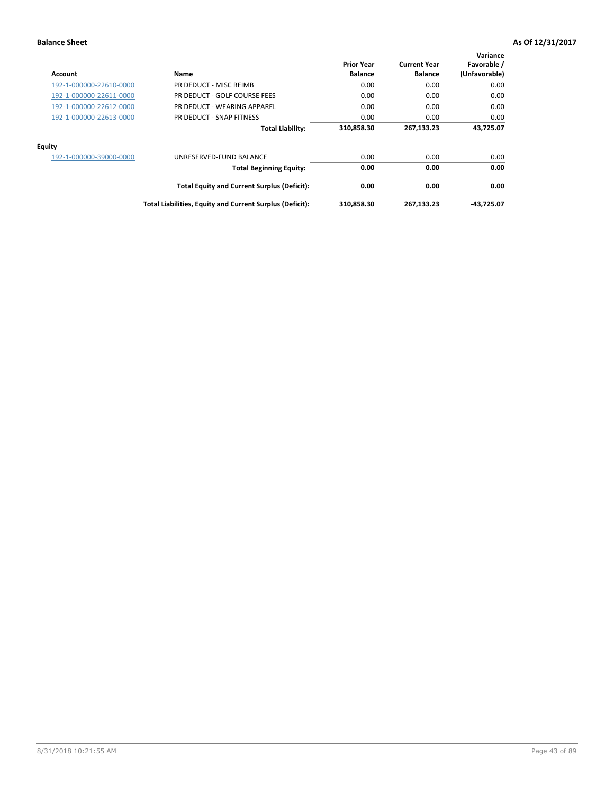| Account                 | Name                                                     | <b>Prior Year</b><br><b>Balance</b> | <b>Current Year</b><br><b>Balance</b> | Variance<br>Favorable /<br>(Unfavorable) |
|-------------------------|----------------------------------------------------------|-------------------------------------|---------------------------------------|------------------------------------------|
| 192-1-000000-22610-0000 | PR DEDUCT - MISC REIMB                                   | 0.00                                | 0.00                                  | 0.00                                     |
| 192-1-000000-22611-0000 | PR DEDUCT - GOLF COURSE FEES                             | 0.00                                | 0.00                                  | 0.00                                     |
| 192-1-000000-22612-0000 | PR DEDUCT - WEARING APPAREL                              | 0.00                                | 0.00                                  | 0.00                                     |
| 192-1-000000-22613-0000 | PR DEDUCT - SNAP FITNESS                                 | 0.00                                | 0.00                                  | 0.00                                     |
|                         | <b>Total Liability:</b>                                  | 310,858.30                          | 267,133.23                            | 43,725.07                                |
| <b>Equity</b>           |                                                          |                                     |                                       |                                          |
| 192-1-000000-39000-0000 | UNRESERVED-FUND BALANCE                                  | 0.00                                | 0.00                                  | 0.00                                     |
|                         | <b>Total Beginning Equity:</b>                           | 0.00                                | 0.00                                  | 0.00                                     |
|                         | <b>Total Equity and Current Surplus (Deficit):</b>       | 0.00                                | 0.00                                  | 0.00                                     |
|                         | Total Liabilities, Equity and Current Surplus (Deficit): | 310,858.30                          | 267,133.23                            | $-43,725.07$                             |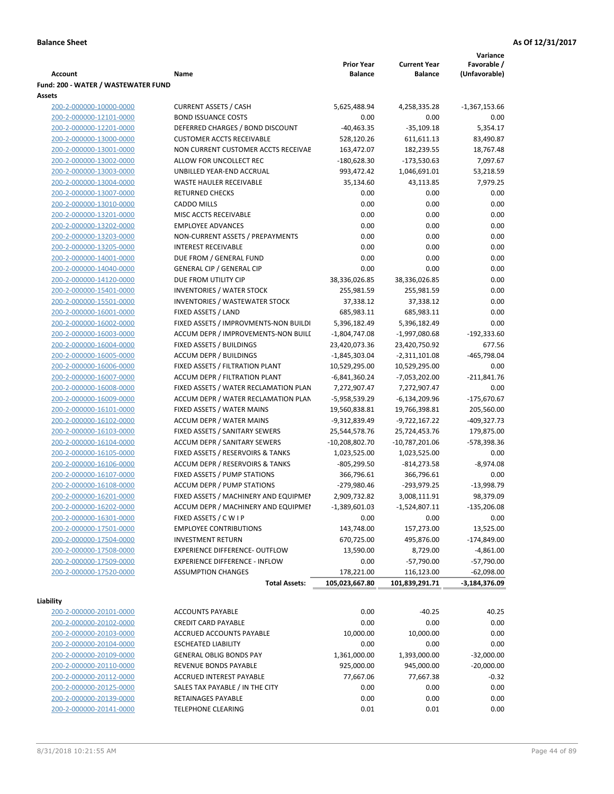|                                                    |                                                              |                                     |                                       | Variance<br>Favorable / |
|----------------------------------------------------|--------------------------------------------------------------|-------------------------------------|---------------------------------------|-------------------------|
| Account                                            | Name                                                         | <b>Prior Year</b><br><b>Balance</b> | <b>Current Year</b><br><b>Balance</b> | (Unfavorable)           |
| Fund: 200 - WATER / WASTEWATER FUND                |                                                              |                                     |                                       |                         |
| Assets                                             |                                                              |                                     |                                       |                         |
| 200-2-000000-10000-0000                            | <b>CURRENT ASSETS / CASH</b>                                 | 5,625,488.94                        | 4,258,335.28                          | $-1,367,153.66$         |
| 200-2-000000-12101-0000                            | <b>BOND ISSUANCE COSTS</b>                                   | 0.00                                | 0.00                                  | 0.00                    |
| 200-2-000000-12201-0000                            | DEFERRED CHARGES / BOND DISCOUNT                             | $-40,463.35$                        | $-35,109.18$                          | 5,354.17                |
| 200-2-000000-13000-0000                            | <b>CUSTOMER ACCTS RECEIVABLE</b>                             | 528,120.26                          | 611,611.13                            | 83,490.87               |
| 200-2-000000-13001-0000                            | NON CURRENT CUSTOMER ACCTS RECEIVAE                          | 163,472.07                          | 182,239.55                            | 18,767.48               |
| 200-2-000000-13002-0000                            | ALLOW FOR UNCOLLECT REC                                      | $-180,628.30$                       | $-173,530.63$                         | 7,097.67                |
| 200-2-000000-13003-0000                            | UNBILLED YEAR-END ACCRUAL                                    | 993,472.42                          | 1,046,691.01                          | 53,218.59               |
| 200-2-000000-13004-0000                            | <b>WASTE HAULER RECEIVABLE</b>                               | 35,134.60                           | 43,113.85                             | 7,979.25                |
| 200-2-000000-13007-0000                            | <b>RETURNED CHECKS</b>                                       | 0.00                                | 0.00                                  | 0.00                    |
| 200-2-000000-13010-0000                            | <b>CADDO MILLS</b>                                           | 0.00                                | 0.00                                  | 0.00                    |
| 200-2-000000-13201-0000                            | MISC ACCTS RECEIVABLE                                        | 0.00                                | 0.00                                  | 0.00                    |
| 200-2-000000-13202-0000                            | <b>EMPLOYEE ADVANCES</b>                                     | 0.00                                | 0.00                                  | 0.00                    |
| 200-2-000000-13203-0000                            | NON-CURRENT ASSETS / PREPAYMENTS                             | 0.00                                | 0.00                                  | 0.00                    |
| 200-2-000000-13205-0000<br>200-2-000000-14001-0000 | <b>INTEREST RECEIVABLE</b>                                   | 0.00<br>0.00                        | 0.00<br>0.00                          | 0.00<br>0.00            |
|                                                    | DUE FROM / GENERAL FUND                                      | 0.00                                |                                       |                         |
| 200-2-000000-14040-0000                            | <b>GENERAL CIP / GENERAL CIP</b>                             |                                     | 0.00                                  | 0.00                    |
| 200-2-000000-14120-0000                            | DUE FROM UTILITY CIP                                         | 38,336,026.85                       | 38,336,026.85                         | 0.00                    |
| 200-2-000000-15401-0000                            | <b>INVENTORIES / WATER STOCK</b>                             | 255,981.59                          | 255,981.59                            | 0.00                    |
| 200-2-000000-15501-0000<br>200-2-000000-16001-0000 | <b>INVENTORIES / WASTEWATER STOCK</b><br>FIXED ASSETS / LAND | 37,338.12<br>685,983.11             | 37,338.12<br>685,983.11               | 0.00<br>0.00            |
| 200-2-000000-16002-0000                            | FIXED ASSETS / IMPROVMENTS-NON BUILDI                        | 5,396,182.49                        | 5,396,182.49                          | 0.00                    |
| 200-2-000000-16003-0000                            | ACCUM DEPR / IMPROVEMENTS-NON BUILI                          | $-1,804,747.08$                     | $-1,997,080.68$                       | $-192,333.60$           |
| 200-2-000000-16004-0000                            | FIXED ASSETS / BUILDINGS                                     | 23,420,073.36                       | 23,420,750.92                         | 677.56                  |
| 200-2-000000-16005-0000                            | <b>ACCUM DEPR / BUILDINGS</b>                                | $-1,845,303.04$                     | $-2,311,101.08$                       | $-465,798.04$           |
| 200-2-000000-16006-0000                            | FIXED ASSETS / FILTRATION PLANT                              | 10,529,295.00                       | 10,529,295.00                         | 0.00                    |
| 200-2-000000-16007-0000                            | ACCUM DEPR / FILTRATION PLANT                                | -6,841,360.24                       | $-7,053,202.00$                       | $-211,841.76$           |
| 200-2-000000-16008-0000                            | FIXED ASSETS / WATER RECLAMATION PLAN                        | 7,272,907.47                        | 7,272,907.47                          | 0.00                    |
| 200-2-000000-16009-0000                            | ACCUM DEPR / WATER RECLAMATION PLAN                          | -5,958,539.29                       | $-6,134,209.96$                       | -175,670.67             |
| 200-2-000000-16101-0000                            | FIXED ASSETS / WATER MAINS                                   | 19,560,838.81                       | 19,766,398.81                         | 205,560.00              |
| 200-2-000000-16102-0000                            | <b>ACCUM DEPR / WATER MAINS</b>                              | -9,312,839.49                       | -9,722,167.22                         | -409,327.73             |
| 200-2-000000-16103-0000                            | FIXED ASSETS / SANITARY SEWERS                               | 25,544,578.76                       | 25,724,453.76                         | 179,875.00              |
| 200-2-000000-16104-0000                            | <b>ACCUM DEPR / SANITARY SEWERS</b>                          | $-10,208,802.70$                    | $-10,787,201.06$                      | -578,398.36             |
| 200-2-000000-16105-0000                            | FIXED ASSETS / RESERVOIRS & TANKS                            | 1,023,525.00                        | 1,023,525.00                          | 0.00                    |
| 200-2-000000-16106-0000                            | ACCUM DEPR / RESERVOIRS & TANKS                              | $-805,299.50$                       | $-814,273.58$                         | $-8,974.08$             |
| 200-2-000000-16107-0000                            | FIXED ASSETS / PUMP STATIONS                                 | 366,796.61                          | 366,796.61                            | 0.00                    |
| 200-2-000000-16108-0000                            | <b>ACCUM DEPR / PUMP STATIONS</b>                            | -279,980.46                         | -293,979.25                           | $-13,998.79$            |
| 200-2-000000-16201-0000                            | FIXED ASSETS / MACHINERY AND EQUIPMEN                        | 2,909,732.82                        | 3,008,111.91                          | 98,379.09               |
| 200-2-000000-16202-0000                            | ACCUM DEPR / MACHINERY AND EQUIPMEI                          | $-1,389,601.03$                     | $-1,524,807.11$                       | $-135,206.08$           |
| 200-2-000000-16301-0000                            | FIXED ASSETS / C W I P                                       | 0.00                                | 0.00                                  | 0.00                    |
| 200-2-000000-17501-0000                            | <b>EMPLOYEE CONTRIBUTIONS</b>                                | 143,748.00                          | 157,273.00                            | 13,525.00               |
| 200-2-000000-17504-0000                            | <b>INVESTMENT RETURN</b>                                     | 670,725.00                          | 495,876.00                            | $-174,849.00$           |
| 200-2-000000-17508-0000                            | EXPERIENCE DIFFERENCE- OUTFLOW                               | 13,590.00                           | 8,729.00                              | $-4,861.00$             |
| 200-2-000000-17509-0000                            | <b>EXPERIENCE DIFFERENCE - INFLOW</b>                        | 0.00                                | $-57,790.00$                          | $-57,790.00$            |
| 200-2-000000-17520-0000                            | <b>ASSUMPTION CHANGES</b>                                    | 178,221.00                          | 116,123.00                            | $-62,098.00$            |
|                                                    | <b>Total Assets:</b>                                         | 105,023,667.80                      | 101,839,291.71                        | -3,184,376.09           |
| Liability                                          |                                                              |                                     |                                       |                         |
| 200-2-000000-20101-0000                            | <b>ACCOUNTS PAYABLE</b>                                      | 0.00                                | $-40.25$                              | 40.25                   |
| 200-2-000000-20102-0000                            | <b>CREDIT CARD PAYABLE</b>                                   | 0.00                                | 0.00                                  | 0.00                    |
| 200-2-000000-20103-0000                            | ACCRUED ACCOUNTS PAYABLE                                     | 10,000.00                           | 10,000.00                             | 0.00                    |
| 200-2-000000-20104-0000                            | <b>ESCHEATED LIABILITY</b>                                   | 0.00                                | 0.00                                  | 0.00                    |
| 200-2-000000-20109-0000                            | <b>GENERAL OBLIG BONDS PAY</b>                               | 1,361,000.00                        | 1,393,000.00                          | $-32,000.00$            |
| 200-2-000000-20110-0000                            | REVENUE BONDS PAYABLE                                        | 925,000.00                          | 945,000.00                            | $-20,000.00$            |
| 200-2-000000-20112-0000                            | ACCRUED INTEREST PAYABLE                                     | 77,667.06                           | 77,667.38                             | $-0.32$                 |
| 200-2-000000-20125-0000                            | SALES TAX PAYABLE / IN THE CITY                              | 0.00                                | 0.00                                  | 0.00                    |
| 200-2-000000-20139-0000                            | RETAINAGES PAYABLE                                           | 0.00                                | 0.00                                  | 0.00                    |
| 200-2-000000-20141-0000                            | <b>TELEPHONE CLEARING</b>                                    | 0.01                                | 0.01                                  | 0.00                    |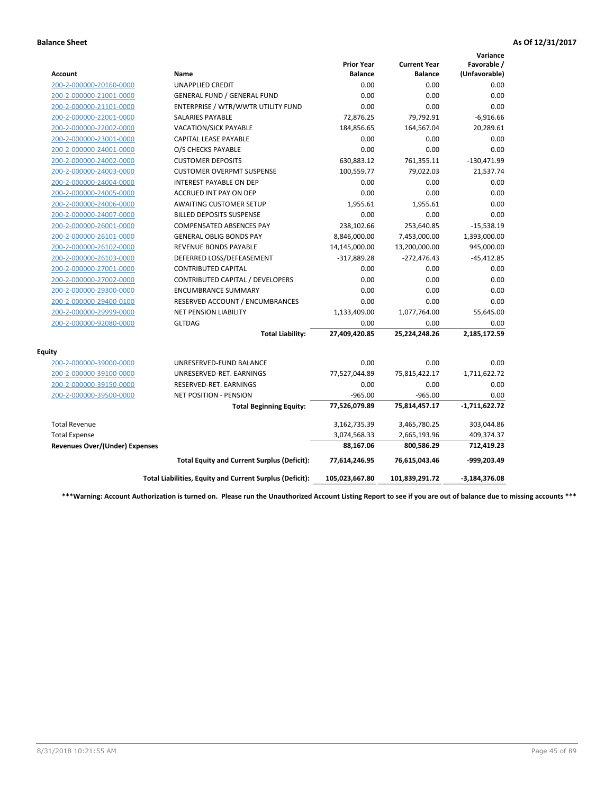|                                       |                                                          |                                     |                                       | Variance                     |
|---------------------------------------|----------------------------------------------------------|-------------------------------------|---------------------------------------|------------------------------|
| <b>Account</b>                        | Name                                                     | <b>Prior Year</b><br><b>Balance</b> | <b>Current Year</b><br><b>Balance</b> | Favorable /<br>(Unfavorable) |
| 200-2-000000-20160-0000               | <b>UNAPPLIED CREDIT</b>                                  | 0.00                                | 0.00                                  | 0.00                         |
| 200-2-000000-21001-0000               | <b>GENERAL FUND / GENERAL FUND</b>                       | 0.00                                | 0.00                                  | 0.00                         |
| 200-2-000000-21101-0000               | ENTERPRISE / WTR/WWTR UTILITY FUND                       | 0.00                                | 0.00                                  | 0.00                         |
| 200-2-000000-22001-0000               | <b>SALARIES PAYABLE</b>                                  | 72,876.25                           | 79,792.91                             | $-6,916.66$                  |
| 200-2-000000-22002-0000               | VACATION/SICK PAYABLE                                    | 184,856.65                          | 164,567.04                            | 20,289.61                    |
| 200-2-000000-23001-0000               | <b>CAPITAL LEASE PAYABLE</b>                             | 0.00                                | 0.00                                  | 0.00                         |
| 200-2-000000-24001-0000               | O/S CHECKS PAYABLE                                       | 0.00                                | 0.00                                  | 0.00                         |
| 200-2-000000-24002-0000               | <b>CUSTOMER DEPOSITS</b>                                 | 630,883.12                          | 761,355.11                            | $-130,471.99$                |
| 200-2-000000-24003-0000               | <b>CUSTOMER OVERPMT SUSPENSE</b>                         | 100,559.77                          | 79,022.03                             | 21,537.74                    |
| 200-2-000000-24004-0000               | <b>INTEREST PAYABLE ON DEP</b>                           | 0.00                                | 0.00                                  | 0.00                         |
| 200-2-000000-24005-0000               | <b>ACCRUED INT PAY ON DEP</b>                            | 0.00                                | 0.00                                  | 0.00                         |
| 200-2-000000-24006-0000               | <b>AWAITING CUSTOMER SETUP</b>                           | 1,955.61                            | 1,955.61                              | 0.00                         |
| 200-2-000000-24007-0000               | <b>BILLED DEPOSITS SUSPENSE</b>                          | 0.00                                | 0.00                                  | 0.00                         |
| 200-2-000000-26001-0000               | <b>COMPENSATED ABSENCES PAY</b>                          | 238,102.66                          | 253,640.85                            | $-15,538.19$                 |
| 200-2-000000-26101-0000               | <b>GENERAL OBLIG BONDS PAY</b>                           | 8,846,000.00                        | 7,453,000.00                          | 1,393,000.00                 |
| 200-2-000000-26102-0000               | <b>REVENUE BONDS PAYABLE</b>                             | 14,145,000.00                       | 13,200,000.00                         | 945,000.00                   |
| 200-2-000000-26103-0000               | DEFERRED LOSS/DEFEASEMENT                                | $-317,889.28$                       | $-272,476.43$                         | $-45,412.85$                 |
| 200-2-000000-27001-0000               | <b>CONTRIBUTED CAPITAL</b>                               | 0.00                                | 0.00                                  | 0.00                         |
| 200-2-000000-27002-0000               | CONTRIBUTED CAPITAL / DEVELOPERS                         | 0.00                                | 0.00                                  | 0.00                         |
| 200-2-000000-29300-0000               | <b>ENCUMBRANCE SUMMARY</b>                               | 0.00                                | 0.00                                  | 0.00                         |
| 200-2-000000-29400-0100               | RESERVED ACCOUNT / ENCUMBRANCES                          | 0.00                                | 0.00                                  | 0.00                         |
| 200-2-000000-29999-0000               | NET PENSION LIABILITY                                    | 1,133,409.00                        | 1,077,764.00                          | 55,645.00                    |
| 200-2-000000-92080-0000               | <b>GLTDAG</b>                                            | 0.00                                | 0.00                                  | 0.00                         |
|                                       | <b>Total Liability:</b>                                  | 27,409,420.85                       | 25,224,248.26                         | 2,185,172.59                 |
| <b>Equity</b>                         |                                                          |                                     |                                       |                              |
| 200-2-000000-39000-0000               | UNRESERVED-FUND BALANCE                                  | 0.00                                | 0.00                                  | 0.00                         |
| 200-2-000000-39100-0000               | UNRESERVED-RET. EARNINGS                                 | 77,527,044.89                       | 75,815,422.17                         | $-1,711,622.72$              |
| 200-2-000000-39150-0000               | RESERVED-RET. EARNINGS                                   | 0.00                                | 0.00                                  | 0.00                         |
| 200-2-000000-39500-0000               | <b>NET POSITION - PENSION</b>                            | $-965.00$                           | $-965.00$                             | 0.00                         |
|                                       | <b>Total Beginning Equity:</b>                           | 77,526,079.89                       | 75,814,457.17                         | $-1,711,622.72$              |
| <b>Total Revenue</b>                  |                                                          | 3,162,735.39                        | 3,465,780.25                          | 303,044.86                   |
| <b>Total Expense</b>                  |                                                          | 3,074,568.33                        | 2,665,193.96                          | 409,374.37                   |
| <b>Revenues Over/(Under) Expenses</b> |                                                          | 88,167.06                           | 800,586.29                            | 712,419.23                   |
|                                       | <b>Total Equity and Current Surplus (Deficit):</b>       | 77,614,246.95                       | 76,615,043.46                         | -999,203.49                  |
|                                       | Total Liabilities, Equity and Current Surplus (Deficit): | 105,023,667.80                      | 101,839,291.72                        | $-3,184,376.08$              |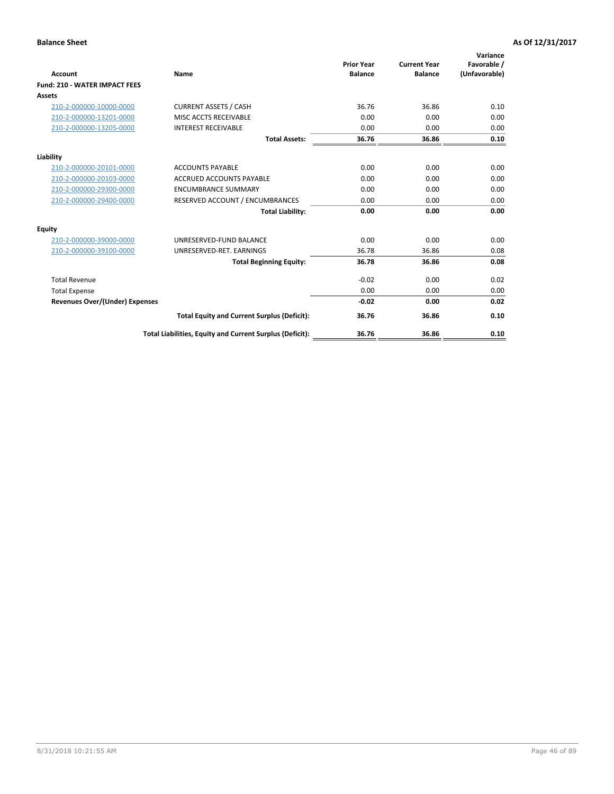| <b>Account</b>                        | Name                                                     | <b>Prior Year</b><br><b>Balance</b> | <b>Current Year</b><br><b>Balance</b> | Variance<br>Favorable /<br>(Unfavorable) |
|---------------------------------------|----------------------------------------------------------|-------------------------------------|---------------------------------------|------------------------------------------|
| <b>Fund: 210 - WATER IMPACT FEES</b>  |                                                          |                                     |                                       |                                          |
| <b>Assets</b>                         |                                                          |                                     |                                       |                                          |
| 210-2-000000-10000-0000               | <b>CURRENT ASSETS / CASH</b>                             | 36.76                               | 36.86                                 | 0.10                                     |
| 210-2-000000-13201-0000               | MISC ACCTS RECEIVABLE                                    | 0.00                                | 0.00                                  | 0.00                                     |
| 210-2-000000-13205-0000               | <b>INTEREST RECEIVABLE</b>                               | 0.00                                | 0.00                                  | 0.00                                     |
|                                       | <b>Total Assets:</b>                                     | 36.76                               | 36.86                                 | 0.10                                     |
| Liability                             |                                                          |                                     |                                       |                                          |
| 210-2-000000-20101-0000               | <b>ACCOUNTS PAYABLE</b>                                  | 0.00                                | 0.00                                  | 0.00                                     |
| 210-2-000000-20103-0000               | <b>ACCRUED ACCOUNTS PAYABLE</b>                          | 0.00                                | 0.00                                  | 0.00                                     |
| 210-2-000000-29300-0000               | <b>ENCUMBRANCE SUMMARY</b>                               | 0.00                                | 0.00                                  | 0.00                                     |
| 210-2-000000-29400-0000               | RESERVED ACCOUNT / ENCUMBRANCES                          | 0.00                                | 0.00                                  | 0.00                                     |
|                                       | <b>Total Liability:</b>                                  | 0.00                                | 0.00                                  | 0.00                                     |
| <b>Equity</b>                         |                                                          |                                     |                                       |                                          |
| 210-2-000000-39000-0000               | UNRESERVED-FUND BALANCE                                  | 0.00                                | 0.00                                  | 0.00                                     |
| 210-2-000000-39100-0000               | UNRESERVED-RET. EARNINGS                                 | 36.78                               | 36.86                                 | 0.08                                     |
|                                       | <b>Total Beginning Equity:</b>                           | 36.78                               | 36.86                                 | 0.08                                     |
| <b>Total Revenue</b>                  |                                                          | $-0.02$                             | 0.00                                  | 0.02                                     |
| <b>Total Expense</b>                  |                                                          | 0.00                                | 0.00                                  | 0.00                                     |
| <b>Revenues Over/(Under) Expenses</b> |                                                          | $-0.02$                             | 0.00                                  | 0.02                                     |
|                                       | <b>Total Equity and Current Surplus (Deficit):</b>       | 36.76                               | 36.86                                 | 0.10                                     |
|                                       | Total Liabilities, Equity and Current Surplus (Deficit): | 36.76                               | 36.86                                 | 0.10                                     |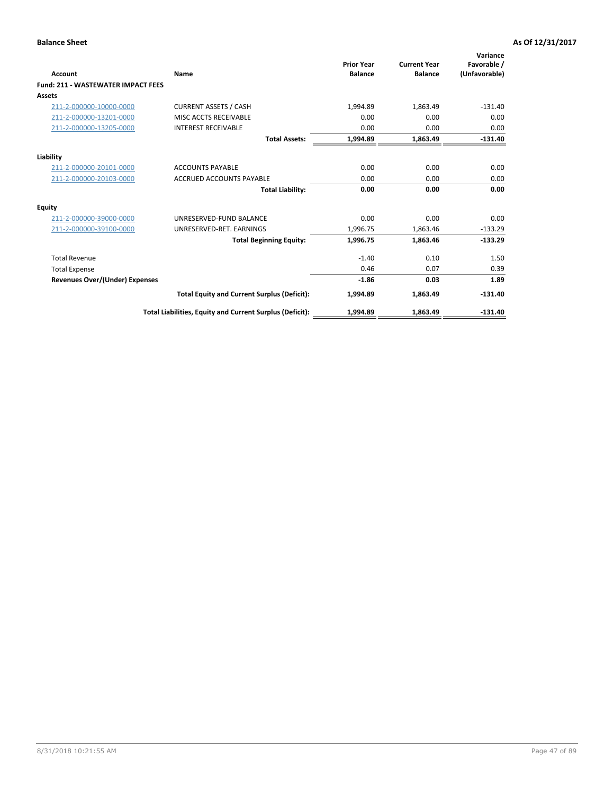| <b>Account</b>                            | Name                                                     | <b>Prior Year</b><br><b>Balance</b> | <b>Current Year</b><br><b>Balance</b> | Variance<br>Favorable /<br>(Unfavorable) |
|-------------------------------------------|----------------------------------------------------------|-------------------------------------|---------------------------------------|------------------------------------------|
| <b>Fund: 211 - WASTEWATER IMPACT FEES</b> |                                                          |                                     |                                       |                                          |
| <b>Assets</b>                             |                                                          |                                     |                                       |                                          |
| 211-2-000000-10000-0000                   | <b>CURRENT ASSETS / CASH</b>                             | 1,994.89                            | 1,863.49                              | $-131.40$                                |
| 211-2-000000-13201-0000                   | MISC ACCTS RECEIVABLE                                    | 0.00                                | 0.00                                  | 0.00                                     |
| 211-2-000000-13205-0000                   | <b>INTEREST RECEIVABLE</b>                               | 0.00                                | 0.00                                  | 0.00                                     |
|                                           | <b>Total Assets:</b>                                     | 1,994.89                            | 1,863.49                              | $-131.40$                                |
| Liability                                 |                                                          |                                     |                                       |                                          |
| 211-2-000000-20101-0000                   | <b>ACCOUNTS PAYABLE</b>                                  | 0.00                                | 0.00                                  | 0.00                                     |
| 211-2-000000-20103-0000                   | <b>ACCRUED ACCOUNTS PAYABLE</b>                          | 0.00                                | 0.00                                  | 0.00                                     |
|                                           | <b>Total Liability:</b>                                  | 0.00                                | 0.00                                  | 0.00                                     |
| <b>Equity</b>                             |                                                          |                                     |                                       |                                          |
| 211-2-000000-39000-0000                   | UNRESERVED-FUND BALANCE                                  | 0.00                                | 0.00                                  | 0.00                                     |
| 211-2-000000-39100-0000                   | UNRESERVED-RET. EARNINGS                                 | 1,996.75                            | 1,863.46                              | $-133.29$                                |
|                                           | <b>Total Beginning Equity:</b>                           | 1,996.75                            | 1.863.46                              | $-133.29$                                |
| <b>Total Revenue</b>                      |                                                          | $-1.40$                             | 0.10                                  | 1.50                                     |
| <b>Total Expense</b>                      |                                                          | 0.46                                | 0.07                                  | 0.39                                     |
| <b>Revenues Over/(Under) Expenses</b>     |                                                          | $-1.86$                             | 0.03                                  | 1.89                                     |
|                                           | <b>Total Equity and Current Surplus (Deficit):</b>       | 1,994.89                            | 1,863.49                              | $-131.40$                                |
|                                           | Total Liabilities, Equity and Current Surplus (Deficit): | 1,994.89                            | 1,863.49                              | $-131.40$                                |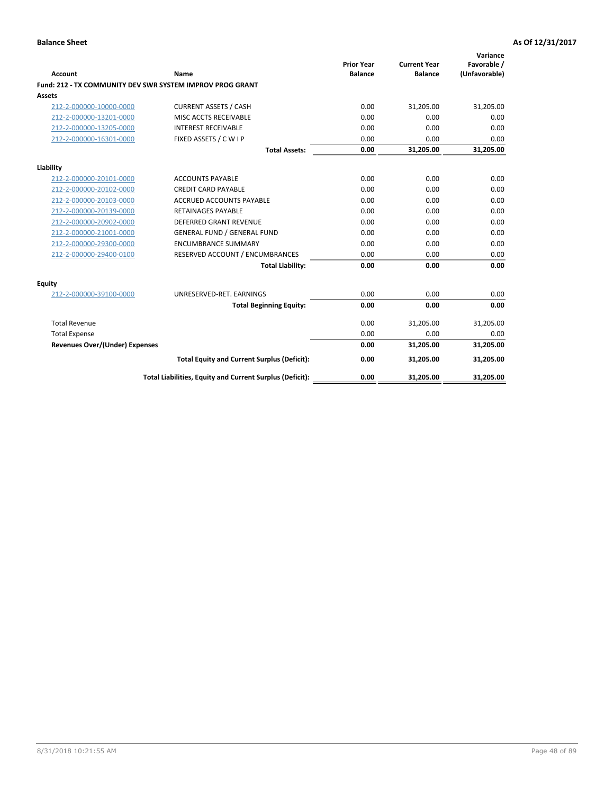| <b>Account</b>                        | Name                                                      | <b>Prior Year</b><br><b>Balance</b> | <b>Current Year</b><br><b>Balance</b> | Variance<br>Favorable /<br>(Unfavorable) |
|---------------------------------------|-----------------------------------------------------------|-------------------------------------|---------------------------------------|------------------------------------------|
|                                       | Fund: 212 - TX COMMUNITY DEV SWR SYSTEM IMPROV PROG GRANT |                                     |                                       |                                          |
| <b>Assets</b>                         |                                                           |                                     |                                       |                                          |
| 212-2-000000-10000-0000               | <b>CURRENT ASSETS / CASH</b>                              | 0.00                                | 31,205.00                             | 31,205.00                                |
| 212-2-000000-13201-0000               | MISC ACCTS RECEIVABLE                                     | 0.00                                | 0.00                                  | 0.00                                     |
| 212-2-000000-13205-0000               | <b>INTEREST RECEIVABLE</b>                                | 0.00                                | 0.00                                  | 0.00                                     |
| 212-2-000000-16301-0000               | FIXED ASSETS / C W I P                                    | 0.00                                | 0.00                                  | 0.00                                     |
|                                       | <b>Total Assets:</b>                                      | 0.00                                | 31,205.00                             | 31,205.00                                |
| Liability                             |                                                           |                                     |                                       |                                          |
| 212-2-000000-20101-0000               | <b>ACCOUNTS PAYABLE</b>                                   | 0.00                                | 0.00                                  | 0.00                                     |
| 212-2-000000-20102-0000               | <b>CREDIT CARD PAYABLE</b>                                | 0.00                                | 0.00                                  | 0.00                                     |
| 212-2-000000-20103-0000               | <b>ACCRUED ACCOUNTS PAYABLE</b>                           | 0.00                                | 0.00                                  | 0.00                                     |
| 212-2-000000-20139-0000               | <b>RETAINAGES PAYABLE</b>                                 | 0.00                                | 0.00                                  | 0.00                                     |
| 212-2-000000-20902-0000               | <b>DEFERRED GRANT REVENUE</b>                             | 0.00                                | 0.00                                  | 0.00                                     |
| 212-2-000000-21001-0000               | <b>GENERAL FUND / GENERAL FUND</b>                        | 0.00                                | 0.00                                  | 0.00                                     |
| 212-2-000000-29300-0000               | <b>ENCUMBRANCE SUMMARY</b>                                | 0.00                                | 0.00                                  | 0.00                                     |
| 212-2-000000-29400-0100               | RESERVED ACCOUNT / ENCUMBRANCES                           | 0.00                                | 0.00                                  | 0.00                                     |
|                                       | <b>Total Liability:</b>                                   | 0.00                                | 0.00                                  | 0.00                                     |
| <b>Equity</b>                         |                                                           |                                     |                                       |                                          |
| 212-2-000000-39100-0000               | UNRESERVED-RET. EARNINGS                                  | 0.00                                | 0.00                                  | 0.00                                     |
|                                       | <b>Total Beginning Equity:</b>                            | 0.00                                | 0.00                                  | 0.00                                     |
| <b>Total Revenue</b>                  |                                                           | 0.00                                | 31,205.00                             | 31,205.00                                |
| <b>Total Expense</b>                  |                                                           | 0.00                                | 0.00                                  | 0.00                                     |
| <b>Revenues Over/(Under) Expenses</b> |                                                           | 0.00                                | 31,205.00                             | 31,205.00                                |
|                                       | <b>Total Equity and Current Surplus (Deficit):</b>        | 0.00                                | 31,205.00                             | 31,205.00                                |
|                                       | Total Liabilities, Equity and Current Surplus (Deficit):  | 0.00                                | 31,205.00                             | 31,205.00                                |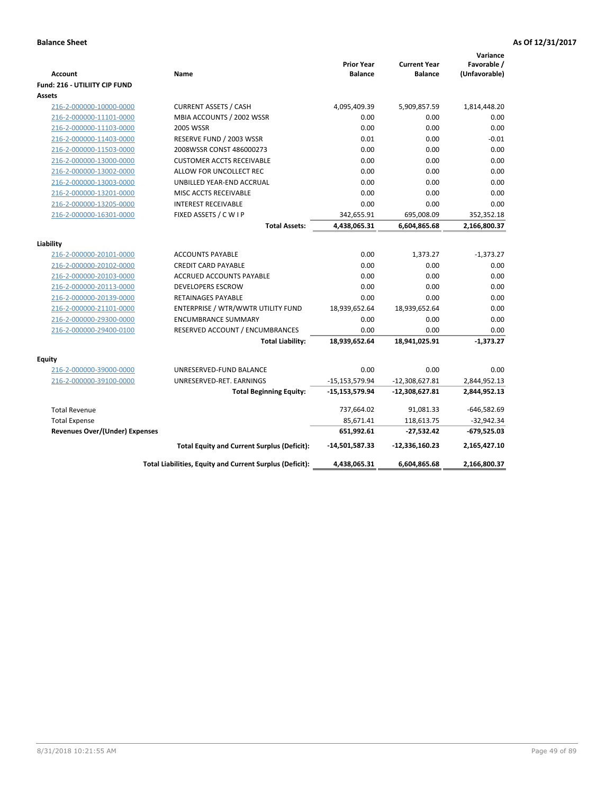| Favorable /<br><b>Prior Year</b><br><b>Current Year</b><br>(Unfavorable)<br>Name<br><b>Balance</b><br><b>Balance</b><br><b>Account</b><br>Fund: 216 - UTILIITY CIP FUND<br><b>Assets</b><br><b>CURRENT ASSETS / CASH</b><br>4,095,409.39<br>5,909,857.59<br>1,814,448.20<br>216-2-000000-10000-0000<br>MBIA ACCOUNTS / 2002 WSSR<br>0.00<br>0.00<br>0.00<br>216-2-000000-11101-0000<br>0.00<br>216-2-000000-11103-0000<br><b>2005 WSSR</b><br>0.00<br>0.00<br>RESERVE FUND / 2003 WSSR<br>0.01<br>0.00<br>$-0.01$<br>216-2-000000-11403-0000<br>2008WSSR CONST 486000273<br>0.00<br>0.00<br>0.00<br>216-2-000000-11503-0000<br>0.00<br>0.00<br>216-2-000000-13000-0000<br><b>CUSTOMER ACCTS RECEIVABLE</b><br>0.00<br>0.00<br>216-2-000000-13002-0000<br>ALLOW FOR UNCOLLECT REC<br>0.00<br>0.00<br>0.00<br>0.00<br>0.00<br>216-2-000000-13003-0000<br>UNBILLED YEAR-END ACCRUAL<br>216-2-000000-13201-0000<br>0.00<br>0.00<br>0.00<br>MISC ACCTS RECEIVABLE<br>0.00<br>0.00<br>216-2-000000-13205-0000<br><b>INTEREST RECEIVABLE</b><br>0.00<br>FIXED ASSETS / C W I P<br>695,008.09<br>216-2-000000-16301-0000<br>342,655.91<br>352,352.18<br><b>Total Assets:</b><br>4,438,065.31<br>6,604,865.68<br>2,166,800.37<br>Liability<br><b>ACCOUNTS PAYABLE</b><br>0.00<br>1,373.27<br>$-1,373.27$<br>216-2-000000-20101-0000<br>216-2-000000-20102-0000<br><b>CREDIT CARD PAYABLE</b><br>0.00<br>0.00<br>0.00<br>0.00<br>0.00<br>0.00<br>216-2-000000-20103-0000<br><b>ACCRUED ACCOUNTS PAYABLE</b><br>0.00<br>216-2-000000-20113-0000<br><b>DEVELOPERS ESCROW</b><br>0.00<br>0.00<br>0.00<br>0.00<br>0.00<br>216-2-000000-20139-0000<br><b>RETAINAGES PAYABLE</b><br>18,939,652.64<br>18,939,652.64<br>0.00<br>216-2-000000-21101-0000<br>ENTERPRISE / WTR/WWTR UTILITY FUND<br>216-2-000000-29300-0000<br>0.00<br>0.00<br>0.00<br><b>ENCUMBRANCE SUMMARY</b><br>0.00<br>216-2-000000-29400-0100<br>RESERVED ACCOUNT / ENCUMBRANCES<br>0.00<br>0.00<br>$-1,373.27$<br><b>Total Liability:</b><br>18,939,652.64<br>18,941,025.91<br><b>Equity</b><br>216-2-000000-39000-0000<br>0.00<br>0.00<br>0.00<br>UNRESERVED-FUND BALANCE<br>216-2-000000-39100-0000<br>UNRESERVED-RET. EARNINGS<br>$-15, 153, 579.94$<br>$-12,308,627.81$<br>2,844,952.13<br><b>Total Beginning Equity:</b><br>-15,153,579.94<br>$-12,308,627.81$<br>2,844,952.13<br><b>Total Revenue</b><br>91,081.33<br>737,664.02<br>$-646,582.69$<br>85,671.41<br>118,613.75<br>$-32,942.34$<br><b>Total Expense</b><br>651,992.61<br>$-679,525.03$<br><b>Revenues Over/(Under) Expenses</b><br>$-27,532.42$<br>2,165,427.10<br><b>Total Equity and Current Surplus (Deficit):</b><br>-14,501,587.33<br>$-12,336,160.23$<br>Total Liabilities, Equity and Current Surplus (Deficit):<br>4,438,065.31<br>6,604,865.68<br>2,166,800.37 |  |  | Variance |
|-----------------------------------------------------------------------------------------------------------------------------------------------------------------------------------------------------------------------------------------------------------------------------------------------------------------------------------------------------------------------------------------------------------------------------------------------------------------------------------------------------------------------------------------------------------------------------------------------------------------------------------------------------------------------------------------------------------------------------------------------------------------------------------------------------------------------------------------------------------------------------------------------------------------------------------------------------------------------------------------------------------------------------------------------------------------------------------------------------------------------------------------------------------------------------------------------------------------------------------------------------------------------------------------------------------------------------------------------------------------------------------------------------------------------------------------------------------------------------------------------------------------------------------------------------------------------------------------------------------------------------------------------------------------------------------------------------------------------------------------------------------------------------------------------------------------------------------------------------------------------------------------------------------------------------------------------------------------------------------------------------------------------------------------------------------------------------------------------------------------------------------------------------------------------------------------------------------------------------------------------------------------------------------------------------------------------------------------------------------------------------------------------------------------------------------------------------------------------------------------------------------------------------------------------------------------------------------------------------------------------------------------------------------------------------------------------------------------------------------------------------------------------------------------------|--|--|----------|
|                                                                                                                                                                                                                                                                                                                                                                                                                                                                                                                                                                                                                                                                                                                                                                                                                                                                                                                                                                                                                                                                                                                                                                                                                                                                                                                                                                                                                                                                                                                                                                                                                                                                                                                                                                                                                                                                                                                                                                                                                                                                                                                                                                                                                                                                                                                                                                                                                                                                                                                                                                                                                                                                                                                                                                                               |  |  |          |
|                                                                                                                                                                                                                                                                                                                                                                                                                                                                                                                                                                                                                                                                                                                                                                                                                                                                                                                                                                                                                                                                                                                                                                                                                                                                                                                                                                                                                                                                                                                                                                                                                                                                                                                                                                                                                                                                                                                                                                                                                                                                                                                                                                                                                                                                                                                                                                                                                                                                                                                                                                                                                                                                                                                                                                                               |  |  |          |
|                                                                                                                                                                                                                                                                                                                                                                                                                                                                                                                                                                                                                                                                                                                                                                                                                                                                                                                                                                                                                                                                                                                                                                                                                                                                                                                                                                                                                                                                                                                                                                                                                                                                                                                                                                                                                                                                                                                                                                                                                                                                                                                                                                                                                                                                                                                                                                                                                                                                                                                                                                                                                                                                                                                                                                                               |  |  |          |
|                                                                                                                                                                                                                                                                                                                                                                                                                                                                                                                                                                                                                                                                                                                                                                                                                                                                                                                                                                                                                                                                                                                                                                                                                                                                                                                                                                                                                                                                                                                                                                                                                                                                                                                                                                                                                                                                                                                                                                                                                                                                                                                                                                                                                                                                                                                                                                                                                                                                                                                                                                                                                                                                                                                                                                                               |  |  |          |
|                                                                                                                                                                                                                                                                                                                                                                                                                                                                                                                                                                                                                                                                                                                                                                                                                                                                                                                                                                                                                                                                                                                                                                                                                                                                                                                                                                                                                                                                                                                                                                                                                                                                                                                                                                                                                                                                                                                                                                                                                                                                                                                                                                                                                                                                                                                                                                                                                                                                                                                                                                                                                                                                                                                                                                                               |  |  |          |
|                                                                                                                                                                                                                                                                                                                                                                                                                                                                                                                                                                                                                                                                                                                                                                                                                                                                                                                                                                                                                                                                                                                                                                                                                                                                                                                                                                                                                                                                                                                                                                                                                                                                                                                                                                                                                                                                                                                                                                                                                                                                                                                                                                                                                                                                                                                                                                                                                                                                                                                                                                                                                                                                                                                                                                                               |  |  |          |
|                                                                                                                                                                                                                                                                                                                                                                                                                                                                                                                                                                                                                                                                                                                                                                                                                                                                                                                                                                                                                                                                                                                                                                                                                                                                                                                                                                                                                                                                                                                                                                                                                                                                                                                                                                                                                                                                                                                                                                                                                                                                                                                                                                                                                                                                                                                                                                                                                                                                                                                                                                                                                                                                                                                                                                                               |  |  |          |
|                                                                                                                                                                                                                                                                                                                                                                                                                                                                                                                                                                                                                                                                                                                                                                                                                                                                                                                                                                                                                                                                                                                                                                                                                                                                                                                                                                                                                                                                                                                                                                                                                                                                                                                                                                                                                                                                                                                                                                                                                                                                                                                                                                                                                                                                                                                                                                                                                                                                                                                                                                                                                                                                                                                                                                                               |  |  |          |
|                                                                                                                                                                                                                                                                                                                                                                                                                                                                                                                                                                                                                                                                                                                                                                                                                                                                                                                                                                                                                                                                                                                                                                                                                                                                                                                                                                                                                                                                                                                                                                                                                                                                                                                                                                                                                                                                                                                                                                                                                                                                                                                                                                                                                                                                                                                                                                                                                                                                                                                                                                                                                                                                                                                                                                                               |  |  |          |
|                                                                                                                                                                                                                                                                                                                                                                                                                                                                                                                                                                                                                                                                                                                                                                                                                                                                                                                                                                                                                                                                                                                                                                                                                                                                                                                                                                                                                                                                                                                                                                                                                                                                                                                                                                                                                                                                                                                                                                                                                                                                                                                                                                                                                                                                                                                                                                                                                                                                                                                                                                                                                                                                                                                                                                                               |  |  |          |
|                                                                                                                                                                                                                                                                                                                                                                                                                                                                                                                                                                                                                                                                                                                                                                                                                                                                                                                                                                                                                                                                                                                                                                                                                                                                                                                                                                                                                                                                                                                                                                                                                                                                                                                                                                                                                                                                                                                                                                                                                                                                                                                                                                                                                                                                                                                                                                                                                                                                                                                                                                                                                                                                                                                                                                                               |  |  |          |
|                                                                                                                                                                                                                                                                                                                                                                                                                                                                                                                                                                                                                                                                                                                                                                                                                                                                                                                                                                                                                                                                                                                                                                                                                                                                                                                                                                                                                                                                                                                                                                                                                                                                                                                                                                                                                                                                                                                                                                                                                                                                                                                                                                                                                                                                                                                                                                                                                                                                                                                                                                                                                                                                                                                                                                                               |  |  |          |
|                                                                                                                                                                                                                                                                                                                                                                                                                                                                                                                                                                                                                                                                                                                                                                                                                                                                                                                                                                                                                                                                                                                                                                                                                                                                                                                                                                                                                                                                                                                                                                                                                                                                                                                                                                                                                                                                                                                                                                                                                                                                                                                                                                                                                                                                                                                                                                                                                                                                                                                                                                                                                                                                                                                                                                                               |  |  |          |
|                                                                                                                                                                                                                                                                                                                                                                                                                                                                                                                                                                                                                                                                                                                                                                                                                                                                                                                                                                                                                                                                                                                                                                                                                                                                                                                                                                                                                                                                                                                                                                                                                                                                                                                                                                                                                                                                                                                                                                                                                                                                                                                                                                                                                                                                                                                                                                                                                                                                                                                                                                                                                                                                                                                                                                                               |  |  |          |
|                                                                                                                                                                                                                                                                                                                                                                                                                                                                                                                                                                                                                                                                                                                                                                                                                                                                                                                                                                                                                                                                                                                                                                                                                                                                                                                                                                                                                                                                                                                                                                                                                                                                                                                                                                                                                                                                                                                                                                                                                                                                                                                                                                                                                                                                                                                                                                                                                                                                                                                                                                                                                                                                                                                                                                                               |  |  |          |
|                                                                                                                                                                                                                                                                                                                                                                                                                                                                                                                                                                                                                                                                                                                                                                                                                                                                                                                                                                                                                                                                                                                                                                                                                                                                                                                                                                                                                                                                                                                                                                                                                                                                                                                                                                                                                                                                                                                                                                                                                                                                                                                                                                                                                                                                                                                                                                                                                                                                                                                                                                                                                                                                                                                                                                                               |  |  |          |
|                                                                                                                                                                                                                                                                                                                                                                                                                                                                                                                                                                                                                                                                                                                                                                                                                                                                                                                                                                                                                                                                                                                                                                                                                                                                                                                                                                                                                                                                                                                                                                                                                                                                                                                                                                                                                                                                                                                                                                                                                                                                                                                                                                                                                                                                                                                                                                                                                                                                                                                                                                                                                                                                                                                                                                                               |  |  |          |
|                                                                                                                                                                                                                                                                                                                                                                                                                                                                                                                                                                                                                                                                                                                                                                                                                                                                                                                                                                                                                                                                                                                                                                                                                                                                                                                                                                                                                                                                                                                                                                                                                                                                                                                                                                                                                                                                                                                                                                                                                                                                                                                                                                                                                                                                                                                                                                                                                                                                                                                                                                                                                                                                                                                                                                                               |  |  |          |
|                                                                                                                                                                                                                                                                                                                                                                                                                                                                                                                                                                                                                                                                                                                                                                                                                                                                                                                                                                                                                                                                                                                                                                                                                                                                                                                                                                                                                                                                                                                                                                                                                                                                                                                                                                                                                                                                                                                                                                                                                                                                                                                                                                                                                                                                                                                                                                                                                                                                                                                                                                                                                                                                                                                                                                                               |  |  |          |
|                                                                                                                                                                                                                                                                                                                                                                                                                                                                                                                                                                                                                                                                                                                                                                                                                                                                                                                                                                                                                                                                                                                                                                                                                                                                                                                                                                                                                                                                                                                                                                                                                                                                                                                                                                                                                                                                                                                                                                                                                                                                                                                                                                                                                                                                                                                                                                                                                                                                                                                                                                                                                                                                                                                                                                                               |  |  |          |
|                                                                                                                                                                                                                                                                                                                                                                                                                                                                                                                                                                                                                                                                                                                                                                                                                                                                                                                                                                                                                                                                                                                                                                                                                                                                                                                                                                                                                                                                                                                                                                                                                                                                                                                                                                                                                                                                                                                                                                                                                                                                                                                                                                                                                                                                                                                                                                                                                                                                                                                                                                                                                                                                                                                                                                                               |  |  |          |
|                                                                                                                                                                                                                                                                                                                                                                                                                                                                                                                                                                                                                                                                                                                                                                                                                                                                                                                                                                                                                                                                                                                                                                                                                                                                                                                                                                                                                                                                                                                                                                                                                                                                                                                                                                                                                                                                                                                                                                                                                                                                                                                                                                                                                                                                                                                                                                                                                                                                                                                                                                                                                                                                                                                                                                                               |  |  |          |
|                                                                                                                                                                                                                                                                                                                                                                                                                                                                                                                                                                                                                                                                                                                                                                                                                                                                                                                                                                                                                                                                                                                                                                                                                                                                                                                                                                                                                                                                                                                                                                                                                                                                                                                                                                                                                                                                                                                                                                                                                                                                                                                                                                                                                                                                                                                                                                                                                                                                                                                                                                                                                                                                                                                                                                                               |  |  |          |
|                                                                                                                                                                                                                                                                                                                                                                                                                                                                                                                                                                                                                                                                                                                                                                                                                                                                                                                                                                                                                                                                                                                                                                                                                                                                                                                                                                                                                                                                                                                                                                                                                                                                                                                                                                                                                                                                                                                                                                                                                                                                                                                                                                                                                                                                                                                                                                                                                                                                                                                                                                                                                                                                                                                                                                                               |  |  |          |
|                                                                                                                                                                                                                                                                                                                                                                                                                                                                                                                                                                                                                                                                                                                                                                                                                                                                                                                                                                                                                                                                                                                                                                                                                                                                                                                                                                                                                                                                                                                                                                                                                                                                                                                                                                                                                                                                                                                                                                                                                                                                                                                                                                                                                                                                                                                                                                                                                                                                                                                                                                                                                                                                                                                                                                                               |  |  |          |
|                                                                                                                                                                                                                                                                                                                                                                                                                                                                                                                                                                                                                                                                                                                                                                                                                                                                                                                                                                                                                                                                                                                                                                                                                                                                                                                                                                                                                                                                                                                                                                                                                                                                                                                                                                                                                                                                                                                                                                                                                                                                                                                                                                                                                                                                                                                                                                                                                                                                                                                                                                                                                                                                                                                                                                                               |  |  |          |
|                                                                                                                                                                                                                                                                                                                                                                                                                                                                                                                                                                                                                                                                                                                                                                                                                                                                                                                                                                                                                                                                                                                                                                                                                                                                                                                                                                                                                                                                                                                                                                                                                                                                                                                                                                                                                                                                                                                                                                                                                                                                                                                                                                                                                                                                                                                                                                                                                                                                                                                                                                                                                                                                                                                                                                                               |  |  |          |
|                                                                                                                                                                                                                                                                                                                                                                                                                                                                                                                                                                                                                                                                                                                                                                                                                                                                                                                                                                                                                                                                                                                                                                                                                                                                                                                                                                                                                                                                                                                                                                                                                                                                                                                                                                                                                                                                                                                                                                                                                                                                                                                                                                                                                                                                                                                                                                                                                                                                                                                                                                                                                                                                                                                                                                                               |  |  |          |
|                                                                                                                                                                                                                                                                                                                                                                                                                                                                                                                                                                                                                                                                                                                                                                                                                                                                                                                                                                                                                                                                                                                                                                                                                                                                                                                                                                                                                                                                                                                                                                                                                                                                                                                                                                                                                                                                                                                                                                                                                                                                                                                                                                                                                                                                                                                                                                                                                                                                                                                                                                                                                                                                                                                                                                                               |  |  |          |
|                                                                                                                                                                                                                                                                                                                                                                                                                                                                                                                                                                                                                                                                                                                                                                                                                                                                                                                                                                                                                                                                                                                                                                                                                                                                                                                                                                                                                                                                                                                                                                                                                                                                                                                                                                                                                                                                                                                                                                                                                                                                                                                                                                                                                                                                                                                                                                                                                                                                                                                                                                                                                                                                                                                                                                                               |  |  |          |
|                                                                                                                                                                                                                                                                                                                                                                                                                                                                                                                                                                                                                                                                                                                                                                                                                                                                                                                                                                                                                                                                                                                                                                                                                                                                                                                                                                                                                                                                                                                                                                                                                                                                                                                                                                                                                                                                                                                                                                                                                                                                                                                                                                                                                                                                                                                                                                                                                                                                                                                                                                                                                                                                                                                                                                                               |  |  |          |
|                                                                                                                                                                                                                                                                                                                                                                                                                                                                                                                                                                                                                                                                                                                                                                                                                                                                                                                                                                                                                                                                                                                                                                                                                                                                                                                                                                                                                                                                                                                                                                                                                                                                                                                                                                                                                                                                                                                                                                                                                                                                                                                                                                                                                                                                                                                                                                                                                                                                                                                                                                                                                                                                                                                                                                                               |  |  |          |
|                                                                                                                                                                                                                                                                                                                                                                                                                                                                                                                                                                                                                                                                                                                                                                                                                                                                                                                                                                                                                                                                                                                                                                                                                                                                                                                                                                                                                                                                                                                                                                                                                                                                                                                                                                                                                                                                                                                                                                                                                                                                                                                                                                                                                                                                                                                                                                                                                                                                                                                                                                                                                                                                                                                                                                                               |  |  |          |
|                                                                                                                                                                                                                                                                                                                                                                                                                                                                                                                                                                                                                                                                                                                                                                                                                                                                                                                                                                                                                                                                                                                                                                                                                                                                                                                                                                                                                                                                                                                                                                                                                                                                                                                                                                                                                                                                                                                                                                                                                                                                                                                                                                                                                                                                                                                                                                                                                                                                                                                                                                                                                                                                                                                                                                                               |  |  |          |
|                                                                                                                                                                                                                                                                                                                                                                                                                                                                                                                                                                                                                                                                                                                                                                                                                                                                                                                                                                                                                                                                                                                                                                                                                                                                                                                                                                                                                                                                                                                                                                                                                                                                                                                                                                                                                                                                                                                                                                                                                                                                                                                                                                                                                                                                                                                                                                                                                                                                                                                                                                                                                                                                                                                                                                                               |  |  |          |
|                                                                                                                                                                                                                                                                                                                                                                                                                                                                                                                                                                                                                                                                                                                                                                                                                                                                                                                                                                                                                                                                                                                                                                                                                                                                                                                                                                                                                                                                                                                                                                                                                                                                                                                                                                                                                                                                                                                                                                                                                                                                                                                                                                                                                                                                                                                                                                                                                                                                                                                                                                                                                                                                                                                                                                                               |  |  |          |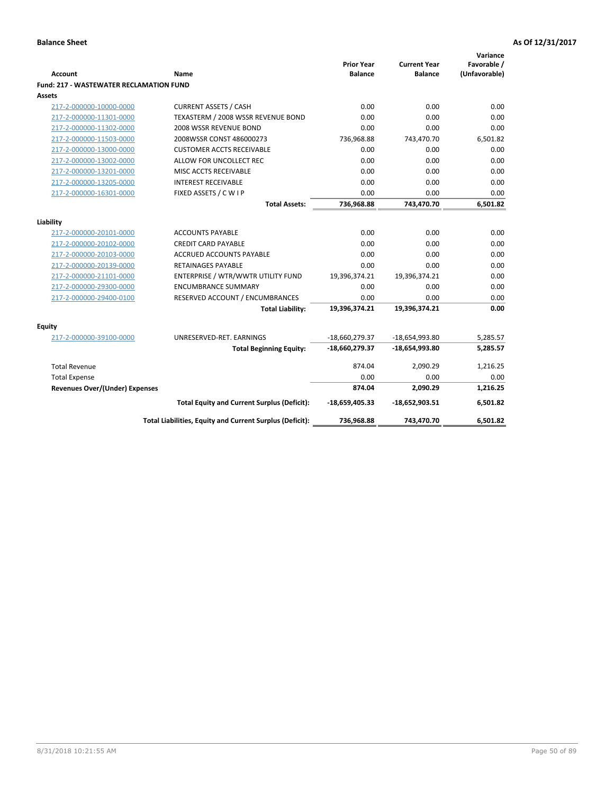| <b>Account</b>                                 | <b>Name</b>                                              | <b>Prior Year</b><br><b>Balance</b> | <b>Current Year</b><br><b>Balance</b> | Variance<br>Favorable /<br>(Unfavorable) |
|------------------------------------------------|----------------------------------------------------------|-------------------------------------|---------------------------------------|------------------------------------------|
| <b>Fund: 217 - WASTEWATER RECLAMATION FUND</b> |                                                          |                                     |                                       |                                          |
| Assets                                         |                                                          |                                     |                                       |                                          |
| 217-2-000000-10000-0000                        | <b>CURRENT ASSETS / CASH</b>                             | 0.00                                | 0.00                                  | 0.00                                     |
| 217-2-000000-11301-0000                        | TEXASTERM / 2008 WSSR REVENUE BOND                       | 0.00                                | 0.00                                  | 0.00                                     |
| 217-2-000000-11302-0000                        | 2008 WSSR REVENUE BOND                                   | 0.00                                | 0.00                                  | 0.00                                     |
| 217-2-000000-11503-0000                        | 2008WSSR CONST 486000273                                 | 736,968.88                          | 743,470.70                            | 6,501.82                                 |
| 217-2-000000-13000-0000                        | <b>CUSTOMER ACCTS RECEIVABLE</b>                         | 0.00                                | 0.00                                  | 0.00                                     |
| 217-2-000000-13002-0000                        | ALLOW FOR UNCOLLECT REC                                  | 0.00                                | 0.00                                  | 0.00                                     |
| 217-2-000000-13201-0000                        | MISC ACCTS RECEIVABLE                                    | 0.00                                | 0.00                                  | 0.00                                     |
| 217-2-000000-13205-0000                        | <b>INTEREST RECEIVABLE</b>                               | 0.00                                | 0.00                                  | 0.00                                     |
| 217-2-000000-16301-0000                        | FIXED ASSETS / C W I P                                   | 0.00                                | 0.00                                  | 0.00                                     |
|                                                | <b>Total Assets:</b>                                     | 736,968.88                          | 743,470.70                            | 6,501.82                                 |
|                                                |                                                          |                                     |                                       |                                          |
| Liability                                      |                                                          |                                     |                                       |                                          |
| 217-2-000000-20101-0000                        | <b>ACCOUNTS PAYABLE</b>                                  | 0.00                                | 0.00                                  | 0.00                                     |
| 217-2-000000-20102-0000                        | <b>CREDIT CARD PAYABLE</b>                               | 0.00                                | 0.00                                  | 0.00                                     |
| 217-2-000000-20103-0000                        | <b>ACCRUED ACCOUNTS PAYABLE</b>                          | 0.00                                | 0.00                                  | 0.00                                     |
| 217-2-000000-20139-0000                        | <b>RETAINAGES PAYABLE</b>                                | 0.00                                | 0.00                                  | 0.00                                     |
| 217-2-000000-21101-0000                        | ENTERPRISE / WTR/WWTR UTILITY FUND                       | 19,396,374.21                       | 19,396,374.21                         | 0.00                                     |
| 217-2-000000-29300-0000                        | <b>ENCUMBRANCE SUMMARY</b>                               | 0.00                                | 0.00                                  | 0.00                                     |
| 217-2-000000-29400-0100                        | RESERVED ACCOUNT / ENCUMBRANCES                          | 0.00                                | 0.00                                  | 0.00                                     |
|                                                | <b>Total Liability:</b>                                  | 19,396,374.21                       | 19,396,374.21                         | 0.00                                     |
| <b>Equity</b>                                  |                                                          |                                     |                                       |                                          |
| 217-2-000000-39100-0000                        | UNRESERVED-RET. EARNINGS                                 | -18,660,279.37                      | -18,654,993.80                        | 5,285.57                                 |
|                                                | <b>Total Beginning Equity:</b>                           | -18,660,279.37                      | $-18,654,993.80$                      | 5,285.57                                 |
| <b>Total Revenue</b>                           |                                                          | 874.04                              | 2,090.29                              | 1,216.25                                 |
| <b>Total Expense</b>                           |                                                          | 0.00                                | 0.00                                  | 0.00                                     |
| Revenues Over/(Under) Expenses                 |                                                          | 874.04                              | 2,090.29                              | 1,216.25                                 |
|                                                | <b>Total Equity and Current Surplus (Deficit):</b>       | $-18,659,405.33$                    | $-18,652,903.51$                      | 6,501.82                                 |
|                                                | Total Liabilities, Equity and Current Surplus (Deficit): | 736,968.88                          | 743,470.70                            | 6,501.82                                 |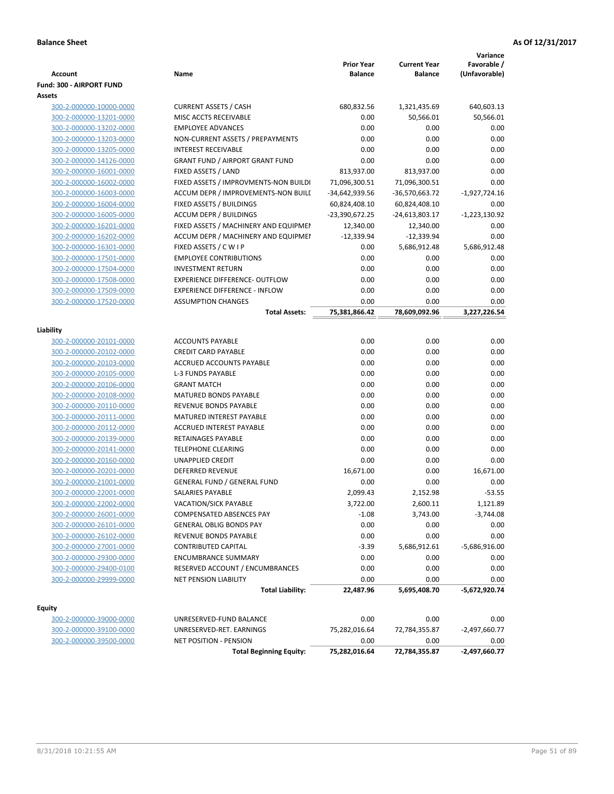|                          |                                        |                   |                     | Variance        |
|--------------------------|----------------------------------------|-------------------|---------------------|-----------------|
|                          |                                        | <b>Prior Year</b> | <b>Current Year</b> | Favorable /     |
| Account                  | Name                                   | <b>Balance</b>    | <b>Balance</b>      | (Unfavorable)   |
| Fund: 300 - AIRPORT FUND |                                        |                   |                     |                 |
| Assets                   |                                        |                   |                     |                 |
| 300-2-000000-10000-0000  | <b>CURRENT ASSETS / CASH</b>           | 680,832.56        | 1,321,435.69        | 640,603.13      |
| 300-2-000000-13201-0000  | MISC ACCTS RECEIVABLE                  | 0.00              | 50,566.01           | 50,566.01       |
| 300-2-000000-13202-0000  | <b>EMPLOYEE ADVANCES</b>               | 0.00              | 0.00                | 0.00            |
| 300-2-000000-13203-0000  | NON-CURRENT ASSETS / PREPAYMENTS       | 0.00              | 0.00                | 0.00            |
| 300-2-000000-13205-0000  | <b>INTEREST RECEIVABLE</b>             | 0.00              | 0.00                | 0.00            |
| 300-2-000000-14126-0000  | <b>GRANT FUND / AIRPORT GRANT FUND</b> | 0.00              | 0.00                | 0.00            |
| 300-2-000000-16001-0000  | FIXED ASSETS / LAND                    | 813,937.00        | 813,937.00          | 0.00            |
| 300-2-000000-16002-0000  | FIXED ASSETS / IMPROVMENTS-NON BUILDI  | 71,096,300.51     | 71,096,300.51       | 0.00            |
| 300-2-000000-16003-0000  | ACCUM DEPR / IMPROVEMENTS-NON BUILI    | -34,642,939.56    | -36,570,663.72      | $-1,927,724.16$ |
| 300-2-000000-16004-0000  | FIXED ASSETS / BUILDINGS               | 60,824,408.10     | 60,824,408.10       | 0.00            |
| 300-2-000000-16005-0000  | <b>ACCUM DEPR / BUILDINGS</b>          | -23,390,672.25    | -24,613,803.17      | -1,223,130.92   |
| 300-2-000000-16201-0000  | FIXED ASSETS / MACHINERY AND EQUIPMEN  | 12,340.00         | 12,340.00           | 0.00            |
| 300-2-000000-16202-0000  | ACCUM DEPR / MACHINERY AND EQUIPMEI    | $-12,339.94$      | $-12,339.94$        | 0.00            |
| 300-2-000000-16301-0000  | FIXED ASSETS / C W I P                 | 0.00              | 5,686,912.48        | 5,686,912.48    |
| 300-2-000000-17501-0000  | <b>EMPLOYEE CONTRIBUTIONS</b>          | 0.00              | 0.00                | 0.00            |
| 300-2-000000-17504-0000  | <b>INVESTMENT RETURN</b>               | 0.00              | 0.00                | 0.00            |
| 300-2-000000-17508-0000  | EXPERIENCE DIFFERENCE- OUTFLOW         | 0.00              | 0.00                | 0.00            |
| 300-2-000000-17509-0000  | <b>EXPERIENCE DIFFERENCE - INFLOW</b>  | 0.00              | 0.00                | 0.00            |
| 300-2-000000-17520-0000  | <b>ASSUMPTION CHANGES</b>              | 0.00              | 0.00                | 0.00            |
|                          | <b>Total Assets:</b>                   | 75,381,866.42     | 78,609,092.96       | 3,227,226.54    |
|                          |                                        |                   |                     |                 |
| Liability                |                                        |                   |                     |                 |
| 300-2-000000-20101-0000  | <b>ACCOUNTS PAYABLE</b>                | 0.00              | 0.00                | 0.00            |
| 300-2-000000-20102-0000  | <b>CREDIT CARD PAYABLE</b>             | 0.00              | 0.00                | 0.00            |
| 300-2-000000-20103-0000  | ACCRUED ACCOUNTS PAYABLE               | 0.00              | 0.00                | 0.00            |
| 300-2-000000-20105-0000  | L-3 FUNDS PAYABLE                      | 0.00              | 0.00                | 0.00            |
| 300-2-000000-20106-0000  | <b>GRANT MATCH</b>                     | 0.00              | 0.00                | 0.00            |
| 300-2-000000-20108-0000  | <b>MATURED BONDS PAYABLE</b>           | 0.00              | 0.00                | 0.00            |
| 300-2-000000-20110-0000  | REVENUE BONDS PAYABLE                  | 0.00              | 0.00                | 0.00            |
| 300-2-000000-20111-0000  | MATURED INTEREST PAYABLE               | 0.00              | 0.00                | 0.00            |
| 300-2-000000-20112-0000  | <b>ACCRUED INTEREST PAYABLE</b>        | 0.00              | 0.00                | 0.00            |
| 300-2-000000-20139-0000  | RETAINAGES PAYABLE                     | 0.00              | 0.00                | 0.00            |
| 300-2-000000-20141-0000  | <b>TELEPHONE CLEARING</b>              | 0.00              | 0.00                | 0.00            |
| 300-2-000000-20160-0000  | <b>UNAPPLIED CREDIT</b>                | 0.00              | 0.00                | 0.00            |
| 300-2-000000-20201-0000  | <b>DEFERRED REVENUE</b>                | 16,671.00         | 0.00                | 16,671.00       |
| 300-2-000000-21001-0000  | <b>GENERAL FUND / GENERAL FUND</b>     | 0.00              | 0.00                | 0.00            |
| 300-2-000000-22001-0000  | SALARIES PAYABLE                       | 2,099.43          | 2,152.98            | $-53.55$        |
| 300-2-000000-22002-0000  | VACATION/SICK PAYABLE                  | 3,722.00          | 2,600.11            | 1,121.89        |
| 300-2-000000-26001-0000  | <b>COMPENSATED ABSENCES PAY</b>        | $-1.08$           | 3,743.00            | $-3,744.08$     |
| 300-2-000000-26101-0000  | <b>GENERAL OBLIG BONDS PAY</b>         | 0.00              | 0.00                | 0.00            |
| 300-2-000000-26102-0000  | REVENUE BONDS PAYABLE                  | 0.00              | 0.00                | 0.00            |
| 300-2-000000-27001-0000  | <b>CONTRIBUTED CAPITAL</b>             | $-3.39$           | 5,686,912.61        | -5,686,916.00   |
| 300-2-000000-29300-0000  | <b>ENCUMBRANCE SUMMARY</b>             | 0.00              | 0.00                | 0.00            |
| 300-2-000000-29400-0100  | RESERVED ACCOUNT / ENCUMBRANCES        | 0.00              | 0.00                | 0.00            |
| 300-2-000000-29999-0000  | NET PENSION LIABILITY                  | 0.00              | 0.00                | 0.00            |
|                          | <b>Total Liability:</b>                | 22,487.96         | 5,695,408.70        | -5,672,920.74   |
| <b>Equity</b>            |                                        |                   |                     |                 |
| 300-2-000000-39000-0000  | UNRESERVED-FUND BALANCE                | 0.00              | 0.00                | 0.00            |
| 300-2-000000-39100-0000  | UNRESERVED-RET. EARNINGS               | 75,282,016.64     | 72,784,355.87       | -2,497,660.77   |
| 300-2-000000-39500-0000  | NET POSITION - PENSION                 | 0.00              | 0.00                | 0.00            |
|                          | <b>Total Beginning Equity:</b>         | 75,282,016.64     | 72,784,355.87       | $-2,497,660.77$ |
|                          |                                        |                   |                     |                 |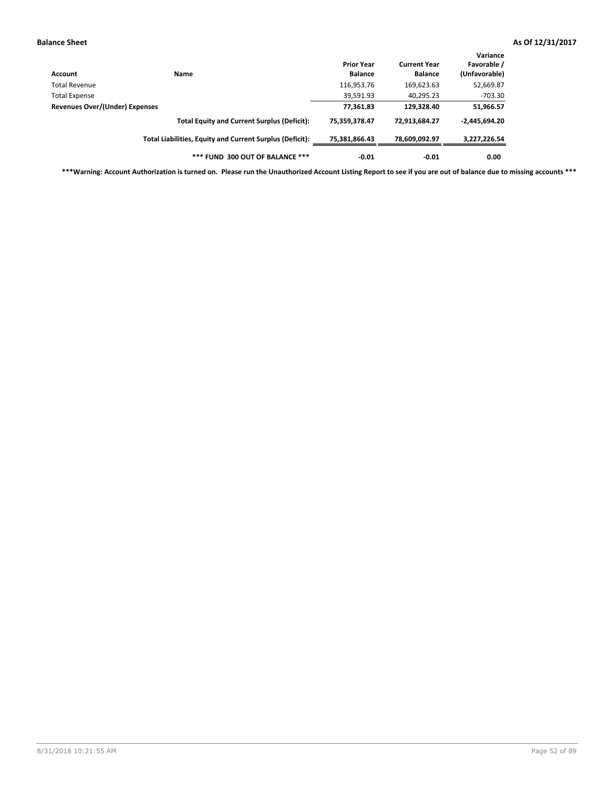| Account                               | Name                                                     | <b>Prior Year</b><br><b>Balance</b> | <b>Current Year</b><br><b>Balance</b> | Variance<br>Favorable /<br>(Unfavorable) |
|---------------------------------------|----------------------------------------------------------|-------------------------------------|---------------------------------------|------------------------------------------|
| Total Revenue                         |                                                          | 116,953.76                          | 169,623.63                            | 52,669.87                                |
| <b>Total Expense</b>                  |                                                          | 39,591.93                           | 40,295.23                             | $-703.30$                                |
| <b>Revenues Over/(Under) Expenses</b> |                                                          | 77,361.83                           | 129,328.40                            | 51,966.57                                |
|                                       | <b>Total Equity and Current Surplus (Deficit):</b>       | 75,359,378.47                       | 72,913,684.27                         | $-2,445,694.20$                          |
|                                       | Total Liabilities, Equity and Current Surplus (Deficit): | 75,381,866.43                       | 78,609,092.97                         | 3,227,226.54                             |
|                                       | *** FUND 300 OUT OF BALANCE ***                          | $-0.01$                             | $-0.01$                               | 0.00                                     |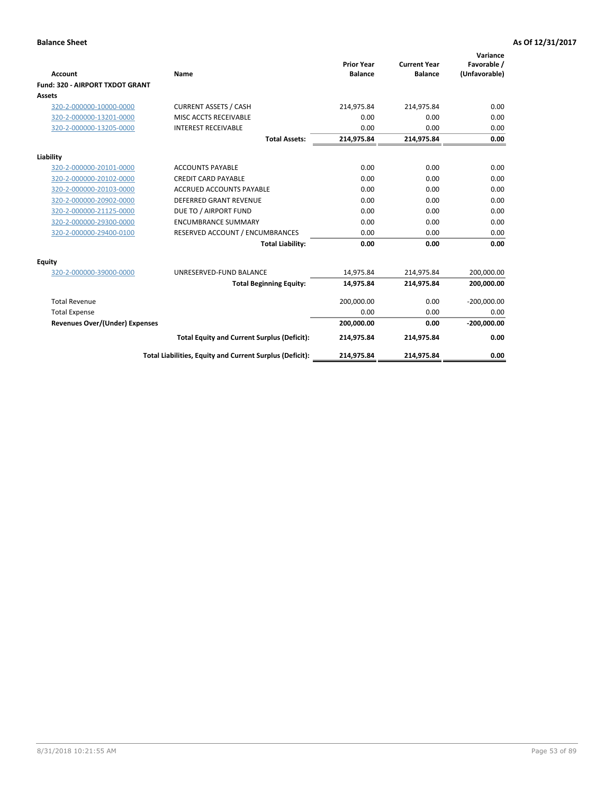|                                        |                                                          | <b>Prior Year</b> | <b>Current Year</b> | Variance<br>Favorable / |
|----------------------------------------|----------------------------------------------------------|-------------------|---------------------|-------------------------|
| <b>Account</b>                         | Name                                                     | <b>Balance</b>    | <b>Balance</b>      | (Unfavorable)           |
| <b>Fund: 320 - AIRPORT TXDOT GRANT</b> |                                                          |                   |                     |                         |
| Assets                                 |                                                          |                   |                     |                         |
| 320-2-000000-10000-0000                | <b>CURRENT ASSETS / CASH</b>                             | 214,975.84        | 214,975.84          | 0.00                    |
| 320-2-000000-13201-0000                | MISC ACCTS RECEIVABLE                                    | 0.00              | 0.00                | 0.00                    |
| 320-2-000000-13205-0000                | <b>INTEREST RECEIVABLE</b>                               | 0.00              | 0.00                | 0.00                    |
|                                        | <b>Total Assets:</b>                                     | 214,975.84        | 214,975.84          | 0.00                    |
| Liability                              |                                                          |                   |                     |                         |
| 320-2-000000-20101-0000                | <b>ACCOUNTS PAYABLE</b>                                  | 0.00              | 0.00                | 0.00                    |
| 320-2-000000-20102-0000                | <b>CREDIT CARD PAYABLE</b>                               | 0.00              | 0.00                | 0.00                    |
| 320-2-000000-20103-0000                | <b>ACCRUED ACCOUNTS PAYABLE</b>                          | 0.00              | 0.00                | 0.00                    |
| 320-2-000000-20902-0000                | <b>DEFERRED GRANT REVENUE</b>                            | 0.00              | 0.00                | 0.00                    |
| 320-2-000000-21125-0000                | DUE TO / AIRPORT FUND                                    | 0.00              | 0.00                | 0.00                    |
| 320-2-000000-29300-0000                | <b>ENCUMBRANCE SUMMARY</b>                               | 0.00              | 0.00                | 0.00                    |
| 320-2-000000-29400-0100                | RESERVED ACCOUNT / ENCUMBRANCES                          | 0.00              | 0.00                | 0.00                    |
|                                        | <b>Total Liability:</b>                                  | 0.00              | 0.00                | 0.00                    |
| Equity                                 |                                                          |                   |                     |                         |
| 320-2-000000-39000-0000                | UNRESERVED-FUND BALANCE                                  | 14,975.84         | 214,975.84          | 200,000.00              |
|                                        | <b>Total Beginning Equity:</b>                           | 14,975.84         | 214,975.84          | 200,000.00              |
| <b>Total Revenue</b>                   |                                                          | 200,000.00        | 0.00                | $-200,000.00$           |
| <b>Total Expense</b>                   |                                                          | 0.00              | 0.00                | 0.00                    |
| Revenues Over/(Under) Expenses         |                                                          | 200,000.00        | 0.00                | $-200,000.00$           |
|                                        | <b>Total Equity and Current Surplus (Deficit):</b>       | 214,975.84        | 214,975.84          | 0.00                    |
|                                        | Total Liabilities, Equity and Current Surplus (Deficit): | 214,975.84        | 214,975.84          | 0.00                    |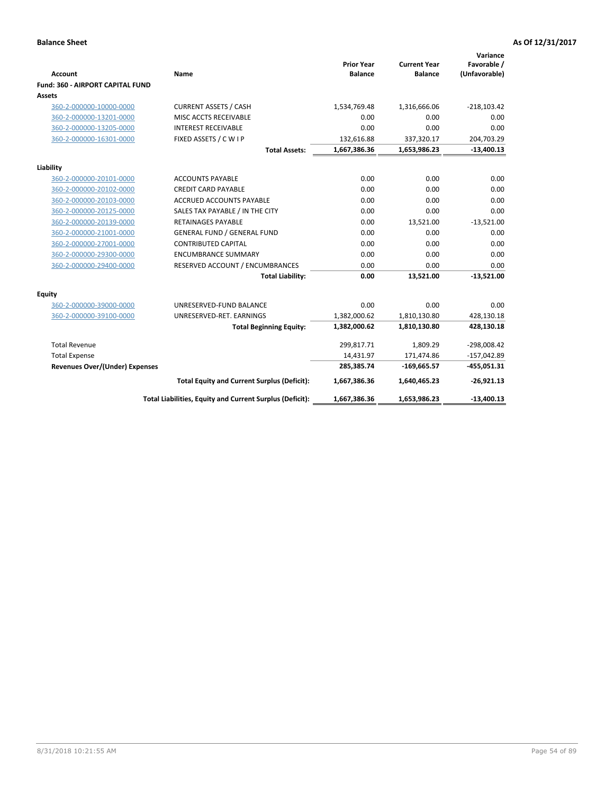|                                         |                                                          |                                     |                                       | Variance                     |
|-----------------------------------------|----------------------------------------------------------|-------------------------------------|---------------------------------------|------------------------------|
| Account                                 | Name                                                     | <b>Prior Year</b><br><b>Balance</b> | <b>Current Year</b><br><b>Balance</b> | Favorable /<br>(Unfavorable) |
| <b>Fund: 360 - AIRPORT CAPITAL FUND</b> |                                                          |                                     |                                       |                              |
| Assets                                  |                                                          |                                     |                                       |                              |
| 360-2-000000-10000-0000                 | <b>CURRENT ASSETS / CASH</b>                             | 1,534,769.48                        | 1,316,666.06                          | $-218,103.42$                |
| 360-2-000000-13201-0000                 | MISC ACCTS RECEIVABLE                                    | 0.00                                | 0.00                                  | 0.00                         |
| 360-2-000000-13205-0000                 | <b>INTEREST RECEIVABLE</b>                               | 0.00                                | 0.00                                  | 0.00                         |
| 360-2-000000-16301-0000                 | FIXED ASSETS / C W I P                                   | 132,616.88                          | 337,320.17                            | 204,703.29                   |
|                                         | <b>Total Assets:</b>                                     | 1,667,386.36                        | 1,653,986.23                          | $-13,400.13$                 |
| Liability                               |                                                          |                                     |                                       |                              |
| 360-2-000000-20101-0000                 | <b>ACCOUNTS PAYABLE</b>                                  | 0.00                                | 0.00                                  | 0.00                         |
| 360-2-000000-20102-0000                 | <b>CREDIT CARD PAYABLE</b>                               | 0.00                                | 0.00                                  | 0.00                         |
| 360-2-000000-20103-0000                 | <b>ACCRUED ACCOUNTS PAYABLE</b>                          | 0.00                                | 0.00                                  | 0.00                         |
| 360-2-000000-20125-0000                 | SALES TAX PAYABLE / IN THE CITY                          | 0.00                                | 0.00                                  | 0.00                         |
| 360-2-000000-20139-0000                 | <b>RETAINAGES PAYABLE</b>                                | 0.00                                | 13,521.00                             | $-13,521.00$                 |
| 360-2-000000-21001-0000                 | <b>GENERAL FUND / GENERAL FUND</b>                       | 0.00                                | 0.00                                  | 0.00                         |
| 360-2-000000-27001-0000                 | <b>CONTRIBUTED CAPITAL</b>                               | 0.00                                | 0.00                                  | 0.00                         |
| 360-2-000000-29300-0000                 | <b>ENCUMBRANCE SUMMARY</b>                               | 0.00                                | 0.00                                  | 0.00                         |
| 360-2-000000-29400-0000                 | RESERVED ACCOUNT / ENCUMBRANCES                          | 0.00                                | 0.00                                  | 0.00                         |
|                                         | <b>Total Liability:</b>                                  | 0.00                                | 13,521.00                             | $-13,521.00$                 |
| Equity                                  |                                                          |                                     |                                       |                              |
| 360-2-000000-39000-0000                 | UNRESERVED-FUND BALANCE                                  | 0.00                                | 0.00                                  | 0.00                         |
| 360-2-000000-39100-0000                 | UNRESERVED-RET. EARNINGS                                 | 1,382,000.62                        | 1,810,130.80                          | 428,130.18                   |
|                                         | <b>Total Beginning Equity:</b>                           | 1,382,000.62                        | 1,810,130.80                          | 428,130.18                   |
| <b>Total Revenue</b>                    |                                                          | 299,817.71                          | 1,809.29                              | $-298,008.42$                |
| <b>Total Expense</b>                    |                                                          | 14,431.97                           | 171,474.86                            | $-157,042.89$                |
| <b>Revenues Over/(Under) Expenses</b>   |                                                          | 285,385.74                          | $-169,665.57$                         | $-455,051.31$                |
|                                         | <b>Total Equity and Current Surplus (Deficit):</b>       | 1,667,386.36                        | 1,640,465.23                          | $-26,921.13$                 |
|                                         | Total Liabilities, Equity and Current Surplus (Deficit): | 1,667,386.36                        | 1,653,986.23                          | $-13,400.13$                 |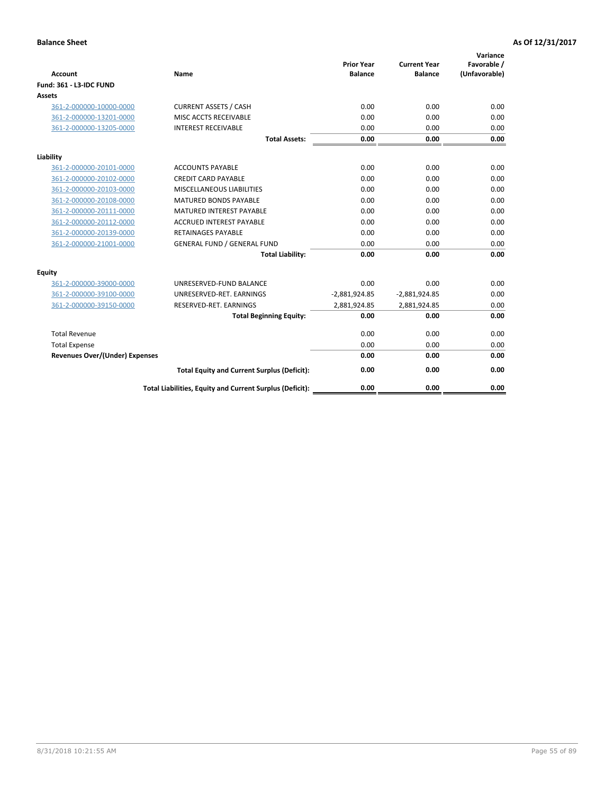|                                       |                                                          | <b>Prior Year</b> | <b>Current Year</b> | Variance<br>Favorable / |
|---------------------------------------|----------------------------------------------------------|-------------------|---------------------|-------------------------|
| <b>Account</b>                        | Name                                                     | <b>Balance</b>    | <b>Balance</b>      | (Unfavorable)           |
| <b>Fund: 361 - L3-IDC FUND</b>        |                                                          |                   |                     |                         |
| Assets                                |                                                          |                   |                     |                         |
| 361-2-000000-10000-0000               | <b>CURRENT ASSETS / CASH</b>                             | 0.00              | 0.00                | 0.00                    |
| 361-2-000000-13201-0000               | MISC ACCTS RECEIVABLE                                    | 0.00              | 0.00                | 0.00                    |
| 361-2-000000-13205-0000               | <b>INTEREST RECEIVABLE</b>                               | 0.00              | 0.00                | 0.00                    |
|                                       | <b>Total Assets:</b>                                     | 0.00              | 0.00                | 0.00                    |
| Liability                             |                                                          |                   |                     |                         |
| 361-2-000000-20101-0000               | <b>ACCOUNTS PAYABLE</b>                                  | 0.00              | 0.00                | 0.00                    |
| 361-2-000000-20102-0000               | <b>CREDIT CARD PAYABLE</b>                               | 0.00              | 0.00                | 0.00                    |
| 361-2-000000-20103-0000               | <b>MISCELLANEOUS LIABILITIES</b>                         | 0.00              | 0.00                | 0.00                    |
| 361-2-000000-20108-0000               | <b>MATURED BONDS PAYABLE</b>                             | 0.00              | 0.00                | 0.00                    |
| 361-2-000000-20111-0000               | <b>MATURED INTEREST PAYABLE</b>                          | 0.00              | 0.00                | 0.00                    |
| 361-2-000000-20112-0000               | <b>ACCRUED INTEREST PAYABLE</b>                          | 0.00              | 0.00                | 0.00                    |
| 361-2-000000-20139-0000               | <b>RETAINAGES PAYABLE</b>                                | 0.00              | 0.00                | 0.00                    |
| 361-2-000000-21001-0000               | <b>GENERAL FUND / GENERAL FUND</b>                       | 0.00              | 0.00                | 0.00                    |
|                                       | <b>Total Liability:</b>                                  | 0.00              | 0.00                | 0.00                    |
| Equity                                |                                                          |                   |                     |                         |
| 361-2-000000-39000-0000               | UNRESERVED-FUND BALANCE                                  | 0.00              | 0.00                | 0.00                    |
| 361-2-000000-39100-0000               | UNRESERVED-RET, EARNINGS                                 | $-2,881,924.85$   | $-2,881,924.85$     | 0.00                    |
| 361-2-000000-39150-0000               | RESERVED-RET. EARNINGS                                   | 2,881,924.85      | 2,881,924.85        | 0.00                    |
|                                       | <b>Total Beginning Equity:</b>                           | 0.00              | 0.00                | 0.00                    |
| <b>Total Revenue</b>                  |                                                          | 0.00              | 0.00                | 0.00                    |
| <b>Total Expense</b>                  |                                                          | 0.00              | 0.00                | 0.00                    |
| <b>Revenues Over/(Under) Expenses</b> |                                                          | 0.00              | 0.00                | 0.00                    |
|                                       | <b>Total Equity and Current Surplus (Deficit):</b>       | 0.00              | 0.00                | 0.00                    |
|                                       | Total Liabilities, Equity and Current Surplus (Deficit): | 0.00              | 0.00                | 0.00                    |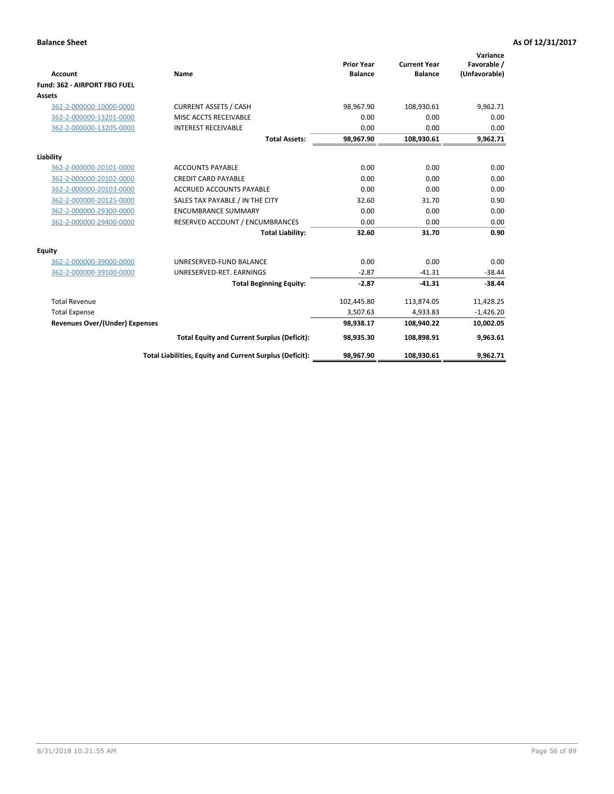|                                       |                                                          |                                     |                                       | Variance                     |
|---------------------------------------|----------------------------------------------------------|-------------------------------------|---------------------------------------|------------------------------|
| Account                               | Name                                                     | <b>Prior Year</b><br><b>Balance</b> | <b>Current Year</b><br><b>Balance</b> | Favorable /<br>(Unfavorable) |
| Fund: 362 - AIRPORT FBO FUEL          |                                                          |                                     |                                       |                              |
| Assets                                |                                                          |                                     |                                       |                              |
| 362-2-000000-10000-0000               | <b>CURRENT ASSETS / CASH</b>                             | 98,967.90                           | 108,930.61                            | 9,962.71                     |
| 362-2-000000-13201-0000               | MISC ACCTS RECEIVABLE                                    | 0.00                                | 0.00                                  | 0.00                         |
| 362-2-000000-13205-0000               | <b>INTEREST RECEIVABLE</b>                               | 0.00                                | 0.00                                  | 0.00                         |
|                                       | <b>Total Assets:</b>                                     | 98,967.90                           | 108,930.61                            | 9,962.71                     |
| Liability                             |                                                          |                                     |                                       |                              |
| 362-2-000000-20101-0000               | <b>ACCOUNTS PAYABLE</b>                                  | 0.00                                | 0.00                                  | 0.00                         |
| 362-2-000000-20102-0000               | <b>CREDIT CARD PAYABLE</b>                               | 0.00                                | 0.00                                  | 0.00                         |
| 362-2-000000-20103-0000               | <b>ACCRUED ACCOUNTS PAYABLE</b>                          | 0.00                                | 0.00                                  | 0.00                         |
| 362-2-000000-20125-0000               | SALES TAX PAYABLE / IN THE CITY                          | 32.60                               | 31.70                                 | 0.90                         |
| 362-2-000000-29300-0000               | <b>ENCUMBRANCE SUMMARY</b>                               | 0.00                                | 0.00                                  | 0.00                         |
| 362-2-000000-29400-0000               | RESERVED ACCOUNT / ENCUMBRANCES                          | 0.00                                | 0.00                                  | 0.00                         |
|                                       | <b>Total Liability:</b>                                  | 32.60                               | 31.70                                 | 0.90                         |
| <b>Equity</b>                         |                                                          |                                     |                                       |                              |
| 362-2-000000-39000-0000               | UNRESERVED-FUND BALANCE                                  | 0.00                                | 0.00                                  | 0.00                         |
| 362-2-000000-39100-0000               | UNRESERVED-RET. EARNINGS                                 | $-2.87$                             | $-41.31$                              | $-38.44$                     |
|                                       | <b>Total Beginning Equity:</b>                           | $-2.87$                             | $-41.31$                              | $-38.44$                     |
| <b>Total Revenue</b>                  |                                                          | 102,445.80                          | 113,874.05                            | 11,428.25                    |
| <b>Total Expense</b>                  |                                                          | 3,507.63                            | 4,933.83                              | $-1,426.20$                  |
| <b>Revenues Over/(Under) Expenses</b> |                                                          | 98,938.17                           | 108,940.22                            | 10,002.05                    |
|                                       | <b>Total Equity and Current Surplus (Deficit):</b>       | 98,935.30                           | 108,898.91                            | 9,963.61                     |
|                                       | Total Liabilities, Equity and Current Surplus (Deficit): | 98,967.90                           | 108,930.61                            | 9,962.71                     |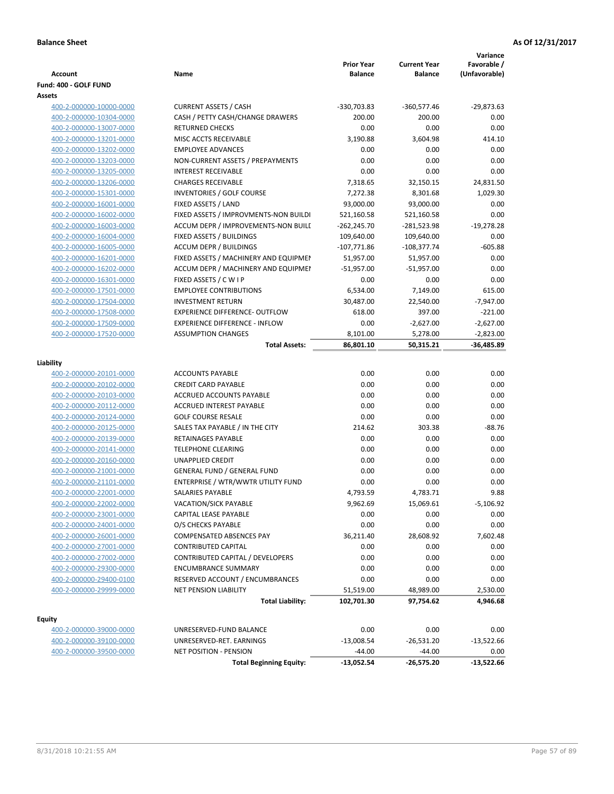| Account                                            | Name                                                          | <b>Prior Year</b><br><b>Balance</b> | <b>Current Year</b><br><b>Balance</b> | Variance<br>Favorable /<br>(Unfavorable) |
|----------------------------------------------------|---------------------------------------------------------------|-------------------------------------|---------------------------------------|------------------------------------------|
| Fund: 400 - GOLF FUND<br>Assets                    |                                                               |                                     |                                       |                                          |
| 400-2-000000-10000-0000                            | <b>CURRENT ASSETS / CASH</b>                                  | -330,703.83                         | $-360,577.46$                         | $-29,873.63$                             |
| 400-2-000000-10304-0000                            | CASH / PETTY CASH/CHANGE DRAWERS                              | 200.00                              | 200.00                                | 0.00                                     |
| 400-2-000000-13007-0000                            | <b>RETURNED CHECKS</b>                                        | 0.00                                | 0.00                                  | 0.00                                     |
| 400-2-000000-13201-0000                            | MISC ACCTS RECEIVABLE                                         | 3,190.88                            | 3,604.98                              | 414.10                                   |
| 400-2-000000-13202-0000                            | <b>EMPLOYEE ADVANCES</b>                                      | 0.00                                | 0.00                                  | 0.00                                     |
| 400-2-000000-13203-0000                            | NON-CURRENT ASSETS / PREPAYMENTS                              | 0.00                                | 0.00                                  | 0.00                                     |
| 400-2-000000-13205-0000                            | <b>INTEREST RECEIVABLE</b>                                    | 0.00                                | 0.00                                  | 0.00                                     |
| 400-2-000000-13206-0000                            | <b>CHARGES RECEIVABLE</b>                                     | 7,318.65                            | 32,150.15                             | 24,831.50                                |
| 400-2-000000-15301-0000                            | INVENTORIES / GOLF COURSE                                     | 7,272.38                            | 8,301.68                              | 1,029.30                                 |
| 400-2-000000-16001-0000                            | FIXED ASSETS / LAND                                           | 93,000.00                           | 93,000.00                             | 0.00                                     |
| 400-2-000000-16002-0000                            | FIXED ASSETS / IMPROVMENTS-NON BUILDI                         | 521,160.58                          | 521,160.58                            | 0.00                                     |
| 400-2-000000-16003-0000                            | ACCUM DEPR / IMPROVEMENTS-NON BUILI                           | $-262,245.70$                       | -281,523.98                           | $-19,278.28$                             |
| 400-2-000000-16004-0000                            | FIXED ASSETS / BUILDINGS                                      | 109,640.00                          | 109,640.00                            | 0.00                                     |
| 400-2-000000-16005-0000                            | <b>ACCUM DEPR / BUILDINGS</b>                                 | $-107,771.86$                       | $-108,377.74$                         | $-605.88$                                |
| 400-2-000000-16201-0000                            | FIXED ASSETS / MACHINERY AND EQUIPMEN                         | 51,957.00                           | 51,957.00                             | 0.00                                     |
| 400-2-000000-16202-0000                            | ACCUM DEPR / MACHINERY AND EQUIPMEI                           | $-51,957.00$                        | $-51,957.00$                          | 0.00                                     |
| 400-2-000000-16301-0000                            | FIXED ASSETS / C W I P                                        | 0.00                                | 0.00                                  | 0.00                                     |
| 400-2-000000-17501-0000                            | <b>EMPLOYEE CONTRIBUTIONS</b>                                 | 6,534.00                            | 7,149.00                              | 615.00                                   |
| 400-2-000000-17504-0000                            | <b>INVESTMENT RETURN</b>                                      | 30,487.00                           | 22,540.00                             | $-7,947.00$                              |
| 400-2-000000-17508-0000                            | <b>EXPERIENCE DIFFERENCE- OUTFLOW</b>                         | 618.00                              | 397.00                                | $-221.00$                                |
| 400-2-000000-17509-0000                            | <b>EXPERIENCE DIFFERENCE - INFLOW</b>                         | 0.00                                | $-2,627.00$                           | $-2,627.00$                              |
| 400-2-000000-17520-0000                            | <b>ASSUMPTION CHANGES</b>                                     | 8,101.00                            | 5,278.00                              | $-2,823.00$                              |
|                                                    | <b>Total Assets:</b>                                          | 86,801.10                           | 50,315.21                             | $-36,485.89$                             |
|                                                    |                                                               |                                     |                                       |                                          |
| Liability                                          |                                                               |                                     |                                       |                                          |
| 400-2-000000-20101-0000                            | <b>ACCOUNTS PAYABLE</b>                                       | 0.00                                | 0.00                                  | 0.00                                     |
| 400-2-000000-20102-0000                            | <b>CREDIT CARD PAYABLE</b>                                    | 0.00                                | 0.00                                  | 0.00                                     |
| 400-2-000000-20103-0000                            | ACCRUED ACCOUNTS PAYABLE                                      | 0.00                                | 0.00                                  | 0.00                                     |
| 400-2-000000-20112-0000                            | <b>ACCRUED INTEREST PAYABLE</b>                               | 0.00                                | 0.00                                  | 0.00                                     |
| 400-2-000000-20124-0000                            | <b>GOLF COURSE RESALE</b>                                     | 0.00                                | 0.00                                  | 0.00                                     |
| 400-2-000000-20125-0000                            | SALES TAX PAYABLE / IN THE CITY                               | 214.62                              | 303.38                                | $-88.76$                                 |
| 400-2-000000-20139-0000                            | RETAINAGES PAYABLE                                            | 0.00                                | 0.00                                  | 0.00                                     |
| 400-2-000000-20141-0000                            | <b>TELEPHONE CLEARING</b>                                     | 0.00                                | 0.00                                  | 0.00                                     |
| 400-2-000000-20160-0000                            | <b>UNAPPLIED CREDIT</b>                                       | 0.00                                | 0.00                                  | 0.00                                     |
| 400-2-000000-21001-0000                            | <b>GENERAL FUND / GENERAL FUND</b>                            | 0.00                                | 0.00                                  | 0.00                                     |
| 400-2-000000-21101-0000                            | ENTERPRISE / WTR/WWTR UTILITY FUND<br><b>SALARIES PAYABLE</b> | 0.00                                | 0.00                                  | 0.00<br>9.88                             |
| 400-2-000000-22001-0000<br>400-2-000000-22002-0000 |                                                               | 4,793.59                            | 4,783.71                              |                                          |
| 400-2-000000-23001-0000                            | VACATION/SICK PAYABLE<br>CAPITAL LEASE PAYABLE                | 9,962.69                            | 15,069.61                             | -5,106.92                                |
|                                                    |                                                               | 0.00                                | 0.00                                  | 0.00<br>0.00                             |
| 400-2-000000-24001-0000                            | O/S CHECKS PAYABLE<br><b>COMPENSATED ABSENCES PAY</b>         | 0.00                                | 0.00<br>28,608.92                     |                                          |
| 400-2-000000-26001-0000<br>400-2-000000-27001-0000 | <b>CONTRIBUTED CAPITAL</b>                                    | 36,211.40<br>0.00                   | 0.00                                  | 7,602.48<br>0.00                         |
| 400-2-000000-27002-0000                            | CONTRIBUTED CAPITAL / DEVELOPERS                              | 0.00                                | 0.00                                  | 0.00                                     |
| 400-2-000000-29300-0000                            | <b>ENCUMBRANCE SUMMARY</b>                                    | 0.00                                | 0.00                                  | 0.00                                     |
|                                                    | RESERVED ACCOUNT / ENCUMBRANCES                               | 0.00                                | 0.00                                  | 0.00                                     |
| 400-2-000000-29400-0100<br>400-2-000000-29999-0000 | <b>NET PENSION LIABILITY</b>                                  | 51,519.00                           | 48,989.00                             | 2,530.00                                 |
|                                                    | <b>Total Liability:</b>                                       | 102,701.30                          | 97,754.62                             | 4,946.68                                 |
|                                                    |                                                               |                                     |                                       |                                          |
| <b>Equity</b>                                      |                                                               |                                     |                                       |                                          |
| 400-2-000000-39000-0000                            | UNRESERVED-FUND BALANCE                                       | 0.00                                | 0.00                                  | 0.00                                     |
| 400-2-000000-39100-0000                            | UNRESERVED-RET. EARNINGS                                      | $-13,008.54$                        | $-26,531.20$                          | $-13,522.66$                             |
| 400-2-000000-39500-0000                            | NET POSITION - PENSION                                        | $-44.00$                            | $-44.00$                              | 0.00                                     |
|                                                    | <b>Total Beginning Equity:</b>                                | -13,052.54                          | -26,575.20                            | $-13,522.66$                             |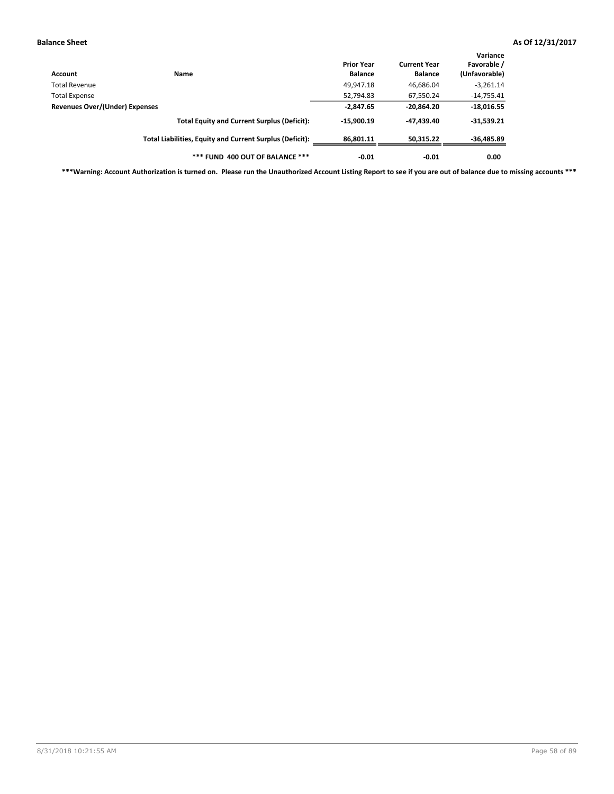| Account                        | Name                                                     | <b>Prior Year</b><br><b>Balance</b> | <b>Current Year</b><br><b>Balance</b> | Variance<br>Favorable /<br>(Unfavorable) |
|--------------------------------|----------------------------------------------------------|-------------------------------------|---------------------------------------|------------------------------------------|
| Total Revenue                  |                                                          | 49,947.18                           | 46,686.04                             | $-3,261.14$                              |
| <b>Total Expense</b>           |                                                          | 52,794.83                           | 67,550.24                             | $-14,755.41$                             |
| Revenues Over/(Under) Expenses | $-2,847.65$                                              | $-20,864.20$                        | $-18,016.55$                          |                                          |
|                                | <b>Total Equity and Current Surplus (Deficit):</b>       | $-15,900.19$                        | -47.439.40                            | $-31,539.21$                             |
|                                | Total Liabilities, Equity and Current Surplus (Deficit): | 86,801.11                           | 50.315.22                             | $-36,485.89$                             |
|                                | *** FUND 400 OUT OF BALANCE ***                          | $-0.01$                             | $-0.01$                               | 0.00                                     |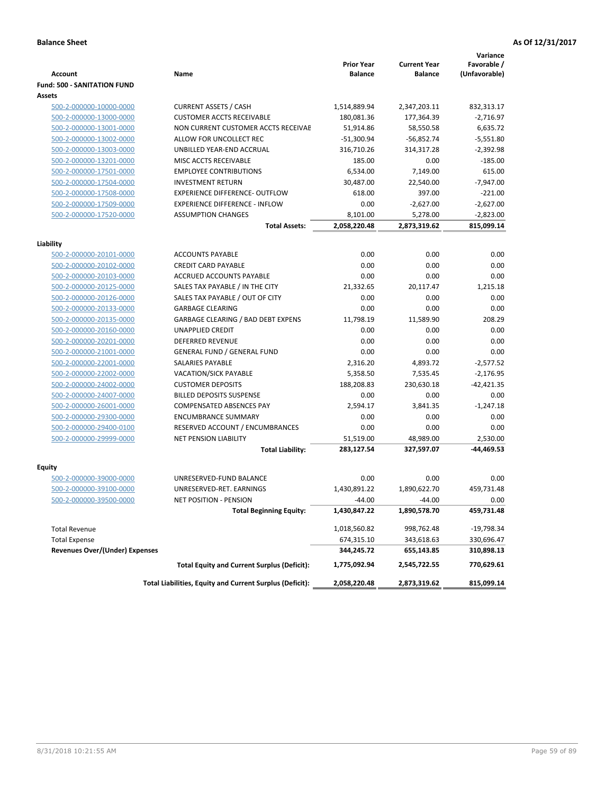|                                       |                                                          |                                     |                                       | Variance                     |
|---------------------------------------|----------------------------------------------------------|-------------------------------------|---------------------------------------|------------------------------|
| Account                               | Name                                                     | <b>Prior Year</b><br><b>Balance</b> | <b>Current Year</b><br><b>Balance</b> | Favorable /<br>(Unfavorable) |
| <b>Fund: 500 - SANITATION FUND</b>    |                                                          |                                     |                                       |                              |
| Assets                                |                                                          |                                     |                                       |                              |
| 500-2-000000-10000-0000               | <b>CURRENT ASSETS / CASH</b>                             | 1,514,889.94                        | 2,347,203.11                          | 832,313.17                   |
| 500-2-000000-13000-0000               | <b>CUSTOMER ACCTS RECEIVABLE</b>                         | 180,081.36                          | 177,364.39                            | -2,716.97                    |
| 500-2-000000-13001-0000               | NON CURRENT CUSTOMER ACCTS RECEIVAE                      | 51,914.86                           | 58,550.58                             | 6,635.72                     |
| 500-2-000000-13002-0000               | ALLOW FOR UNCOLLECT REC                                  | $-51,300.94$                        | $-56,852.74$                          | $-5,551.80$                  |
| 500-2-000000-13003-0000               | UNBILLED YEAR-END ACCRUAL                                | 316,710.26                          | 314,317.28                            | $-2,392.98$                  |
| 500-2-000000-13201-0000               | MISC ACCTS RECEIVABLE                                    | 185.00                              | 0.00                                  | $-185.00$                    |
| 500-2-000000-17501-0000               | <b>EMPLOYEE CONTRIBUTIONS</b>                            | 6,534.00                            | 7,149.00                              | 615.00                       |
| 500-2-000000-17504-0000               | <b>INVESTMENT RETURN</b>                                 | 30,487.00                           | 22,540.00                             | $-7.947.00$                  |
| 500-2-000000-17508-0000               | <b>EXPERIENCE DIFFERENCE- OUTFLOW</b>                    | 618.00                              | 397.00                                | $-221.00$                    |
| 500-2-000000-17509-0000               | <b>EXPERIENCE DIFFERENCE - INFLOW</b>                    | 0.00                                | $-2,627.00$                           | $-2,627.00$                  |
| 500-2-000000-17520-0000               | <b>ASSUMPTION CHANGES</b>                                | 8,101.00                            | 5,278.00                              | $-2,823.00$                  |
|                                       | <b>Total Assets:</b>                                     | 2,058,220.48                        | 2,873,319.62                          | 815,099.14                   |
|                                       |                                                          |                                     |                                       |                              |
| Liability                             |                                                          |                                     |                                       |                              |
| 500-2-000000-20101-0000               | <b>ACCOUNTS PAYABLE</b>                                  | 0.00                                | 0.00                                  | 0.00                         |
| 500-2-000000-20102-0000               | <b>CREDIT CARD PAYABLE</b>                               | 0.00                                | 0.00                                  | 0.00                         |
| 500-2-000000-20103-0000               | ACCRUED ACCOUNTS PAYABLE                                 | 0.00                                | 0.00                                  | 0.00                         |
| 500-2-000000-20125-0000               | SALES TAX PAYABLE / IN THE CITY                          | 21.332.65                           | 20,117.47                             | 1.215.18                     |
| 500-2-000000-20126-0000               | SALES TAX PAYABLE / OUT OF CITY                          | 0.00                                | 0.00                                  | 0.00                         |
| 500-2-000000-20133-0000               | <b>GARBAGE CLEARING</b>                                  | 0.00                                | 0.00                                  | 0.00                         |
| 500-2-000000-20135-0000               | <b>GARBAGE CLEARING / BAD DEBT EXPENS</b>                | 11.798.19                           | 11,589.90                             | 208.29                       |
| 500-2-000000-20160-0000               | <b>UNAPPLIED CREDIT</b>                                  | 0.00                                | 0.00                                  | 0.00                         |
| 500-2-000000-20201-0000               | <b>DEFERRED REVENUE</b>                                  | 0.00                                | 0.00                                  | 0.00                         |
| 500-2-000000-21001-0000               | <b>GENERAL FUND / GENERAL FUND</b>                       | 0.00                                | 0.00                                  | 0.00                         |
| 500-2-000000-22001-0000               | <b>SALARIES PAYABLE</b>                                  | 2,316.20                            | 4,893.72                              | $-2,577.52$                  |
| 500-2-000000-22002-0000               | <b>VACATION/SICK PAYABLE</b>                             | 5,358.50                            | 7,535.45                              | $-2,176.95$                  |
| 500-2-000000-24002-0000               | <b>CUSTOMER DEPOSITS</b>                                 | 188,208.83                          | 230,630.18                            | $-42,421.35$                 |
| 500-2-000000-24007-0000               | <b>BILLED DEPOSITS SUSPENSE</b>                          | 0.00                                | 0.00                                  | 0.00                         |
| 500-2-000000-26001-0000               | <b>COMPENSATED ABSENCES PAY</b>                          | 2,594.17                            | 3,841.35                              | $-1,247.18$                  |
| 500-2-000000-29300-0000               | <b>ENCUMBRANCE SUMMARY</b>                               | 0.00                                | 0.00                                  | 0.00                         |
| 500-2-000000-29400-0100               | RESERVED ACCOUNT / ENCUMBRANCES                          | 0.00                                | 0.00                                  | 0.00                         |
| 500-2-000000-29999-0000               | NET PENSION LIABILITY                                    | 51,519.00                           | 48,989.00                             | 2,530.00                     |
|                                       | <b>Total Liability:</b>                                  | 283,127.54                          | 327,597.07                            | -44,469.53                   |
| Equity                                |                                                          |                                     |                                       |                              |
| 500-2-000000-39000-0000               | UNRESERVED-FUND BALANCE                                  | 0.00                                | 0.00                                  | 0.00                         |
| 500-2-000000-39100-0000               | UNRESERVED-RET. EARNINGS                                 | 1,430,891.22                        | 1,890,622.70                          | 459,731.48                   |
| <u>500-2-000000-39500-0000</u>        | NET POSITION - PENSION                                   | $-44.00$                            | $-44.00$                              | 0.00                         |
|                                       | <b>Total Beginning Equity:</b>                           | 1,430,847.22                        | 1,890,578.70                          | 459,731.48                   |
|                                       |                                                          |                                     |                                       |                              |
| <b>Total Revenue</b>                  |                                                          | 1,018,560.82                        | 998,762.48                            | $-19,798.34$                 |
| <b>Total Expense</b>                  |                                                          | 674,315.10                          | 343,618.63                            | 330,696.47                   |
| <b>Revenues Over/(Under) Expenses</b> |                                                          | 344,245.72                          | 655,143.85                            | 310,898.13                   |
|                                       | <b>Total Equity and Current Surplus (Deficit):</b>       | 1,775,092.94                        | 2,545,722.55                          | 770,629.61                   |
|                                       | Total Liabilities, Equity and Current Surplus (Deficit): | 2,058,220.48                        | 2,873,319.62                          | 815,099.14                   |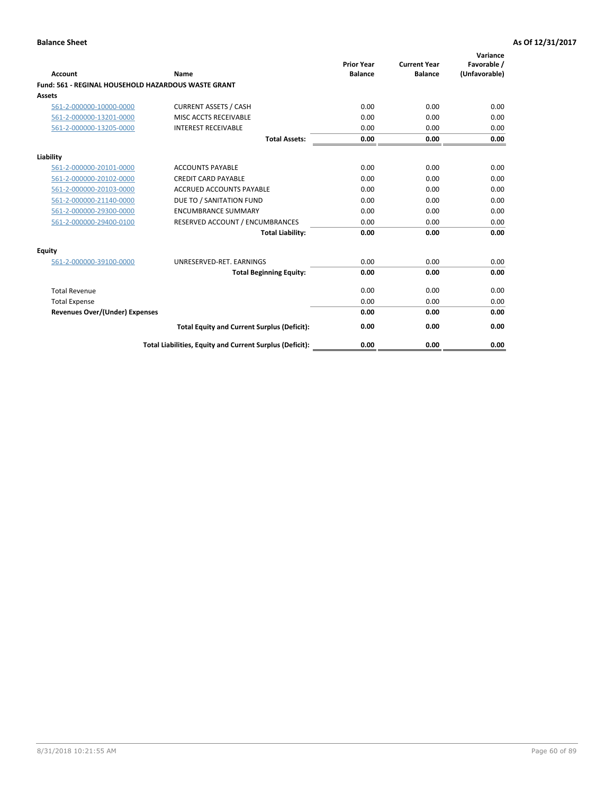| <b>Account</b>                                      | Name                                                     | <b>Prior Year</b><br><b>Balance</b> | <b>Current Year</b><br><b>Balance</b> | Variance<br>Favorable /<br>(Unfavorable) |
|-----------------------------------------------------|----------------------------------------------------------|-------------------------------------|---------------------------------------|------------------------------------------|
| Fund: 561 - REGINAL HOUSEHOLD HAZARDOUS WASTE GRANT |                                                          |                                     |                                       |                                          |
| Assets                                              |                                                          |                                     |                                       |                                          |
| 561-2-000000-10000-0000                             | <b>CURRENT ASSETS / CASH</b>                             | 0.00                                | 0.00                                  | 0.00                                     |
| 561-2-000000-13201-0000                             | MISC ACCTS RECEIVABLE                                    | 0.00                                | 0.00                                  | 0.00                                     |
| 561-2-000000-13205-0000                             | <b>INTEREST RECEIVABLE</b>                               | 0.00                                | 0.00                                  | 0.00                                     |
|                                                     | <b>Total Assets:</b>                                     | 0.00                                | 0.00                                  | 0.00                                     |
| Liability                                           |                                                          |                                     |                                       |                                          |
| 561-2-000000-20101-0000                             | <b>ACCOUNTS PAYABLE</b>                                  | 0.00                                | 0.00                                  | 0.00                                     |
| 561-2-000000-20102-0000                             | <b>CREDIT CARD PAYABLE</b>                               | 0.00                                | 0.00                                  | 0.00                                     |
| 561-2-000000-20103-0000                             | <b>ACCRUED ACCOUNTS PAYABLE</b>                          | 0.00                                | 0.00                                  | 0.00                                     |
| 561-2-000000-21140-0000                             | DUE TO / SANITATION FUND                                 | 0.00                                | 0.00                                  | 0.00                                     |
| 561-2-000000-29300-0000                             | <b>ENCUMBRANCE SUMMARY</b>                               | 0.00                                | 0.00                                  | 0.00                                     |
| 561-2-000000-29400-0100                             | RESERVED ACCOUNT / ENCUMBRANCES                          | 0.00                                | 0.00                                  | 0.00                                     |
|                                                     | <b>Total Liability:</b>                                  | 0.00                                | 0.00                                  | 0.00                                     |
| <b>Equity</b>                                       |                                                          |                                     |                                       |                                          |
| 561-2-000000-39100-0000                             | UNRESERVED-RET. EARNINGS                                 | 0.00                                | 0.00                                  | 0.00                                     |
|                                                     | <b>Total Beginning Equity:</b>                           | 0.00                                | 0.00                                  | 0.00                                     |
| <b>Total Revenue</b>                                |                                                          | 0.00                                | 0.00                                  | 0.00                                     |
| <b>Total Expense</b>                                |                                                          | 0.00                                | 0.00                                  | 0.00                                     |
| <b>Revenues Over/(Under) Expenses</b>               |                                                          | 0.00                                | 0.00                                  | 0.00                                     |
|                                                     | <b>Total Equity and Current Surplus (Deficit):</b>       | 0.00                                | 0.00                                  | 0.00                                     |
|                                                     | Total Liabilities, Equity and Current Surplus (Deficit): | 0.00                                | 0.00                                  | 0.00                                     |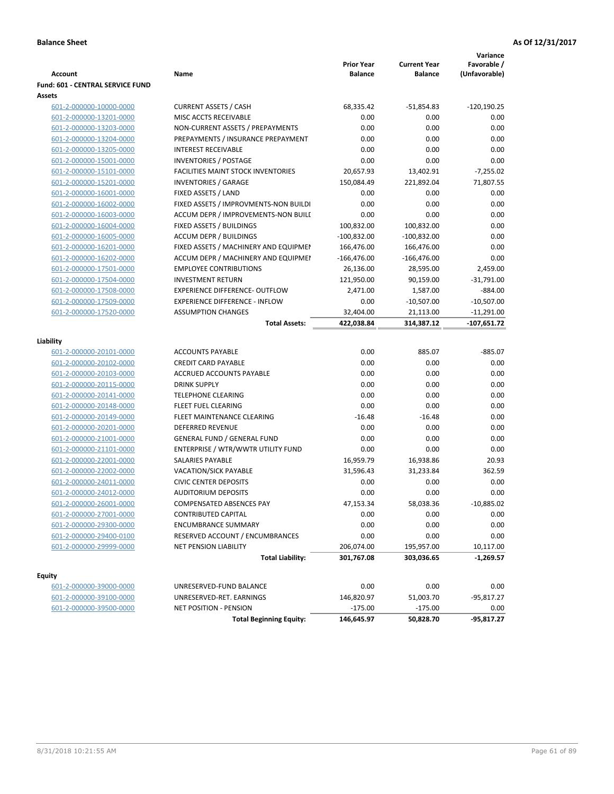| <b>Account</b>                                     | Name                                                     | <b>Prior Year</b><br><b>Balance</b> | <b>Current Year</b><br><b>Balance</b> | Variance<br>Favorable /<br>(Unfavorable) |
|----------------------------------------------------|----------------------------------------------------------|-------------------------------------|---------------------------------------|------------------------------------------|
| <b>Fund: 601 - CENTRAL SERVICE FUND</b>            |                                                          |                                     |                                       |                                          |
| Assets                                             |                                                          |                                     |                                       |                                          |
| 601-2-000000-10000-0000                            | <b>CURRENT ASSETS / CASH</b>                             | 68,335.42                           | $-51,854.83$                          | $-120,190.25$                            |
| 601-2-000000-13201-0000                            | MISC ACCTS RECEIVABLE                                    | 0.00                                | 0.00                                  | 0.00                                     |
| 601-2-000000-13203-0000                            | NON-CURRENT ASSETS / PREPAYMENTS                         | 0.00                                | 0.00                                  | 0.00                                     |
| 601-2-000000-13204-0000                            | PREPAYMENTS / INSURANCE PREPAYMENT                       | 0.00                                | 0.00                                  | 0.00                                     |
| 601-2-000000-13205-0000                            | <b>INTEREST RECEIVABLE</b>                               | 0.00                                | 0.00                                  | 0.00                                     |
| 601-2-000000-15001-0000                            | <b>INVENTORIES / POSTAGE</b>                             | 0.00                                | 0.00                                  | 0.00                                     |
| 601-2-000000-15101-0000                            | <b>FACILITIES MAINT STOCK INVENTORIES</b>                | 20,657.93                           | 13,402.91                             | $-7,255.02$                              |
| 601-2-000000-15201-0000                            | <b>INVENTORIES / GARAGE</b>                              | 150,084.49                          | 221,892.04                            | 71,807.55                                |
| 601-2-000000-16001-0000                            | FIXED ASSETS / LAND                                      | 0.00                                | 0.00                                  | 0.00                                     |
| 601-2-000000-16002-0000                            | FIXED ASSETS / IMPROVMENTS-NON BUILDI                    | 0.00                                | 0.00                                  | 0.00                                     |
| 601-2-000000-16003-0000                            | ACCUM DEPR / IMPROVEMENTS-NON BUILI                      | 0.00                                | 0.00                                  | 0.00                                     |
| 601-2-000000-16004-0000                            | FIXED ASSETS / BUILDINGS                                 | 100,832.00                          | 100,832.00                            | 0.00                                     |
| 601-2-000000-16005-0000                            | <b>ACCUM DEPR / BUILDINGS</b>                            | $-100,832.00$                       | $-100,832.00$                         | 0.00                                     |
| 601-2-000000-16201-0000                            | FIXED ASSETS / MACHINERY AND EQUIPMEN                    | 166,476.00                          | 166,476.00                            | 0.00                                     |
| 601-2-000000-16202-0000                            | ACCUM DEPR / MACHINERY AND EQUIPMEI                      | $-166,476.00$                       | $-166,476.00$                         | 0.00                                     |
| 601-2-000000-17501-0000                            | <b>EMPLOYEE CONTRIBUTIONS</b>                            | 26,136.00                           | 28,595.00                             | 2,459.00                                 |
| 601-2-000000-17504-0000                            | <b>INVESTMENT RETURN</b>                                 | 121,950.00                          | 90,159.00                             | $-31,791.00$                             |
| 601-2-000000-17508-0000                            | <b>EXPERIENCE DIFFERENCE- OUTFLOW</b>                    | 2,471.00                            | 1,587.00                              | $-884.00$                                |
| 601-2-000000-17509-0000                            | <b>EXPERIENCE DIFFERENCE - INFLOW</b>                    | 0.00                                | $-10,507.00$                          | $-10,507.00$                             |
| 601-2-000000-17520-0000                            | <b>ASSUMPTION CHANGES</b>                                | 32,404.00                           | 21,113.00                             | $-11,291.00$                             |
|                                                    | <b>Total Assets:</b>                                     | 422,038.84                          | 314,387.12                            | $-107,651.72$                            |
|                                                    |                                                          |                                     |                                       |                                          |
| Liability                                          |                                                          |                                     |                                       |                                          |
| 601-2-000000-20101-0000                            | <b>ACCOUNTS PAYABLE</b>                                  | 0.00                                | 885.07                                | $-885.07$                                |
| 601-2-000000-20102-0000                            | <b>CREDIT CARD PAYABLE</b>                               | 0.00                                | 0.00                                  | 0.00                                     |
| 601-2-000000-20103-0000                            | ACCRUED ACCOUNTS PAYABLE                                 | 0.00                                | 0.00                                  | 0.00                                     |
| 601-2-000000-20115-0000                            | <b>DRINK SUPPLY</b>                                      | 0.00                                | 0.00                                  | 0.00                                     |
| 601-2-000000-20141-0000                            | <b>TELEPHONE CLEARING</b>                                | 0.00                                | 0.00                                  | 0.00                                     |
| 601-2-000000-20148-0000                            | <b>FLEET FUEL CLEARING</b>                               | 0.00                                | 0.00                                  | 0.00                                     |
| 601-2-000000-20149-0000                            | FLEET MAINTENANCE CLEARING                               | $-16.48$                            | $-16.48$                              | 0.00                                     |
| 601-2-000000-20201-0000                            | <b>DEFERRED REVENUE</b>                                  | 0.00                                | 0.00                                  | 0.00                                     |
| 601-2-000000-21001-0000                            | <b>GENERAL FUND / GENERAL FUND</b>                       | 0.00                                | 0.00                                  | 0.00                                     |
| 601-2-000000-21101-0000                            | ENTERPRISE / WTR/WWTR UTILITY FUND                       | 0.00                                | 0.00                                  | 0.00                                     |
| 601-2-000000-22001-0000                            | SALARIES PAYABLE                                         | 16,959.79                           | 16,938.86                             | 20.93                                    |
| 601-2-000000-22002-0000                            | <b>VACATION/SICK PAYABLE</b>                             | 31,596.43                           | 31,233.84                             | 362.59                                   |
| 601-2-000000-24011-0000                            | <b>CIVIC CENTER DEPOSITS</b>                             | 0.00                                | 0.00                                  | 0.00                                     |
| 601-2-000000-24012-0000                            | <b>AUDITORIUM DEPOSITS</b>                               | 0.00                                | 0.00                                  | 0.00                                     |
| 601-2-000000-26001-0000                            | COMPENSATED ABSENCES PAY                                 | 47,153.34                           | 58,038.36                             | $-10,885.02$                             |
| 601-2-000000-27001-0000                            | <b>CONTRIBUTED CAPITAL</b>                               | 0.00                                | 0.00                                  | 0.00                                     |
| 601-2-000000-29300-0000                            | <b>ENCUMBRANCE SUMMARY</b>                               | 0.00                                | 0.00                                  | 0.00                                     |
| 601-2-000000-29400-0100                            | RESERVED ACCOUNT / ENCUMBRANCES                          | 0.00                                | 0.00                                  | 0.00                                     |
| 601-2-000000-29999-0000                            | NET PENSION LIABILITY                                    | 206,074.00                          | 195,957.00                            | 10,117.00                                |
|                                                    | <b>Total Liability:</b>                                  | 301,767.08                          | 303,036.65                            | $-1,269.57$                              |
|                                                    |                                                          |                                     |                                       |                                          |
| <b>Equity</b>                                      | UNRESERVED-FUND BALANCE                                  | 0.00                                | 0.00                                  | 0.00                                     |
| 601-2-000000-39000-0000<br>601-2-000000-39100-0000 |                                                          |                                     | 51,003.70                             |                                          |
|                                                    | UNRESERVED-RET. EARNINGS                                 | 146,820.97                          |                                       | -95,817.27                               |
| 601-2-000000-39500-0000                            | NET POSITION - PENSION<br><b>Total Beginning Equity:</b> | $-175.00$<br>146,645.97             | $-175.00$<br>50,828.70                | 0.00<br>$-95,817.27$                     |
|                                                    |                                                          |                                     |                                       |                                          |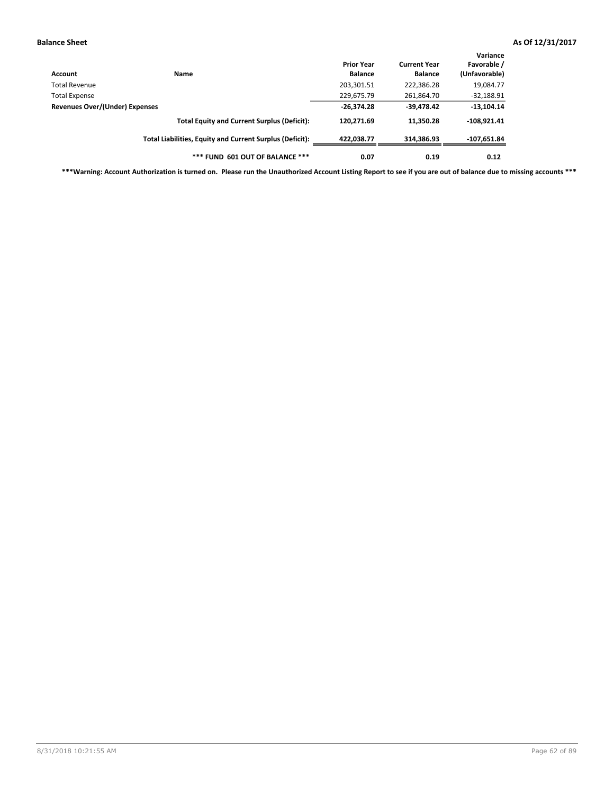| Account                        | Name                                                     | <b>Prior Year</b><br><b>Balance</b> | <b>Current Year</b><br><b>Balance</b> | Variance<br>Favorable /<br>(Unfavorable) |
|--------------------------------|----------------------------------------------------------|-------------------------------------|---------------------------------------|------------------------------------------|
| Total Revenue                  |                                                          | 203,301.51                          | 222,386.28                            | 19,084.77                                |
| Total Expense                  |                                                          | 229,675.79                          | 261,864.70                            | $-32,188.91$                             |
| Revenues Over/(Under) Expenses | $-26,374.28$                                             | $-39,478.42$                        | $-13,104.14$                          |                                          |
|                                | <b>Total Equity and Current Surplus (Deficit):</b>       | 120,271.69                          | 11,350.28                             | $-108,921.41$                            |
|                                | Total Liabilities, Equity and Current Surplus (Deficit): | 422.038.77                          | 314,386.93                            | -107,651.84                              |
|                                | *** FUND 601 OUT OF BALANCE ***                          | 0.07                                | 0.19                                  | 0.12                                     |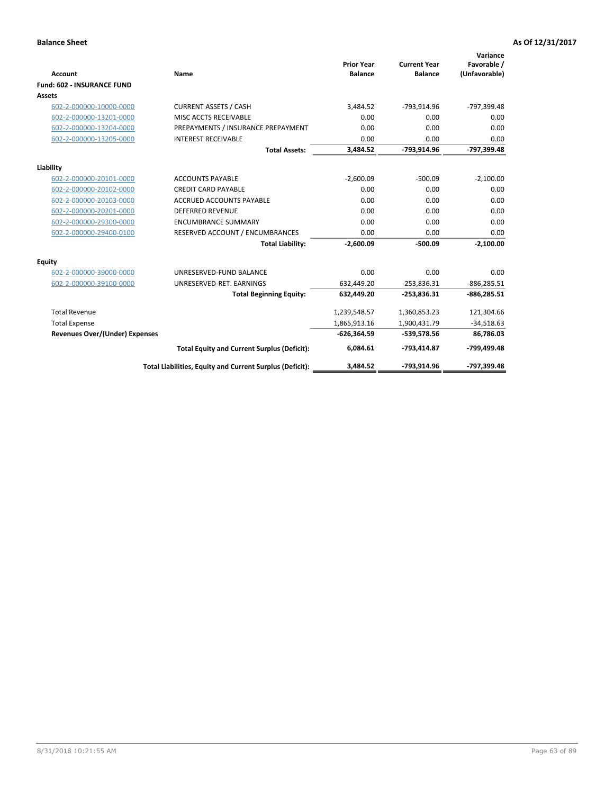| <b>Account</b>                        | Name                                                     | <b>Prior Year</b><br><b>Balance</b> | <b>Current Year</b><br><b>Balance</b> | Variance<br>Favorable /<br>(Unfavorable) |
|---------------------------------------|----------------------------------------------------------|-------------------------------------|---------------------------------------|------------------------------------------|
| <b>Fund: 602 - INSURANCE FUND</b>     |                                                          |                                     |                                       |                                          |
| <b>Assets</b>                         |                                                          |                                     |                                       |                                          |
| 602-2-000000-10000-0000               | <b>CURRENT ASSETS / CASH</b>                             | 3,484.52                            | -793,914.96                           | -797,399.48                              |
| 602-2-000000-13201-0000               | MISC ACCTS RECEIVABLE                                    | 0.00                                | 0.00                                  | 0.00                                     |
| 602-2-000000-13204-0000               | PREPAYMENTS / INSURANCE PREPAYMENT                       | 0.00                                | 0.00                                  | 0.00                                     |
| 602-2-000000-13205-0000               | <b>INTEREST RECEIVABLE</b>                               | 0.00                                | 0.00                                  | 0.00                                     |
|                                       | <b>Total Assets:</b>                                     | 3,484.52                            | -793,914.96                           | -797,399.48                              |
| Liability                             |                                                          |                                     |                                       |                                          |
| 602-2-000000-20101-0000               | <b>ACCOUNTS PAYABLE</b>                                  | $-2.600.09$                         | $-500.09$                             | $-2,100.00$                              |
| 602-2-000000-20102-0000               | <b>CREDIT CARD PAYABLE</b>                               | 0.00                                | 0.00                                  | 0.00                                     |
| 602-2-000000-20103-0000               | <b>ACCRUED ACCOUNTS PAYABLE</b>                          | 0.00                                | 0.00                                  | 0.00                                     |
| 602-2-000000-20201-0000               | <b>DEFERRED REVENUE</b>                                  | 0.00                                | 0.00                                  | 0.00                                     |
| 602-2-000000-29300-0000               | <b>ENCUMBRANCE SUMMARY</b>                               | 0.00                                | 0.00                                  | 0.00                                     |
| 602-2-000000-29400-0100               | RESERVED ACCOUNT / ENCUMBRANCES                          | 0.00                                | 0.00                                  | 0.00                                     |
|                                       | <b>Total Liability:</b>                                  | $-2,600.09$                         | $-500.09$                             | $-2,100.00$                              |
| <b>Equity</b>                         |                                                          |                                     |                                       |                                          |
| 602-2-000000-39000-0000               | UNRESERVED-FUND BALANCE                                  | 0.00                                | 0.00                                  | 0.00                                     |
| 602-2-000000-39100-0000               | UNRESERVED-RET. EARNINGS                                 | 632,449.20                          | $-253,836.31$                         | $-886,285.51$                            |
|                                       | <b>Total Beginning Equity:</b>                           | 632,449.20                          | $-253,836.31$                         | $-886,285.51$                            |
| <b>Total Revenue</b>                  |                                                          | 1,239,548.57                        | 1,360,853.23                          | 121,304.66                               |
| <b>Total Expense</b>                  |                                                          | 1,865,913.16                        | 1,900,431.79                          | $-34,518.63$                             |
| <b>Revenues Over/(Under) Expenses</b> |                                                          | $-626,364.59$                       | -539,578.56                           | 86,786.03                                |
|                                       | <b>Total Equity and Current Surplus (Deficit):</b>       | 6,084.61                            | -793,414.87                           | -799,499.48                              |
|                                       | Total Liabilities, Equity and Current Surplus (Deficit): | 3.484.52                            | -793,914.96                           | -797,399.48                              |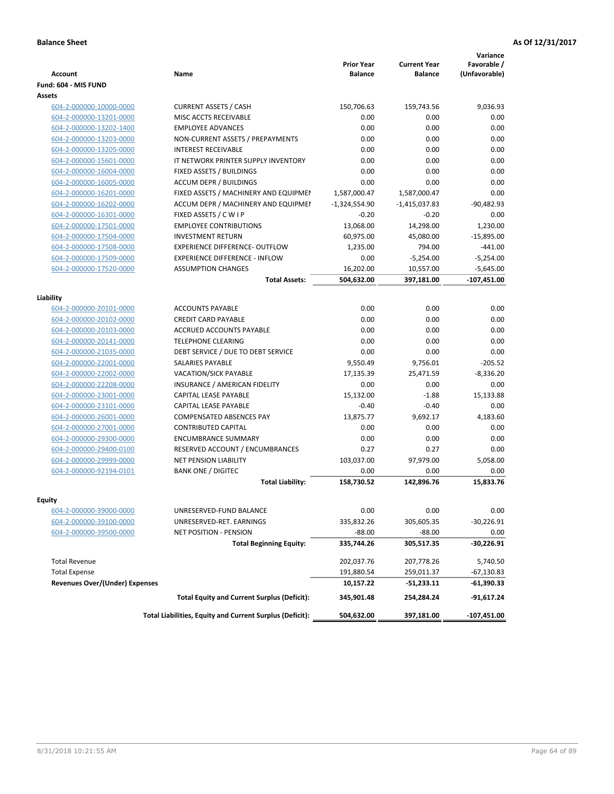| <b>Account</b>                        | Name                                                     | <b>Prior Year</b><br><b>Balance</b> | <b>Current Year</b><br><b>Balance</b> | Variance<br>Favorable /<br>(Unfavorable) |
|---------------------------------------|----------------------------------------------------------|-------------------------------------|---------------------------------------|------------------------------------------|
| Fund: 604 - MIS FUND                  |                                                          |                                     |                                       |                                          |
| Assets                                |                                                          |                                     |                                       |                                          |
| 604-2-000000-10000-0000               | <b>CURRENT ASSETS / CASH</b>                             | 150,706.63                          | 159,743.56                            | 9,036.93                                 |
| 604-2-000000-13201-0000               | MISC ACCTS RECEIVABLE                                    | 0.00                                | 0.00                                  | 0.00                                     |
| 604-2-000000-13202-1400               | <b>EMPLOYEE ADVANCES</b>                                 | 0.00                                | 0.00                                  | 0.00                                     |
| 604-2-000000-13203-0000               | NON-CURRENT ASSETS / PREPAYMENTS                         | 0.00                                | 0.00                                  | 0.00                                     |
| 604-2-000000-13205-0000               | <b>INTEREST RECEIVABLE</b>                               | 0.00                                | 0.00                                  | 0.00                                     |
| 604-2-000000-15601-0000               | IT NETWORK PRINTER SUPPLY INVENTORY                      | 0.00                                | 0.00                                  | 0.00                                     |
| 604-2-000000-16004-0000               | FIXED ASSETS / BUILDINGS                                 | 0.00                                | 0.00                                  | 0.00                                     |
| 604-2-000000-16005-0000               | <b>ACCUM DEPR / BUILDINGS</b>                            | 0.00                                | 0.00                                  | 0.00                                     |
| 604-2-000000-16201-0000               | FIXED ASSETS / MACHINERY AND EQUIPMEN                    | 1,587,000.47                        | 1,587,000.47                          | 0.00                                     |
| 604-2-000000-16202-0000               | ACCUM DEPR / MACHINERY AND EQUIPMEI                      | $-1,324,554.90$                     | $-1,415,037.83$                       | $-90,482.93$                             |
| 604-2-000000-16301-0000               | FIXED ASSETS / C W I P                                   | $-0.20$                             | $-0.20$                               | 0.00                                     |
| 604-2-000000-17501-0000               | <b>EMPLOYEE CONTRIBUTIONS</b>                            | 13,068.00                           | 14,298.00                             | 1,230.00                                 |
| 604-2-000000-17504-0000               | <b>INVESTMENT RETURN</b>                                 | 60,975.00                           | 45,080.00                             | $-15,895.00$                             |
| 604-2-000000-17508-0000               | <b>EXPERIENCE DIFFERENCE- OUTFLOW</b>                    | 1,235.00                            | 794.00                                | $-441.00$                                |
| 604-2-000000-17509-0000               | <b>EXPERIENCE DIFFERENCE - INFLOW</b>                    | 0.00                                | $-5,254.00$                           | $-5,254.00$                              |
| 604-2-000000-17520-0000               | <b>ASSUMPTION CHANGES</b>                                | 16,202.00                           | 10,557.00                             | $-5,645.00$                              |
|                                       | <b>Total Assets:</b>                                     | 504,632.00                          | 397,181.00                            | $-107,451.00$                            |
|                                       |                                                          |                                     |                                       |                                          |
| Liability                             |                                                          |                                     |                                       |                                          |
| 604-2-000000-20101-0000               | <b>ACCOUNTS PAYABLE</b>                                  | 0.00                                | 0.00                                  | 0.00                                     |
| 604-2-000000-20102-0000               | <b>CREDIT CARD PAYABLE</b>                               | 0.00                                | 0.00                                  | 0.00                                     |
| 604-2-000000-20103-0000               | <b>ACCRUED ACCOUNTS PAYABLE</b>                          | 0.00                                | 0.00                                  | 0.00                                     |
| 604-2-000000-20141-0000               | <b>TELEPHONE CLEARING</b>                                | 0.00                                | 0.00                                  | 0.00                                     |
| 604-2-000000-21035-0000               | DEBT SERVICE / DUE TO DEBT SERVICE                       | 0.00                                | 0.00                                  | 0.00                                     |
| 604-2-000000-22001-0000               | <b>SALARIES PAYABLE</b>                                  | 9,550.49                            | 9,756.01                              | $-205.52$                                |
| 604-2-000000-22002-0000               | VACATION/SICK PAYABLE                                    | 17,135.39                           | 25,471.59                             | $-8,336.20$                              |
| 604-2-000000-22208-0000               | INSURANCE / AMERICAN FIDELITY                            | 0.00                                | 0.00                                  | 0.00                                     |
| 604-2-000000-23001-0000               | CAPITAL LEASE PAYABLE                                    | 15,132.00                           | $-1.88$                               | 15,133.88                                |
| 604-2-000000-23101-0000               | CAPITAL LEASE PAYABLE                                    | $-0.40$                             | $-0.40$                               | 0.00                                     |
| 604-2-000000-26001-0000               | <b>COMPENSATED ABSENCES PAY</b>                          | 13,875.77                           | 9,692.17                              | 4,183.60                                 |
| 604-2-000000-27001-0000               | <b>CONTRIBUTED CAPITAL</b>                               | 0.00                                | 0.00                                  | 0.00                                     |
| 604-2-000000-29300-0000               | <b>ENCUMBRANCE SUMMARY</b>                               | 0.00                                | 0.00                                  | 0.00                                     |
| 604-2-000000-29400-0100               | RESERVED ACCOUNT / ENCUMBRANCES                          | 0.27                                | 0.27                                  | 0.00                                     |
| 604-2-000000-29999-0000               | NET PENSION LIABILITY                                    | 103,037.00                          | 97,979.00                             | 5,058.00                                 |
| 604-2-000000-92194-0101               | <b>BANK ONE / DIGITEC</b>                                | 0.00                                | 0.00                                  | 0.00                                     |
|                                       | <b>Total Liability:</b>                                  | 158,730.52                          | 142,896.76                            | 15,833.76                                |
|                                       |                                                          |                                     |                                       |                                          |
| Equity                                |                                                          |                                     |                                       |                                          |
| 604-2-000000-39000-0000               | UNRESERVED-FUND BALANCE                                  | 0.00                                | 0.00                                  | 0.00                                     |
| 604-2-000000-39100-0000               | UNRESERVED-RET. EARNINGS                                 | 335,832.26                          | 305,605.35                            | $-30,226.91$                             |
| 604-2-000000-39500-0000               | <b>NET POSITION - PENSION</b>                            | $-88.00$                            | $-88.00$                              | 0.00                                     |
|                                       | <b>Total Beginning Equity:</b>                           | 335,744.26                          | 305,517.35                            | -30,226.91                               |
| <b>Total Revenue</b>                  |                                                          | 202,037.76                          | 207,778.26                            | 5,740.50                                 |
| <b>Total Expense</b>                  |                                                          | 191,880.54                          | 259,011.37                            | $-67,130.83$                             |
| <b>Revenues Over/(Under) Expenses</b> |                                                          | 10,157.22                           | $-51,233.11$                          | -61,390.33                               |
|                                       | <b>Total Equity and Current Surplus (Deficit):</b>       | 345,901.48                          | 254,284.24                            | -91,617.24                               |
|                                       | Total Liabilities, Equity and Current Surplus (Deficit): | 504,632.00                          | 397,181.00                            | -107,451.00                              |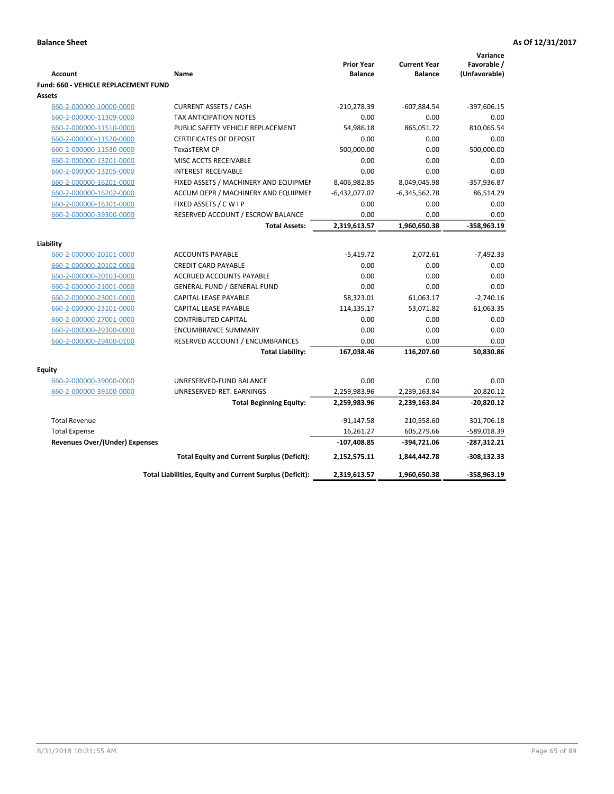|                                             |                                                          |                                     |                                       | Variance       |
|---------------------------------------------|----------------------------------------------------------|-------------------------------------|---------------------------------------|----------------|
|                                             |                                                          | <b>Prior Year</b><br><b>Balance</b> | <b>Current Year</b><br><b>Balance</b> | Favorable /    |
| <b>Account</b>                              | <b>Name</b>                                              |                                     |                                       | (Unfavorable)  |
| <b>Fund: 660 - VEHICLE REPLACEMENT FUND</b> |                                                          |                                     |                                       |                |
| Assets                                      |                                                          |                                     |                                       |                |
| 660-2-000000-10000-0000                     | <b>CURRENT ASSETS / CASH</b>                             | $-210,278.39$                       | $-607,884.54$                         | $-397,606.15$  |
| 660-2-000000-11309-0000                     | <b>TAX ANTICIPATION NOTES</b>                            | 0.00                                | 0.00                                  | 0.00           |
| 660-2-000000-11510-0000                     | PUBLIC SAFETY VEHICLE REPLACEMENT                        | 54,986.18                           | 865,051.72                            | 810,065.54     |
| 660-2-000000-11520-0000                     | <b>CERTIFICATES OF DEPOSIT</b>                           | 0.00                                | 0.00                                  | 0.00           |
| 660-2-000000-11530-0000                     | TexasTERM CP                                             | 500,000.00                          | 0.00                                  | $-500,000.00$  |
| 660-2-000000-13201-0000                     | MISC ACCTS RECEIVABLE                                    | 0.00                                | 0.00                                  | 0.00           |
| 660-2-000000-13205-0000                     | <b>INTEREST RECEIVABLE</b>                               | 0.00                                | 0.00                                  | 0.00           |
| 660-2-000000-16201-0000                     | FIXED ASSETS / MACHINERY AND EQUIPMEN                    | 8,406,982.85                        | 8,049,045.98                          | $-357,936.87$  |
| 660-2-000000-16202-0000                     | ACCUM DEPR / MACHINERY AND EQUIPMEI                      | $-6,432,077.07$                     | $-6,345,562.78$                       | 86,514.29      |
| 660-2-000000-16301-0000                     | FIXED ASSETS / C W I P                                   | 0.00                                | 0.00                                  | 0.00           |
| 660-2-000000-39300-0000                     | RESERVED ACCOUNT / ESCROW BALANCE                        | 0.00                                | 0.00                                  | 0.00           |
|                                             | <b>Total Assets:</b>                                     | 2,319,613.57                        | 1,960,650.38                          | -358,963.19    |
| Liability                                   |                                                          |                                     |                                       |                |
| 660-2-000000-20101-0000                     | <b>ACCOUNTS PAYABLE</b>                                  | $-5,419.72$                         | 2,072.61                              | $-7,492.33$    |
| 660-2-000000-20102-0000                     | <b>CREDIT CARD PAYABLE</b>                               | 0.00                                | 0.00                                  | 0.00           |
| 660-2-000000-20103-0000                     | <b>ACCRUED ACCOUNTS PAYABLE</b>                          | 0.00                                | 0.00                                  | 0.00           |
| 660-2-000000-21001-0000                     | <b>GENERAL FUND / GENERAL FUND</b>                       | 0.00                                | 0.00                                  | 0.00           |
| 660-2-000000-23001-0000                     | CAPITAL LEASE PAYABLE                                    | 58,323.01                           | 61,063.17                             | $-2,740.16$    |
| 660-2-000000-23101-0000                     | <b>CAPITAL LEASE PAYABLE</b>                             | 114,135.17                          | 53,071.82                             | 61,063.35      |
| 660-2-000000-27001-0000                     | <b>CONTRIBUTED CAPITAL</b>                               | 0.00                                | 0.00                                  | 0.00           |
| 660-2-000000-29300-0000                     | <b>ENCUMBRANCE SUMMARY</b>                               | 0.00                                | 0.00                                  | 0.00           |
| 660-2-000000-29400-0100                     | RESERVED ACCOUNT / ENCUMBRANCES                          | 0.00                                | 0.00                                  | 0.00           |
|                                             | <b>Total Liability:</b>                                  | 167,038.46                          | 116,207.60                            | 50,830.86      |
|                                             |                                                          |                                     |                                       |                |
| <b>Equity</b>                               |                                                          |                                     |                                       |                |
| 660-2-000000-39000-0000                     | UNRESERVED-FUND BALANCE                                  | 0.00                                | 0.00                                  | 0.00           |
| 660-2-000000-39100-0000                     | UNRESERVED-RET. EARNINGS                                 | 2,259,983.96                        | 2,239,163.84                          | $-20,820.12$   |
|                                             | <b>Total Beginning Equity:</b>                           | 2,259,983.96                        | 2,239,163.84                          | $-20,820.12$   |
| <b>Total Revenue</b>                        |                                                          | $-91,147.58$                        | 210,558.60                            | 301,706.18     |
| <b>Total Expense</b>                        |                                                          | 16,261.27                           | 605,279.66                            | -589,018.39    |
| Revenues Over/(Under) Expenses              |                                                          | $-107,408.85$                       | -394,721.06                           | $-287,312.21$  |
|                                             | <b>Total Equity and Current Surplus (Deficit):</b>       | 2,152,575.11                        | 1,844,442.78                          | $-308, 132.33$ |
|                                             | Total Liabilities, Equity and Current Surplus (Deficit): | 2,319,613.57                        | 1,960,650.38                          | $-358,963.19$  |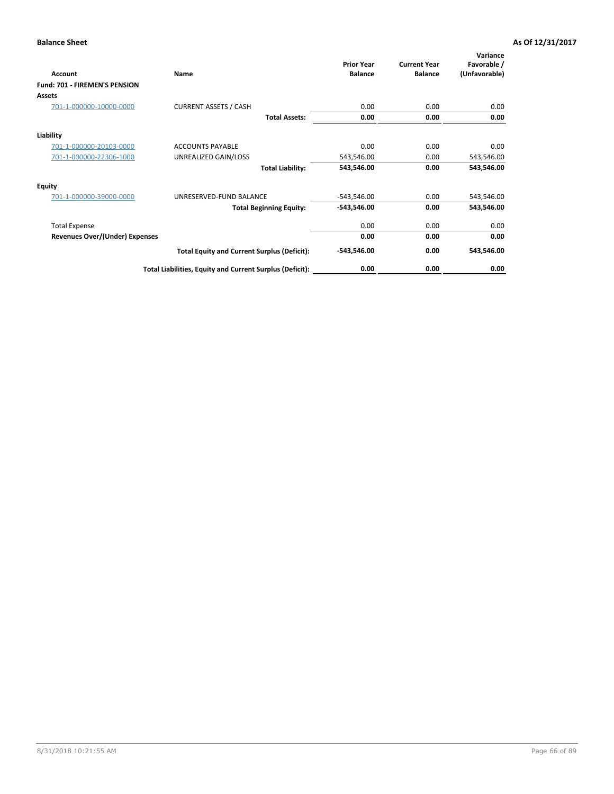| <b>Account</b>                 | Name                                                     | <b>Prior Year</b><br><b>Balance</b> | <b>Current Year</b><br><b>Balance</b> | Variance<br>Favorable /<br>(Unfavorable) |
|--------------------------------|----------------------------------------------------------|-------------------------------------|---------------------------------------|------------------------------------------|
| Fund: 701 - FIREMEN'S PENSION  |                                                          |                                     |                                       |                                          |
| <b>Assets</b>                  |                                                          |                                     |                                       |                                          |
| 701-1-000000-10000-0000        | <b>CURRENT ASSETS / CASH</b>                             | 0.00                                | 0.00                                  | 0.00                                     |
|                                | <b>Total Assets:</b>                                     | 0.00                                | 0.00                                  | 0.00                                     |
| Liability                      |                                                          |                                     |                                       |                                          |
| 701-1-000000-20103-0000        | <b>ACCOUNTS PAYABLE</b>                                  | 0.00                                | 0.00                                  | 0.00                                     |
| 701-1-000000-22306-1000        | UNREALIZED GAIN/LOSS                                     | 543,546.00                          | 0.00                                  | 543,546.00                               |
|                                | <b>Total Liability:</b>                                  | 543,546.00                          | 0.00                                  | 543,546.00                               |
| <b>Equity</b>                  |                                                          |                                     |                                       |                                          |
| 701-1-000000-39000-0000        | UNRESERVED-FUND BALANCE                                  | $-543,546.00$                       | 0.00                                  | 543,546.00                               |
|                                | <b>Total Beginning Equity:</b>                           | $-543,546.00$                       | 0.00                                  | 543,546.00                               |
| <b>Total Expense</b>           |                                                          | 0.00                                | 0.00                                  | 0.00                                     |
| Revenues Over/(Under) Expenses |                                                          | 0.00                                | 0.00                                  | 0.00                                     |
|                                | <b>Total Equity and Current Surplus (Deficit):</b>       | $-543,546.00$                       | 0.00                                  | 543,546.00                               |
|                                | Total Liabilities, Equity and Current Surplus (Deficit): | 0.00                                | 0.00                                  | 0.00                                     |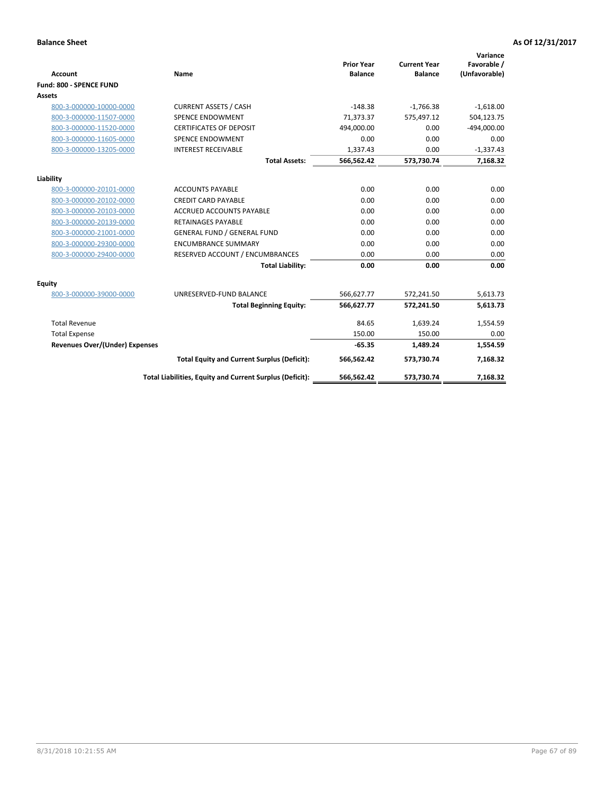|                                       |                                                          |                                     |                                       | Variance                     |
|---------------------------------------|----------------------------------------------------------|-------------------------------------|---------------------------------------|------------------------------|
| <b>Account</b>                        | <b>Name</b>                                              | <b>Prior Year</b><br><b>Balance</b> | <b>Current Year</b><br><b>Balance</b> | Favorable /<br>(Unfavorable) |
| <b>Fund: 800 - SPENCE FUND</b>        |                                                          |                                     |                                       |                              |
| Assets                                |                                                          |                                     |                                       |                              |
| 800-3-000000-10000-0000               | <b>CURRENT ASSETS / CASH</b>                             | $-148.38$                           | $-1,766.38$                           | $-1,618.00$                  |
| 800-3-000000-11507-0000               | <b>SPENCE ENDOWMENT</b>                                  | 71,373.37                           | 575.497.12                            | 504,123.75                   |
| 800-3-000000-11520-0000               | <b>CERTIFICATES OF DEPOSIT</b>                           | 494,000.00                          | 0.00                                  | $-494,000.00$                |
| 800-3-000000-11605-0000               | SPENCE ENDOWMENT                                         | 0.00                                | 0.00                                  | 0.00                         |
| 800-3-000000-13205-0000               | <b>INTEREST RECEIVABLE</b>                               | 1,337.43                            | 0.00                                  | $-1,337.43$                  |
|                                       | <b>Total Assets:</b>                                     | 566,562.42                          | 573,730.74                            | 7,168.32                     |
|                                       |                                                          |                                     |                                       |                              |
| Liability                             |                                                          |                                     |                                       |                              |
| 800-3-000000-20101-0000               | <b>ACCOUNTS PAYABLE</b>                                  | 0.00                                | 0.00                                  | 0.00                         |
| 800-3-000000-20102-0000               | <b>CREDIT CARD PAYABLE</b>                               | 0.00                                | 0.00                                  | 0.00                         |
| 800-3-000000-20103-0000               | <b>ACCRUED ACCOUNTS PAYABLE</b>                          | 0.00                                | 0.00                                  | 0.00                         |
| 800-3-000000-20139-0000               | <b>RETAINAGES PAYABLE</b>                                | 0.00                                | 0.00                                  | 0.00                         |
| 800-3-000000-21001-0000               | <b>GENERAL FUND / GENERAL FUND</b>                       | 0.00                                | 0.00                                  | 0.00                         |
| 800-3-000000-29300-0000               | <b>ENCUMBRANCE SUMMARY</b>                               | 0.00                                | 0.00                                  | 0.00                         |
| 800-3-000000-29400-0000               | RESERVED ACCOUNT / ENCUMBRANCES                          | 0.00                                | 0.00                                  | 0.00                         |
|                                       | <b>Total Liability:</b>                                  | 0.00                                | 0.00                                  | 0.00                         |
| Equity                                |                                                          |                                     |                                       |                              |
| 800-3-000000-39000-0000               | UNRESERVED-FUND BALANCE                                  | 566,627.77                          | 572,241.50                            | 5,613.73                     |
|                                       | <b>Total Beginning Equity:</b>                           | 566,627.77                          | 572,241.50                            | 5,613.73                     |
| <b>Total Revenue</b>                  |                                                          | 84.65                               | 1,639.24                              | 1,554.59                     |
| <b>Total Expense</b>                  |                                                          | 150.00                              | 150.00                                | 0.00                         |
| <b>Revenues Over/(Under) Expenses</b> |                                                          | $-65.35$                            | 1,489.24                              | 1,554.59                     |
|                                       | <b>Total Equity and Current Surplus (Deficit):</b>       | 566,562.42                          | 573,730.74                            | 7,168.32                     |
|                                       | Total Liabilities, Equity and Current Surplus (Deficit): | 566,562.42                          | 573,730.74                            | 7,168.32                     |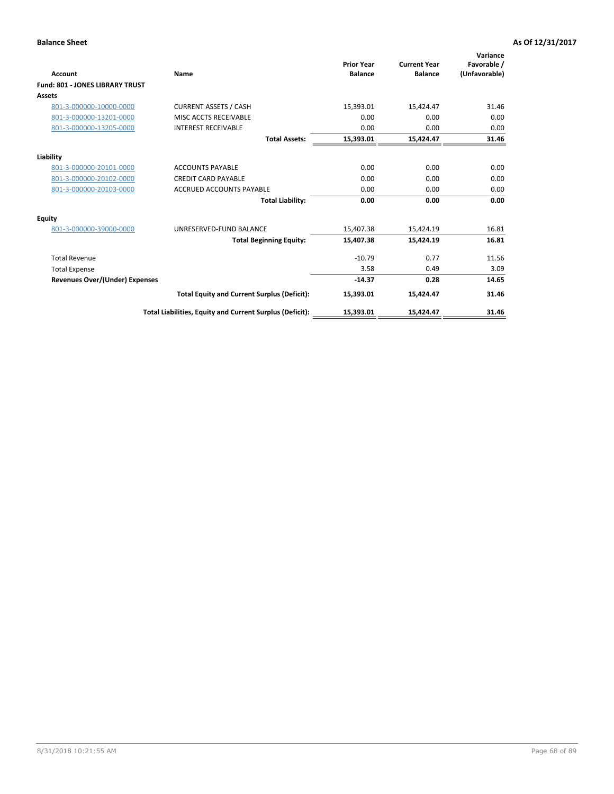|                                        |                                                          |                                     |                                       | Variance                     |
|----------------------------------------|----------------------------------------------------------|-------------------------------------|---------------------------------------|------------------------------|
| Account                                | Name                                                     | <b>Prior Year</b><br><b>Balance</b> | <b>Current Year</b><br><b>Balance</b> | Favorable /<br>(Unfavorable) |
| <b>Fund: 801 - JONES LIBRARY TRUST</b> |                                                          |                                     |                                       |                              |
| Assets                                 |                                                          |                                     |                                       |                              |
| 801-3-000000-10000-0000                | <b>CURRENT ASSETS / CASH</b>                             | 15,393.01                           | 15,424.47                             | 31.46                        |
| 801-3-000000-13201-0000                | MISC ACCTS RECEIVABLE                                    | 0.00                                | 0.00                                  | 0.00                         |
| 801-3-000000-13205-0000                | <b>INTEREST RECEIVABLE</b>                               | 0.00                                | 0.00                                  | 0.00                         |
|                                        | <b>Total Assets:</b>                                     | 15,393.01                           | 15,424.47                             | 31.46                        |
| Liability                              |                                                          |                                     |                                       |                              |
| 801-3-000000-20101-0000                | <b>ACCOUNTS PAYABLE</b>                                  | 0.00                                | 0.00                                  | 0.00                         |
| 801-3-000000-20102-0000                | <b>CREDIT CARD PAYABLE</b>                               | 0.00                                | 0.00                                  | 0.00                         |
| 801-3-000000-20103-0000                | <b>ACCRUED ACCOUNTS PAYABLE</b>                          | 0.00                                | 0.00                                  | 0.00                         |
|                                        | <b>Total Liability:</b>                                  | 0.00                                | 0.00                                  | 0.00                         |
| <b>Equity</b>                          |                                                          |                                     |                                       |                              |
| 801-3-000000-39000-0000                | UNRESERVED-FUND BALANCE                                  | 15,407.38                           | 15,424.19                             | 16.81                        |
|                                        | <b>Total Beginning Equity:</b>                           | 15,407.38                           | 15,424.19                             | 16.81                        |
| <b>Total Revenue</b>                   |                                                          | $-10.79$                            | 0.77                                  | 11.56                        |
| <b>Total Expense</b>                   |                                                          | 3.58                                | 0.49                                  | 3.09                         |
| <b>Revenues Over/(Under) Expenses</b>  |                                                          | $-14.37$                            | 0.28                                  | 14.65                        |
|                                        | <b>Total Equity and Current Surplus (Deficit):</b>       | 15,393.01                           | 15,424.47                             | 31.46                        |
|                                        | Total Liabilities, Equity and Current Surplus (Deficit): | 15,393.01                           | 15,424.47                             | 31.46                        |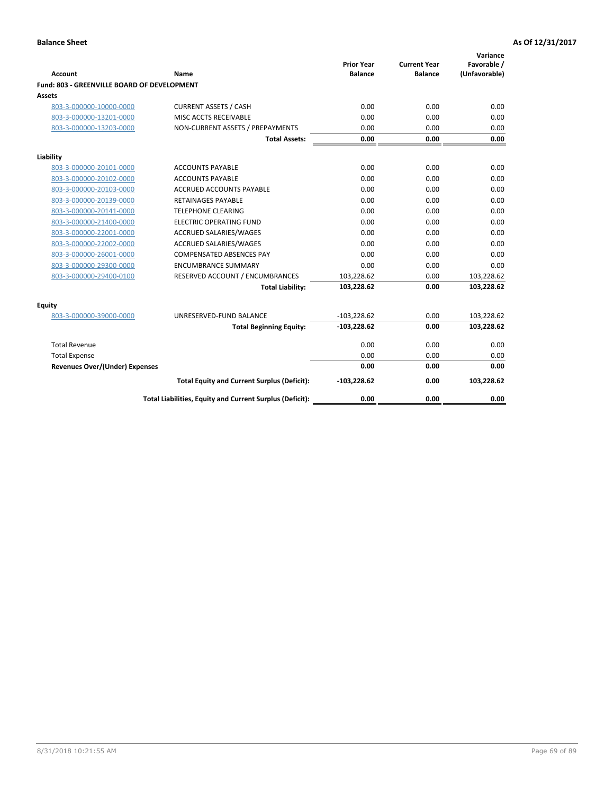| <b>Account</b>                              | Name                                                     | <b>Prior Year</b><br><b>Balance</b> | <b>Current Year</b><br><b>Balance</b> | Variance<br>Favorable /<br>(Unfavorable) |
|---------------------------------------------|----------------------------------------------------------|-------------------------------------|---------------------------------------|------------------------------------------|
| Fund: 803 - GREENVILLE BOARD OF DEVELOPMENT |                                                          |                                     |                                       |                                          |
| Assets                                      |                                                          |                                     |                                       |                                          |
| 803-3-000000-10000-0000                     | <b>CURRENT ASSETS / CASH</b>                             | 0.00                                | 0.00                                  | 0.00                                     |
| 803-3-000000-13201-0000                     | MISC ACCTS RECEIVABLE                                    | 0.00                                | 0.00                                  | 0.00                                     |
| 803-3-000000-13203-0000                     | NON-CURRENT ASSETS / PREPAYMENTS                         | 0.00                                | 0.00                                  | 0.00                                     |
|                                             | <b>Total Assets:</b>                                     | 0.00                                | 0.00                                  | 0.00                                     |
| Liability                                   |                                                          |                                     |                                       |                                          |
| 803-3-000000-20101-0000                     | <b>ACCOUNTS PAYABLE</b>                                  | 0.00                                | 0.00                                  | 0.00                                     |
| 803-3-000000-20102-0000                     | <b>ACCOUNTS PAYABLE</b>                                  | 0.00                                | 0.00                                  | 0.00                                     |
| 803-3-000000-20103-0000                     | ACCRUED ACCOUNTS PAYABLE                                 | 0.00                                | 0.00                                  | 0.00                                     |
| 803-3-000000-20139-0000                     | RETAINAGES PAYABLE                                       | 0.00                                | 0.00                                  | 0.00                                     |
| 803-3-000000-20141-0000                     | <b>TELEPHONE CLEARING</b>                                | 0.00                                | 0.00                                  | 0.00                                     |
| 803-3-000000-21400-0000                     | <b>ELECTRIC OPERATING FUND</b>                           | 0.00                                | 0.00                                  | 0.00                                     |
| 803-3-000000-22001-0000                     | <b>ACCRUED SALARIES/WAGES</b>                            | 0.00                                | 0.00                                  | 0.00                                     |
| 803-3-000000-22002-0000                     | <b>ACCRUED SALARIES/WAGES</b>                            | 0.00                                | 0.00                                  | 0.00                                     |
| 803-3-000000-26001-0000                     | <b>COMPENSATED ABSENCES PAY</b>                          | 0.00                                | 0.00                                  | 0.00                                     |
| 803-3-000000-29300-0000                     | <b>ENCUMBRANCE SUMMARY</b>                               | 0.00                                | 0.00                                  | 0.00                                     |
| 803-3-000000-29400-0100                     | RESERVED ACCOUNT / ENCUMBRANCES                          | 103,228.62                          | 0.00                                  | 103,228.62                               |
|                                             | <b>Total Liability:</b>                                  | 103,228.62                          | 0.00                                  | 103,228.62                               |
| <b>Equity</b>                               |                                                          |                                     |                                       |                                          |
| 803-3-000000-39000-0000                     | UNRESERVED-FUND BALANCE                                  | $-103,228.62$                       | 0.00                                  | 103,228.62                               |
|                                             | <b>Total Beginning Equity:</b>                           | $-103,228.62$                       | 0.00                                  | 103,228.62                               |
| <b>Total Revenue</b>                        |                                                          | 0.00                                | 0.00                                  | 0.00                                     |
| <b>Total Expense</b>                        |                                                          | 0.00                                | 0.00                                  | 0.00                                     |
| <b>Revenues Over/(Under) Expenses</b>       |                                                          | 0.00                                | 0.00                                  | 0.00                                     |
|                                             | <b>Total Equity and Current Surplus (Deficit):</b>       | $-103,228.62$                       | 0.00                                  | 103,228.62                               |
|                                             | Total Liabilities, Equity and Current Surplus (Deficit): | 0.00                                | 0.00                                  | 0.00                                     |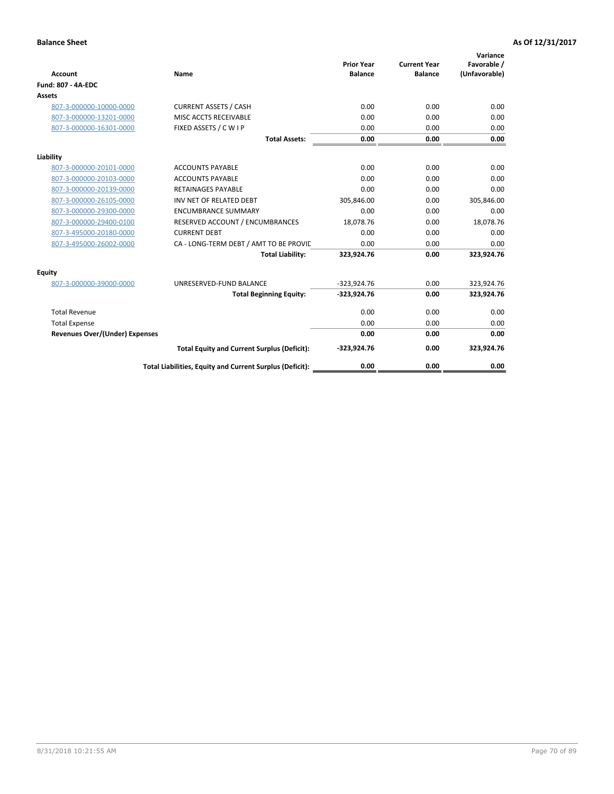| <b>Account</b>                        | Name                                                     | <b>Prior Year</b><br><b>Balance</b> | <b>Current Year</b><br><b>Balance</b> | Variance<br>Favorable /<br>(Unfavorable) |
|---------------------------------------|----------------------------------------------------------|-------------------------------------|---------------------------------------|------------------------------------------|
| <b>Fund: 807 - 4A-EDC</b>             |                                                          |                                     |                                       |                                          |
| <b>Assets</b>                         |                                                          |                                     |                                       |                                          |
| 807-3-000000-10000-0000               | <b>CURRENT ASSETS / CASH</b>                             | 0.00                                | 0.00                                  | 0.00                                     |
| 807-3-000000-13201-0000               | MISC ACCTS RECEIVABLE                                    | 0.00                                | 0.00                                  | 0.00                                     |
| 807-3-000000-16301-0000               | FIXED ASSETS / C W I P                                   | 0.00                                | 0.00                                  | 0.00                                     |
|                                       | <b>Total Assets:</b>                                     | 0.00                                | 0.00                                  | 0.00                                     |
| Liability                             |                                                          |                                     |                                       |                                          |
| 807-3-000000-20101-0000               | <b>ACCOUNTS PAYABLE</b>                                  | 0.00                                | 0.00                                  | 0.00                                     |
| 807-3-000000-20103-0000               | <b>ACCOUNTS PAYABLE</b>                                  | 0.00                                | 0.00                                  | 0.00                                     |
| 807-3-000000-20139-0000               | <b>RETAINAGES PAYABLE</b>                                | 0.00                                | 0.00                                  | 0.00                                     |
| 807-3-000000-26105-0000               | INV NET OF RELATED DEBT                                  | 305,846.00                          | 0.00                                  | 305,846.00                               |
| 807-3-000000-29300-0000               | <b>ENCUMBRANCE SUMMARY</b>                               | 0.00                                | 0.00                                  | 0.00                                     |
| 807-3-000000-29400-0100               | RESERVED ACCOUNT / ENCUMBRANCES                          | 18,078.76                           | 0.00                                  | 18,078.76                                |
| 807-3-495000-20180-0000               | <b>CURRENT DEBT</b>                                      | 0.00                                | 0.00                                  | 0.00                                     |
| 807-3-495000-26002-0000               | CA - LONG-TERM DEBT / AMT TO BE PROVIL                   | 0.00                                | 0.00                                  | 0.00                                     |
|                                       | <b>Total Liability:</b>                                  | 323,924.76                          | 0.00                                  | 323,924.76                               |
| Equity                                |                                                          |                                     |                                       |                                          |
| 807-3-000000-39000-0000               | UNRESERVED-FUND BALANCE                                  | $-323,924.76$                       | 0.00                                  | 323,924.76                               |
|                                       | <b>Total Beginning Equity:</b>                           | $-323,924.76$                       | 0.00                                  | 323,924.76                               |
| <b>Total Revenue</b>                  |                                                          | 0.00                                | 0.00                                  | 0.00                                     |
| <b>Total Expense</b>                  |                                                          | 0.00                                | 0.00                                  | 0.00                                     |
| <b>Revenues Over/(Under) Expenses</b> |                                                          | 0.00                                | 0.00                                  | 0.00                                     |
|                                       | <b>Total Equity and Current Surplus (Deficit):</b>       | $-323,924.76$                       | 0.00                                  | 323,924.76                               |
|                                       | Total Liabilities, Equity and Current Surplus (Deficit): | 0.00                                | 0.00                                  | 0.00                                     |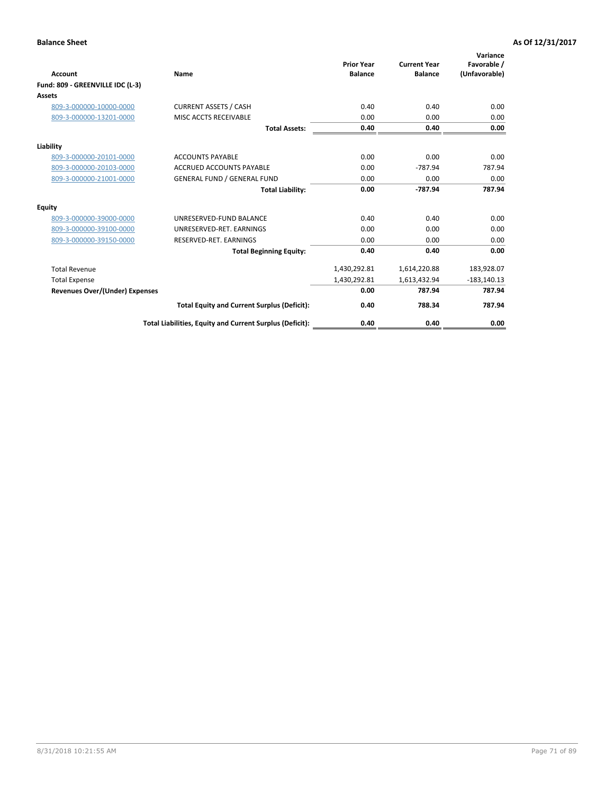|                                       |                                                          |                                     |                                       | Variance                     |
|---------------------------------------|----------------------------------------------------------|-------------------------------------|---------------------------------------|------------------------------|
| Account                               | Name                                                     | <b>Prior Year</b><br><b>Balance</b> | <b>Current Year</b><br><b>Balance</b> | Favorable /<br>(Unfavorable) |
| Fund: 809 - GREENVILLE IDC (L-3)      |                                                          |                                     |                                       |                              |
| <b>Assets</b>                         |                                                          |                                     |                                       |                              |
| 809-3-000000-10000-0000               | <b>CURRENT ASSETS / CASH</b>                             | 0.40                                | 0.40                                  | 0.00                         |
| 809-3-000000-13201-0000               | MISC ACCTS RECEIVABLE                                    | 0.00                                | 0.00                                  | 0.00                         |
|                                       | <b>Total Assets:</b>                                     | 0.40                                | 0.40                                  | 0.00                         |
| Liability                             |                                                          |                                     |                                       |                              |
| 809-3-000000-20101-0000               | <b>ACCOUNTS PAYABLE</b>                                  | 0.00                                | 0.00                                  | 0.00                         |
| 809-3-000000-20103-0000               | <b>ACCRUED ACCOUNTS PAYABLE</b>                          | 0.00                                | $-787.94$                             | 787.94                       |
| 809-3-000000-21001-0000               | <b>GENERAL FUND / GENERAL FUND</b>                       | 0.00                                | 0.00                                  | 0.00                         |
|                                       | <b>Total Liability:</b>                                  | 0.00                                | $-787.94$                             | 787.94                       |
| <b>Equity</b>                         |                                                          |                                     |                                       |                              |
| 809-3-000000-39000-0000               | UNRESERVED-FUND BALANCE                                  | 0.40                                | 0.40                                  | 0.00                         |
| 809-3-000000-39100-0000               | UNRESERVED-RET, EARNINGS                                 | 0.00                                | 0.00                                  | 0.00                         |
| 809-3-000000-39150-0000               | RESERVED-RET. EARNINGS                                   | 0.00                                | 0.00                                  | 0.00                         |
|                                       | <b>Total Beginning Equity:</b>                           | 0.40                                | 0.40                                  | 0.00                         |
| <b>Total Revenue</b>                  |                                                          | 1,430,292.81                        | 1,614,220.88                          | 183,928.07                   |
| <b>Total Expense</b>                  |                                                          | 1,430,292.81                        | 1,613,432.94                          | $-183,140.13$                |
| <b>Revenues Over/(Under) Expenses</b> |                                                          | 0.00                                | 787.94                                | 787.94                       |
|                                       | <b>Total Equity and Current Surplus (Deficit):</b>       | 0.40                                | 788.34                                | 787.94                       |
|                                       | Total Liabilities, Equity and Current Surplus (Deficit): | 0.40                                | 0.40                                  | 0.00                         |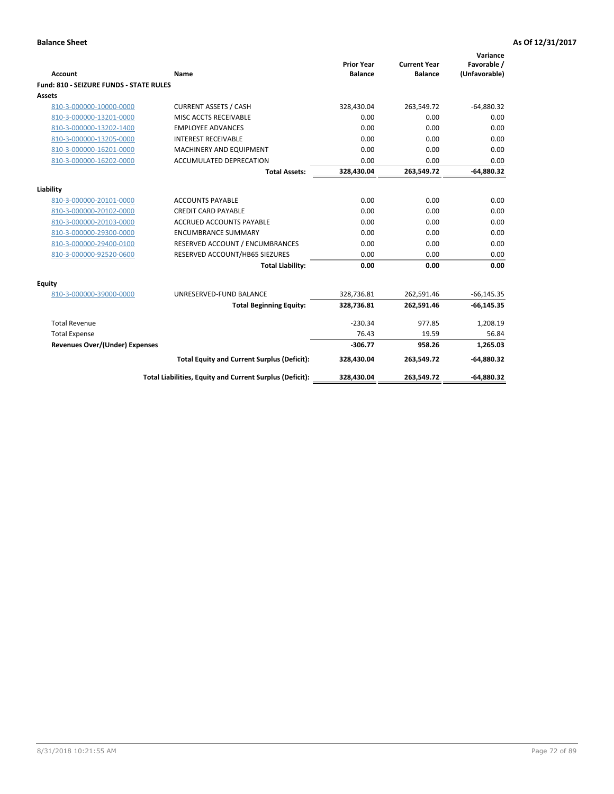| <b>Account</b>                                 | Name                                                     | <b>Prior Year</b><br><b>Balance</b> | <b>Current Year</b><br><b>Balance</b> | Variance<br>Favorable /<br>(Unfavorable) |
|------------------------------------------------|----------------------------------------------------------|-------------------------------------|---------------------------------------|------------------------------------------|
| <b>Fund: 810 - SEIZURE FUNDS - STATE RULES</b> |                                                          |                                     |                                       |                                          |
| Assets                                         |                                                          |                                     |                                       |                                          |
| 810-3-000000-10000-0000                        | <b>CURRENT ASSETS / CASH</b>                             | 328,430.04                          | 263,549.72                            | $-64,880.32$                             |
| 810-3-000000-13201-0000                        | MISC ACCTS RECEIVABLE                                    | 0.00                                | 0.00                                  | 0.00                                     |
| 810-3-000000-13202-1400                        | <b>EMPLOYEE ADVANCES</b>                                 | 0.00                                | 0.00                                  | 0.00                                     |
| 810-3-000000-13205-0000                        | <b>INTEREST RECEIVABLE</b>                               | 0.00                                | 0.00                                  | 0.00                                     |
| 810-3-000000-16201-0000                        | MACHINERY AND EQUIPMENT                                  | 0.00                                | 0.00                                  | 0.00                                     |
| 810-3-000000-16202-0000                        | ACCUMULATED DEPRECATION                                  | 0.00                                | 0.00                                  | 0.00                                     |
|                                                | <b>Total Assets:</b>                                     | 328,430.04                          | 263,549.72                            | $-64,880.32$                             |
|                                                |                                                          |                                     |                                       |                                          |
| Liability                                      |                                                          |                                     |                                       |                                          |
| 810-3-000000-20101-0000                        | <b>ACCOUNTS PAYABLE</b>                                  | 0.00                                | 0.00                                  | 0.00                                     |
| 810-3-000000-20102-0000                        | <b>CREDIT CARD PAYABLE</b>                               | 0.00                                | 0.00                                  | 0.00                                     |
| 810-3-000000-20103-0000                        | <b>ACCRUED ACCOUNTS PAYABLE</b>                          | 0.00                                | 0.00                                  | 0.00                                     |
| 810-3-000000-29300-0000                        | <b>ENCUMBRANCE SUMMARY</b>                               | 0.00                                | 0.00                                  | 0.00                                     |
| 810-3-000000-29400-0100                        | RESERVED ACCOUNT / ENCUMBRANCES                          | 0.00                                | 0.00                                  | 0.00                                     |
| 810-3-000000-92520-0600                        | RESERVED ACCOUNT/HB65 SIEZURES                           | 0.00                                | 0.00                                  | 0.00                                     |
|                                                | <b>Total Liability:</b>                                  | 0.00                                | 0.00                                  | 0.00                                     |
| <b>Equity</b>                                  |                                                          |                                     |                                       |                                          |
| 810-3-000000-39000-0000                        | UNRESERVED-FUND BALANCE                                  | 328,736.81                          | 262,591.46                            | $-66, 145.35$                            |
|                                                | <b>Total Beginning Equity:</b>                           | 328,736.81                          | 262,591.46                            | $-66, 145.35$                            |
| <b>Total Revenue</b>                           |                                                          | $-230.34$                           | 977.85                                | 1,208.19                                 |
| <b>Total Expense</b>                           |                                                          | 76.43                               | 19.59                                 | 56.84                                    |
| Revenues Over/(Under) Expenses                 |                                                          | $-306.77$                           | 958.26                                | 1,265.03                                 |
|                                                | <b>Total Equity and Current Surplus (Deficit):</b>       | 328,430.04                          | 263,549.72                            | $-64,880.32$                             |
|                                                | Total Liabilities, Equity and Current Surplus (Deficit): | 328,430.04                          | 263,549.72                            | $-64,880.32$                             |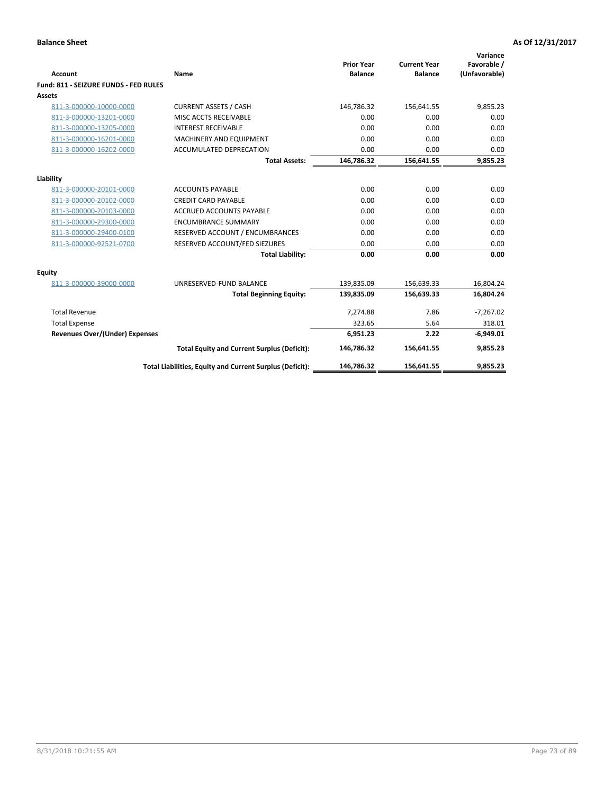| <b>Account</b>                        | Name                                                     | <b>Prior Year</b><br><b>Balance</b> | <b>Current Year</b><br><b>Balance</b> | Variance<br>Favorable /<br>(Unfavorable) |
|---------------------------------------|----------------------------------------------------------|-------------------------------------|---------------------------------------|------------------------------------------|
| Fund: 811 - SEIZURE FUNDS - FED RULES |                                                          |                                     |                                       |                                          |
| <b>Assets</b>                         |                                                          |                                     |                                       |                                          |
| 811-3-000000-10000-0000               | <b>CURRENT ASSETS / CASH</b>                             | 146,786.32                          | 156,641.55                            | 9,855.23                                 |
| 811-3-000000-13201-0000               | MISC ACCTS RECEIVABLE                                    | 0.00                                | 0.00                                  | 0.00                                     |
| 811-3-000000-13205-0000               | <b>INTEREST RECEIVABLE</b>                               | 0.00                                | 0.00                                  | 0.00                                     |
| 811-3-000000-16201-0000               | MACHINERY AND EQUIPMENT                                  | 0.00                                | 0.00                                  | 0.00                                     |
| 811-3-000000-16202-0000               | <b>ACCUMULATED DEPRECATION</b>                           | 0.00                                | 0.00                                  | 0.00                                     |
|                                       | <b>Total Assets:</b>                                     | 146,786.32                          | 156,641.55                            | 9,855.23                                 |
| Liability                             |                                                          |                                     |                                       |                                          |
| 811-3-000000-20101-0000               | <b>ACCOUNTS PAYABLE</b>                                  | 0.00                                | 0.00                                  | 0.00                                     |
| 811-3-000000-20102-0000               | <b>CREDIT CARD PAYABLE</b>                               | 0.00                                | 0.00                                  | 0.00                                     |
| 811-3-000000-20103-0000               | <b>ACCRUED ACCOUNTS PAYABLE</b>                          | 0.00                                | 0.00                                  | 0.00                                     |
| 811-3-000000-29300-0000               | <b>ENCUMBRANCE SUMMARY</b>                               | 0.00                                | 0.00                                  | 0.00                                     |
| 811-3-000000-29400-0100               | RESERVED ACCOUNT / ENCUMBRANCES                          | 0.00                                | 0.00                                  | 0.00                                     |
| 811-3-000000-92521-0700               | RESERVED ACCOUNT/FED SIEZURES                            | 0.00                                | 0.00                                  | 0.00                                     |
|                                       | <b>Total Liability:</b>                                  | 0.00                                | 0.00                                  | 0.00                                     |
| <b>Equity</b>                         |                                                          |                                     |                                       |                                          |
| 811-3-000000-39000-0000               | UNRESERVED-FUND BALANCE                                  | 139,835.09                          | 156,639.33                            | 16,804.24                                |
|                                       | <b>Total Beginning Equity:</b>                           | 139,835.09                          | 156,639.33                            | 16,804.24                                |
| <b>Total Revenue</b>                  |                                                          | 7,274.88                            | 7.86                                  | $-7,267.02$                              |
| <b>Total Expense</b>                  |                                                          | 323.65                              | 5.64                                  | 318.01                                   |
| <b>Revenues Over/(Under) Expenses</b> |                                                          | 6,951.23                            | 2.22                                  | $-6,949.01$                              |
|                                       | <b>Total Equity and Current Surplus (Deficit):</b>       | 146,786.32                          | 156,641.55                            | 9,855.23                                 |
|                                       | Total Liabilities, Equity and Current Surplus (Deficit): | 146,786.32                          | 156,641.55                            | 9,855.23                                 |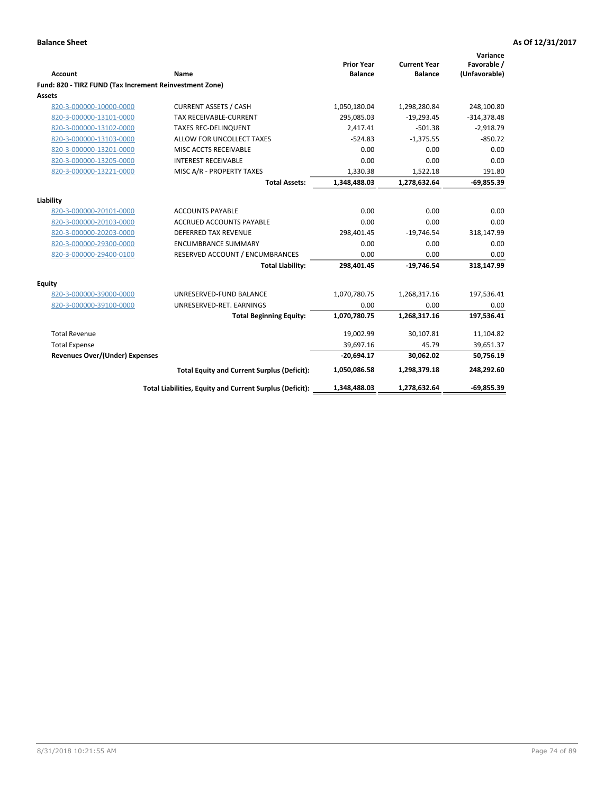| <b>Account</b>                                          | <b>Name</b>                                              | <b>Prior Year</b><br><b>Balance</b> | <b>Current Year</b><br><b>Balance</b> | Variance<br>Favorable /<br>(Unfavorable) |
|---------------------------------------------------------|----------------------------------------------------------|-------------------------------------|---------------------------------------|------------------------------------------|
| Fund: 820 - TIRZ FUND (Tax Increment Reinvestment Zone) |                                                          |                                     |                                       |                                          |
| Assets                                                  |                                                          |                                     |                                       |                                          |
| 820-3-000000-10000-0000                                 | <b>CURRENT ASSETS / CASH</b>                             | 1,050,180.04                        | 1,298,280.84                          | 248,100.80                               |
| 820-3-000000-13101-0000                                 | <b>TAX RECEIVABLE-CURRENT</b>                            | 295,085.03                          | $-19,293.45$                          | $-314,378.48$                            |
| 820-3-000000-13102-0000                                 | <b>TAXES REC-DELINQUENT</b>                              | 2,417.41                            | $-501.38$                             | $-2,918.79$                              |
| 820-3-000000-13103-0000                                 | ALLOW FOR UNCOLLECT TAXES                                | $-524.83$                           | $-1,375.55$                           | $-850.72$                                |
| 820-3-000000-13201-0000                                 | MISC ACCTS RECEIVABLE                                    | 0.00                                | 0.00                                  | 0.00                                     |
| 820-3-000000-13205-0000                                 | <b>INTEREST RECEIVABLE</b>                               | 0.00                                | 0.00                                  | 0.00                                     |
| 820-3-000000-13221-0000                                 | MISC A/R - PROPERTY TAXES                                | 1,330.38                            | 1,522.18                              | 191.80                                   |
|                                                         | <b>Total Assets:</b>                                     | 1,348,488.03                        | 1,278,632.64                          | $-69,855.39$                             |
| Liability                                               |                                                          |                                     |                                       |                                          |
| 820-3-000000-20101-0000                                 | <b>ACCOUNTS PAYABLE</b>                                  | 0.00                                | 0.00                                  | 0.00                                     |
| 820-3-000000-20103-0000                                 | <b>ACCRUED ACCOUNTS PAYABLE</b>                          | 0.00                                | 0.00                                  | 0.00                                     |
| 820-3-000000-20203-0000                                 | <b>DEFERRED TAX REVENUE</b>                              | 298,401.45                          | $-19,746.54$                          | 318,147.99                               |
| 820-3-000000-29300-0000                                 | <b>ENCUMBRANCE SUMMARY</b>                               | 0.00                                | 0.00                                  | 0.00                                     |
| 820-3-000000-29400-0100                                 | RESERVED ACCOUNT / ENCUMBRANCES                          | 0.00                                | 0.00                                  | 0.00                                     |
|                                                         | <b>Total Liability:</b>                                  | 298,401.45                          | $-19,746.54$                          | 318,147.99                               |
| Equity                                                  |                                                          |                                     |                                       |                                          |
| 820-3-000000-39000-0000                                 | UNRESERVED-FUND BALANCE                                  | 1,070,780.75                        | 1,268,317.16                          | 197,536.41                               |
| 820-3-000000-39100-0000                                 | UNRESERVED-RET. EARNINGS                                 | 0.00                                | 0.00                                  | 0.00                                     |
|                                                         | <b>Total Beginning Equity:</b>                           | 1,070,780.75                        | 1,268,317.16                          | 197,536.41                               |
| <b>Total Revenue</b>                                    |                                                          | 19,002.99                           | 30,107.81                             | 11,104.82                                |
| <b>Total Expense</b>                                    |                                                          | 39,697.16                           | 45.79                                 | 39,651.37                                |
| <b>Revenues Over/(Under) Expenses</b>                   |                                                          | $-20,694.17$                        | 30,062.02                             | 50,756.19                                |
|                                                         | <b>Total Equity and Current Surplus (Deficit):</b>       | 1,050,086.58                        | 1,298,379.18                          | 248,292.60                               |
|                                                         | Total Liabilities, Equity and Current Surplus (Deficit): | 1,348,488.03                        | 1,278,632.64                          | $-69,855.39$                             |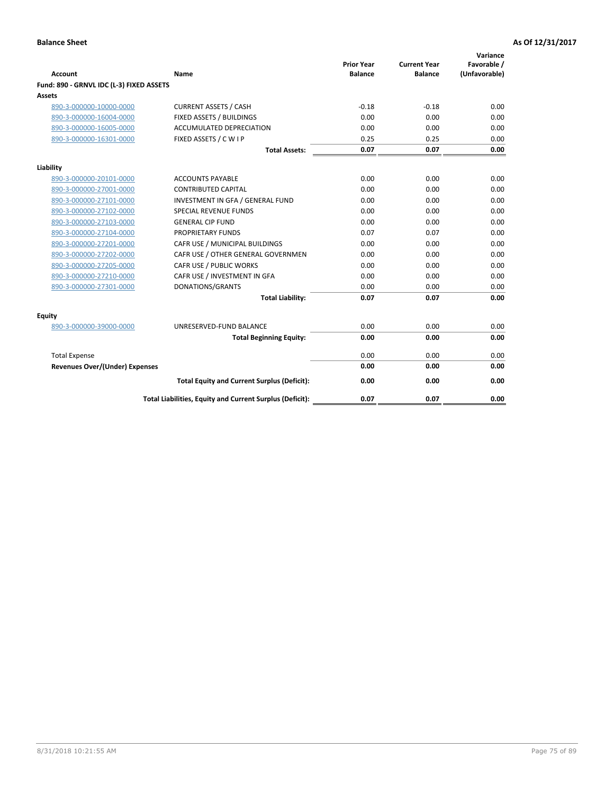| <b>Account</b>                           | Name                                                     | <b>Prior Year</b><br><b>Balance</b> | <b>Current Year</b><br><b>Balance</b> | Variance<br>Favorable /<br>(Unfavorable) |
|------------------------------------------|----------------------------------------------------------|-------------------------------------|---------------------------------------|------------------------------------------|
| Fund: 890 - GRNVL IDC (L-3) FIXED ASSETS |                                                          |                                     |                                       |                                          |
| <b>Assets</b>                            |                                                          |                                     |                                       |                                          |
| 890-3-000000-10000-0000                  | <b>CURRENT ASSETS / CASH</b>                             | $-0.18$                             | $-0.18$                               | 0.00                                     |
| 890-3-000000-16004-0000                  | FIXED ASSETS / BUILDINGS                                 | 0.00                                | 0.00                                  | 0.00                                     |
| 890-3-000000-16005-0000                  | <b>ACCUMULATED DEPRECIATION</b>                          | 0.00                                | 0.00                                  | 0.00                                     |
| 890-3-000000-16301-0000                  | FIXED ASSETS / C W I P                                   | 0.25                                | 0.25                                  | 0.00                                     |
|                                          | <b>Total Assets:</b>                                     | 0.07                                | 0.07                                  | 0.00                                     |
| Liability                                |                                                          |                                     |                                       |                                          |
| 890-3-000000-20101-0000                  | <b>ACCOUNTS PAYABLE</b>                                  | 0.00                                | 0.00                                  | 0.00                                     |
| 890-3-000000-27001-0000                  | <b>CONTRIBUTED CAPITAL</b>                               | 0.00                                | 0.00                                  | 0.00                                     |
| 890-3-000000-27101-0000                  | INVESTMENT IN GFA / GENERAL FUND                         | 0.00                                | 0.00                                  | 0.00                                     |
| 890-3-000000-27102-0000                  | <b>SPECIAL REVENUE FUNDS</b>                             | 0.00                                | 0.00                                  | 0.00                                     |
| 890-3-000000-27103-0000                  | <b>GENERAL CIP FUND</b>                                  | 0.00                                | 0.00                                  | 0.00                                     |
| 890-3-000000-27104-0000                  | PROPRIETARY FUNDS                                        | 0.07                                | 0.07                                  | 0.00                                     |
| 890-3-000000-27201-0000                  | CAFR USE / MUNICIPAL BUILDINGS                           | 0.00                                | 0.00                                  | 0.00                                     |
| 890-3-000000-27202-0000                  | CAFR USE / OTHER GENERAL GOVERNMEN                       | 0.00                                | 0.00                                  | 0.00                                     |
| 890-3-000000-27205-0000                  | CAFR USE / PUBLIC WORKS                                  | 0.00                                | 0.00                                  | 0.00                                     |
| 890-3-000000-27210-0000                  | CAFR USE / INVESTMENT IN GFA                             | 0.00                                | 0.00                                  | 0.00                                     |
| 890-3-000000-27301-0000                  | DONATIONS/GRANTS                                         | 0.00                                | 0.00                                  | 0.00                                     |
|                                          | <b>Total Liability:</b>                                  | 0.07                                | 0.07                                  | 0.00                                     |
| Equity                                   |                                                          |                                     |                                       |                                          |
| 890-3-000000-39000-0000                  | UNRESERVED-FUND BALANCE                                  | 0.00                                | 0.00                                  | 0.00                                     |
|                                          | <b>Total Beginning Equity:</b>                           | 0.00                                | 0.00                                  | 0.00                                     |
| <b>Total Expense</b>                     |                                                          | 0.00                                | 0.00                                  | 0.00                                     |
| <b>Revenues Over/(Under) Expenses</b>    |                                                          | 0.00                                | 0.00                                  | 0.00                                     |
|                                          | <b>Total Equity and Current Surplus (Deficit):</b>       | 0.00                                | 0.00                                  | 0.00                                     |
|                                          | Total Liabilities, Equity and Current Surplus (Deficit): | 0.07                                | 0.07                                  | 0.00                                     |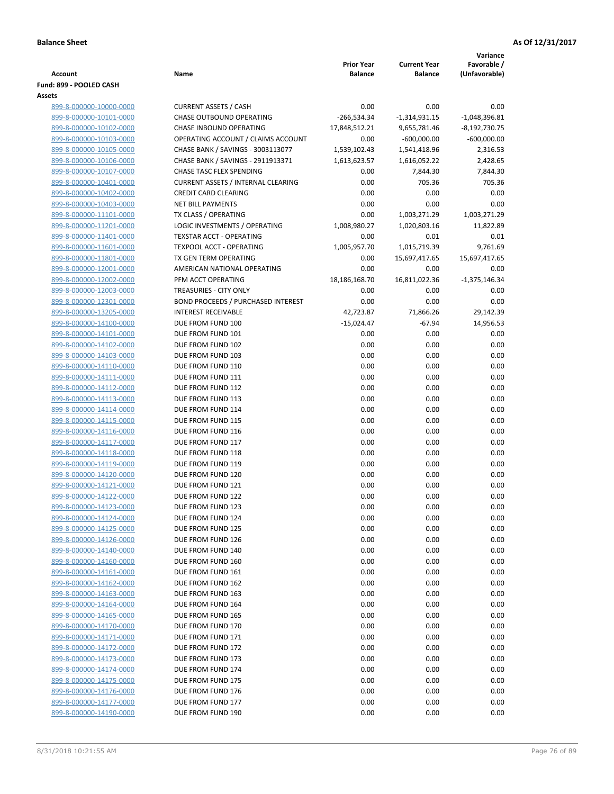|                                                    |                                                                 |                       |                               | Variance                         |
|----------------------------------------------------|-----------------------------------------------------------------|-----------------------|-------------------------------|----------------------------------|
|                                                    |                                                                 | <b>Prior Year</b>     | <b>Current Year</b>           | Favorable /                      |
| <b>Account</b>                                     | Name                                                            | <b>Balance</b>        | <b>Balance</b>                | (Unfavorable)                    |
| Fund: 899 - POOLED CASH                            |                                                                 |                       |                               |                                  |
| Assets                                             |                                                                 |                       |                               |                                  |
| 899-8-000000-10000-0000                            | <b>CURRENT ASSETS / CASH</b><br><b>CHASE OUTBOUND OPERATING</b> | 0.00                  | 0.00                          | 0.00                             |
| 899-8-000000-10101-0000                            | CHASE INBOUND OPERATING                                         | $-266,534.34$         | $-1,314,931.15$               | $-1,048,396.81$                  |
| 899-8-000000-10102-0000<br>899-8-000000-10103-0000 | OPERATING ACCOUNT / CLAIMS ACCOUNT                              | 17,848,512.21<br>0.00 | 9,655,781.46<br>$-600,000.00$ | $-8,192,730.75$<br>$-600,000.00$ |
| 899-8-000000-10105-0000                            | CHASE BANK / SAVINGS - 3003113077                               | 1,539,102.43          | 1,541,418.96                  | 2,316.53                         |
| 899-8-000000-10106-0000                            | CHASE BANK / SAVINGS - 2911913371                               | 1,613,623.57          | 1,616,052.22                  | 2,428.65                         |
| 899-8-000000-10107-0000                            | CHASE TASC FLEX SPENDING                                        | 0.00                  | 7,844.30                      | 7,844.30                         |
| 899-8-000000-10401-0000                            | <b>CURRENT ASSETS / INTERNAL CLEARING</b>                       | 0.00                  | 705.36                        | 705.36                           |
| 899-8-000000-10402-0000                            | <b>CREDIT CARD CLEARING</b>                                     | 0.00                  | 0.00                          | 0.00                             |
| 899-8-000000-10403-0000                            | <b>NET BILL PAYMENTS</b>                                        | 0.00                  | 0.00                          | 0.00                             |
| 899-8-000000-11101-0000                            | TX CLASS / OPERATING                                            | 0.00                  | 1,003,271.29                  | 1,003,271.29                     |
| 899-8-000000-11201-0000                            | LOGIC INVESTMENTS / OPERATING                                   | 1,008,980.27          | 1,020,803.16                  | 11,822.89                        |
| 899-8-000000-11401-0000                            | <b>TEXSTAR ACCT - OPERATING</b>                                 | 0.00                  | 0.01                          | 0.01                             |
| 899-8-000000-11601-0000                            | TEXPOOL ACCT - OPERATING                                        | 1,005,957.70          | 1,015,719.39                  | 9,761.69                         |
| 899-8-000000-11801-0000                            | TX GEN TERM OPERATING                                           | 0.00                  | 15,697,417.65                 | 15,697,417.65                    |
| 899-8-000000-12001-0000                            | AMERICAN NATIONAL OPERATING                                     | 0.00                  | 0.00                          | 0.00                             |
| 899-8-000000-12002-0000                            | PFM ACCT OPERATING                                              | 18,186,168.70         | 16,811,022.36                 | $-1,375,146.34$                  |
| 899-8-000000-12003-0000                            | TREASURIES - CITY ONLY                                          | 0.00                  | 0.00                          | 0.00                             |
| 899-8-000000-12301-0000                            | <b>BOND PROCEEDS / PURCHASED INTEREST</b>                       | 0.00                  | 0.00                          | 0.00                             |
| 899-8-000000-13205-0000                            | <b>INTEREST RECEIVABLE</b>                                      | 42,723.87             | 71,866.26                     | 29,142.39                        |
| 899-8-000000-14100-0000                            | DUE FROM FUND 100                                               | $-15,024.47$          | $-67.94$                      | 14,956.53                        |
| 899-8-000000-14101-0000                            | DUE FROM FUND 101                                               | 0.00                  | 0.00                          | 0.00                             |
| 899-8-000000-14102-0000                            | DUE FROM FUND 102                                               | 0.00                  | 0.00                          | 0.00                             |
| 899-8-000000-14103-0000                            | DUE FROM FUND 103                                               | 0.00                  | 0.00                          | 0.00                             |
| 899-8-000000-14110-0000                            | DUE FROM FUND 110                                               | 0.00                  | 0.00                          | 0.00                             |
| 899-8-000000-14111-0000                            | DUE FROM FUND 111                                               | 0.00                  | 0.00                          | 0.00                             |
| 899-8-000000-14112-0000                            | DUE FROM FUND 112                                               | 0.00                  | 0.00                          | 0.00                             |
| 899-8-000000-14113-0000                            | DUE FROM FUND 113<br>DUE FROM FUND 114                          | 0.00                  | 0.00<br>0.00                  | 0.00<br>0.00                     |
| 899-8-000000-14114-0000<br>899-8-000000-14115-0000 | DUE FROM FUND 115                                               | 0.00<br>0.00          | 0.00                          | 0.00                             |
| 899-8-000000-14116-0000                            | DUE FROM FUND 116                                               | 0.00                  | 0.00                          | 0.00                             |
| 899-8-000000-14117-0000                            | DUE FROM FUND 117                                               | 0.00                  | 0.00                          | 0.00                             |
| 899-8-000000-14118-0000                            | DUE FROM FUND 118                                               | 0.00                  | 0.00                          | 0.00                             |
| 899-8-000000-14119-0000                            | DUE FROM FUND 119                                               | 0.00                  | 0.00                          | 0.00                             |
| 899-8-000000-14120-0000                            | DUE FROM FUND 120                                               | 0.00                  | 0.00                          | 0.00                             |
| 899-8-000000-14121-0000                            | DUE FROM FUND 121                                               | 0.00                  | 0.00                          | 0.00                             |
| 899-8-000000-14122-0000                            | DUE FROM FUND 122                                               | 0.00                  | 0.00                          | 0.00                             |
| 899-8-000000-14123-0000                            | DUE FROM FUND 123                                               | 0.00                  | 0.00                          | 0.00                             |
| 899-8-000000-14124-0000                            | DUE FROM FUND 124                                               | 0.00                  | 0.00                          | 0.00                             |
| 899-8-000000-14125-0000                            | DUE FROM FUND 125                                               | 0.00                  | 0.00                          | 0.00                             |
| 899-8-000000-14126-0000                            | DUE FROM FUND 126                                               | 0.00                  | 0.00                          | 0.00                             |
| 899-8-000000-14140-0000                            | DUE FROM FUND 140                                               | 0.00                  | 0.00                          | 0.00                             |
| 899-8-000000-14160-0000                            | DUE FROM FUND 160                                               | 0.00                  | 0.00                          | 0.00                             |
| 899-8-000000-14161-0000                            | DUE FROM FUND 161                                               | 0.00                  | 0.00                          | 0.00                             |
| 899-8-000000-14162-0000                            | DUE FROM FUND 162                                               | 0.00                  | 0.00                          | 0.00                             |
| 899-8-000000-14163-0000                            | DUE FROM FUND 163                                               | 0.00                  | 0.00                          | 0.00                             |
| 899-8-000000-14164-0000                            | DUE FROM FUND 164                                               | 0.00                  | 0.00                          | 0.00                             |
| 899-8-000000-14165-0000                            | DUE FROM FUND 165                                               | 0.00                  | 0.00                          | 0.00                             |
| 899-8-000000-14170-0000<br>899-8-000000-14171-0000 | DUE FROM FUND 170<br>DUE FROM FUND 171                          | 0.00<br>0.00          | 0.00<br>0.00                  | 0.00<br>0.00                     |
| 899-8-000000-14172-0000                            | DUE FROM FUND 172                                               | 0.00                  | 0.00                          | 0.00                             |
| 899-8-000000-14173-0000                            | DUE FROM FUND 173                                               | 0.00                  | 0.00                          | 0.00                             |
| 899-8-000000-14174-0000                            | DUE FROM FUND 174                                               | 0.00                  | 0.00                          | 0.00                             |
| 899-8-000000-14175-0000                            | DUE FROM FUND 175                                               | 0.00                  | 0.00                          | 0.00                             |
| 899-8-000000-14176-0000                            | DUE FROM FUND 176                                               | 0.00                  | 0.00                          | 0.00                             |
| 899-8-000000-14177-0000                            | DUE FROM FUND 177                                               | 0.00                  | 0.00                          | 0.00                             |
| 899-8-000000-14190-0000                            | DUE FROM FUND 190                                               | 0.00                  | 0.00                          | 0.00                             |
|                                                    |                                                                 |                       |                               |                                  |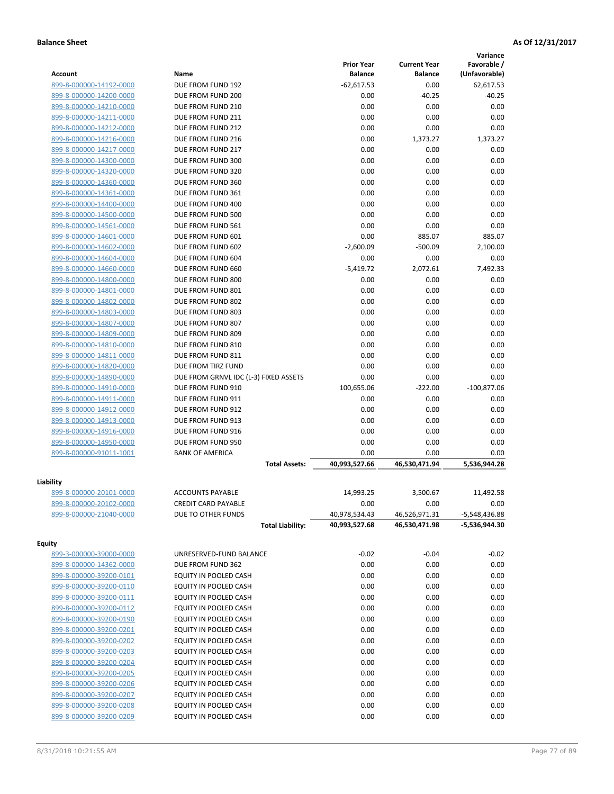|                         |                                               |                                     |                                | Variance                         |
|-------------------------|-----------------------------------------------|-------------------------------------|--------------------------------|----------------------------------|
| <b>Account</b>          | Name                                          | <b>Prior Year</b><br><b>Balance</b> | <b>Current Year</b><br>Balance | Favorable /<br>(Unfavorable)     |
| 899-8-000000-14192-0000 | DUE FROM FUND 192                             | $-62,617.53$                        | 0.00                           | 62,617.53                        |
| 899-8-000000-14200-0000 | DUE FROM FUND 200                             | 0.00                                | $-40.25$                       | $-40.25$                         |
| 899-8-000000-14210-0000 | DUE FROM FUND 210                             | 0.00                                | 0.00                           | 0.00                             |
| 899-8-000000-14211-0000 | DUE FROM FUND 211                             | 0.00                                | 0.00                           | 0.00                             |
| 899-8-000000-14212-0000 | DUE FROM FUND 212                             | 0.00                                | 0.00                           | 0.00                             |
| 899-8-000000-14216-0000 | DUE FROM FUND 216                             | 0.00                                | 1,373.27                       | 1,373.27                         |
| 899-8-000000-14217-0000 | DUE FROM FUND 217                             | 0.00                                | 0.00                           | 0.00                             |
| 899-8-000000-14300-0000 | DUE FROM FUND 300                             | 0.00                                | 0.00                           | 0.00                             |
| 899-8-000000-14320-0000 | DUE FROM FUND 320                             | 0.00                                | 0.00                           | 0.00                             |
| 899-8-000000-14360-0000 | DUE FROM FUND 360                             | 0.00                                | 0.00                           | 0.00                             |
| 899-8-000000-14361-0000 | DUE FROM FUND 361                             | 0.00                                | 0.00                           | 0.00                             |
| 899-8-000000-14400-0000 | DUE FROM FUND 400                             | 0.00                                | 0.00                           | 0.00                             |
| 899-8-000000-14500-0000 | DUE FROM FUND 500                             | 0.00                                | 0.00                           | 0.00                             |
| 899-8-000000-14561-0000 | DUE FROM FUND 561                             | 0.00                                | 0.00                           | 0.00                             |
| 899-8-000000-14601-0000 | DUE FROM FUND 601                             | 0.00                                | 885.07                         | 885.07                           |
| 899-8-000000-14602-0000 | DUE FROM FUND 602                             | $-2,600.09$                         | $-500.09$                      | 2,100.00                         |
| 899-8-000000-14604-0000 | DUE FROM FUND 604                             | 0.00                                | 0.00                           | 0.00                             |
| 899-8-000000-14660-0000 | DUE FROM FUND 660                             | $-5.419.72$                         | 2,072.61                       | 7,492.33                         |
| 899-8-000000-14800-0000 | DUE FROM FUND 800                             | 0.00                                | 0.00                           | 0.00                             |
| 899-8-000000-14801-0000 | DUE FROM FUND 801                             | 0.00                                | 0.00                           | 0.00                             |
| 899-8-000000-14802-0000 | DUE FROM FUND 802                             | 0.00                                | 0.00                           | 0.00                             |
| 899-8-000000-14803-0000 | DUE FROM FUND 803                             | 0.00                                | 0.00                           | 0.00                             |
| 899-8-000000-14807-0000 | DUE FROM FUND 807                             | 0.00                                | 0.00                           | 0.00                             |
| 899-8-000000-14809-0000 | DUE FROM FUND 809                             | 0.00                                | 0.00                           | 0.00                             |
| 899-8-000000-14810-0000 | DUE FROM FUND 810                             | 0.00                                | 0.00                           | 0.00                             |
| 899-8-000000-14811-0000 | DUE FROM FUND 811                             | 0.00                                | 0.00                           | 0.00                             |
| 899-8-000000-14820-0000 | DUE FROM TIRZ FUND                            | 0.00                                | 0.00                           | 0.00                             |
| 899-8-000000-14890-0000 | DUE FROM GRNVL IDC (L-3) FIXED ASSETS         | 0.00                                | 0.00                           | 0.00                             |
| 899-8-000000-14910-0000 | DUE FROM FUND 910                             | 100,655.06                          | $-222.00$                      | $-100,877.06$                    |
| 899-8-000000-14911-0000 | DUE FROM FUND 911                             | 0.00                                | 0.00                           | 0.00                             |
| 899-8-000000-14912-0000 | DUE FROM FUND 912                             | 0.00                                | 0.00                           | 0.00                             |
| 899-8-000000-14913-0000 | DUE FROM FUND 913                             | 0.00                                | 0.00                           | 0.00                             |
| 899-8-000000-14916-0000 | DUE FROM FUND 916                             | 0.00                                | 0.00                           | 0.00                             |
| 899-8-000000-14950-0000 | DUE FROM FUND 950                             | 0.00                                | 0.00                           | 0.00                             |
| 899-8-000000-91011-1001 | <b>BANK OF AMERICA</b>                        | 0.00                                | 0.00                           | 0.00                             |
|                         | <b>Total Assets:</b>                          | 40,993,527.66                       | 46,530,471.94                  | 5,536,944.28                     |
|                         |                                               |                                     |                                |                                  |
| Liability               |                                               |                                     |                                |                                  |
| 899-8-000000-20101-0000 | <b>ACCOUNTS PAYABLE</b>                       | 14,993.25                           | 3,500.67                       | 11,492.58                        |
| 899-8-000000-20102-0000 | <b>CREDIT CARD PAYABLE</b>                    | 0.00                                | 0.00                           | 0.00                             |
| 899-8-000000-21040-0000 | DUE TO OTHER FUNDS<br><b>Total Liability:</b> | 40,978,534.43<br>40,993,527.68      | 46,526,971.31<br>46,530,471.98 | $-5,548,436.88$<br>-5,536,944.30 |
|                         |                                               |                                     |                                |                                  |
| <b>Equity</b>           |                                               |                                     |                                |                                  |
| 899-3-000000-39000-0000 | UNRESERVED-FUND BALANCE                       | $-0.02$                             | $-0.04$                        | $-0.02$                          |
| 899-8-000000-14362-0000 | DUE FROM FUND 362                             | 0.00                                | 0.00                           | 0.00                             |
| 899-8-000000-39200-0101 | EQUITY IN POOLED CASH                         | 0.00                                | 0.00                           | 0.00                             |
| 899-8-000000-39200-0110 | EQUITY IN POOLED CASH                         | 0.00                                | 0.00                           | 0.00                             |
| 899-8-000000-39200-0111 | EQUITY IN POOLED CASH                         | 0.00                                | 0.00                           | 0.00                             |
| 899-8-000000-39200-0112 | EQUITY IN POOLED CASH                         | 0.00                                | 0.00                           | 0.00                             |
| 899-8-000000-39200-0190 | EQUITY IN POOLED CASH                         | 0.00                                | 0.00                           | 0.00                             |
| 899-8-000000-39200-0201 | EQUITY IN POOLED CASH                         | 0.00                                | 0.00                           | 0.00                             |
| 899-8-000000-39200-0202 | EQUITY IN POOLED CASH                         | 0.00                                | 0.00                           | 0.00                             |
| 899-8-000000-39200-0203 | EQUITY IN POOLED CASH                         | 0.00                                | 0.00                           | 0.00                             |
| 899-8-000000-39200-0204 | EQUITY IN POOLED CASH                         | 0.00                                | 0.00                           | 0.00                             |
| 899-8-000000-39200-0205 | EQUITY IN POOLED CASH                         | 0.00                                | 0.00                           | 0.00                             |
| 899-8-000000-39200-0206 | EQUITY IN POOLED CASH                         | 0.00                                | 0.00                           | 0.00                             |
| 899-8-000000-39200-0207 | EQUITY IN POOLED CASH                         | 0.00                                | 0.00                           | 0.00                             |
| 899-8-000000-39200-0208 | EQUITY IN POOLED CASH                         | 0.00                                | 0.00                           | 0.00                             |
| 899-8-000000-39200-0209 | EQUITY IN POOLED CASH                         | 0.00                                | 0.00                           | 0.00                             |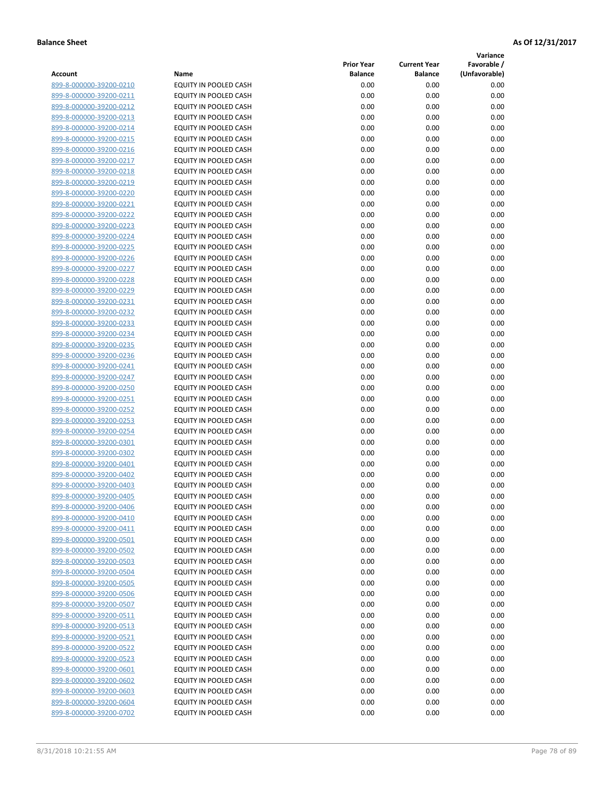**Variance**

| Account                 | Name                         | <b>Prior Year</b><br><b>Balance</b> | <b>Current Year</b><br><b>Balance</b> | Favorable /<br>(Unfavorable) |
|-------------------------|------------------------------|-------------------------------------|---------------------------------------|------------------------------|
| 899-8-000000-39200-0210 | EQUITY IN POOLED CASH        | 0.00                                | 0.00                                  | 0.00                         |
| 899-8-000000-39200-0211 | EQUITY IN POOLED CASH        | 0.00                                | 0.00                                  | 0.00                         |
| 899-8-000000-39200-0212 | EQUITY IN POOLED CASH        | 0.00                                | 0.00                                  | 0.00                         |
| 899-8-000000-39200-0213 | EQUITY IN POOLED CASH        | 0.00                                | 0.00                                  | 0.00                         |
| 899-8-000000-39200-0214 | <b>EQUITY IN POOLED CASH</b> | 0.00                                | 0.00                                  | 0.00                         |
| 899-8-000000-39200-0215 | EQUITY IN POOLED CASH        | 0.00                                | 0.00                                  | 0.00                         |
| 899-8-000000-39200-0216 | EQUITY IN POOLED CASH        | 0.00                                | 0.00                                  | 0.00                         |
| 899-8-000000-39200-0217 | EQUITY IN POOLED CASH        | 0.00                                | 0.00                                  | 0.00                         |
| 899-8-000000-39200-0218 | EQUITY IN POOLED CASH        | 0.00                                | 0.00                                  | 0.00                         |
| 899-8-000000-39200-0219 | EQUITY IN POOLED CASH        | 0.00                                | 0.00                                  | 0.00                         |
| 899-8-000000-39200-0220 | EQUITY IN POOLED CASH        | 0.00                                | 0.00                                  | 0.00                         |
| 899-8-000000-39200-0221 | EQUITY IN POOLED CASH        | 0.00                                | 0.00                                  | 0.00                         |
| 899-8-000000-39200-0222 | EQUITY IN POOLED CASH        | 0.00                                | 0.00                                  | 0.00                         |
| 899-8-000000-39200-0223 | EQUITY IN POOLED CASH        | 0.00                                | 0.00                                  | 0.00                         |
| 899-8-000000-39200-0224 | EQUITY IN POOLED CASH        | 0.00                                | 0.00                                  | 0.00                         |
| 899-8-000000-39200-0225 | EQUITY IN POOLED CASH        | 0.00                                | 0.00                                  | 0.00                         |
| 899-8-000000-39200-0226 | EQUITY IN POOLED CASH        | 0.00                                | 0.00                                  | 0.00                         |
| 899-8-000000-39200-0227 | EQUITY IN POOLED CASH        | 0.00                                | 0.00                                  | 0.00                         |
| 899-8-000000-39200-0228 | EQUITY IN POOLED CASH        | 0.00                                | 0.00                                  | 0.00                         |
| 899-8-000000-39200-0229 | EQUITY IN POOLED CASH        | 0.00                                | 0.00                                  | 0.00                         |
| 899-8-000000-39200-0231 | EQUITY IN POOLED CASH        | 0.00                                | 0.00                                  | 0.00                         |
| 899-8-000000-39200-0232 | EQUITY IN POOLED CASH        | 0.00                                | 0.00                                  | 0.00                         |
| 899-8-000000-39200-0233 | EQUITY IN POOLED CASH        | 0.00                                | 0.00                                  | 0.00                         |
| 899-8-000000-39200-0234 | EQUITY IN POOLED CASH        | 0.00                                | 0.00                                  | 0.00                         |
| 899-8-000000-39200-0235 | <b>EQUITY IN POOLED CASH</b> | 0.00                                | 0.00                                  | 0.00                         |
| 899-8-000000-39200-0236 | EQUITY IN POOLED CASH        | 0.00                                | 0.00                                  | 0.00                         |
| 899-8-000000-39200-0241 | EQUITY IN POOLED CASH        | 0.00                                | 0.00                                  | 0.00                         |
| 899-8-000000-39200-0247 | EQUITY IN POOLED CASH        | 0.00                                | 0.00                                  | 0.00                         |
| 899-8-000000-39200-0250 | EQUITY IN POOLED CASH        | 0.00                                | 0.00                                  | 0.00                         |
| 899-8-000000-39200-0251 | EQUITY IN POOLED CASH        | 0.00                                | 0.00                                  | 0.00                         |
| 899-8-000000-39200-0252 | EQUITY IN POOLED CASH        | 0.00                                | 0.00                                  | 0.00                         |
| 899-8-000000-39200-0253 | EQUITY IN POOLED CASH        | 0.00                                | 0.00                                  | 0.00                         |
| 899-8-000000-39200-0254 | EQUITY IN POOLED CASH        | 0.00                                | 0.00                                  | 0.00                         |
| 899-8-000000-39200-0301 | EQUITY IN POOLED CASH        | 0.00                                | 0.00                                  | 0.00                         |
| 899-8-000000-39200-0302 | <b>EQUITY IN POOLED CASH</b> | 0.00                                | 0.00                                  | 0.00                         |
| 899-8-000000-39200-0401 | EQUITY IN POOLED CASH        | 0.00                                | 0.00                                  | 0.00                         |
| 899-8-000000-39200-0402 | EQUITY IN POOLED CASH        | 0.00                                | 0.00                                  | 0.00                         |
| 899-8-000000-39200-0403 | <b>EQUITY IN POOLED CASH</b> | 0.00                                | 0.00                                  | 0.00                         |
| 899-8-000000-39200-0405 | <b>EQUITY IN POOLED CASH</b> | 0.00                                | 0.00                                  | 0.00                         |
| 899-8-000000-39200-0406 | EQUITY IN POOLED CASH        | 0.00                                | 0.00                                  | 0.00                         |
| 899-8-000000-39200-0410 | EQUITY IN POOLED CASH        | 0.00                                | 0.00                                  | 0.00                         |
| 899-8-000000-39200-0411 | EQUITY IN POOLED CASH        | 0.00                                | 0.00                                  | 0.00                         |
| 899-8-000000-39200-0501 | EQUITY IN POOLED CASH        | 0.00                                | 0.00                                  | 0.00                         |
| 899-8-000000-39200-0502 | EQUITY IN POOLED CASH        | 0.00                                | 0.00                                  | 0.00                         |
| 899-8-000000-39200-0503 | EQUITY IN POOLED CASH        | 0.00                                | 0.00                                  | 0.00                         |
| 899-8-000000-39200-0504 | EQUITY IN POOLED CASH        | 0.00                                | 0.00                                  | 0.00                         |
| 899-8-000000-39200-0505 | EQUITY IN POOLED CASH        | 0.00                                | 0.00                                  | 0.00                         |
| 899-8-000000-39200-0506 | EQUITY IN POOLED CASH        | 0.00                                | 0.00                                  | 0.00                         |
| 899-8-000000-39200-0507 | EQUITY IN POOLED CASH        | 0.00                                | 0.00                                  | 0.00                         |
| 899-8-000000-39200-0511 | EQUITY IN POOLED CASH        | 0.00                                | 0.00                                  | 0.00                         |
| 899-8-000000-39200-0513 | <b>EQUITY IN POOLED CASH</b> | 0.00                                | 0.00                                  | 0.00                         |
| 899-8-000000-39200-0521 | EQUITY IN POOLED CASH        | 0.00                                | 0.00                                  | 0.00                         |
| 899-8-000000-39200-0522 | EQUITY IN POOLED CASH        | 0.00                                | 0.00                                  | 0.00                         |
| 899-8-000000-39200-0523 | EQUITY IN POOLED CASH        | 0.00                                | 0.00                                  | 0.00                         |
| 899-8-000000-39200-0601 | EQUITY IN POOLED CASH        | 0.00                                | 0.00                                  | 0.00                         |
| 899-8-000000-39200-0602 | EQUITY IN POOLED CASH        | 0.00                                | 0.00                                  | 0.00                         |
| 899-8-000000-39200-0603 | EQUITY IN POOLED CASH        | 0.00                                | 0.00                                  | 0.00                         |
| 899-8-000000-39200-0604 | EQUITY IN POOLED CASH        | 0.00                                | 0.00                                  | 0.00                         |
| 899-8-000000-39200-0702 | EQUITY IN POOLED CASH        | 0.00                                | 0.00                                  | 0.00                         |
|                         |                              |                                     |                                       |                              |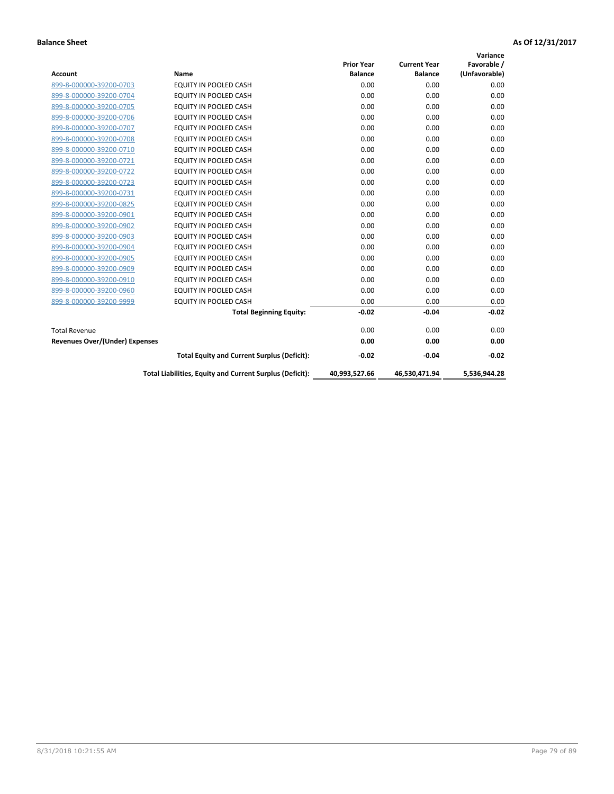| <b>Account</b>                        | Name                                                     | <b>Prior Year</b><br><b>Balance</b> | <b>Current Year</b><br><b>Balance</b> | Variance<br>Favorable /<br>(Unfavorable) |
|---------------------------------------|----------------------------------------------------------|-------------------------------------|---------------------------------------|------------------------------------------|
| 899-8-000000-39200-0703               | <b>EQUITY IN POOLED CASH</b>                             | 0.00                                | 0.00                                  | 0.00                                     |
| 899-8-000000-39200-0704               | <b>EQUITY IN POOLED CASH</b>                             | 0.00                                | 0.00                                  | 0.00                                     |
| 899-8-000000-39200-0705               | <b>EQUITY IN POOLED CASH</b>                             | 0.00                                | 0.00                                  | 0.00                                     |
| 899-8-000000-39200-0706               | EQUITY IN POOLED CASH                                    | 0.00                                | 0.00                                  | 0.00                                     |
| 899-8-000000-39200-0707               | EQUITY IN POOLED CASH                                    | 0.00                                | 0.00                                  | 0.00                                     |
| 899-8-000000-39200-0708               | <b>EQUITY IN POOLED CASH</b>                             | 0.00                                | 0.00                                  | 0.00                                     |
| 899-8-000000-39200-0710               | <b>EQUITY IN POOLED CASH</b>                             | 0.00                                | 0.00                                  | 0.00                                     |
| 899-8-000000-39200-0721               | <b>EQUITY IN POOLED CASH</b>                             | 0.00                                | 0.00                                  | 0.00                                     |
| 899-8-000000-39200-0722               | <b>EQUITY IN POOLED CASH</b>                             | 0.00                                | 0.00                                  | 0.00                                     |
| 899-8-000000-39200-0723               | EQUITY IN POOLED CASH                                    | 0.00                                | 0.00                                  | 0.00                                     |
| 899-8-000000-39200-0731               | <b>EQUITY IN POOLED CASH</b>                             | 0.00                                | 0.00                                  | 0.00                                     |
| 899-8-000000-39200-0825               | EQUITY IN POOLED CASH                                    | 0.00                                | 0.00                                  | 0.00                                     |
| 899-8-000000-39200-0901               | EQUITY IN POOLED CASH                                    | 0.00                                | 0.00                                  | 0.00                                     |
| 899-8-000000-39200-0902               | EQUITY IN POOLED CASH                                    | 0.00                                | 0.00                                  | 0.00                                     |
| 899-8-000000-39200-0903               | <b>EQUITY IN POOLED CASH</b>                             | 0.00                                | 0.00                                  | 0.00                                     |
| 899-8-000000-39200-0904               | <b>EQUITY IN POOLED CASH</b>                             | 0.00                                | 0.00                                  | 0.00                                     |
| 899-8-000000-39200-0905               | EQUITY IN POOLED CASH                                    | 0.00                                | 0.00                                  | 0.00                                     |
| 899-8-000000-39200-0909               | EQUITY IN POOLED CASH                                    | 0.00                                | 0.00                                  | 0.00                                     |
| 899-8-000000-39200-0910               | <b>EQUITY IN POOLED CASH</b>                             | 0.00                                | 0.00                                  | 0.00                                     |
| 899-8-000000-39200-0960               | <b>EQUITY IN POOLED CASH</b>                             | 0.00                                | 0.00                                  | 0.00                                     |
| 899-8-000000-39200-9999               | EQUITY IN POOLED CASH                                    | 0.00                                | 0.00                                  | 0.00                                     |
|                                       | <b>Total Beginning Equity:</b>                           | $-0.02$                             | $-0.04$                               | $-0.02$                                  |
| <b>Total Revenue</b>                  |                                                          | 0.00                                | 0.00                                  | 0.00                                     |
| <b>Revenues Over/(Under) Expenses</b> |                                                          | 0.00                                | 0.00                                  | 0.00                                     |
|                                       | <b>Total Equity and Current Surplus (Deficit):</b>       | $-0.02$                             | $-0.04$                               | $-0.02$                                  |
|                                       | Total Liabilities, Equity and Current Surplus (Deficit): | 40,993,527.66                       | 46,530,471.94                         | 5,536,944.28                             |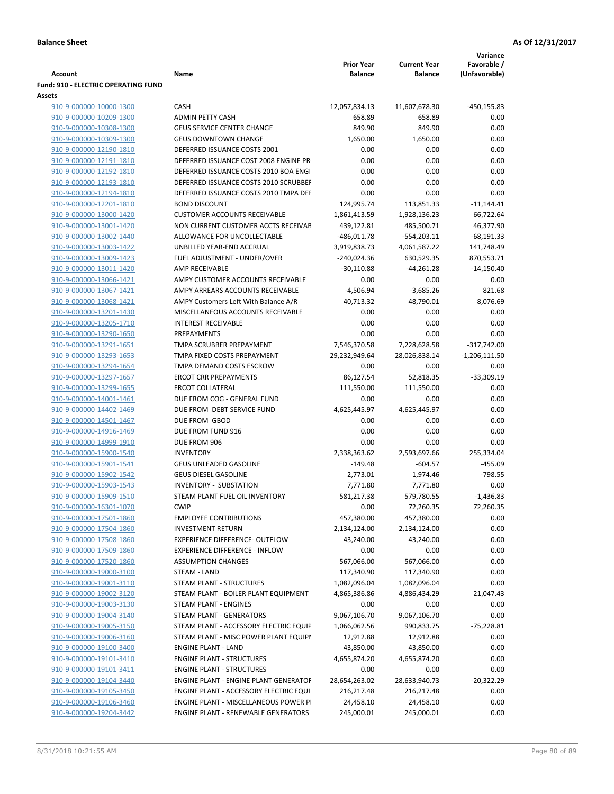|                                                    |                                              |                                     |                                       | Variance                     |
|----------------------------------------------------|----------------------------------------------|-------------------------------------|---------------------------------------|------------------------------|
| <b>Account</b>                                     | Name                                         | <b>Prior Year</b><br><b>Balance</b> | <b>Current Year</b><br><b>Balance</b> | Favorable /<br>(Unfavorable) |
| <b>Fund: 910 - ELECTRIC OPERATING FUND</b>         |                                              |                                     |                                       |                              |
| Assets                                             |                                              |                                     |                                       |                              |
| 910-9-000000-10000-1300                            | <b>CASH</b>                                  | 12,057,834.13                       | 11,607,678.30                         | $-450, 155.83$               |
| 910-9-000000-10209-1300                            | <b>ADMIN PETTY CASH</b>                      | 658.89                              | 658.89                                | 0.00                         |
| 910-9-000000-10308-1300                            | <b>GEUS SERVICE CENTER CHANGE</b>            | 849.90                              | 849.90                                | 0.00                         |
| 910-9-000000-10309-1300                            | <b>GEUS DOWNTOWN CHANGE</b>                  | 1,650.00                            | 1,650.00                              | 0.00                         |
| 910-9-000000-12190-1810                            | DEFERRED ISSUANCE COSTS 2001                 | 0.00                                | 0.00                                  | 0.00                         |
| 910-9-000000-12191-1810                            | DEFERRED ISSUANCE COST 2008 ENGINE PR        | 0.00                                | 0.00                                  | 0.00                         |
| 910-9-000000-12192-1810                            | DEFERRED ISSUANCE COSTS 2010 BOA ENGI        | 0.00                                | 0.00                                  | 0.00                         |
| 910-9-000000-12193-1810                            | DEFERRED ISSUANCE COSTS 2010 SCRUBBEI        | 0.00                                | 0.00                                  | 0.00                         |
| 910-9-000000-12194-1810                            | DEFERRED ISSUANCE COSTS 2010 TMPA DEI        | 0.00                                | 0.00                                  | 0.00                         |
| 910-9-000000-12201-1810                            | <b>BOND DISCOUNT</b>                         | 124,995.74                          | 113,851.33                            | $-11,144.41$                 |
| 910-9-000000-13000-1420                            | <b>CUSTOMER ACCOUNTS RECEIVABLE</b>          | 1,861,413.59                        | 1,928,136.23                          | 66,722.64                    |
| 910-9-000000-13001-1420                            | NON CURRENT CUSTOMER ACCTS RECEIVAE          | 439,122.81                          | 485,500.71                            | 46,377.90                    |
| 910-9-000000-13002-1440                            | ALLOWANCE FOR UNCOLLECTABLE                  | $-486,011.78$                       | $-554,203.11$                         | $-68,191.33$                 |
| 910-9-000000-13003-1422                            | UNBILLED YEAR-END ACCRUAL                    | 3,919,838.73                        | 4,061,587.22                          | 141,748.49                   |
| 910-9-000000-13009-1423                            | FUEL ADJUSTMENT - UNDER/OVER                 | -240,024.36                         | 630,529.35                            | 870,553.71                   |
| 910-9-000000-13011-1420                            | <b>AMP RECEIVABLE</b>                        | $-30,110.88$                        | $-44,261.28$                          | $-14,150.40$                 |
| 910-9-000000-13066-1421                            | AMPY CUSTOMER ACCOUNTS RECEIVABLE            | 0.00                                | 0.00                                  | 0.00                         |
| 910-9-000000-13067-1421                            | AMPY ARREARS ACCOUNTS RECEIVABLE             | $-4,506.94$                         | $-3,685.26$                           | 821.68                       |
| 910-9-000000-13068-1421                            | AMPY Customers Left With Balance A/R         | 40,713.32                           | 48,790.01                             | 8,076.69                     |
| 910-9-000000-13201-1430                            | MISCELLANEOUS ACCOUNTS RECEIVABLE            | 0.00                                | 0.00                                  | 0.00                         |
| 910-9-000000-13205-1710                            | <b>INTEREST RECEIVABLE</b><br>PREPAYMENTS    | 0.00<br>0.00                        | 0.00<br>0.00                          | 0.00<br>0.00                 |
| 910-9-000000-13290-1650<br>910-9-000000-13291-1651 | TMPA SCRUBBER PREPAYMENT                     | 7,546,370.58                        | 7,228,628.58                          | $-317,742.00$                |
| 910-9-000000-13293-1653                            | TMPA FIXED COSTS PREPAYMENT                  | 29,232,949.64                       | 28,026,838.14                         | $-1,206,111.50$              |
| 910-9-000000-13294-1654                            | TMPA DEMAND COSTS ESCROW                     | 0.00                                | 0.00                                  | 0.00                         |
| 910-9-000000-13297-1657                            | <b>ERCOT CRR PREPAYMENTS</b>                 | 86,127.54                           | 52,818.35                             | $-33,309.19$                 |
| 910-9-000000-13299-1655                            | <b>ERCOT COLLATERAL</b>                      | 111,550.00                          | 111,550.00                            | 0.00                         |
| 910-9-000000-14001-1461                            | DUE FROM COG - GENERAL FUND                  | 0.00                                | 0.00                                  | 0.00                         |
| 910-9-000000-14402-1469                            | DUE FROM DEBT SERVICE FUND                   | 4,625,445.97                        | 4,625,445.97                          | 0.00                         |
| 910-9-000000-14501-1467                            | DUE FROM GBOD                                | 0.00                                | 0.00                                  | 0.00                         |
| 910-9-000000-14916-1469                            | DUE FROM FUND 916                            | 0.00                                | 0.00                                  | 0.00                         |
| 910-9-000000-14999-1910                            | DUE FROM 906                                 | 0.00                                | 0.00                                  | 0.00                         |
| 910-9-000000-15900-1540                            | <b>INVENTORY</b>                             | 2,338,363.62                        | 2,593,697.66                          | 255,334.04                   |
| 910-9-000000-15901-1541                            | <b>GEUS UNLEADED GASOLINE</b>                | $-149.48$                           | $-604.57$                             | $-455.09$                    |
| 910-9-000000-15902-1542                            | <b>GEUS DIESEL GASOLINE</b>                  | 2,773.01                            | 1,974.46                              | $-798.55$                    |
| 910-9-000000-15903-1543                            | <b>INVENTORY - SUBSTATION</b>                | 7,771.80                            | 7,771.80                              | 0.00                         |
| 910-9-000000-15909-1510                            | STEAM PLANT FUEL OIL INVENTORY               | 581,217.38                          | 579,780.55                            | $-1,436.83$                  |
| 910-9-000000-16301-1070                            | <b>CWIP</b>                                  | 0.00                                | 72,260.35                             | 72,260.35                    |
| 910-9-000000-17501-1860                            | <b>EMPLOYEE CONTRIBUTIONS</b>                | 457,380.00                          | 457,380.00                            | 0.00                         |
| 910-9-000000-17504-1860                            | <b>INVESTMENT RETURN</b>                     | 2,134,124.00                        | 2,134,124.00                          | 0.00                         |
| 910-9-000000-17508-1860                            | <b>EXPERIENCE DIFFERENCE- OUTFLOW</b>        | 43,240.00                           | 43,240.00                             | 0.00                         |
| 910-9-000000-17509-1860                            | <b>EXPERIENCE DIFFERENCE - INFLOW</b>        | 0.00                                | 0.00                                  | 0.00                         |
| 910-9-000000-17520-1860                            | <b>ASSUMPTION CHANGES</b>                    | 567,066.00                          | 567,066.00                            | 0.00                         |
| 910-9-000000-19000-3100                            | STEAM - LAND                                 | 117,340.90                          | 117,340.90                            | 0.00                         |
| 910-9-000000-19001-3110                            | STEAM PLANT - STRUCTURES                     | 1,082,096.04                        | 1,082,096.04                          | 0.00                         |
| 910-9-000000-19002-3120                            | STEAM PLANT - BOILER PLANT EQUIPMENT         | 4,865,386.86                        | 4,886,434.29                          | 21,047.43                    |
| 910-9-000000-19003-3130                            | STEAM PLANT - ENGINES                        | 0.00                                | 0.00                                  | 0.00                         |
| 910-9-000000-19004-3140                            | STEAM PLANT - GENERATORS                     | 9,067,106.70                        | 9,067,106.70                          | 0.00                         |
| 910-9-000000-19005-3150                            | STEAM PLANT - ACCESSORY ELECTRIC EQUIF       | 1,066,062.56                        | 990,833.75                            | $-75,228.81$                 |
| 910-9-000000-19006-3160                            | STEAM PLANT - MISC POWER PLANT EQUIPI        | 12,912.88                           | 12,912.88                             | 0.00                         |
| 910-9-000000-19100-3400                            | <b>ENGINE PLANT - LAND</b>                   | 43,850.00                           | 43,850.00                             | 0.00                         |
| 910-9-000000-19101-3410                            | <b>ENGINE PLANT - STRUCTURES</b>             | 4,655,874.20                        | 4,655,874.20                          | 0.00                         |
| 910-9-000000-19101-3411                            | <b>ENGINE PLANT - STRUCTURES</b>             | 0.00                                | 0.00                                  | 0.00                         |
| 910-9-000000-19104-3440                            | <b>ENGINE PLANT - ENGINE PLANT GENERATOF</b> | 28,654,263.02                       | 28,633,940.73                         | $-20,322.29$                 |
| 910-9-000000-19105-3450                            | ENGINE PLANT - ACCESSORY ELECTRIC EQUI       | 216,217.48                          | 216,217.48                            | 0.00                         |
| 910-9-000000-19106-3460                            | ENGINE PLANT - MISCELLANEOUS POWER P         | 24,458.10                           | 24,458.10                             | 0.00                         |
| 910-9-000000-19204-3442                            | ENGINE PLANT - RENEWABLE GENERATORS          | 245,000.01                          | 245,000.01                            | 0.00                         |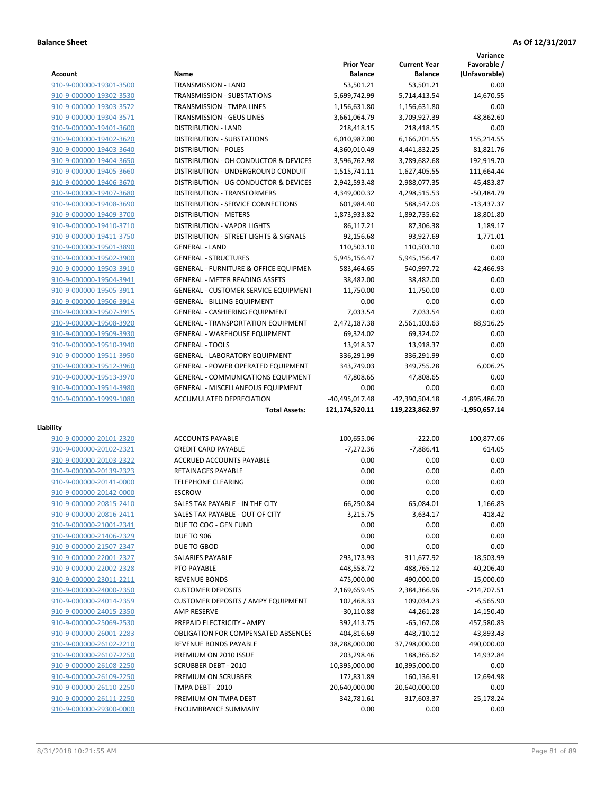|                                                    |                                                  |                                     |                                       | Variance                     |
|----------------------------------------------------|--------------------------------------------------|-------------------------------------|---------------------------------------|------------------------------|
| <b>Account</b>                                     | Name                                             | <b>Prior Year</b><br><b>Balance</b> | <b>Current Year</b><br><b>Balance</b> | Favorable /<br>(Unfavorable) |
| 910-9-000000-19301-3500                            | <b>TRANSMISSION - LAND</b>                       | 53,501.21                           | 53,501.21                             | 0.00                         |
| 910-9-000000-19302-3530                            | TRANSMISSION - SUBSTATIONS                       | 5,699,742.99                        | 5,714,413.54                          | 14,670.55                    |
| 910-9-000000-19303-3572                            | TRANSMISSION - TMPA LINES                        | 1,156,631.80                        | 1,156,631.80                          | 0.00                         |
| 910-9-000000-19304-3571                            | TRANSMISSION - GEUS LINES                        | 3,661,064.79                        | 3,709,927.39                          | 48,862.60                    |
| 910-9-000000-19401-3600                            | <b>DISTRIBUTION - LAND</b>                       | 218,418.15                          | 218,418.15                            | 0.00                         |
| 910-9-000000-19402-3620                            | <b>DISTRIBUTION - SUBSTATIONS</b>                | 6,010,987.00                        | 6,166,201.55                          | 155,214.55                   |
| 910-9-000000-19403-3640                            | <b>DISTRIBUTION - POLES</b>                      | 4,360,010.49                        | 4,441,832.25                          | 81,821.76                    |
| 910-9-000000-19404-3650                            | DISTRIBUTION - OH CONDUCTOR & DEVICES            | 3,596,762.98                        | 3,789,682.68                          | 192,919.70                   |
| 910-9-000000-19405-3660                            | DISTRIBUTION - UNDERGROUND CONDUIT               | 1,515,741.11                        | 1,627,405.55                          | 111,664.44                   |
| 910-9-000000-19406-3670                            | DISTRIBUTION - UG CONDUCTOR & DEVICES            | 2,942,593.48                        | 2,988,077.35                          | 45,483.87                    |
| 910-9-000000-19407-3680                            | <b>DISTRIBUTION - TRANSFORMERS</b>               | 4,349,000.32                        | 4,298,515.53                          | $-50,484.79$                 |
| 910-9-000000-19408-3690                            | DISTRIBUTION - SERVICE CONNECTIONS               | 601,984.40                          | 588,547.03                            | $-13,437.37$                 |
| 910-9-000000-19409-3700                            | <b>DISTRIBUTION - METERS</b>                     | 1,873,933.82                        | 1,892,735.62                          | 18,801.80                    |
| 910-9-000000-19410-3710                            | DISTRIBUTION - VAPOR LIGHTS                      | 86,117.21                           | 87,306.38                             | 1,189.17                     |
| 910-9-000000-19411-3750                            | DISTRIBUTION - STREET LIGHTS & SIGNALS           | 92,156.68                           | 93,927.69                             | 1,771.01                     |
| 910-9-000000-19501-3890                            | <b>GENERAL - LAND</b>                            | 110,503.10                          | 110,503.10                            | 0.00                         |
| 910-9-000000-19502-3900                            | <b>GENERAL - STRUCTURES</b>                      | 5,945,156.47                        | 5,945,156.47                          | 0.00                         |
| 910-9-000000-19503-3910                            | <b>GENERAL - FURNITURE &amp; OFFICE EQUIPMEN</b> | 583,464.65                          | 540,997.72                            | $-42,466.93$                 |
| 910-9-000000-19504-3941                            | <b>GENERAL - METER READING ASSETS</b>            | 38,482.00                           | 38,482.00                             | 0.00                         |
| 910-9-000000-19505-3911                            | <b>GENERAL - CUSTOMER SERVICE EQUIPMENT</b>      | 11,750.00                           | 11,750.00                             | 0.00                         |
| 910-9-000000-19506-3914                            | <b>GENERAL - BILLING EQUIPMENT</b>               | 0.00                                | 0.00                                  | 0.00                         |
| 910-9-000000-19507-3915                            | <b>GENERAL - CASHIERING EQUIPMENT</b>            | 7,033.54                            | 7,033.54                              | 0.00                         |
| 910-9-000000-19508-3920                            | <b>GENERAL - TRANSPORTATION EQUIPMENT</b>        | 2,472,187.38                        | 2,561,103.63                          | 88,916.25                    |
| 910-9-000000-19509-3930                            | <b>GENERAL - WAREHOUSE EQUIPMENT</b>             | 69,324.02                           | 69,324.02                             | 0.00                         |
| 910-9-000000-19510-3940                            | <b>GENERAL - TOOLS</b>                           | 13,918.37                           | 13,918.37                             | 0.00                         |
| 910-9-000000-19511-3950                            | <b>GENERAL - LABORATORY EQUIPMENT</b>            | 336,291.99                          | 336,291.99                            | 0.00                         |
| 910-9-000000-19512-3960                            | <b>GENERAL - POWER OPERATED EQUIPMENT</b>        | 343,749.03                          | 349,755.28                            | 6,006.25                     |
| 910-9-000000-19513-3970                            | <b>GENERAL - COMMUNICATIONS EQUIPMENT</b>        | 47,808.65                           | 47,808.65                             | 0.00                         |
| 910-9-000000-19514-3980                            | <b>GENERAL - MISCELLANEOUS EQUIPMENT</b>         | 0.00                                | 0.00                                  | 0.00                         |
| 910-9-000000-19999-1080                            | ACCUMULATED DEPRECIATION                         | -40,495,017.48                      | -42,390,504.18                        | $-1,895,486.70$              |
|                                                    | <b>Total Assets:</b>                             | 121,174,520.11                      | 119,223,862.97                        | $-1,950,657.14$              |
| Liability                                          |                                                  |                                     |                                       |                              |
| 910-9-000000-20101-2320                            | <b>ACCOUNTS PAYABLE</b>                          | 100,655.06                          | $-222.00$                             | 100,877.06                   |
| 910-9-000000-20102-2321                            | <b>CREDIT CARD PAYABLE</b>                       | $-7,272.36$                         | $-7,886.41$                           | 614.05                       |
| 910-9-000000-20103-2322                            | <b>ACCRUED ACCOUNTS PAYABLE</b>                  | 0.00                                | 0.00                                  | 0.00                         |
| 910-9-000000-20139-2323                            | <b>RETAINAGES PAYABLE</b>                        | 0.00                                | 0.00                                  | 0.00                         |
| 910-9-000000-20141-0000                            | <b>TELEPHONE CLEARING</b>                        | 0.00                                | 0.00                                  | 0.00                         |
| 910-9-000000-20142-0000                            | <b>ESCROW</b>                                    | 0.00                                | 0.00                                  | 0.00                         |
| 910-9-000000-20815-2410                            | SALES TAX PAYABLE - IN THE CITY                  | 66,250.84                           | 65,084.01                             | 1,166.83                     |
| 910-9-000000-20816-2411                            | SALES TAX PAYABLE - OUT OF CITY                  | 3,215.75                            | 3,634.17                              | $-418.42$                    |
| 910-9-000000-21001-2341                            | DUE TO COG - GEN FUND                            | 0.00                                | 0.00                                  | 0.00                         |
| 910-9-000000-21406-2329                            | <b>DUE TO 906</b>                                | 0.00                                | 0.00                                  | 0.00                         |
| 910-9-000000-21507-2347                            | DUE TO GBOD                                      | 0.00                                | 0.00                                  | 0.00                         |
| 910-9-000000-22001-2327                            | SALARIES PAYABLE                                 | 293,173.93                          | 311,677.92                            | $-18,503.99$                 |
| 910-9-000000-22002-2328                            | PTO PAYABLE                                      | 448,558.72                          | 488,765.12                            | $-40,206.40$                 |
| 910-9-000000-23011-2211                            | <b>REVENUE BONDS</b>                             | 475,000.00                          | 490,000.00                            | $-15,000.00$                 |
| 910-9-000000-24000-2350                            | <b>CUSTOMER DEPOSITS</b>                         | 2,169,659.45                        | 2,384,366.96                          | $-214,707.51$                |
| 910-9-000000-24014-2359                            | <b>CUSTOMER DEPOSITS / AMPY EQUIPMENT</b>        | 102,468.33                          | 109,034.23                            | -6,565.90                    |
| 910-9-000000-24015-2350                            | <b>AMP RESERVE</b>                               | $-30,110.88$                        | $-44,261.28$                          | 14,150.40                    |
| 910-9-000000-25069-2530                            | PREPAID ELECTRICITY - AMPY                       | 392,413.75                          | $-65,167.08$                          | 457,580.83                   |
| 910-9-000000-26001-2283                            | <b>OBLIGATION FOR COMPENSATED ABSENCES</b>       | 404,816.69                          | 448,710.12                            | -43,893.43                   |
| 910-9-000000-26102-2210                            | REVENUE BONDS PAYABLE                            | 38,288,000.00                       | 37,798,000.00                         | 490,000.00                   |
| 910-9-000000-26107-2250                            | PREMIUM ON 2010 ISSUE<br>SCRUBBER DEBT - 2010    | 203,298.46                          | 188,365.62                            | 14,932.84                    |
| 910-9-000000-26108-2250<br>910-9-000000-26109-2250 | PREMIUM ON SCRUBBER                              | 10,395,000.00<br>172,831.89         | 10,395,000.00<br>160,136.91           | 0.00<br>12,694.98            |
| 910-9-000000-26110-2250                            |                                                  |                                     |                                       |                              |
|                                                    |                                                  |                                     |                                       |                              |
| 910-9-000000-26111-2250                            | TMPA DEBT - 2010<br>PREMIUM ON TMPA DEBT         | 20,640,000.00<br>342,781.61         | 20,640,000.00<br>317,603.37           | 0.00<br>25,178.24            |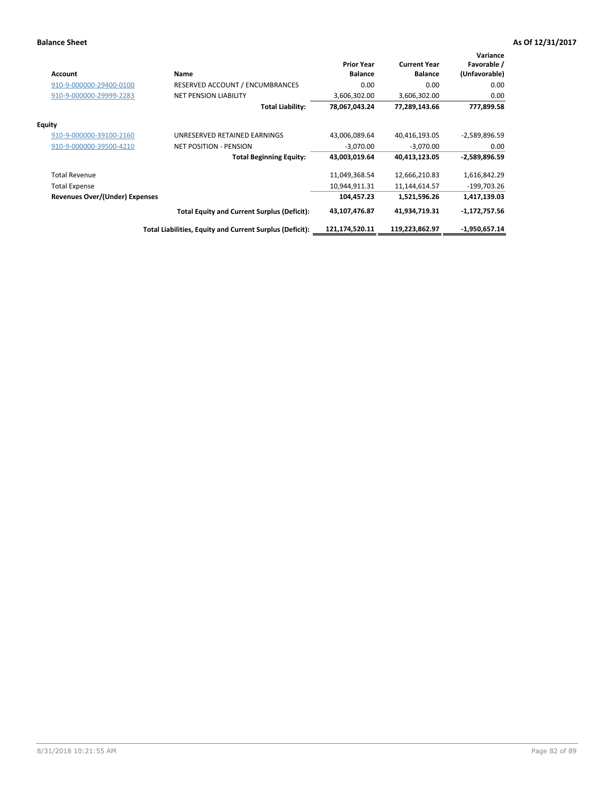| <b>Account</b>                        | Name                                                     | <b>Prior Year</b><br><b>Balance</b> | <b>Current Year</b><br><b>Balance</b> | Variance<br>Favorable /<br>(Unfavorable) |
|---------------------------------------|----------------------------------------------------------|-------------------------------------|---------------------------------------|------------------------------------------|
| 910-9-000000-29400-0100               | <b>RESERVED ACCOUNT / ENCUMBRANCES</b>                   | 0.00                                | 0.00                                  | 0.00                                     |
| 910-9-000000-29999-2283               | <b>NET PENSION LIABILITY</b>                             | 3,606,302.00                        | 3,606,302.00                          | 0.00                                     |
|                                       | <b>Total Liability:</b>                                  | 78,067,043.24                       | 77,289,143.66                         | 777,899.58                               |
| Equity                                |                                                          |                                     |                                       |                                          |
| 910-9-000000-39100-2160               | UNRESERVED RETAINED EARNINGS                             | 43,006,089.64                       | 40,416,193.05                         | -2,589,896.59                            |
| 910-9-000000-39500-4210               | <b>NET POSITION - PENSION</b>                            | $-3,070.00$                         | $-3,070.00$                           | 0.00                                     |
|                                       | <b>Total Beginning Equity:</b>                           | 43,003,019.64                       | 40,413,123.05                         | -2,589,896.59                            |
| <b>Total Revenue</b>                  |                                                          | 11,049,368.54                       | 12,666,210.83                         | 1,616,842.29                             |
| <b>Total Expense</b>                  |                                                          | 10,944,911.31                       | 11,144,614.57                         | $-199,703.26$                            |
| <b>Revenues Over/(Under) Expenses</b> |                                                          | 104,457.23                          | 1,521,596.26                          | 1,417,139.03                             |
|                                       | <b>Total Equity and Current Surplus (Deficit):</b>       | 43,107,476.87                       | 41,934,719.31                         | $-1,172,757.56$                          |
|                                       | Total Liabilities, Equity and Current Surplus (Deficit): | 121,174,520.11                      | 119,223,862.97                        | $-1,950,657.14$                          |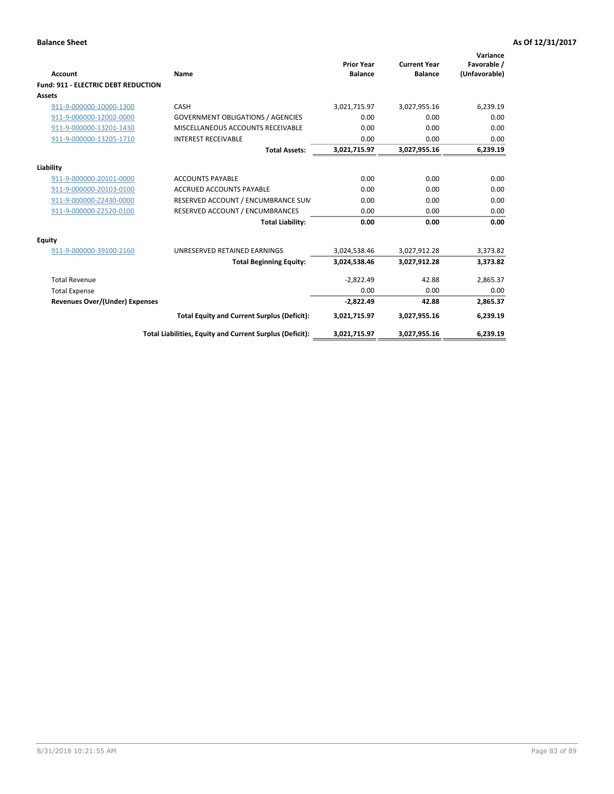| <b>Account</b>                             | <b>Name</b>                                              | <b>Prior Year</b><br><b>Balance</b> | <b>Current Year</b><br><b>Balance</b> | Variance<br>Favorable /<br>(Unfavorable) |
|--------------------------------------------|----------------------------------------------------------|-------------------------------------|---------------------------------------|------------------------------------------|
| <b>Fund: 911 - ELECTRIC DEBT REDUCTION</b> |                                                          |                                     |                                       |                                          |
| Assets                                     |                                                          |                                     |                                       |                                          |
| 911-9-000000-10000-1300                    | CASH                                                     | 3,021,715.97                        | 3,027,955.16                          | 6,239.19                                 |
| 911-9-000000-12002-0000                    | <b>GOVERNMENT OBLIGATIONS / AGENCIES</b>                 | 0.00                                | 0.00                                  | 0.00                                     |
| 911-9-000000-13201-1430                    | MISCELLANEOUS ACCOUNTS RECEIVABLE                        | 0.00                                | 0.00                                  | 0.00                                     |
| 911-9-000000-13205-1710                    | <b>INTEREST RECEIVABLE</b>                               | 0.00                                | 0.00                                  | 0.00                                     |
|                                            | <b>Total Assets:</b>                                     | 3,021,715.97                        | 3,027,955.16                          | 6,239.19                                 |
| Liability                                  |                                                          |                                     |                                       |                                          |
| 911-9-000000-20101-0000                    | <b>ACCOUNTS PAYABLE</b>                                  | 0.00                                | 0.00                                  | 0.00                                     |
| 911-9-000000-20103-0100                    | <b>ACCRUED ACCOUNTS PAYABLE</b>                          | 0.00                                | 0.00                                  | 0.00                                     |
| 911-9-000000-Z2430-0000                    | RESERVED ACCOUNT / ENCUMBRANCE SUM                       | 0.00                                | 0.00                                  | 0.00                                     |
| 911-9-000000-Z2520-0100                    | RESERVED ACCOUNT / ENCUMBRANCES                          | 0.00                                | 0.00                                  | 0.00                                     |
|                                            | <b>Total Liability:</b>                                  | 0.00                                | 0.00                                  | 0.00                                     |
| Equity                                     |                                                          |                                     |                                       |                                          |
| 911-9-000000-39100-2160                    | UNRESERVED RETAINED EARNINGS                             | 3,024,538.46                        | 3,027,912.28                          | 3,373.82                                 |
|                                            | <b>Total Beginning Equity:</b>                           | 3,024,538.46                        | 3,027,912.28                          | 3,373.82                                 |
| <b>Total Revenue</b>                       |                                                          | $-2,822.49$                         | 42.88                                 | 2,865.37                                 |
| <b>Total Expense</b>                       |                                                          | 0.00                                | 0.00                                  | 0.00                                     |
| <b>Revenues Over/(Under) Expenses</b>      |                                                          | $-2,822.49$                         | 42.88                                 | 2,865.37                                 |
|                                            | <b>Total Equity and Current Surplus (Deficit):</b>       | 3,021,715.97                        | 3,027,955.16                          | 6,239.19                                 |
|                                            | Total Liabilities, Equity and Current Surplus (Deficit): | 3,021,715.97                        | 3,027,955.16                          | 6,239.19                                 |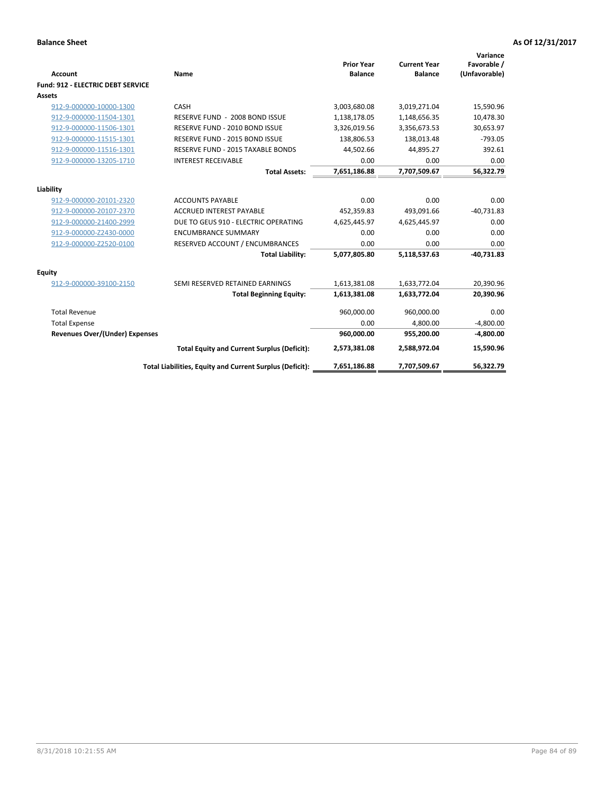| <b>Account</b>                           | <b>Name</b>                                              | <b>Prior Year</b><br><b>Balance</b> | <b>Current Year</b><br><b>Balance</b> | Variance<br>Favorable /<br>(Unfavorable) |
|------------------------------------------|----------------------------------------------------------|-------------------------------------|---------------------------------------|------------------------------------------|
| <b>Fund: 912 - ELECTRIC DEBT SERVICE</b> |                                                          |                                     |                                       |                                          |
| <b>Assets</b>                            |                                                          |                                     |                                       |                                          |
| 912-9-000000-10000-1300                  | CASH                                                     | 3,003,680.08                        | 3,019,271.04                          | 15,590.96                                |
| 912-9-000000-11504-1301                  | RESERVE FUND - 2008 BOND ISSUE                           | 1,138,178.05                        | 1,148,656.35                          | 10,478.30                                |
| 912-9-000000-11506-1301                  | RESERVE FUND - 2010 BOND ISSUE                           | 3,326,019.56                        | 3,356,673.53                          | 30,653.97                                |
| 912-9-000000-11515-1301                  | RESERVE FUND - 2015 BOND ISSUE                           | 138,806.53                          | 138,013.48                            | $-793.05$                                |
| 912-9-000000-11516-1301                  | <b>RESERVE FUND - 2015 TAXABLE BONDS</b>                 | 44,502.66                           | 44,895.27                             | 392.61                                   |
| 912-9-000000-13205-1710                  | <b>INTEREST RECEIVABLE</b>                               | 0.00                                | 0.00                                  | 0.00                                     |
|                                          | <b>Total Assets:</b>                                     | 7,651,186.88                        | 7,707,509.67                          | 56,322.79                                |
| Liability                                |                                                          |                                     |                                       |                                          |
| 912-9-000000-20101-2320                  | <b>ACCOUNTS PAYABLE</b>                                  | 0.00                                | 0.00                                  | 0.00                                     |
| 912-9-000000-20107-2370                  | <b>ACCRUED INTEREST PAYABLE</b>                          | 452,359.83                          | 493.091.66                            | $-40,731.83$                             |
| 912-9-000000-21400-2999                  | DUE TO GEUS 910 - ELECTRIC OPERATING                     | 4,625,445.97                        | 4,625,445.97                          | 0.00                                     |
| 912-9-000000-Z2430-0000                  | <b>ENCUMBRANCE SUMMARY</b>                               | 0.00                                | 0.00                                  | 0.00                                     |
| 912-9-000000-Z2520-0100                  | RESERVED ACCOUNT / ENCUMBRANCES                          | 0.00                                | 0.00                                  | 0.00                                     |
|                                          | <b>Total Liability:</b>                                  | 5,077,805.80                        | 5,118,537.63                          | $-40,731.83$                             |
| <b>Equity</b>                            |                                                          |                                     |                                       |                                          |
| 912-9-000000-39100-2150                  | SEMI RESERVED RETAINED EARNINGS                          | 1,613,381.08                        | 1,633,772.04                          | 20,390.96                                |
|                                          | <b>Total Beginning Equity:</b>                           | 1,613,381.08                        | 1,633,772.04                          | 20,390.96                                |
| <b>Total Revenue</b>                     |                                                          | 960,000.00                          | 960,000.00                            | 0.00                                     |
| <b>Total Expense</b>                     |                                                          | 0.00                                | 4,800.00                              | $-4,800.00$                              |
| <b>Revenues Over/(Under) Expenses</b>    |                                                          | 960,000.00                          | 955,200.00                            | $-4,800.00$                              |
|                                          | <b>Total Equity and Current Surplus (Deficit):</b>       | 2,573,381.08                        | 2,588,972.04                          | 15,590.96                                |
|                                          | Total Liabilities, Equity and Current Surplus (Deficit): | 7,651,186.88                        | 7,707,509.67                          | 56,322.79                                |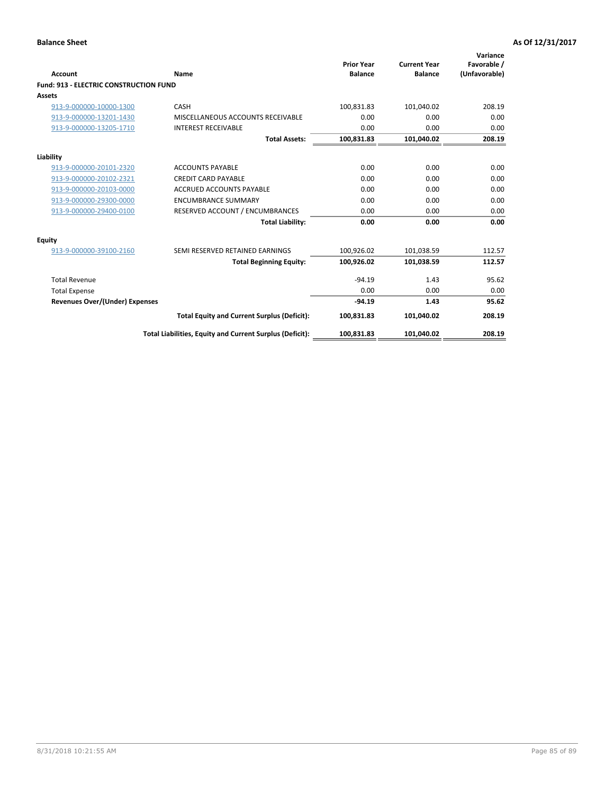| <b>Account</b>                                | Name                                                     | <b>Prior Year</b><br><b>Balance</b> | <b>Current Year</b><br><b>Balance</b> | Variance<br>Favorable /<br>(Unfavorable) |
|-----------------------------------------------|----------------------------------------------------------|-------------------------------------|---------------------------------------|------------------------------------------|
| <b>Fund: 913 - ELECTRIC CONSTRUCTION FUND</b> |                                                          |                                     |                                       |                                          |
| <b>Assets</b>                                 |                                                          |                                     |                                       |                                          |
| 913-9-000000-10000-1300                       | CASH                                                     | 100,831.83                          | 101,040.02                            | 208.19                                   |
| 913-9-000000-13201-1430                       | MISCELLANEOUS ACCOUNTS RECEIVABLE                        | 0.00                                | 0.00                                  | 0.00                                     |
| 913-9-000000-13205-1710                       | <b>INTEREST RECEIVABLE</b>                               | 0.00                                | 0.00                                  | 0.00                                     |
|                                               | <b>Total Assets:</b>                                     | 100,831.83                          | 101,040.02                            | 208.19                                   |
| Liability                                     |                                                          |                                     |                                       |                                          |
| 913-9-000000-20101-2320                       | <b>ACCOUNTS PAYABLE</b>                                  | 0.00                                | 0.00                                  | 0.00                                     |
| 913-9-000000-20102-2321                       | <b>CREDIT CARD PAYABLE</b>                               | 0.00                                | 0.00                                  | 0.00                                     |
| 913-9-000000-20103-0000                       | <b>ACCRUED ACCOUNTS PAYABLE</b>                          | 0.00                                | 0.00                                  | 0.00                                     |
| 913-9-000000-29300-0000                       | <b>ENCUMBRANCE SUMMARY</b>                               | 0.00                                | 0.00                                  | 0.00                                     |
| 913-9-000000-29400-0100                       | RESERVED ACCOUNT / ENCUMBRANCES                          | 0.00                                | 0.00                                  | 0.00                                     |
|                                               | <b>Total Liability:</b>                                  | 0.00                                | 0.00                                  | 0.00                                     |
| <b>Equity</b>                                 |                                                          |                                     |                                       |                                          |
| 913-9-000000-39100-2160                       | SEMI RESERVED RETAINED EARNINGS                          | 100,926.02                          | 101,038.59                            | 112.57                                   |
|                                               | <b>Total Beginning Equity:</b>                           | 100,926.02                          | 101,038.59                            | 112.57                                   |
| <b>Total Revenue</b>                          |                                                          | $-94.19$                            | 1.43                                  | 95.62                                    |
| <b>Total Expense</b>                          |                                                          | 0.00                                | 0.00                                  | 0.00                                     |
| <b>Revenues Over/(Under) Expenses</b>         |                                                          | $-94.19$                            | 1.43                                  | 95.62                                    |
|                                               | <b>Total Equity and Current Surplus (Deficit):</b>       | 100,831.83                          | 101,040.02                            | 208.19                                   |
|                                               | Total Liabilities, Equity and Current Surplus (Deficit): | 100,831.83                          | 101,040.02                            | 208.19                                   |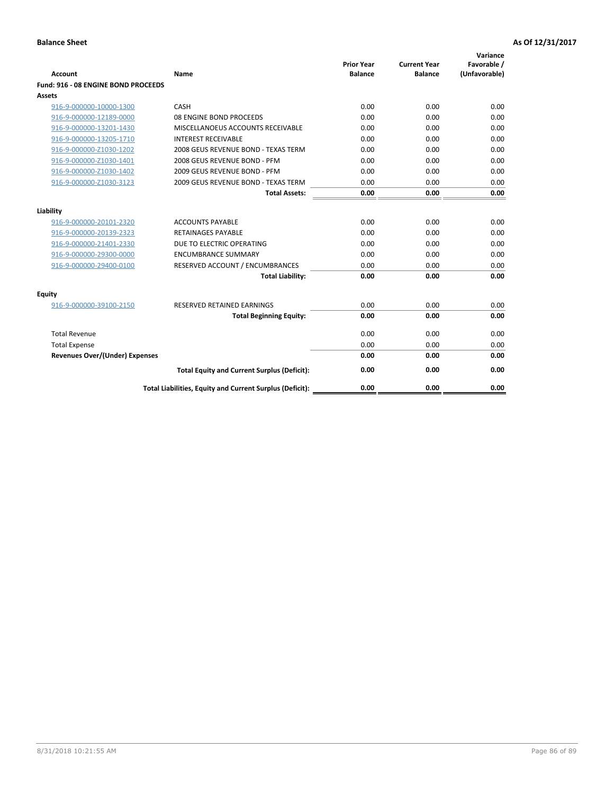| Account                               | Name                                                     | <b>Prior Year</b><br><b>Balance</b> | <b>Current Year</b><br><b>Balance</b> | Variance<br>Favorable /<br>(Unfavorable) |
|---------------------------------------|----------------------------------------------------------|-------------------------------------|---------------------------------------|------------------------------------------|
| Fund: 916 - 08 ENGINE BOND PROCEEDS   |                                                          |                                     |                                       |                                          |
| Assets                                |                                                          |                                     |                                       |                                          |
| 916-9-000000-10000-1300               | CASH                                                     | 0.00                                | 0.00                                  | 0.00                                     |
| 916-9-000000-12189-0000               | 08 ENGINE BOND PROCEEDS                                  | 0.00                                | 0.00                                  | 0.00                                     |
| 916-9-000000-13201-1430               | MISCELLANOEUS ACCOUNTS RECEIVABLE                        | 0.00                                | 0.00                                  | 0.00                                     |
| 916-9-000000-13205-1710               | <b>INTEREST RECEIVABLE</b>                               | 0.00                                | 0.00                                  | 0.00                                     |
| 916-9-000000-Z1030-1202               | 2008 GEUS REVENUE BOND - TEXAS TERM                      | 0.00                                | 0.00                                  | 0.00                                     |
| 916-9-000000-Z1030-1401               | 2008 GEUS REVENUE BOND - PFM                             | 0.00                                | 0.00                                  | 0.00                                     |
| 916-9-000000-Z1030-1402               | 2009 GEUS REVENUE BOND - PFM                             | 0.00                                | 0.00                                  | 0.00                                     |
| 916-9-000000-Z1030-3123               | 2009 GEUS REVENUE BOND - TEXAS TERM                      | 0.00                                | 0.00                                  | 0.00                                     |
|                                       | <b>Total Assets:</b>                                     | 0.00                                | 0.00                                  | 0.00                                     |
| Liability                             |                                                          |                                     |                                       |                                          |
| 916-9-000000-20101-2320               | <b>ACCOUNTS PAYABLE</b>                                  | 0.00                                | 0.00                                  | 0.00                                     |
| 916-9-000000-20139-2323               | <b>RETAINAGES PAYABLE</b>                                | 0.00                                | 0.00                                  | 0.00                                     |
| 916-9-000000-21401-2330               | DUE TO ELECTRIC OPERATING                                | 0.00                                | 0.00                                  | 0.00                                     |
| 916-9-000000-29300-0000               | <b>ENCUMBRANCE SUMMARY</b>                               | 0.00                                | 0.00                                  | 0.00                                     |
| 916-9-000000-29400-0100               | RESERVED ACCOUNT / ENCUMBRANCES                          | 0.00                                | 0.00                                  | 0.00                                     |
|                                       | <b>Total Liability:</b>                                  | 0.00                                | 0.00                                  | 0.00                                     |
| Equity                                |                                                          |                                     |                                       |                                          |
| 916-9-000000-39100-2150               | <b>RESERVED RETAINED EARNINGS</b>                        | 0.00                                | 0.00                                  | 0.00                                     |
|                                       | <b>Total Beginning Equity:</b>                           | 0.00                                | 0.00                                  | 0.00                                     |
| <b>Total Revenue</b>                  |                                                          | 0.00                                | 0.00                                  | 0.00                                     |
| <b>Total Expense</b>                  |                                                          | 0.00                                | 0.00                                  | 0.00                                     |
| <b>Revenues Over/(Under) Expenses</b> |                                                          | 0.00                                | 0.00                                  | 0.00                                     |
|                                       | <b>Total Equity and Current Surplus (Deficit):</b>       | 0.00                                | 0.00                                  | 0.00                                     |
|                                       | Total Liabilities, Equity and Current Surplus (Deficit): | 0.00                                | 0.00                                  | 0.00                                     |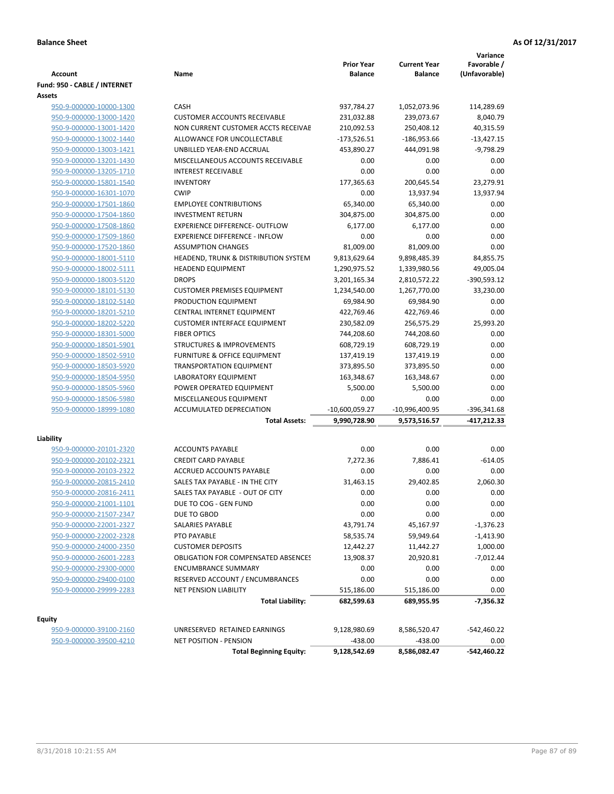| <b>Account</b>                                     | Name                                           | <b>Prior Year</b><br><b>Balance</b> | <b>Current Year</b><br><b>Balance</b> | Variance<br>Favorable /<br>(Unfavorable) |
|----------------------------------------------------|------------------------------------------------|-------------------------------------|---------------------------------------|------------------------------------------|
| Fund: 950 - CABLE / INTERNET                       |                                                |                                     |                                       |                                          |
| Assets                                             |                                                |                                     |                                       |                                          |
| 950-9-000000-10000-1300                            | CASH                                           | 937,784.27                          | 1,052,073.96                          | 114,289.69                               |
| 950-9-000000-13000-1420                            | <b>CUSTOMER ACCOUNTS RECEIVABLE</b>            | 231,032.88                          | 239,073.67                            | 8,040.79                                 |
| 950-9-000000-13001-1420                            | NON CURRENT CUSTOMER ACCTS RECEIVAE            | 210,092.53                          | 250,408.12                            | 40,315.59                                |
| 950-9-000000-13002-1440                            | ALLOWANCE FOR UNCOLLECTABLE                    | $-173,526.51$                       | $-186,953.66$                         | $-13,427.15$                             |
| 950-9-000000-13003-1421                            | UNBILLED YEAR-END ACCRUAL                      | 453,890.27                          | 444,091.98                            | $-9,798.29$                              |
| 950-9-000000-13201-1430                            | MISCELLANEOUS ACCOUNTS RECEIVABLE              | 0.00                                | 0.00                                  | 0.00                                     |
| 950-9-000000-13205-1710<br>950-9-000000-15801-1540 | <b>INTEREST RECEIVABLE</b><br><b>INVENTORY</b> | 0.00<br>177,365.63                  | 0.00<br>200,645.54                    | 0.00<br>23,279.91                        |
| 950-9-000000-16301-1070                            | <b>CWIP</b>                                    | 0.00                                | 13,937.94                             | 13,937.94                                |
| 950-9-000000-17501-1860                            | <b>EMPLOYEE CONTRIBUTIONS</b>                  | 65,340.00                           | 65,340.00                             | 0.00                                     |
| 950-9-000000-17504-1860                            | <b>INVESTMENT RETURN</b>                       | 304,875.00                          | 304,875.00                            | 0.00                                     |
| 950-9-000000-17508-1860                            | <b>EXPERIENCE DIFFERENCE- OUTFLOW</b>          | 6,177.00                            | 6,177.00                              | 0.00                                     |
| 950-9-000000-17509-1860                            | <b>EXPERIENCE DIFFERENCE - INFLOW</b>          | 0.00                                | 0.00                                  | 0.00                                     |
| 950-9-000000-17520-1860                            | <b>ASSUMPTION CHANGES</b>                      | 81,009.00                           | 81,009.00                             | 0.00                                     |
| 950-9-000000-18001-5110                            | HEADEND, TRUNK & DISTRIBUTION SYSTEM           | 9,813,629.64                        | 9,898,485.39                          | 84,855.75                                |
| 950-9-000000-18002-5111                            | <b>HEADEND EQUIPMENT</b>                       | 1,290,975.52                        | 1,339,980.56                          | 49,005.04                                |
| 950-9-000000-18003-5120                            | <b>DROPS</b>                                   | 3,201,165.34                        | 2,810,572.22                          | -390,593.12                              |
| 950-9-000000-18101-5130                            | <b>CUSTOMER PREMISES EQUIPMENT</b>             | 1,234,540.00                        | 1,267,770.00                          | 33,230.00                                |
| 950-9-000000-18102-5140                            | PRODUCTION EQUIPMENT                           | 69,984.90                           | 69,984.90                             | 0.00                                     |
| 950-9-000000-18201-5210                            | CENTRAL INTERNET EQUIPMENT                     | 422,769.46                          | 422,769.46                            | 0.00                                     |
| 950-9-000000-18202-5220                            | <b>CUSTOMER INTERFACE EQUIPMENT</b>            | 230,582.09                          | 256,575.29                            | 25,993.20                                |
| 950-9-000000-18301-5000                            | <b>FIBER OPTICS</b>                            | 744,208.60                          | 744,208.60                            | 0.00                                     |
| 950-9-000000-18501-5901                            | <b>STRUCTURES &amp; IMPROVEMENTS</b>           | 608,729.19                          | 608,729.19                            | 0.00                                     |
| 950-9-000000-18502-5910                            | <b>FURNITURE &amp; OFFICE EQUIPMENT</b>        | 137,419.19                          | 137,419.19                            | 0.00                                     |
| 950-9-000000-18503-5920                            | <b>TRANSPORTATION EQUIPMENT</b>                | 373,895.50                          | 373,895.50                            | 0.00                                     |
| 950-9-000000-18504-5950                            | LABORATORY EQUIPMENT                           | 163,348.67                          | 163,348.67                            | 0.00                                     |
| 950-9-000000-18505-5960                            | POWER OPERATED EQUIPMENT                       | 5,500.00                            | 5,500.00                              | 0.00                                     |
| 950-9-000000-18506-5980                            | MISCELLANEOUS EQUIPMENT                        | 0.00                                | 0.00                                  | 0.00                                     |
| 950-9-000000-18999-1080                            | ACCUMULATED DEPRECIATION                       | $-10,600,059.27$                    | $-10,996,400.95$                      | $-396,341.68$                            |
|                                                    | <b>Total Assets:</b>                           | 9,990,728.90                        | 9,573,516.57                          | -417,212.33                              |
| Liability                                          |                                                |                                     |                                       |                                          |
| 950-9-000000-20101-2320                            | <b>ACCOUNTS PAYABLE</b>                        | 0.00                                | 0.00                                  | 0.00                                     |
| 950-9-000000-20102-2321                            | <b>CREDIT CARD PAYABLE</b>                     | 7,272.36                            | 7,886.41                              | $-614.05$                                |
| 950-9-000000-20103-2322                            | ACCRUED ACCOUNTS PAYABLE                       | 0.00                                | 0.00                                  | 0.00                                     |
| 950-9-000000-20815-2410                            | SALES TAX PAYABLE - IN THE CITY                | 31,463.15                           | 29.402.85                             | 2,060.30                                 |
| 950-9-000000-20816-2411                            | SALES TAX PAYABLE - OUT OF CITY                | 0.00                                | 0.00                                  | 0.00                                     |
| 950-9-000000-21001-1101                            | DUE TO COG - GEN FUND                          | 0.00                                | 0.00                                  | 0.00                                     |
| 950-9-000000-21507-2347                            | DUE TO GBOD                                    | 0.00                                | 0.00                                  | 0.00                                     |
| 950-9-000000-22001-2327                            | SALARIES PAYABLE                               | 43,791.74                           | 45,167.97                             | $-1,376.23$                              |
| 950-9-000000-22002-2328                            | PTO PAYABLE                                    | 58,535.74                           | 59,949.64                             | $-1,413.90$                              |
| 950-9-000000-24000-2350                            | <b>CUSTOMER DEPOSITS</b>                       | 12,442.27                           | 11,442.27                             | 1,000.00                                 |
| 950-9-000000-26001-2283                            | <b>OBLIGATION FOR COMPENSATED ABSENCES</b>     | 13,908.37                           | 20,920.81                             | $-7,012.44$                              |
| 950-9-000000-29300-0000                            | <b>ENCUMBRANCE SUMMARY</b>                     | 0.00                                | 0.00                                  | 0.00                                     |
| 950-9-000000-29400-0100                            | RESERVED ACCOUNT / ENCUMBRANCES                | 0.00                                | 0.00                                  | 0.00                                     |
| 950-9-000000-29999-2283                            | NET PENSION LIABILITY                          | 515,186.00                          | 515,186.00                            | 0.00                                     |
|                                                    | <b>Total Liability:</b>                        | 682,599.63                          | 689,955.95                            | -7,356.32                                |
| Equity                                             |                                                |                                     |                                       |                                          |
| 950-9-000000-39100-2160                            | UNRESERVED RETAINED EARNINGS                   | 9,128,980.69                        | 8,586,520.47                          | -542,460.22                              |
| 950-9-000000-39500-4210                            | <b>NET POSITION - PENSION</b>                  | $-438.00$                           | $-438.00$                             | 0.00                                     |
|                                                    | <b>Total Beginning Equity:</b>                 | 9,128,542.69                        | 8,586,082.47                          | -542,460.22                              |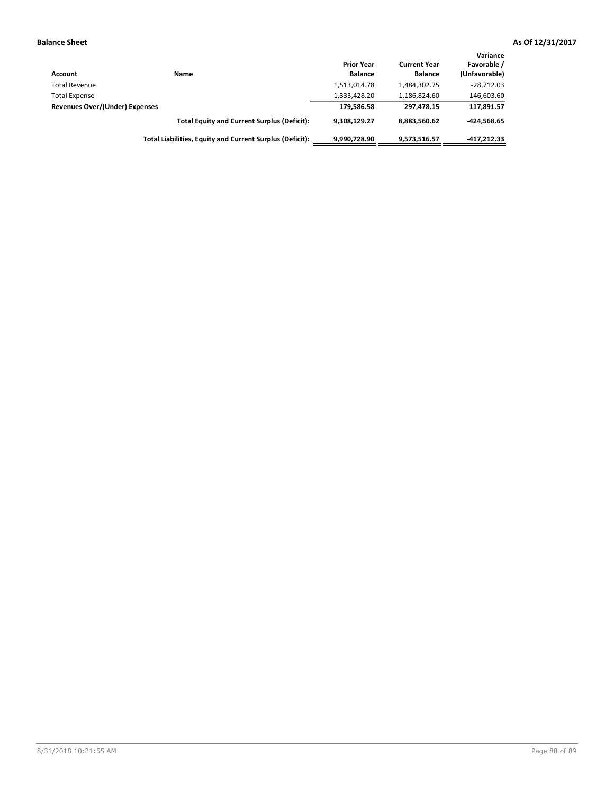| <b>Account</b>                        | <b>Name</b>                                              | <b>Prior Year</b><br><b>Balance</b> | <b>Current Year</b><br><b>Balance</b> | Variance<br>Favorable /<br>(Unfavorable) |
|---------------------------------------|----------------------------------------------------------|-------------------------------------|---------------------------------------|------------------------------------------|
| <b>Total Revenue</b>                  |                                                          | 1,513,014.78                        | 1,484,302.75                          | $-28.712.03$                             |
| <b>Total Expense</b>                  |                                                          | 1,333,428.20                        | 1,186,824.60                          | 146,603.60                               |
| <b>Revenues Over/(Under) Expenses</b> |                                                          | 179,586.58                          | 297.478.15                            | 117,891.57                               |
|                                       | <b>Total Equity and Current Surplus (Deficit):</b>       | 9.308.129.27                        | 8,883,560.62                          | $-424.568.65$                            |
|                                       | Total Liabilities, Equity and Current Surplus (Deficit): | 9,990,728.90                        | 9,573,516.57                          | $-417.212.33$                            |